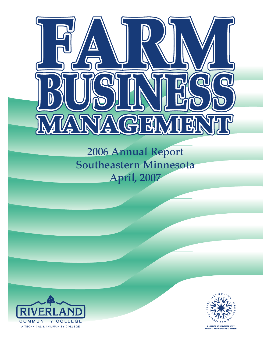

# **2006 Annual Report Southeastern Minnesota April, 2007**





A MEMBER OF MINNESOTA STATE<br>COLLEGES AND UNIVERSITIES SYSTEM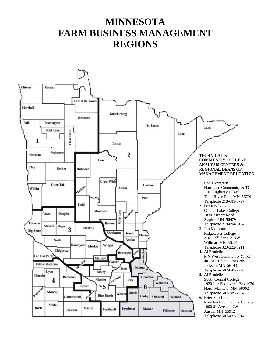## **MINNESOTA FARM BUSINESS MANAGEMENT REGIONS**

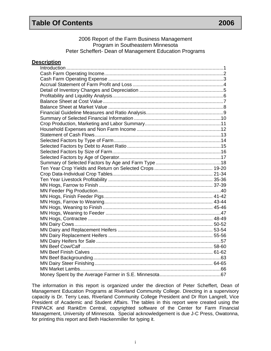#### **Description**

The information in this report is organized under the direction of Peter Scheffert, Dean of Management Education Programs at Riverland Community College. Directing in a supervisory capacity is Dr. Terry Leas, Riverland Community College President and Dr Ron Langrell, Vice President of Academic and Student Affairs. The tables in this report were created using the FINPACK and RankEm Central, copyrighted software of the Center for Farm Financial Management, University of Minnesota. Special acknowledgement is due J-C Press, Owatonna, for printing this report and Beth Hackenmiller for typing it.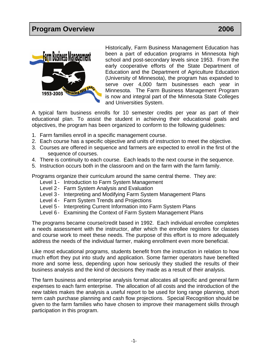

Historically, Farm Business Management Education has been a part of education programs in Minnesota high school and post-secondary levels since 1953. From the early cooperative efforts of the State Department of Education and the Department of Agriculture Education (University of Minnesota), the program has expanded to serve over 4,000 farm businesses each year in Minnesota. The Farm Business Management Program is now and integral part of the Minnesota State Colleges and Universities System.

A typical farm business enrolls for 10 semester credits per year as part of their educational plan. To assist the student in achieving their educational goals and objectives, the program has been organized to conform to the following guidelines:

- 1. Farm families enroll in a specific management course.
- 2. Each course has a specific objective and units of instruction to meet the objective.
- 3. Courses are offered in sequence and farmers are expected to enroll in the first of the sequence of courses.
- 4. There is continuity to each course. Each leads to the next course in the sequence.
- 5. Instruction occurs both in the classroom and on the farm with the farm family.

Programs organize their curriculum around the same central theme. They are:

- Level 1 Introduction to Farm System Management
- Level 2 Farm System Analysis and Evaluation
- Level 3- Interpreting and Modifying Farm System Management Plans
- Level 4 Farm System Trends and Projections
- Level 5 Interpreting Current Information into Farm System Plans
- Level 6 Examining the Context of Farm System Management Plans

The programs became course/credit based in 1992. Each individual enrollee completes a needs assessment with the instructor, after which the enrollee registers for classes and course work to meet these needs. The purpose of this effort is to more adequately address the needs of the individual farmer, making enrollment even more beneficial.

Like most educational programs, students benefit from the instruction in relation to how much effort they put into study and application. Some farmer operators have benefited more and some less, depending upon how seriously they studied the results of their business analysis and the kind of decisions they made as a result of their analysis.

The farm business and enterprise analysis format allocates all specific and general farm expenses to each farm enterprise. The allocation of all costs and the introduction of the new tables makes the analysis a useful report to be used for long range planning, short term cash purchase planning and cash flow projections. Special Recognition should be given to the farm families who have chosen to improve their management skills through participation in this program.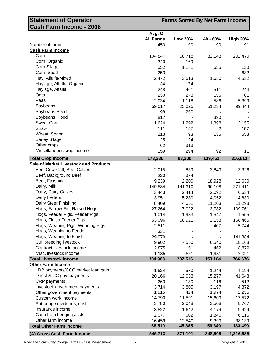| <b>Statement of Operator</b>                 | <b>Farms Sorted By Net Farm Income</b> |         |                |                 |
|----------------------------------------------|----------------------------------------|---------|----------------|-----------------|
| ∥Cash Farm Income - 2006                     |                                        |         |                |                 |
|                                              | Avg. Of                                |         |                |                 |
|                                              | <b>All Farms</b>                       | Low 20% | $40 - 60%$     | <b>High 20%</b> |
| Number of farms                              | 453                                    | 90      | 90             | 91              |
| <b>Cash Farm Income</b>                      |                                        |         |                |                 |
| Corn                                         | 104,847                                | 58,718  | 82,143         | 202,470         |
| Corn, Organic                                | 340                                    | 169     |                |                 |
| Corn Silage                                  | 552                                    | 1,181   | 655            | 130             |
| Corn, Seed                                   | 253                                    |         |                | 632             |
| Hay, Alfalfa/Mixed                           | 2,472                                  | 3,513   | 1,650          | 4,532           |
| Haylage, Alfalfa, Organic                    | 34                                     | 174     |                |                 |
| Haylage, Alfalfa                             | 248                                    | 461     | 511            | 244             |
| Oats                                         | 230                                    | 278     | 156            | 81              |
| Peas                                         | 2,034                                  | 1,118   | 586            | 5,399           |
| Soybeans                                     | 59,017                                 | 25,025  | 51,234         | 99,444          |
| Soybeans Seed                                | 198                                    | 250     |                |                 |
| Soybeans, Food                               | 817                                    |         | 890            |                 |
| <b>Sweet Corn</b>                            | 1,624                                  | 1,292   | 1,398          | 3,155           |
| <b>Straw</b>                                 | 111                                    | 197     | $\overline{2}$ | 157             |
| Wheat, Spring                                | 213                                    | 93      | 135            | 558             |
| <b>Barley Silage</b>                         | 25                                     | 124     |                |                 |
| Other crops                                  | 62                                     | 313     |                |                 |
| Miscellaneous crop income                    | 159                                    | 294     | 92             | 11              |
| <b>Total Crop Income</b>                     | 173,236                                | 93,200  | 139,452        | 316,813         |
| <b>Sale of Market Livestock and Products</b> |                                        |         |                |                 |
| Beef Cow-Calf, Beef Calves                   | 2,015                                  | 839     | 3,849          | 3,326           |
| Beef, Background Beef                        | 220                                    | 374     |                |                 |
| Beef, Finishing                              | 9,239                                  | 2,200   | 18,928         | 12,630          |
| Dairy, Milk                                  | 149,584                                | 141,310 | 96,108         | 271,411         |
| Dairy, Dairy Calves                          | 3,443                                  | 2,414   | 2,092          | 6,634           |
| Dairy Heifers                                | 3,951                                  | 5,280   | 4,052          | 4,830           |
| Dairy Steer Finishing                        | 8,409                                  | 4,051   | 11,203         | 11,298          |
| Hogs, Farrow-Fin, Raised Hogs                | 27,264                                 | 7,022   | 3,782          | 109,761         |
| Hogs, Feeder Pigs, Feeder Pigs               | 1,014                                  | 1,983   | 1,547          | 1,555           |
| Hogs, Finish Feeder Pigs                     | 53,096                                 | 58,921  | 2,153          | 168,465         |
| Hogs, Weaning Pigs, Weaning Pigs             | 2,511                                  |         | 407            | 5,744           |
| Hogs, Weaning to Feeder                      | 331                                    |         |                |                 |
| Hogs, Weaning to Finish                      | 29,979                                 |         |                | 141,884         |
| Cull breeding livestock                      | 9,902                                  | 7,550   | 6,540          | 18,168          |
| Contract livestock income                    | 2,875                                  | 51      | 462            | 8,879           |
| Misc. livestock income                       | 1,135                                  | 521     | 1,981          | 2,091           |
| <b>Total Livestock Income</b>                | 304,968                                | 232,516 | 153,104        | 766,676         |
| <b>Other Farm Income</b>                     |                                        |         |                |                 |
| LDP payments/CCC market loan gain            | 1,524                                  | 570     | 1,244          | 4,194           |
| Direct & CC govt payments                    | 20,166                                 | 12,033  | 15,277         | 41,643          |
| <b>CRP</b> payments                          | 263                                    | 130     | 116            | 512             |
| Livestock government payments                | 3,714                                  | 3,805   | 3,197          | 4,872           |
| Other government payments                    | 1,915                                  | 424     | 1,974          | 2,255           |
| Custom work income                           | 14,790                                 | 11,591  | 15,609         | 17,572          |
| Patronage dividends, cash                    | 3,780                                  | 2,048   | 3,508          | 8,767           |
| Insurance income                             | 3,822                                  | 1,642   | 4,179          | 9,429           |
| Cash from hedging accts                      | 2,077                                  | 602     | 1,846          | 6,116           |
| Other farm income                            | 16,459                                 | 12,540  | 9,399          | 38,139          |
| <b>Total Other Farm Income</b>               | 68,510                                 | 45,385  | 56,349         | 133,499         |

**(A) Gross Cash Farm Income 546,713 371,101 348,905 1,216,985**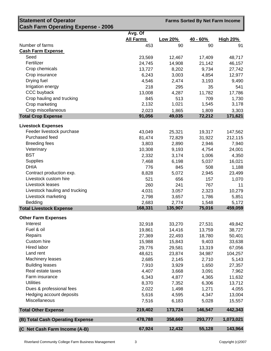| <b>Statement of Operator</b>              |                  |                | <b>Farms Sorted By Net Farm Income</b> |                 |
|-------------------------------------------|------------------|----------------|----------------------------------------|-----------------|
| <b>Cash Farm Operating Expense - 2006</b> |                  |                |                                        |                 |
|                                           | Avg. Of          |                |                                        |                 |
|                                           | <b>All Farms</b> | <b>Low 20%</b> | $40 - 60%$                             | <b>High 20%</b> |
| Number of farms                           | 453              | 90             | 90                                     | 91              |
| <b>Cash Farm Expense</b>                  |                  |                |                                        |                 |
| Seed                                      | 23,569           | 12,467         | 17,409                                 | 48,717          |
| Fertilizer                                | 24,745           | 14,908         | 21,142                                 | 46,157          |
| Crop chemicals                            | 13,727           | 8,202          | 9,734                                  | 27,742          |
| Crop insurance                            | 6,243            | 3,003          | 4,854                                  | 12,977          |
| Drying fuel                               | 4,546            | 2,474          | 3,193                                  | 9,490           |
| Irrigation energy                         | 218              | 295            | 35                                     | 541             |
| CCC buyback                               | 13,008           | 4,287          | 11,782                                 | 17,786          |
| Crop hauling and trucking                 | 845              | 513            | 709                                    | 1,730           |
| Crop marketing                            | 2,132            | 1,021          | 1,545                                  | 3,178           |
| Crop miscellaneous                        | 2,023            | 1,865          | 1,809                                  | 3,303           |
| <b>Total Crop Expense</b>                 | 91,056           | 49,035         | 72,212                                 | 171,621         |
| <b>Livestock Expenses</b>                 |                  |                |                                        |                 |
| Feeder livestock purchase                 | 43,049           | 25,321         | 19,317                                 | 147,562         |
| Purchased feed                            | 81,474           | 72,829         | 31,922                                 | 212,115         |
| <b>Breeding fees</b>                      | 3,803            | 2,890          | 2,946                                  | 7,940           |
| Veterinary                                | 10,308           | 9,193          | 4,754                                  | 24,001          |
| <b>BST</b>                                | 2,332            | 3,174          | 1,006                                  | 4,350           |
| <b>Supplies</b>                           | 7,468            | 6,198          | 5,037                                  | 16,021          |
| <b>DHIA</b>                               | 776              | 845            | 508                                    | 1,188           |
| Contract production exp.                  | 8,828            | 5,072          | 2,945                                  | 23,499          |
| Livestock custom hire                     | 521              | 656            | 157                                    | 1,070           |
| Livestock leases                          | 260              | 241            | 767                                    | 11              |
| Livestock hauling and trucking            | 4,031            | 3,057          | 2,323                                  | 10,279          |
| Livestock marketing                       | 2,798            | 3,657          | 1,786                                  | 5,851           |
| Bedding                                   | 2,683            | 2,774          | 1,548                                  | 5,172           |
| <b>Total Livestock Expense</b>            | 168,331          | 135,907        | 75,016                                 | 459,059         |
|                                           |                  |                |                                        |                 |
| <b>Other Farm Expenses</b><br>Interest    |                  |                |                                        |                 |
| Fuel & oil                                | 32,918           | 33,270         | 27,531                                 | 49,842          |
| Repairs                                   | 19,861           | 14,416         | 13,759                                 | 38,727          |
| Custom hire                               | 27,369           | 22,493         | 18,780                                 | 50,401          |
| Hired labor                               | 15,988           | 15,843         | 9,403                                  | 33,638          |
| Land rent                                 | 29,776           | 29,581         | 13,319                                 | 67,056          |
| <b>Machinery leases</b>                   | 48,621           | 23,874         | 34,987                                 | 104,257         |
| <b>Building leases</b>                    | 2,685<br>7,910   | 2,145<br>3,929 | 2,710<br>1,650                         | 5,143<br>27,357 |
| Real estate taxes                         |                  |                |                                        |                 |
| Farm insurance                            | 4,407<br>6,343   | 3,668          | 3,091                                  | 7,962           |
| <b>Utilities</b>                          |                  | 4,877          | 4,365                                  | 11,632          |
| Dues & professional fees                  | 8,370            | 7,352          | 6,306                                  | 13,712          |
| Hedging account deposits                  | 2,022            | 1,498          | 1,271                                  | 4,055           |
| Miscellaneous                             | 5,616            | 4,595          | 4,347                                  | 13,004          |
|                                           | 7,516            | 6,183          | 5,028                                  | 15,557          |
| <b>Total Other Expense</b>                | 219,402          | 173,724        | 146,547                                | 442,343         |
| (B) Total Cash Operating Expense          | 478,788          | 358,669        | 293,777                                | 1,073,021       |
| (C Net Cash Farm Income (A-B)             | 67,924           | 12,432         | 55,128                                 | 143,964         |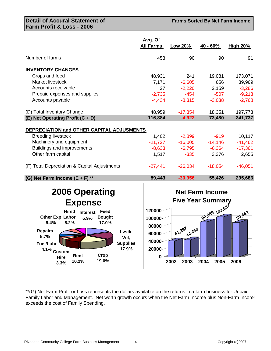#### **Detail of Accural Statement of Farm Profit & Loss - 2006**

**Farms Sorted By Net Farm Income** 

|                                                                                                                                        | Avg. Of<br><b>All Farms</b>  | <b>Low 20%</b>      | 40 - 60%                                           | <b>High 20%</b>    |
|----------------------------------------------------------------------------------------------------------------------------------------|------------------------------|---------------------|----------------------------------------------------|--------------------|
| Number of farms                                                                                                                        | 453                          | 90                  | 90                                                 | 91                 |
| <b>INVENTORY CHANGES</b>                                                                                                               |                              |                     |                                                    |                    |
| Crops and feed                                                                                                                         | 48,931                       | 241                 | 19,081                                             | 173,071            |
| Market livestock                                                                                                                       | 7,171                        | $-6,605$            | 656                                                | 39,969             |
| Accounts receivable                                                                                                                    | 27                           | $-2,220$            | 2,159                                              | $-3,286$           |
| Prepaid expenses and supplies                                                                                                          | $-2,735$                     | $-454$              | $-507$                                             | $-9,213$           |
| Accounts payable                                                                                                                       | $-4,434$                     | $-8,315$            | $-3,038$                                           | $-2,768$           |
|                                                                                                                                        |                              |                     |                                                    |                    |
| (D) Total Inventory Change                                                                                                             | 48,959                       | $-17,354$           | 18,351                                             | 197,773            |
| (E) Net Operating Profit (C + D)                                                                                                       | 116,884                      | $-4,922$            | 73,480                                             | 341,737            |
| DEPRECIATION and OTHER CAPITAL ADJUSMENTS                                                                                              |                              |                     |                                                    |                    |
| <b>Breeding livestock</b>                                                                                                              | 1,402                        | $-2,899$            | $-919$                                             | 10,117             |
| Machinery and equipment                                                                                                                | $-21,727$                    | $-16,005$           | $-14,146$                                          | $-41,462$          |
| Buildings and improvements                                                                                                             | $-8,633$                     | $-6,795$            | $-6,364$                                           | $-17,361$          |
| Other farm capital                                                                                                                     | 1,517                        | $-335$              | 3,376                                              | 2,655              |
|                                                                                                                                        |                              |                     |                                                    |                    |
| (F) Total Depreciation & Capital Adjustments                                                                                           | $-27,441$                    | $-26,034$           | $-18,054$                                          | $-46,051$          |
| (G) Net Farm Income $(E + F)$ **                                                                                                       | 89,443                       | $-30,956$           | 55,426                                             | 295,686            |
| <b>2006 Operating</b>                                                                                                                  |                              |                     | <b>Net Farm Income</b><br><b>Five Year Summary</b> |                    |
| <b>Expense</b>                                                                                                                         |                              |                     |                                                    |                    |
| <b>Hired</b><br>Feed<br><b>Interest</b><br>Other Exp Labor<br><b>Bought</b><br>6.9%<br>9.4%<br>6.2%<br>17.0%                           | 120000<br>100000<br>80000    |                     | 90,969 103,637                                     | $\frac{69}{1}$ AA3 |
| <b>Repairs</b><br>Lvstk,<br>5.7%<br>Vet,<br><b>Supplies</b><br><b>Fuel/Lubr</b><br>17.9%<br>4.1% Custom<br>Crop<br>Rent<br><b>Hire</b> | 60000<br>40000<br>20000<br>0 | 287<br>A4, 430<br>い |                                                    |                    |
| 19.0%<br>10.2%<br>3.3%                                                                                                                 |                              | 2003<br>2002        | 2004<br>2005                                       | 2006               |

\*\*(G) Net Farm Profit or Loss represents the dollars available on the returns in a farm business for Unpaid Family Labor and Management. Net worth growth occurs when the Net Farm Income plus Non-Farm Income exceeds the cost of Family Spending.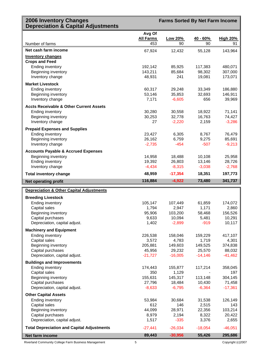#### **2006 Inventory Changes Depreciation & Capital Adjustments**

**Farms Sorted By Net Farm Income**

|                                                      | Avg Of            |                   |                   |                   |
|------------------------------------------------------|-------------------|-------------------|-------------------|-------------------|
|                                                      | <b>All Farms</b>  | Low 20%           | $40 - 60%$        | <b>High 20%</b>   |
| Number of farms                                      | 453               | 90                | 90                | 91                |
| Net cash farm income                                 | 67,924            | 12,432            | 55,128            | 143,964           |
| <b>Inventory changes</b>                             |                   |                   |                   |                   |
| <b>Crops and Feed</b>                                |                   |                   |                   |                   |
| <b>Ending inventory</b>                              | 192,142           | 85,925            | 117,383           | 480,071           |
| Beginning inventory                                  | 143,211           | 85,684            | 98,302            | 307,000           |
| Inventory change                                     | 48,931            | 241               | 19,081            | 173,071           |
| <b>Market Livestock</b>                              |                   |                   |                   |                   |
| <b>Ending inventory</b>                              | 60,317            | 29,248            | 33,349            | 186,880           |
| Beginning inventory                                  | 53,146            | 35,853            | 32,693            | 146,911           |
| Inventory change                                     | 7,171             | $-6,605$          | 656               | 39,969            |
| <b>Accts Receivable &amp; Other Current Assets</b>   |                   |                   |                   |                   |
| <b>Ending inventory</b>                              | 30,280            | 30,558            | 18,922            | 71,141            |
| Beginning inventory                                  | 30,253            | 32,778            | 16,763            | 74,427            |
| Inventory change                                     | 27                | $-2,220$          | 2,159             | $-3,286$          |
| <b>Prepaid Expenses and Supplies</b>                 |                   |                   |                   |                   |
| <b>Ending inventory</b>                              | 23,427            | 6,305             | 8,767             | 76,479            |
| Beginning inventory                                  | 26,162            | 6,759             | 9,275             | 85,691            |
| Inventory change                                     | $-2,735$          | $-454$            | $-507$            | $-9,213$          |
| <b>Accounts Payable &amp; Accrued Expenses</b>       |                   |                   |                   |                   |
| Beginning inventory                                  | 14,958            | 18,488            | 10,108            | 25,958            |
| <b>Ending inventory</b>                              | 19,392            | 26,803            | 13,146            | 28,726            |
| Inventory change                                     | $-4,434$          | $-8,315$          | $-3,038$          | $-2,768$          |
| <b>Total inventory change</b>                        | 48,959            | $-17,354$         | 18,351            | 197,773           |
| <b>Net operating profit</b>                          | 116,884           | $-4,922$          | 73,480            | 341,737           |
| <b>Depreciation &amp; Other Capital Adjustments</b>  |                   |                   |                   |                   |
|                                                      |                   |                   |                   |                   |
| <b>Breeding Livestock</b><br><b>Ending inventory</b> | 105,147           | 107,449           | 61,859            | 174,072           |
| Capital sales                                        | 1,794             | 2,947             | 1,171             | 2,860             |
| Beginning inventory                                  | 95,906            | 103,200           | 58,468            | 156,526           |
| Capital purchases                                    | 9,633             | 10,094            | 5,481             | 10,291            |
| Depreciation, capital adjust.                        | 1,402             | $-2,899$          | $-919$            | 10,117            |
| <b>Machinery and Equipment</b>                       |                   |                   |                   |                   |
| <b>Ending inventory</b>                              | 226,538           | 158,046           | 159,229           | 417,107           |
| Capital sales                                        | 3,572             | 4,783             | 1,719             | 4,301             |
| Beginning inventory                                  | 205,881           | 149,603           | 149,525           | 374,838           |
| Capital purchases                                    | 45,956            | 29,232            | 25,570            | 88,032            |
| Depreciation, capital adjust.                        | $-21,727$         | $-16,005$         | $-14,146$         | $-41,462$         |
| <b>Buildings and Improvements</b>                    |                   |                   |                   |                   |
| Ending inventory                                     | 174,443           | 155,877           | 117,214           | 358,045           |
| Capital sales                                        | 350               | 1,129             |                   | 197               |
| Beginning inventory<br>Capital purchases             | 155,631<br>27,796 | 145,317<br>18,484 | 113,148<br>10,430 | 304,145<br>71,458 |
| Depreciation, capital adjust.                        | $-8,633$          | $-6,795$          | $-6,364$          | $-17,361$         |
|                                                      |                   |                   |                   |                   |
| <b>Other Capital Assets</b>                          |                   |                   |                   |                   |
| <b>Ending inventory</b><br>Capital sales             | 53,984<br>612     | 30,684<br>146     | 31,538<br>2,515   | 126,149<br>143    |
| Beginning inventory                                  | 44,099            | 28,971            | 22,356            | 103,214           |
| Capital purchases                                    | 8,979             | 2,194             | 8,322             | 20,422            |
| Depreciation, capital adjust.                        | 1,517             | $-335$            | 3,376             | 2,655             |
| <b>Total Depreciation and Capital Adjustments</b>    | $-27,441$         | $-26,034$         | $-18,054$         | $-46,051$         |
| Net farm income                                      | 89,443            | $-30,956$         | 55,426            | 295,686           |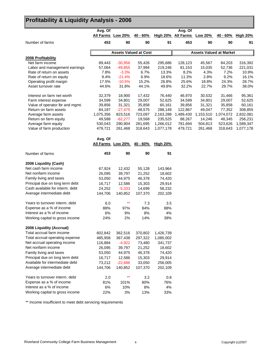### **Profitability & Liquidity Analysis - 2006**

|                                 | Avg. Of           |                              |            |                 | Avg. Of          |           |                                |                 |
|---------------------------------|-------------------|------------------------------|------------|-----------------|------------------|-----------|--------------------------------|-----------------|
|                                 | All Farms Low 20% |                              | $40 - 60%$ | <b>High 20%</b> | <b>All Farms</b> | Low 20%   | 40 - 60%                       | <b>High 20%</b> |
| Number of farms                 | 453               | 90                           | 90         | 91              | 453              | 90        | 90                             | 91              |
|                                 |                   | <b>Assets Valued at Cost</b> |            |                 |                  |           | <b>Assets Valued at Market</b> |                 |
| 2006 Profitability              |                   |                              |            |                 |                  |           |                                |                 |
| Net farm income                 | 89,443            | $-30,956$                    | 55,426     | 295,686         | 128,123          | 45,567    | 84,203                         | 316,392         |
| Labor and management earnings   | 57,064            | $-49,855$                    | 37,994     | 219,246         | 81,153           | 15,035    | 52,736                         | 221,031         |
| Rate of return on assets        | 7.8%              | $-3.3%$                      | 6.7%       | 13.3%           | 8.2%             | 4.3%      | 7.2%                           | 10.9%           |
| Rate of return on equity        | 9.4%              | $-21.4%$                     | 6.9%       | 18.6%           | 11.3%            | 2.8%      | 9.2%                           | 16.1%           |
| Operating profit margin         | 17.5%             | $-10.5%$                     | 15.2%      | 26.8%           | 25.6%            | 18.8%     | 24.3%                          | 28.7%           |
| Asset turnover rate             | 44.6%             | 31.8%                        | 44.1%      | 49.8%           | 32.2%            | 22.7%     | 29.7%                          | 38.0%           |
| Interest on farm net worth      | 32,379            | 18,900                       | 17,432     | 76,440          | 46,970           | 30,532    | 31,466                         | 95,361          |
| Farm interest expense           | 34,599            | 34,801                       | 29,007     | 52,625          | 34,599           | 34,801    | 29,007                         | 52,625          |
| Value of operator Ibr and mgmt. | 39,856            | 31,321                       | 35,858     | 60,161          | 39,856           | 31,321    | 35,858                         | 60,161          |
| Return on farm assets           | 84,187            | $-27,475$                    | 48,575     | 288,149         | 122,867          | 49,047    | 77,352                         | 308,855         |
| Average farm assets             | 1,075,356         | 823,516                      | 723,097    | 2,163,288       | 1,489,430        | 1,153,510 | 1,074,072                      | 2,832,081       |
| Return on farm equity           | 49,588            | $-62,277$                    | 19,568     | 235,525         | 88,267           | 14,246    | 48,345                         | 256,231         |
| Average farm equity             | 530,043           | 290,904                      | 281,695    | 1,266,012       | 781,694          | 504,813   | 523,626                        | 1,589,347       |
| Value of farm production        | 479,721           | 261,468                      | 318,643    | 1,077,178       | 479,721          | 261,468   | 318,643                        | 1,077,178       |
|                                 | Avg. Of           |                              |            |                 |                  |           |                                |                 |
|                                 |                   | All Farms Low 20%            | 40 - 60%   | <b>High 20%</b> |                  |           |                                |                 |
| Number of farms                 | 453               | 90                           | 90         | 91              |                  |           |                                |                 |
| 2006 Liquidity (Cash)           |                   |                              |            |                 |                  |           |                                |                 |
| Net cash farm income            | 67,924            | 12,432                       | 55,128     | 143,964         |                  |           |                                |                 |
| Net nonfarm income              | 26,095            | 39,797                       | 21,252     | 18,602          |                  |           |                                |                 |
| Family living and taxes         | 53,050            | 44,975                       | 46,378     | 74,420          |                  |           |                                |                 |
| Principal due on long term debt | 16,717            | 12,586                       | 15,303     | 29,914          |                  |           |                                |                 |
| Cash available for interm. debt | 24,252            | $-5,333$                     | 14,699     | 58,232          |                  |           |                                |                 |
| Average intermediate debt       | 144,706           | 140,852                      | 107,370    | 202,109         |                  |           |                                |                 |
| Years to turnover interm. debt  | 6.0               | $***$                        | 7.3        | 3.5             |                  |           |                                |                 |
| Expense as a % of income        | 88%               | 97%                          | 84%        | 88%             |                  |           |                                |                 |
| Interest as a % of income       | 6%                | 9%                           | 8%         | 4%              |                  |           |                                |                 |
| Working capital to gross income | 24%               | 2%                           | 14%        | 39%             |                  |           |                                |                 |
| 2006 Liquidity (Accrual)        |                   |                              |            |                 |                  |           |                                |                 |
| Total accrual farm income       | 602,842           | 362,516                      | 370,802    | 1,426,739       |                  |           |                                |                 |
| Total accrual operating expense | 485,958           | 367,438                      | 297,322    | 1,085,002       |                  |           |                                |                 |
| Net accrual operating income    | 116,884           | $-4,922$                     | 73,480     | 341,737         |                  |           |                                |                 |
| Net nonfarm income              | 26,095            | 39,797                       | 21,252     | 18,602          |                  |           |                                |                 |
| Family living and taxes         | 53,050            | 44,975                       | 46,378     | 74,420          |                  |           |                                |                 |
| Principal due on long term debt | 16,717            | 12,586                       | 15,303     | 29,914          |                  |           |                                |                 |
| Available for intermediate debt | 73,212            | $-22,686$                    | 33,050     | 256,005         |                  |           |                                |                 |
| Average intermediate debt       | 144,706           | 140,852                      | 107,370    | 202,109         |                  |           |                                |                 |
| Years to turnover interm. debt  | 2.0               | $\star\star$                 | 3.2        | 0.8             |                  |           |                                |                 |
| Expense as a % of income        | 81%               | 101%                         | 80%        | 76%             |                  |           |                                |                 |
| Interest as a % of income       | 6%                | 10%                          | 8%         | 4%              |                  |           |                                |                 |
| Working capital to gross income | 22%               | 3%                           | 13%        | 33%             |                  |           |                                |                 |

\*\* Income insufficient to meet debt servicing requirements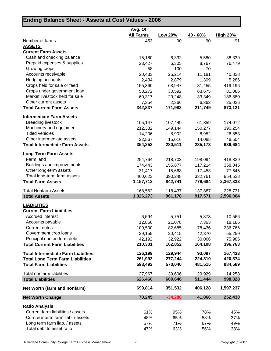| Ending Balance Sheet - Assets at Cost Values - 2006 |                  |           |            |                 |
|-----------------------------------------------------|------------------|-----------|------------|-----------------|
|                                                     | Avg. Of          |           |            |                 |
|                                                     | <b>All Farms</b> | Low 20%   | $40 - 60%$ | <b>High 20%</b> |
| Number of farms                                     | 453              | 90        | 90         | 91              |
| <b>ASSETS</b>                                       |                  |           |            |                 |
| <b>Current Farm Assets</b>                          |                  |           |            |                 |
| Cash and checking balance                           | 15,180           | 6,332     | 5,580      | 38,339          |
| Prepaid expenses & supplies                         | 23,427           | 6,305     | 8,767      | 76,479          |
| Growing crops                                       | 58               | 100       | 70         |                 |
| Accounts receivable                                 | 20,433           | 25,214    | 11,181     | 40,828          |
| Hedging accounts                                    | 2,434            | 2,879     | 1,309      | 5,286           |
| Crops held for sale or feed                         | 155,360          | 68,947    | 81,455     | 419,196         |
| Crops under government loan                         | 58,272           | 30,592    | 63,675     | 81,086          |
| Market livestock held for sale                      | 60,317           | 29,248    | 33,349     | 186,880         |
| Other current assets                                | 7,354            | 2,366     | 6,362      | 25,026          |
| <b>Total Current Farm Assets</b>                    | 342,837          | 171,982   | 211,749    | 873,121         |
| <b>Intermediate Farm Assets</b>                     |                  |           |            |                 |
| <b>Breeding livestock</b>                           | 105,147          | 107,449   | 61,859     | 174,072         |
| Machinery and equipment                             | 212,332          | 149,144   | 150,277    | 390,254         |
| <b>Titled vehicles</b>                              | 14,206           | 8,902     | 8,952      | 26,853          |
| Other intermediate assets                           | 22,567           | 15,016    | 14,085     | 48,504          |
| <b>Total Intermediate Farm Assets</b>               | 354,252          | 280,511   | 235,173    | 639,684         |
| <b>Long Term Farm Assets</b>                        |                  |           |            |                 |
| Farm land                                           | 254,764          | 218,703   | 198,094    | 418,839         |
| Buildings and improvements                          | 174,443          | 155,877   | 117,214    | 358,045         |
| Other long-term assets                              | 31,417           | 15,668    | 17,453     | 77,645          |
| Total long-term farm assets                         | 460,623          | 390,248   | 332,761    | 854,528         |
| <b>Total Farm Assets</b>                            | 1,157,712        | 842,741   | 779,684    | 2,367,333       |
| <b>Total Nonfarm Assets</b>                         | 168,562          | 118,437   | 137,887    | 228,731         |
| <b>Total Assets</b>                                 | 1,326,273        | 961,178   | 917,571    | 2,596,064       |
| <b>LIABILITIES</b>                                  |                  |           |            |                 |
| <b>Current Farm Liabilities</b>                     |                  |           |            |                 |
| Accrued interest                                    | 6,594            | 5,751     | 5,873      | 10,566          |
| Accounts payable                                    | 12,856           | 21,078    | 7,363      | 18,185          |
| <b>Current notes</b>                                | 109,500          | 82,685    | 78,436     | 236,766         |
| Government crop loans                               | 39,159           | 20,415    | 42,370     | 55,259          |
| Principal due on term debt                          | 42,192           | 32,922    | 30,066     | 75,986          |
| <b>Total Current Farm Liabilities</b>               | 210,301          | 162,852   | 164,108    | 396,763         |
| <b>Total Intermediate Farm Liabilties</b>           | 126,199          | 129,944   | 93,097     | 167,433         |
| <b>Total Long Term Farm Liabilities</b>             | 261,992          | 277,244   | 224,310    | 420,374         |
| <b>Total Farm Liabilities</b>                       | 598,493          | 570,040   | 481,515    | 984,569         |
| Total nonfarm liabilities                           | 27,967           | 39,606    | 29,929     | 14,258          |
| <b>Total Liabilities</b>                            | 626,460          | 609,646   | 511,444    | 998,828         |
| Net Worth (farm and nonfarm)                        | 699,814          | 351,532   | 406,128    | 1,597,237       |
| <b>Net Worth Change</b>                             | 70,245           | $-34,288$ | 41,066     | 252,430         |
| <b>Ratio Analysis</b>                               |                  |           |            |                 |
| Current farm liabilities / assets                   | 61%              | 95%       | 78%        | 45%             |
| Curr. & interm farm liab. / assets                  | 48%              | 65%       | 58%        | 37%             |
| Long term farm liab. / assets                       | 57%              | 71%       | 67%        | 49%             |
| Total debt to asset ratio                           | 47%              | 63%       | 56%        | 38%             |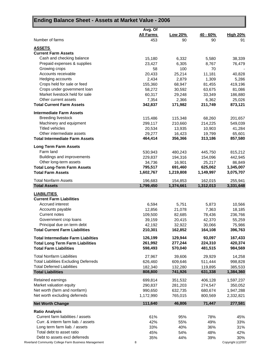| Ending Balance Sheet - Assets at Market Value - 2006                                 |                             |                      |                      |                        |
|--------------------------------------------------------------------------------------|-----------------------------|----------------------|----------------------|------------------------|
|                                                                                      | Avg. Of<br><b>All Farms</b> | Low 20%              | <u>40 - 60% </u>     | <b>High 20%</b>        |
| Number of farms                                                                      | 453                         | 90                   | 90                   | 91                     |
| <b>ASSETS</b>                                                                        |                             |                      |                      |                        |
| <b>Current Farm Assets</b>                                                           |                             |                      |                      |                        |
| Cash and checking balance                                                            | 15,180                      | 6,332                | 5,580                | 38,339                 |
| Prepaid expenses & supplies                                                          | 23,427                      | 6,305                | 8,767                | 76,479                 |
| Growing crops                                                                        | 58                          | 100                  | 70                   |                        |
| Accounts receivable<br>Hedging accounts                                              | 20,433                      | 25,214               | 11,181               | 40,828                 |
| Crops held for sale or feed                                                          | 2,434<br>155,360            | 2,879<br>68,947      | 1,309<br>81,455      | 5,286<br>419,196       |
| Crops under government loan                                                          | 58,272                      | 30,592               | 63,675               | 81,086                 |
| Market livestock held for sale                                                       | 60,317                      | 29,248               | 33,349               | 186,880                |
| Other current assets                                                                 | 7,354                       | 2,366                | 6,362                | 25,026                 |
| <b>Total Current Farm Assets</b>                                                     | 342,837                     | 171,982              | 211,749              | 873,121                |
|                                                                                      |                             |                      |                      |                        |
| <b>Intermediate Farm Assets</b>                                                      |                             |                      |                      |                        |
| <b>Breeding livestock</b><br>Machinery and equipment                                 | 115,486<br>299,117          | 115,348<br>210,660   | 68,260               | 201,657<br>549,039     |
| <b>Titled vehicles</b>                                                               | 20,534                      | 13,935               | 214,225<br>10,903    | 41,284                 |
| Other intermediate assets                                                            | 29,277                      | 16,423               | 19,799               | 65,601                 |
| <b>Total Intermediate Farm Assets</b>                                                | 464,414                     | 356,366              | 313,186              | 857,580                |
|                                                                                      |                             |                      |                      |                        |
| <b>Long Term Farm Assets</b>                                                         |                             |                      |                      |                        |
| Farm land                                                                            | 530,943                     | 480,243              | 445,750              | 815,212                |
| Buildings and improvements                                                           | 229,837                     | 194,316              | 154,096              | 442,945                |
| Other long-term assets                                                               | 34,736                      | 16,901               | 25,217               | 86,849                 |
| <b>Total Long-Term Farm Assets</b><br><b>Total Farm Assets</b>                       | 795,517<br>1,602,767        | 691,460<br>1,219,808 | 625,062<br>1,149,997 | 1,345,007<br>3,075,707 |
|                                                                                      |                             |                      |                      |                        |
| <b>Total Nonfarm Assets</b><br><b>Total Assets</b>                                   | 196,683<br>1,799,450        | 154,853<br>1,374,661 | 162,015<br>1,312,013 | 255,941<br>3,331,648   |
|                                                                                      |                             |                      |                      |                        |
| <b>LIABILITIES</b><br><b>Current Farm Liabilities</b>                                |                             |                      |                      |                        |
| Accrued interest                                                                     | 6,594                       | 5,751                | 5,873                | 10,566                 |
| Accounts payable                                                                     | 12,856                      | 21,078               | 7,363                | 18,185                 |
| Current notes                                                                        | 109,500                     | 82,685               | 78,436               | 236,766                |
| Government crop loans                                                                | 39,159                      | 20,415               | 42,370               | 55,259                 |
| Principal due on term debt                                                           | 42,192                      | 32,922               | 30,066               | 75,986                 |
| <b>Total Current Farm Liabilities</b>                                                | 210,301                     | 162,852              | 164,108              | 396,763                |
|                                                                                      |                             |                      |                      |                        |
| <b>Total Intermediate Farm Liabilties</b><br><b>Total Long Term Farm Liabilities</b> | 126,199<br>261,992          | 129,944<br>277,244   | 93,097<br>224,310    | 167,433<br>420,374     |
| <b>Total Farm Liabilities</b>                                                        | 598,493                     | 570,040              | 481,515              | 984,569                |
|                                                                                      |                             |                      |                      |                        |
| <b>Total Nonfarm Liabilities</b>                                                     | 27,967                      | 39,606               | 29,929               | 14,258                 |
| <b>Total Liabilities Excluding Deferreds</b>                                         | 626,460                     | 609,646              | 511,444              | 998,828                |
| <b>Total Deferred Liabilities</b>                                                    | 182,340                     | 132,280              | 119,895              | 385,533                |
| <b>Total Liabilities</b>                                                             | 808,800                     | 741,926              | 631,338              | 1,384,360              |
| Retained earnings                                                                    | 699,814                     | 351,532              | 406,128              | 1,597,237              |
| Market valuation equity                                                              | 290,837                     | 281,203              | 274,547              | 350,052                |
| Net worth (farm and nonfarm)                                                         | 990,650                     | 632,735              | 680,674              | 1,947,288              |
| Net worth excluding deferreds                                                        | 1,172,990                   | 765,015              | 800,569              | 2,332,821              |
| <b>Net Worth Change</b>                                                              | 111,640                     | 46,806               | 71,447               | 277,581                |
| <b>Ratio Analysis</b>                                                                |                             |                      |                      |                        |
| Current farm liabilities / assets                                                    | 61%                         | 95%                  | 78%                  | 45%                    |
| Curr. & interm farm liab. / assets                                                   | 42%                         | 55%                  | 49%                  | 33%                    |
| Long term farm liab. / assets                                                        | 33%                         | 40%                  | 36%                  | 31%                    |
| Total debt to asset ratio                                                            | 45%                         | 54%                  | 48%                  | 42%                    |
| Debt to assets excl deferreds                                                        | 35%                         | 44%                  | 39%                  | 30%                    |
| and Community College Farm Business Management                                       | 8                           |                      |                      | Copyright (c)2007      |

Riverland Community College Farm Business Management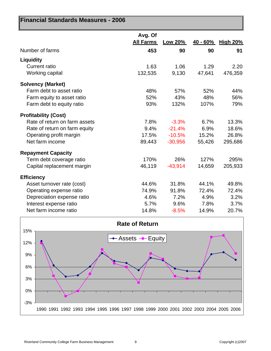| Financial Standards Measures - 2006 |                             |                |            |                 |
|-------------------------------------|-----------------------------|----------------|------------|-----------------|
|                                     | Avg. Of<br><b>All Farms</b> | <b>Low 20%</b> | $40 - 60%$ | <b>High 20%</b> |
| Number of farms                     | 453                         | 90             | 90         | 91              |
| <b>Liquidity</b>                    |                             |                |            |                 |
| <b>Current ratio</b>                | 1.63                        | 1.06           | 1.29       | 2.20            |
| Working capital                     | 132,535                     | 9,130          | 47,641     | 476,359         |
| <b>Solvency (Market)</b>            |                             |                |            |                 |
| Farm debt to asset ratio            | 48%                         | 57%            | 52%        | 44%             |
| Farm equity to asset ratio          | 52%                         | 43%            | 48%        | 56%             |
| Farm debt to equity ratio           | 93%                         | 132%           | 107%       | 79%             |
| <b>Profitability (Cost)</b>         |                             |                |            |                 |
| Rate of return on farm assets       | 7.8%                        | $-3.3%$        | 6.7%       | 13.3%           |
| Rate of return on farm equity       | 9.4%                        | $-21.4%$       | 6.9%       | 18.6%           |
| Operating profit margin             | 17.5%                       | $-10.5%$       | 15.2%      | 26.8%           |
| Net farm income                     | 89,443                      | $-30,956$      | 55,426     | 295,686         |
| <b>Repayment Capacity</b>           |                             |                |            |                 |
| Term debt coverage ratio            | 170%                        | 26%            | 127%       | 295%            |
| Capital replacement margin          | 46,119                      | $-43,914$      | 14,659     | 205,933         |
| <b>Efficiency</b>                   |                             |                |            |                 |
| Asset turnover rate (cost)          | 44.6%                       | 31.8%          | 44.1%      | 49.8%           |
| Operating expense ratio             | 74.9%                       | 91.8%          | 72.4%      | 72.4%           |
| Depreciation expense ratio          | 4.6%                        | 7.2%           | 4.9%       | 3.2%            |
| Interest expense ratio              | 5.7%                        | 9.6%           | 7.8%       | 3.7%            |
| Net farm income ratio               | 14.8%                       | $-8.5%$        | 14.9%      | 20.7%           |

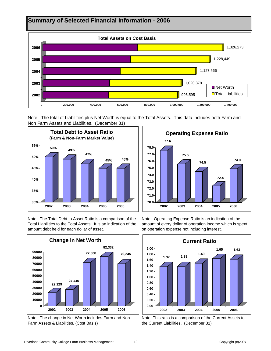

Note: The total of Liabilities plus Net Worth is equal to the Total Assets. This data includes both Farm and Non Farm Assets and Liabilities. (December 31)





Note: The Total Debt to Asset Ratio is a comparison of the Total Liabilities to the Total Assets. It is an indication of the amount debt held for each dollar of asset.



Note: The change in Net Worth includes Farm and Non-Farm Assets & Liabilities. (Cost Basis)

Note: Operating Expense Ratio is an indication of the amount of every dollar of operation income which is spent on operation expense not including interest.



Note: This ratio is a comparison of the Current Assets to the Current Liabilities. (December 31)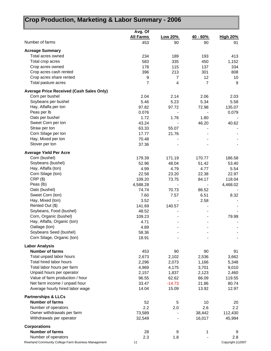## **Crop Production, Marketing & Labor Summary - 2006**

|                                                 | Avg. Of          |                |                |                 |
|-------------------------------------------------|------------------|----------------|----------------|-----------------|
|                                                 | <b>All Farms</b> | Low 20%        | 40 - 60%       | <b>High 20%</b> |
| Number of farms                                 | 453              | 90             | 90             | 91              |
|                                                 |                  |                |                |                 |
| <b>Acreage Summary</b>                          |                  |                |                |                 |
| Total acres owned                               | 234              | 189            | 193            | 413             |
| Total crop acres                                | 583              | 335            | 450            | 1,152           |
| Crop acres owned                                | 178              | 115            | 137            | 334             |
| Crop acres cash rented                          | 396              | 213            | 301            | 808             |
| Crop acres share rented                         | 9                | $\overline{7}$ | 12             | 10              |
| Total pasture acres                             | 7                | 4              | $\overline{7}$ | 9               |
| <b>Average Price Received (Cash Sales Only)</b> |                  |                |                |                 |
| Corn per bushel                                 | 2.04             | 2.14           | 2.06           | 2.03            |
| Soybeans per bushel                             | 5.46             | 5.23           | 5.34           | 5.58            |
| Hay, Alfalfa per ton                            | 97.82            | 97.72          | 72.98          | 135.07          |
| Peas per lb                                     | 0.076            |                |                | 0.079           |
| Oats per bushel                                 | 1.72             | 1.76           | 1.80           |                 |
| Sweet Corn per ton                              | 43.24            |                | 46.20          | 40.62           |
| Straw per ton                                   | 63.33            | 55.07          |                |                 |
| Corn Silage per ton                             | 17.77            | 21.76          |                |                 |
| Hay, Mixed per ton                              | 70.48            |                |                |                 |
| Stover per ton                                  | 37.36            |                |                |                 |
|                                                 |                  |                |                |                 |
| <b>Average Yield Per Acre</b>                   |                  |                |                |                 |
| Corn (bushel)                                   | 179.39           | 171.19         | 170.77         | 186.58          |
| Soybeans (bushel)                               | 52.96            | 48.04          | 51.42          | 53.40           |
| Hay, Alfalfa (ton)                              | 4.99             | 4.79           | 4.77           | 5.54            |
| Corn Silage (ton)                               | 22.58            | 23.20          | 22.38          | 22.97           |
| $CRP($ \$)                                      | 109.20           | 73.75          | 84.17          | 118.04          |
| Peas (lb)                                       | 4,588.28         |                |                | 4,468.02        |
| Oats (bushel)                                   | 74.74            | 70.73          | 86.52          |                 |
| Sweet Corn (ton)                                | 7.60             | 7.57           | 6.51           | 8.32            |
| Hay, Mixed (ton)                                | 3.52             |                | 2.58           |                 |
| Rented Out (\$)                                 | 141.69           | 140.57         |                |                 |
| Soybeans, Food (bushel)                         | 48.52            |                |                |                 |
| Corn, Organic (bushel)                          | 109.23           |                |                | 79.99           |
| Hay, Alfalfa, Organic (ton)                     | 4.71             |                |                |                 |
| Oatlage (ton)                                   | 4.89             |                |                |                 |
| Soybeans Seed (bushel)                          | 58.36            |                |                |                 |
| Corn Silage, Organic (ton)                      | 18.91            |                |                |                 |
| <b>Labor Analysis</b>                           |                  |                |                |                 |
| <b>Number of farms</b>                          | 453              | 90             | 90             | 91              |
| Total unpaid labor hours                        | 2,673            | 2,102          | 2,536          | 3,662           |
| Total hired labor hours                         | 2,296            | 2,073          | 1,166          | 5,348           |
| Total labor hours per farm                      | 4,969            | 4,175          | 3,701          | 9,010           |
| Unpaid hours per operator                       | 2,157            | 1,837          | 2,123          | 2,460           |
| Value of farm production / hour                 | 96.55            | 62.62          | 86.09          | 119.55          |
| Net farm income / unpaid hour                   | 33.47            | $-14.73$       | 21.86          | 80.74           |
| Average hourly hired labor wage                 | 14.04            | 15.09          | 13.92          | 12.97           |
| <b>Partnerships &amp; LLCs</b>                  |                  |                |                |                 |
| <b>Number of farms</b>                          | 52               | 5              | 10             | 20              |
| Number of operators                             | 2.2              | 2.0            | 2.6            | 2.2             |
| Owner withdrawals per farm                      | 73,589           |                | 38,442         | 112,430         |
| Withdrawals per operator                        | 32,549           |                | 16,017         | 45,994          |
|                                                 |                  |                |                |                 |
| <b>Corporations</b>                             |                  |                |                |                 |
| <b>Number of farms</b>                          | 28               | 9              | 1              | 9               |
| Number of operators                             | 2.3              | 1.8            |                | 2.8             |

Riverland Community College Farm Business Management 11 Copyright (c)2007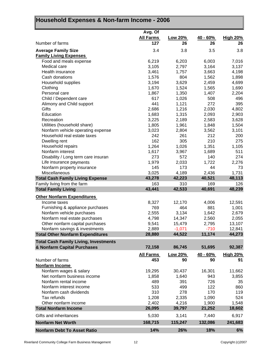## **Household Expenses & Non-farm Income - 2006**

|                                              | Avg. Of          |                |                 |                 |
|----------------------------------------------|------------------|----------------|-----------------|-----------------|
|                                              | <b>All Farms</b> | <b>Low 20%</b> | <u>40 - 60%</u> | <b>High 20%</b> |
| Number of farms                              | 127              | 26             | 26              | 26              |
| <b>Average Family Size</b>                   | 3.4              | 3.8            | 3.5             | 3.8             |
| <b>Family Living Expenses</b>                |                  |                |                 |                 |
| Food and meals expense                       | 6,219            | 6,203          | 6,003           | 7,016           |
| Medical care                                 | 3,105            | 2,797          | 3,164           | 3,137           |
| Health insurance                             | 3,461            | 1,757          | 3,663           | 4,198           |
| Cash donations                               | 1,576            | 804            | 1,562           | 1,898           |
| Household supplies                           | 3,194            | 3,629          | 2,459           | 4,699           |
| Clothing                                     | 1,670            | 1,524          | 1,565           | 1,690           |
| Personal care                                | 1,867            | 1,350          | 1,407           | 2,204           |
| Child / Dependent care                       | 617              | 1,026          | 508             | 496             |
| Alimony and Child support                    | 441              | 1,121          | 272             | 395             |
| Gifts                                        | 2,686            | 1,216          | 2,030           | 4,802           |
| Education                                    | 1,683            | 1,315          | 2,093           | 2,903           |
| Recreation                                   | 3,225            | 2,189          | 2,583           | 3,628           |
| Utilities (household share)                  | 1,805            | 1,961          | 1,848           | 1,504           |
| Nonfarm vehicle operating expense            | 3,023            | 2,804          | 3,562           | 3,101           |
| Household real estate taxes                  | 242              | 261            | 212             | 200             |
| Dwelling rent                                | 162              | 305            | 210             | 275             |
| Household repairs                            | 1,264            | 1,026          | 1,351           | 1,105           |
| Nonfarm interest                             | 1,617            | 3,967          | 1,689           | 511             |
| Disability / Long term care insuran          | 273              | 572            | 140             | 274             |
| Life insurance payments                      | 1,979            | 2,033          | 1,722           | 2,276           |
| Nonfarm property insurance                   | 145              | 173            | 44              | 73              |
| Miscellaneous                                | 3,025            | 4,189          | 2,436           | 1,731           |
| <b>Total Cash Family Living Expense</b>      | 43,278           | 42,223         | 40,521          | 48,113          |
| Family living from the farm                  | 163              | 310            | 169             | 126             |
| <b>Total Family Living</b>                   | 43,441           | 42,533         | 40,691          | 48,239          |
| <b>Other Nonfarm Expenditures</b>            |                  |                |                 |                 |
| Income taxes                                 | 8,327            | 12,170         | 4,006           | 12,591          |
| Furnishing & appliance purchases             | 769              | 464            | 881             | 1,001           |
| Nonfarm vehicle purchases                    | 2,555            | 3,134          | 1,642           | 2,679           |
| Nonfarm real estate purchases                | 4,798            | 14,347         | 2,560           | 2,055           |
| Other nonfarm capital purchases              | 9,541            | 15,479         | 2,795           | 13,107          |
| Nonfarm savings & investments                | 2,889            | $-1,071$       | -710            | 12,841          |
| <b>Total Other Nonfarm Expenditures</b>      | 28,880           | 44,522         | 11,174          | 44,273          |
| <b>Total Cash Family Living, Investments</b> |                  |                |                 |                 |
| & Nonfarm Capital Purchases                  | 72,158           | 86,745         | 51,695          | 92,387          |
|                                              | <b>All Farms</b> | Low 20%        | $40 - 60%$      | <b>High 20%</b> |
| Number of farms                              | 453              | 90             | 90              | 91              |
| Nonfarm Income                               |                  |                |                 |                 |
| Nonfarm wages & salary                       | 19,295           | 30,437         | 16,301          | 11,662          |
| Net nonfarm business income                  | 1,858            | 1,640          | 943             | 3,855           |
| Nonfarm rental income                        | 489              | 391            | 726             | 35              |
| Nonfarm interest income                      | 533              | 499            | 122             | 860             |
| Nonfarm cash dividends                       | 310              | 278            | 170             | 119             |
| Tax refunds                                  | 1,208            | 2,335          | 1,090           | 524             |
| Other nonfarm income                         | 2,402            | 4,216          | 1,900           | 1,548           |
| <b>Total Nonfarm Income</b>                  | 26,095           | 39,797         | 21,252          | 18,602          |
| Gifts and inheritances                       | 5,030            | 3,141          | 7,440           | 6,917           |
| <b>Nonfarm Net Worth</b>                     | 168,715          | 115,247        | 132,086         | 241,683         |
| <b>Nonfarm Debt To Asset Ratio</b>           | 14%              | 26%            | 18%             | 6%              |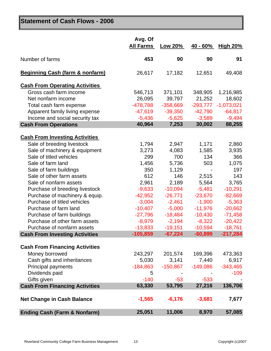## **Statement of Cash Flows - 2006**

|                                            | Avg. Of<br><b>All Farms</b> | Low 20%    | $40 - 60%$ | <b>High 20%</b> |
|--------------------------------------------|-----------------------------|------------|------------|-----------------|
| Number of farms                            | 453                         | 90         | 90         | 91              |
| <b>Beginning Cash (farm &amp; nonfarm)</b> | 26,617                      | 17,182     | 12,651     | 49,408          |
| <b>Cash From Operating Activities</b>      |                             |            |            |                 |
| Gross cash farm income                     | 546,713                     | 371,101    | 348,905    | 1,216,985       |
| Net nonfarm income                         | 26,095                      | 39,797     | 21,252     | 18,602          |
| Total cash farm expense                    | $-478,788$                  | $-358,669$ | $-293,777$ | $-1,073,021$    |
| Apparent family living expense             | $-47,619$                   | $-39,350$  | $-42,790$  | $-64,817$       |
| Income and social security tax             | $-5,436$                    | $-5,625$   | $-3,589$   | $-9,494$        |
| <b>Cash From Operations</b>                | 40,964                      | 7,253      | 30,002     | 88,255          |
| <b>Cash From Investing Activities</b>      |                             |            |            |                 |
| Sale of breeding livestock                 | 1,794                       | 2,947      | 1,171      | 2,860           |
| Sale of machinery & equipment              | 3,273                       | 4,083      | 1,585      | 3,935           |
| Sale of titled vehicles                    | 299                         | 700        | 134        | 366             |
| Sale of farm land                          | 1,456                       | 5,736      | 503        | 1,075           |
| Sale of farm buildings                     | 350                         | 1,129      |            | 197             |
| Sale of other farm assets                  | 612                         | 146        | 2,515      | 143             |
| Sale of nonfarm assets                     | 2,961                       | 2,189      | 5,564      | 3,765           |
| Purchase of breeding livestock             | $-9,633$                    | $-10,094$  | $-5,481$   | $-10,291$       |
| Purchase of machinery & equip.             | $-42,952$                   | $-26,771$  | $-23,670$  | $-82,669$       |
| Purchase of titled vehicles                | $-3,004$                    | $-2,461$   | $-1,900$   | $-5,363$        |
| Purchase of farm land                      | $-10,407$                   | $-5,000$   | $-11,976$  | $-20,662$       |
| Purchase of farm buildings                 | $-27,796$                   | $-18,484$  | $-10,430$  | $-71,458$       |
| Purchase of other farm assets              | $-8,979$                    | $-2,194$   | $-8,322$   | $-20,422$       |
| Purchase of nonfarm assets                 | $-13,833$                   | $-19,151$  | $-10,594$  | $-18,761$       |
| <b>Cash From Investing Activities</b>      | $-105,859$                  | $-67,224$  | $-60,899$  | $-217,284$      |
| <b>Cash From Financing Activities</b>      |                             |            |            |                 |
| Money borrowed                             | 243,297                     | 201,574    | 169,396    | 473,363         |
| Cash gifts and inheritances                | 5,030                       | 3,141      | 7,440      | 6,917           |
| <b>Principal payments</b>                  | $-184,863$                  | $-150,867$ | $-149,086$ | $-343,465$      |
| Dividends paid                             | 5                           |            |            | $-109$          |
| Gifts given                                | $-140$                      | $-53$      | $-533$     |                 |
| <b>Cash From Financing Activities</b>      | 63,330                      | 53,795     | 27,216     | 136,706         |
| <b>Net Change in Cash Balance</b>          | $-1,565$                    | $-6,176$   | $-3,681$   | 7,677           |
| <b>Ending Cash (Farm &amp; Nonfarm)</b>    | 25,051                      | 11,006     | 8,970      | 57,085          |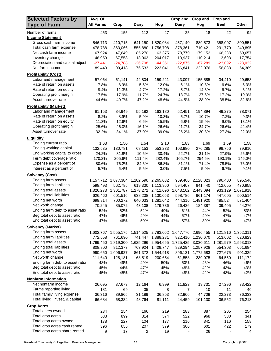| <b>Selected Factors by</b>                                       | Avg. Of          |                  |                  |                     | Crop and         | Crop and            | <b>Crop and</b>  |                  |
|------------------------------------------------------------------|------------------|------------------|------------------|---------------------|------------------|---------------------|------------------|------------------|
| <b>Type of Farm</b>                                              | <b>All Farms</b> | Crop             | <b>Dairy</b>     | Hog                 | <b>Dairy</b>     | Hog                 | <b>Beef</b>      | Other            |
| Number of farms                                                  | 453              | 155              | 112              | 27                  | 25               | 18                  | 22               | 92               |
| <b>Income Statement</b>                                          |                  |                  |                  |                     |                  |                     |                  |                  |
| Gross cash farm income                                           | 546,713          | 410,715          | 641,150          | 1,820,084           | 457,140          | 889,573             | 358,007          | 300,551          |
| Total cash farm expense                                          | 478,788          | 363,066          | 555,880          | 1,756,708           | 378,361          | 710,421             | 291,770          | 240,895          |
| Net cash farm income                                             | 67,924           | 47,649           | 85,270           | 63,375              | 78,779           | 179,152             | 66,238           | 59,657           |
| Inventory change                                                 | 48,959           | 67,558           | 18,062           | 204,017             | 10,937           | 110,214             | 13,693           | 17,754           |
| Depreciation and capital adjust                                  | $-27,441$        | $-24,788$        | $-26,798$        | $-44,351$           | $-22,875$        | $-67,289$           | $-23,092$        | $-23,022$        |
| Net farm income                                                  | 89,443           | 90,418           | 76,533           | 223,041             | 66,841           | 222,076             | 56,838           | 54,389           |
| <b>Profitability (Cost)</b>                                      |                  |                  |                  |                     |                  |                     |                  |                  |
| Labor and management                                             | 57,064           | 61,141           | 42,804           | 159,221             | 43,097           | 155,585             | 34,410           | 29,653           |
| Rate of return on assets                                         | 7.8%             | 8.9%             | 5.5%             | 12.0%               | 6.1%             | 10.8%               | 6.6%             | 6.3%             |
| Rate of return on equity<br>Operating profit margin              | 9.4%             | 11.3%            | 4.7%             | 17.2%               | 5.7%             | 14.6%               | 6.7%             | 6.1%             |
| Asset turnover rate                                              | 17.5%            | 17.9%            | 11.7%            | 24.7%               | 13.7%            | 27.6%               | 17.2%            | 19.3%            |
|                                                                  | 44.6%            | 49.7%            | 47.2%            | 48.6%               | 44.5%            | 38.9%               | 38.5%            | 32.6%            |
| <b>Profitability (Market)</b>                                    |                  |                  |                  |                     |                  |                     |                  |                  |
| Labor and management                                             | 81,153           | 84,949           | 55,182           | 163,180             | 52,451           | 194,894             | 49,275           | 78,071           |
| Rate of return on assets<br>Rate of return on equity             | 8.2%             | 8.9%             | 5.9%             | 10.3%               | 5.7%             | 10.7%               | 7.2%             | 9.3%             |
| Operating profit margin                                          | 11.3%<br>25.6%   | 12.6%<br>26.0%   | 6.6%<br>16.1%    | 15.5%<br>26.6%      | 6.8%<br>21.7%    | 15.9%               | 9.0%<br>26.6%    | 13.1%<br>42.4%   |
| Asset turnover rate                                              | 32.2%            | 34.1%            | 37.0%            | 39.0%               | 26.2%            | 34.7%<br>30.8%      | 27.3%            | 22.0%            |
|                                                                  |                  |                  |                  |                     |                  |                     |                  |                  |
| <b>Liquidity</b>                                                 |                  |                  |                  |                     |                  |                     |                  |                  |
| Ending current ratio<br>Ending working capital                   | 1.63             | 1.50             | 1.54             | 2.10                | 1.83             | 1.69                | 1.59             | 1.58             |
| End working capital to gross                                     | 132,535<br>24.2% | 130,781<br>31.8% | 68,153<br>10.6%  | 553,233<br>30.4%    | 103,980<br>22.7% | 276,285<br>31.1%    | 99,756<br>27.9%  | 79,910<br>26.6%  |
| Term debt coverage ratio                                         | 170.2%           | 205.6%           | 111.4%           | 282.4%              | 105.7%           | 254.5%              | 193.1%           | 146.0%           |
| Expense as a percent of                                          | 80.6%            | 76.2%            | 84.6%            | 86.8%               | 81.1%            | 71.4%               | 78.5%            | 76.0%            |
| Interest as a percent of                                         | 5.7%             | 6.4%             | 5.5%             | 3.0%                | 7.5%             | 5.0%                | 6.7%             | 9.1%             |
| <b>Solvency (Cost)</b>                                           |                  |                  |                  |                     |                  |                     |                  |                  |
| Ending farm assets                                               | 1,157,712        | 1,077,384        | 1,182,596        | 2,265,082           | 969,406          | 2,128,023           | 796,400          | 895,546          |
| Ending farm liabilities                                          | 598,493          | 562,785          | 619,330          | 1,113,960           | 594,407          | 941,440             | 412,055          | 470,959          |
| Ending total assets                                              | 1,326,273        | 1,301,787        | 1,278,272        | 2,411,096           |                  | 1,043,102 2,443,094 | 933,129          | 1,071,918        |
| Ending total liabilities                                         | 626,460          | 601,516          | 638,238          | 1,130,053           | 598,786          | 961,174             | 447,605          | 500,514          |
| Ending net worth                                                 | 699,814          | 700,272          |                  | 640,033 1,281,042   |                  | 444,316 1,481,920   | 485,524          | 571,404          |
| Net worth change                                                 | 70,245           | 85,072           | 43,108           | 179,736             | 26,426           | 184,387             | 39,405           | 44,276           |
| Ending farm debt to asset ratio                                  | 52%              | 52%              | 52%              | 49%                 | 61%              | 44%                 | 52%              | 53%              |
| Beg total debt to asset ratio                                    | 47%              | 46%              | 49%              | 44%                 | 57%              | 40%                 | 47%              | 47%              |
| End total debt to asset ratio                                    | 47%              | 46%              | 50%              | 47%                 | 57%              | 39%                 | 48%              | 47%              |
| <b>Solvency (Market)</b>                                         |                  |                  |                  |                     |                  |                     |                  |                  |
| Ending farm assets                                               | 1,602,767        | 1,555,175        |                  | 1,514,525 2,783,062 | 1,647,776        | 2,696,455           | 1,121,816        | 1,352,311        |
| Ending farm liabilities                                          | 772,558          | 761,690          | 741,447          | 1,388,281           | 822,410          | 1,230,670           | 513,602          | 620,829          |
| Ending total assets                                              | 1,799,450        | 1,819,300        | 1,625,296        | 2,954,665           | 1,725,425        | 3,030,611           | 1,281,979        | 1,563,013        |
| Ending total liabilities                                         | 808,800          | 812,373          |                  | 763,924 1,409,747   | 829,294          | 1,257,928           | 554,303          | 661,684          |
| Ending net worth                                                 | 990,650          | 1,006,927        |                  | 861,372 1,544,918   | 896,131          | 1,772,683           | 727,675          | 901,329          |
| Net worth change                                                 | 111,640          | 128,181          | 68,519           | 200,654             | 61,558           | 239,075             | 64,550           | 111,172          |
| Ending farm debt to asset ratio<br>Beg total debt to asset ratio | 48%              | 49%              | 49%              | 50%                 | 50%              | 46%                 | 46%              | 46%              |
| End total debt to asset ratio                                    | 45%<br>45%       | 44%<br>45%       | 47%<br>47%       | 45%<br>48%          | 48%<br>48%       | 42%<br>42%          | 43%<br>43%       | 43%<br>42%       |
|                                                                  |                  |                  |                  |                     |                  |                     |                  |                  |
| <b>Nonfarm Information</b>                                       |                  |                  |                  |                     |                  |                     |                  |                  |
| Net nonfarm income                                               | 26,095           | 37,673           | 12,164           | 6,999               | 11,823           | 19,731              | 27,296           | 33,422           |
| Farms reporting living<br>Total family living expense            | 181              | 69               | 35               | 8                   | $\overline{7}$   | 10                  | 11               | 40               |
| Total living, invest, & capital                                  | 36,316<br>66,684 | 39,865<br>68,384 | 31,189<br>48,764 | 36,853              | 32,966<br>44,459 | 44,709<br>101,130   | 22,273<br>36,552 | 36,333<br>76,213 |
|                                                                  |                  |                  |                  | 81,111              |                  |                     |                  |                  |
| <b>Crop Acres</b>                                                |                  |                  |                  |                     |                  |                     |                  |                  |
| Total acres owned                                                | 234              | 254              | 166              | 219                 | 283              | 387                 | 205              | 254              |
| Total crop acres<br>Total crop acres owned                       | 583<br>178       | 899<br>227       | 314<br>104       | 574<br>177          | 522<br>216       | 968<br>341          | 538<br>116       | 341<br>158       |
| Total crop acres cash rented                                     | 396              | 655              | 207              | 379                 | 306              | 601                 | 422              | 179              |
| Total crop acres share rented                                    | 9                | 17               | $\overline{c}$   | 19                  |                  | 26                  |                  | 4                |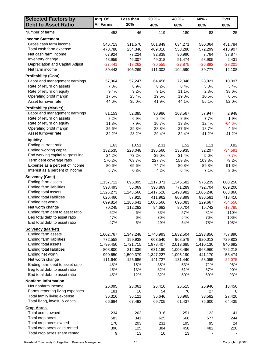| <b>Selected Factors by</b>                                 | Avg. Of            | Less than     | $20% -$       | 40 % -            | $60% -$       | Over              |
|------------------------------------------------------------|--------------------|---------------|---------------|-------------------|---------------|-------------------|
| <b>Debt to Asset Ratio</b>                                 | <b>All Farms</b>   | 20%           | 40%           | 60%               | 80%           | 80%               |
| Number of farms                                            | 453                | 46            | 119           | 180               | 83            | 25                |
| <b>Income Statement</b>                                    |                    |               |               |                   |               |                   |
| Gross cash farm income                                     | 546,713            | 311,570       | 501,849       | 634,271           | 580,064       | 451,784           |
| Total cash farm expense                                    | 478,788            | 234,346       | 409,010       | 553,280           | 572,299       | 413,907           |
| Net cash farm income                                       | 67,924             | 77,224        | 92,838        | 80,990            | 7,764         | 37,877            |
| Inventory change                                           | 48,959             | 46,307        | 49,018        | 51,474            | 58,905        | 2,431             |
| Depreciation and Capital Adjust                            | $-27,441$          | $-18,262$     | $-30,555$     | $-27,875$         | $-26,892$     | $-28,201$         |
| Net farm income                                            | 89,443             | 105,269       | 111,302       | 104,590           | 39,777        | 12,108            |
| <b>Profitability (Cost)</b>                                |                    |               |               |                   |               |                   |
| Labor and management earnings                              | 57,064             | 57,247        | 64,456        | 72,046            | 28,021        | 10,097            |
| Rate of return on assets                                   | 7.8%               | 8.9%          | 8.2%          | 8.4%              | 5.8%          | 3.4%              |
| Rate of return on equity                                   | 9.4%               | 9.2%          | 9.1%          | 11.1%             | 2.3%          | 38.6%             |
| Operating profit margin                                    | 17.5%              | 25.4%         | 19.5%         | 19.0%             | 10.5%         | 6.5%              |
| Asset turnover rate                                        | 44.6%              | 35.0%         | 41.9%         | 44.1%             | 55.1%         | 52.0%             |
| <b>Profitability (Market)</b>                              |                    |               |               |                   |               |                   |
| Labor and management earnings                              | 81,153             | 52,385        | 90,986        | 103,567           | 57,947        | 2,948             |
| Rate of return on assets                                   | 8.2%               | 6.9%          | 8.4%          | 8.9%              | 7.7%          | 1.9%              |
| Rate of return on equity                                   | 11.3%              | 7.9%          | 10.7%         | 13.3%             | 12.4%         | $-64.6%$          |
| Operating profit margin                                    | 25.6%              | 29.8%         | 28.8%         | 27.6%             | 18.7%         | 4.6%              |
| Asset turnover rate                                        | 32.2%              | 23.2%         | 29.4%         | 32.4%             | 41.2%         | 41.2%             |
| Liguidity                                                  |                    |               |               |                   |               |                   |
| Ending current ratio                                       | 1.63               | 10.51         | 2.31          | 1.52              | 1.11          | 0.82              |
| Ending working capital                                     | 132,535            | 228,048       | 195,560       | 135,935           | 32,207        | $-34,591$         |
| End working capital to gross inc                           | 24.2%              | 73.2%         | 39.0%         | 21.4%             | 5.6%          | $-7.7%$           |
| Term debt coverage ratio<br>Expense as a percent of income | 170.2%             | 769.7%        | 227.7%        | 159.3%            | 103.8%        | 79.2%             |
|                                                            | 80.6%              | 65.6%         | 74.7%         | 80.8%             | 89.8%         | 91.3%             |
| Interest as a percent of income                            | 5.7%               | 0.8%          | 4.2%          | 6.4%              | 7.1%          | 8.6%              |
| <b>Solvency (Cost)</b>                                     |                    |               |               |                   |               |                   |
| Ending farm assets                                         | 1,157,712          | 896,095       | 1,217,371     | 1,345,582         | 975,239       | 608,250           |
| Ending farm liabilities                                    | 598,493            | 55,069        | 396,869       | 771,289           | 792,704       | 669,200           |
| Ending total assets<br>Ending total liabilities            | 1,326,273          | 1,243,566     | 1,417,528     | 1,498,982         | 1,066,248     | 663,860           |
| Ending net worth                                           | 626,460<br>699,814 | 57,925        | 411,962       | 803,899           | 836,581       | 718,410           |
| Net worth change                                           |                    | 1,185,641     | 1,005,566     | 695,083<br>80,704 | 229,667       | $-54,550$         |
| Ending farm debt to asset ratio                            | 70,245<br>52%      | 112,282<br>6% | 94,682<br>33% | 57%               | 15,742<br>81% | $-17,785$<br>110% |
| Beg total debt to asset ratio                              | 47%                | 6%            | 30%           | 54%               | 76%           | 106%              |
| End total debt to asset ratio                              | 47%                | 5%            | 29%           | 54%               | 78%           | 108%              |
| <b>Solvency (Market)</b>                                   |                    |               |               |                   |               |                   |
| Ending farm assets                                         | 1,602,767          | 1,347,248     | 1,746,993     | 1,832,504         | 1,293,856     | 757,890           |
| Ending farm liabilities                                    | 772,558            | 199,938       | 603,540       | 968,579           | 920,013       | 729,803           |
| Ending total assets                                        | 1,799,450          | 1,721,715     | 1,978,407     | 2,013,685         | 1,410,130     | 840,692           |
| <b>Ending total liabilities</b>                            | 808,800            | 212,336       | 631,180       | 1,008,496         | 968,960       | 782,218           |
| Ending net worth                                           | 990,650            | 1,509,379     | 1,347,227     | 1,005,190         | 441,170       | 58,474            |
| Net worth change                                           | 111,640            | 125,686       | 141,727       | 131,440           | 58,055        | $-22,075$         |
| Ending farm debt to asset ratio                            | 48%                | 15%           | 35%           | 53%               | 71%           | 96%               |
| Beg total debt to asset ratio                              | 45%                | 13%           | 32%           | 51%               | 67%           | 90%               |
| End total debt to asset ratio                              | 45%                | 12%           | 32%           | 50%               | 69%           | 93%               |
| <b>Nonfarm Information</b>                                 |                    |               |               |                   |               |                   |
| Net nonfarm income                                         | 26,095             | 28,061        | 26,410        | 26,515            | 25,946        | 18,450            |
| Farms reporting living expenses                            | 181                | 16            | 54            | 76                | 27            | 8                 |
| Total family living expense                                | 36,316             | 36,121        | 35,646        | 36,965            | 38,582        | 27,420            |
| Total living, invest, & capital                            | 66,684             | 67,492        | 69,705        | 61,437            | 75,600        | 64,435            |
| <b>Crop Acres</b>                                          |                    |               |               |                   |               |                   |
| Total acres owned                                          | 234                | 263           | 316           | 251               | 123           | 41                |
| Total crop acres                                           | 583                | 341           | 625           | 666               | 577           | 244               |
| Total crop acres owned                                     | 178                | 203           | 231           | 195               | 95            | 24                |
| Total crop acres cash rented                               | 396                | 125           | 384           | 458               | 482           | 220               |
| Total crop acres share rented                              | 9                  | 13            | 10            | 13                |               |                   |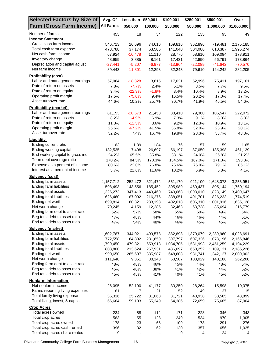| Selected Factors by Size of      | Avg. Of          |           |          | Less than \$50,001 - \$100,001 - | $$250,001 -$ | $$500,001 -$ | Over        |
|----------------------------------|------------------|-----------|----------|----------------------------------|--------------|--------------|-------------|
| <b>Farm (Gross Farm Income)</b>  | <b>All Farms</b> | \$50,000  | 100,000  | 250,000                          | 500,000      | 1,000,000    | \$1,000,000 |
| Number of farms                  | 453              | 18        | 34       | 122                              | 135          | 95           | 49          |
| <b>Income Statement</b>          |                  |           |          |                                  |              |              |             |
| Gross cash farm income           | 546,713          | 26,696    | 74,616   | 169,816                          | 362,896      | 719,481      | 2,175,185   |
| Total cash farm expense          | 478,788          | 37,174    | 63,506   | 141,040                          | 304,086      | 610,387      | 1,996,274   |
| Net cash farm income             | 67,924           | $-10,478$ | 11,110   | 28,776                           | 58,810       | 109,094      | 178,911     |
| Inventory change                 | 48,959           | 3,885     | 8,161    | 17,431                           | 42,890       | 56,791       | 173,864     |
| Depreciation and capital adjust  | $-27,441$        | $-5,207$  | $-6,977$ | $-13,964$                        | $-22,089$    | $-41,642$    | $-70,570$   |
| Net farm income                  | 89,443           | $-11,801$ | 12,293   | 32,243                           | 79,610       | 124,242      | 282,205     |
| <b>Profitability (cost)</b>      |                  |           |          |                                  |              |              |             |
| Labor and management earnings    | 57,064           | $-18,328$ | 3,615    | 17,031                           | 52,996       | 75,411       | 197,161     |
| Rate of return on assets         | 7.8%             | $-7.7%$   | 2.4%     | 5.1%                             | 8.5%         | 7.7%         | 9.5%        |
| Rate of return on equity         | 9.4%             | $-22.3%$  | $-1.8%$  | 3.4%                             | 10.4%        | 8.9%         | 13.2%       |
| Operating profit margin          | 17.5%            | $-75.0%$  | 9.4%     | 16.5%                            | 20.2%        | 17.0%        | 17.4%       |
| Asset turnover rate              | 44.6%            | 10.2%     | 25.7%    | 30.7%                            | 41.9%        | 45.5%        | 54.6%       |
| <b>Profitability (market)</b>    |                  |           |          |                                  |              |              |             |
| Labor and management earnings    | 81,153           | $-20,573$ | 21,458   | 38,410                           | 79,360       | 106,547      | 222,072     |
| Rate of return on assets         | 8.2%             | $-4.9%$   | 6.9%     | 7.3%                             | 9.1%         | 8.0%         | 8.8%        |
| Rate of return on equity         | 11.3%            | $-12.5%$  | 8.6%     | 9.2%                             | 12.3%        | 10.9%        | 13.1%       |
| Operating profit margin          | 25.6%            | $-67.2%$  | 41.5%    | 36.8%                            | 32.0%        | 23.9%        | 20.1%       |
| Asset turnover rate              | 32.2%            | 7.4%      | 16.7%    | 19.8%                            | 28.3%        | 33.4%        | 43.8%       |
| <b>Liquidity</b>                 |                  |           |          |                                  |              |              |             |
| Ending current ratio             | 1.63             | 1.89      | 1.84     | 1.76                             | 1.57         | 1.59         | 1.65        |
| Ending working capital           | 132,535          | 17,498    | 26,697   | 56,197                           | 87,050       | 185,398      | 461,129     |
| End working capital to gross inc | 24.2%            | 65.5%     | 35.8%    | 33.1%                            | 24.0%        | 25.8%        | 21.2%       |
| Term debt coverage ratio         | 170.2%           | 84.5%     | 170.3%   | 134.5%                           | 167.0%       | 171.3%       | 193.8%      |
| Expense as a percent of income   | 80.6%            | 123.0%    | 76.8%    | 75.6%                            | 75.0%        | 79.1%        | 85.1%       |
| Interest as a percent of income  | 5.7%             | 21.6%     | 11.6%    | 10.2%                            | 6.9%         | 5.8%         | 4.1%        |
| Solvency (cost)                  |                  |           |          |                                  |              |              |             |
| Ending farm assets               | 1,157,712        | 252,472   | 321,472  | 561,170                          | 921,100      | 1,648,073    | 3,256,951   |
| Ending farm liabilities          | 598,493          | 143,556   | 185,452  | 305,989                          | 460,437      | 805,144      | 1,760,194   |
| Ending total assets              | 1,326,273        | 347,413   | 449,469  | 740,068                          | 1,098,010    | 1,828,149    | 3,409,647   |
| Ending total liabilities         | 626,460          | 187,092   | 216,276  | 338,051                          | 491,701      | 826,233      | 1,774,519   |
| Ending net worth                 | 699,814          | 160,321   | 233,193  | 402,018                          | 606,310      | 1,001,916    | 1,635,128   |
| Net worth change                 | 70,245           | 4,159     | 12,285   | 32,463                           | 63,738       | 85,694       | 216,779     |
| Ending farm debt to asset ratio  | 52%              | 57%       | 58%      | 55%                              | 50%          | 49%          | 54%         |
| Beg total debt to asset ratio    | 47%              | 48%       | 44%      | 46%                              | 46%          | 44%          | 51%         |
| End total debt to asset ratio    | 47%              | 54%       | 48%      | 46%                              | 45%          | 45%          | 52%         |
| Solvency (market)                |                  |           |          |                                  |              |              |             |
| Ending farm assets               | 1,602,767        | 344,021   | 499,573  | 882,893                          | 1,370,079    | 2,239,960    | 4,028,691   |
| Ending farm liabilities          | 772,558          | 164,892   | 231,659  | 397,797                          | 607,326      | 1,078,196    | 2,166,846   |
| Ending total assets              | 1,799,450        | 479,321   | 653,918  | 1,084,705                        | 1,581,993    | 2,451,259    | 4,194,229   |
| Ending total liabilities         | 808,800          | 213,624   | 267,931  | 436,097                          | 650,252      | 1,109,131    | 2,185,226   |
| Ending net worth                 | 990,650          | 265,697   | 385,987  | 648,608                          | 931,741      | 1,342,127    | 2,009,003   |
| Net worth change                 | 111,640          | 9,351     | 38,143   | 68,507                           | 108,029      | 140,188      | 262,208     |
| Ending farm debt to asset ratio  | 48%              | 48%       | 46%      | 45%                              | 44%          | 48%          | 54%         |
| Beg total debt to asset ratio    | 45%              | 40%       | 38%      | 41%                              | 42%          | 44%          | 52%         |
| End total debt to asset ratio    | 45%              | 45%       | 41%      | 40%                              | 41%          | 45%          | 52%         |
| <b>Nonfarm Information</b>       |                  |           |          |                                  |              |              |             |
| Net nonfarm income               | 26,095           | 52,190    | 41,177   | 30,250                           | 28,264       | 15,598       | 10,075      |
| Farms reporting living expenses  | 181              | 7         | 21       | 52                               | 49           | 37           | 15          |
| Total family living expense      | 36,316           | 25,722    | 31,063   | 31,721                           | 40,938       | 38,565       | 43,899      |
| Total living, invest, & capital  | 66,684           | 59,103    | 55,349   | 54,386                           | 72,659       | 75,685       | 87,004      |
| <b>Crop Acres</b>                |                  |           |          |                                  |              |              |             |
| Total acres owned                | 234              | 58        | 112      | 171                              | 228          | 346          | 343         |
| Total crop acres                 | 583              | 55        | 128      | 249                              | 534          | 970          | 1,305       |
| Total crop acres owned           | 178              | 23        | 66       | 109                              | 173          | 291          | 276         |
| Total crop acres cash rented     | 396              | 32        | 62       | 130                              | 357          | 656          | 1,025       |
| Total crop acres share rented    | 9                |           |          | 9                                | 4            | 24           | 4           |
|                                  |                  |           |          |                                  |              |              |             |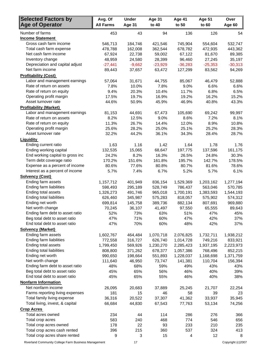| <b>Selected Factors by</b>       | Avg. Of          | <b>Under</b> | Age 31    | <b>Age 41</b> | <b>Age 51</b> | Over      |
|----------------------------------|------------------|--------------|-----------|---------------|---------------|-----------|
| <b>Age of Operator</b>           | <b>All Farms</b> | Age 31       | to 40     | to 50         | to 60         | Age 60    |
| Number of farms                  | 453              | 43           | 94        | 136           | 126           | 54        |
| <b>Income Statement</b>          |                  |              |           |               |               |           |
| Gross cash farm income           | 546,713          | 184,746      | 421,546   | 745,904       | 554,604       | 532,747   |
| Total cash farm expense          | 478,788          | 162,008      | 362,544   | 678,782       | 472,935       | 443,362   |
| Net cash farm income             | 67,924           | 22,738       | 59,002    | 67,122        | 81,670        | 89,385    |
| Inventory change                 | 48,959           | 24,580       | 28,399    | 96,460        | 27,245        | 35,197    |
| Depreciation and capital adjust  | $-27,441$        | $-9,662$     | $-23,929$ | $-36,283$     | $-25,353$     | $-30,313$ |
| Net farm income                  | 89,443           | 37,657       | 63,472    | 127,299       | 83,562        | 94,269    |
| <b>Profitability (Cost)</b>      |                  |              |           |               |               |           |
| Labor and management earnings    | 57,064           | 31,671       | 44,755    | 85,067        | 46,479        | 52,888    |
| Rate of return on assets         | 7.8%             | 10.0%        | 7.8%      | 9.0%          | 6.6%          | 6.6%      |
| Rate of return on equity         | 9.4%             | 20.3%        | 10.4%     | 11.7%         | 6.8%          | 6.5%      |
| Operating profit margin          | 17.5%            | 19.7%        | 16.9%     | 19.2%         | 16.2%         | 15.2%     |
| Asset turnover rate              | 44.6%            | 50.9%        | 45.9%     | 46.9%         | 40.8%         | 43.3%     |
| <b>Profitability (Market)</b>    |                  |              |           |               |               |           |
| Labor and management earnings    | 81,153           | 44,691       | 67,473    | 105,690       | 69,242        | 99,997    |
| Rate of return on assets         | 8.2%             | 12.5%        | 9.0%      | 8.6%          | 7.2%          | 8.1%      |
| Rate of return on equity         | 11.3%            | 26.7%        | 14.4%     | 12.0%         | 8.9%          | 10.8%     |
| Operating profit margin          | 25.6%            | 28.2%        | 25.0%     | 25.1%         | 25.2%         | 28.3%     |
| Asset turnover rate              | 32.2%            | 44.2%        | 36.1%     | 34.3%         | 28.4%         | 28.7%     |
| <b>Liquidity</b>                 |                  |              |           |               |               |           |
| Ending current ratio             | 1.63             | 1.16         | 1.42      | 1.64          | 1.78          | 1.76      |
| Ending working capital           | 132,535          | 15,065       | 68,647    | 197,775       | 137,596       | 161,175   |
| End working capital to gross inc | 24.2%            | 8.2%         | 16.3%     | 26.5%         | 24.8%         | 30.3%     |
| Term debt coverage ratio         | 170.2%           | 151.6%       | 161.8%    | 195.7%        | 142.7%        | 178.5%    |
| Expense as a percent of income   | 80.6%            | 77.6%        | 80.8%     | 80.7%         | 81.6%         | 78.6%     |
| Interest as a percent of income  | 5.7%             | 7.4%         | 6.7%      | 5.2%          | 5.7%          | 6.1%      |
| <b>Solvency (Cost)</b>           |                  |              |           |               |               |           |
| Ending farm assets               | 1,157,712        | 401,949      | 836,154   | 1,529,369     | 1,203,162     | 1,277,194 |
| Ending farm liabilities          | 598,493          | 295,189      | 528,749   | 786,437       | 563,046       | 570,785   |
| Ending total assets              | 1,326,273        | 491,746      | 965,018   | 1,700,191     | 1,383,593     | 1,544,193 |
| Ending total liabilities         | 626,460          | 345,987      | 575,283   | 818,057       | 575,902       | 574,312   |
| Ending net worth                 | 699,814          | 145,758      | 389,736   | 882,134       | 807,691       | 969,880   |
| Net worth change                 | 70,245           | 36,107       | 41,497    | 97,550        | 65,555        | 89,643    |
| Ending farm debt to asset ratio  | 52%              | 73%          | 63%       | 51%           | 47%           | 45%       |
| Beg total debt to asset ratio    | 47%              | 71%          | 60%       | 47%           | 42%           | 37%       |
| End total debt to asset ratio    | 47%              | 70%          | 60%       | 48%           | 42%           | 37%       |
| <b>Solvency (Market)</b>         |                  |              |           |               |               |           |
| Ending farm assets               | 1,602,767        | 464,484      | 1,070,718 | 2,076,825     | 1,732,711     | 1,938,212 |
| Ending farm liabilities          | 772,558          | 316,727      | 626,740   | 1,014,728     | 749,216       | 833,921   |
| Ending total assets              | 1,799,450        | 569,926      | 1,230,270 | 2,285,423     | 1,937,195     | 2,223,973 |
| Ending total liabilities         | 808,800          | 371,262      | 678,377   | 1,057,386     | 768,496       | 852,215   |
| Ending net worth                 | 990,650          | 198,664      | 551,893   | 1,228,037     | 1,168,698     | 1,371,759 |
| Net worth change                 | 111,640          | 46,950       | 73,747    | 141,381       | 110,704       | 156,394   |
| Ending farm debt to asset ratio  | 48%              | 68%          | 59%       | 49%           | 43%           | 43%       |
| Beg total debt to asset ratio    | 45%              | 65%          | 56%       | 46%           | 40%           | 39%       |
| End total debt to asset ratio    | 45%              | 65%          | 55%       | 46%           | 40%           | 38%       |
| <b>Nonfarm Information</b>       |                  |              |           |               |               |           |
| Net nonfarm income               | 26,095           | 20,683       | 37,889    | 25,245        | 21,707        | 22,254    |
| Farms reporting living expenses  | 181              | 15           | 46        | 58            | 39            | 23        |
| Total family living expense      | 36,316           | 20,522       | 37,307    | 41,362        | 33,937        | 35,945    |
| Total living, invest, & capital  | 66,684           | 44,830       | 67,543    | 77,763        | 53,134        | 74,256    |
| <b>Crop Acres</b>                |                  |              |           |               |               |           |
| Total acres owned                | 234              | 44           | 114       | 286           | 276           | 366       |
| Total crop acres                 | 583              | 240          | 468       | 774           | 546           | 656       |
| Total crop acres owned           | 178              | 22           | 93        | 233           | 210           | 235       |
| Total crop acres cash rented     | 396              | 215          | 360       | 537           | 324           | 413       |
| Total crop acres share rented    | 9                | 3            | 15        | 4             | 12            | 8         |

Riverland Community College Farm Business Management 17 17 19 17 Copyright (c)2007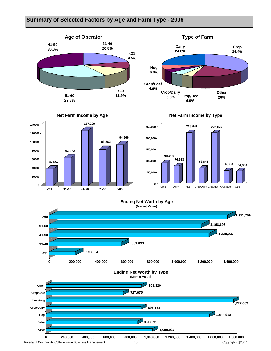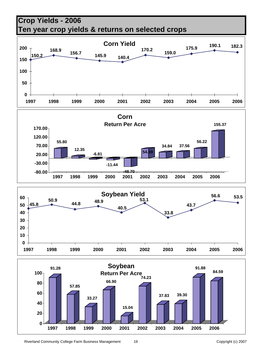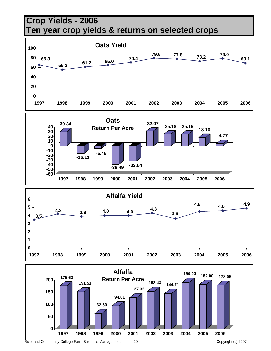



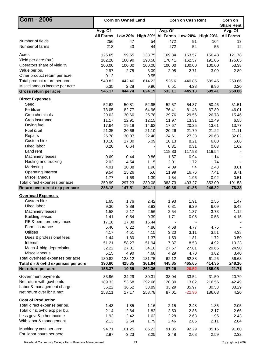| Corn - 2006                        |                            | <b>Corn on Owned Land</b> |        | <b>Corn on Cash Rent</b> | Corn on<br><b>Share Rent</b> |        |                  |
|------------------------------------|----------------------------|---------------------------|--------|--------------------------|------------------------------|--------|------------------|
|                                    | Avg. Of                    |                           |        | Avg. Of                  |                              |        | Avg. Of          |
|                                    | All Farms Low 20% High 20% |                           |        |                          | All Farms Low 20% High 20%   |        | <b>All Farms</b> |
| Number of fields                   | 256                        | 47                        | 54     | 472                      | 91                           | 104    | 13               |
| Number of farms                    | 218                        | 43                        | 44     | 272                      | 54                           | 55     | 12               |
| Acres                              | 125.65                     | 99.55                     | 133.75 | 169.34                   | 163.57                       | 150.48 | 121.78           |
| Yield per acre (bu.)               | 182.28                     | 160.90                    | 198.58 | 178.41                   | 162.57                       | 191.05 | 175.05           |
| Operators share of yield %         | 100.00                     | 100.00                    | 100.00 | 100.00                   | 100.00                       | 100.00 | 53.38            |
| Value per bu.                      | 2.97                       | 2.75                      | 3.09   | 2.95                     | 2.71                         | 3.09   | 2.89             |
| Other product return per acre      | 0.12                       | $\blacksquare$            | 0.55   |                          |                              |        |                  |
| Total product return per acre      | 540.82                     | 442.46                    | 614.23 | 526.6                    | 440.85                       | 589.45 | 269.66           |
| Miscellaneous income per acre      | 5.35                       | 2.28                      | 9.96   | 6.51                     | 4.28                         | 9.96   | 0.20             |
| Gross return per acre              | 546.17                     | 444.74                    | 624.19 | 533.11                   | 445.13                       | 599.41 | 269.86           |
| <b>Direct Expenses</b>             |                            |                           |        |                          |                              |        |                  |
| Seed                               | 52.62                      | 50.81                     | 52.95  | 52.57                    | 54.37                        | 50.46  | 31.51            |
| Fertilizer                         | 73.05                      | 82.77                     | 64.96  | 76.41                    | 81.43                        | 67.89  | 46.01            |
| Crop chemicals                     | 29.03                      | 30.60                     | 25.78  | 29.76                    | 29.56                        | 26.78  | 15.46            |
| Crop insurance                     | 11.17                      | 12.91                     | 12.15  | 11.97                    | 13.31                        | 12.49  | 6.55             |
| Drying fuel                        | 17.64                      | 19.18                     | 14.62  | 17.67                    | 20.25                        | 13.61  | 13.77            |
| Fuel & oil                         | 21.35                      | 20.66                     | 21.10  | 20.26                    | 21.79                        | 21.22  | 21.11            |
| Repairs                            | 26.78                      | 30.07                     | 22.48  | 24.61                    | 27.33                        | 20.63  | 32.02            |
| Custom hire                        | 10.10                      | 17.30                     | 5.09   | 10.13                    | 8.21                         | 6.80   | 5.66             |
| Hired labor                        | 0.20                       | 0.64                      |        | 0.31                     | 0.31                         | 0.03   | 1.62             |
| Land rent                          |                            |                           |        | 118.83                   | 117.93                       | 119.54 |                  |
| Machinery leases                   | 0.69                       | 0.44                      | 0.86   | 1.57                     | 0.94                         | 1.14   |                  |
| Hauling and trucking               | 2.03                       | 4.54                      | 1.15   | 2.01                     | 1.72                         | 1.74   |                  |
| Marketing                          | 4.01                       | 10.38                     | 1.96   | 4.09                     | 7.4                          | 2.43   | 8.61             |
| Operating interest                 | 9.54                       | 15.26                     | 5.6    | 11.99                    | 16.76                        | 7.41   | 8.71             |
| Miscellaneous                      | 1.77                       | 1.68                      | 1.39   | 1.54                     | 1.96                         | 0.92   | 0.51             |
| Total direct expenses per acre     | 259.99                     | 297.23                    | 230.08 | 383.73                   | 403.27                       | 353.09 | 191.53           |
| Return over direct exp per acre    | 286.18                     | 147.51                    | 394.11 | 149.38                   | 41.85                        | 246.32 | 78.33            |
| <b>Overhead Expenses</b>           |                            |                           |        |                          |                              |        |                  |
| Custom hire                        | 1.65                       | 1.76                      | 2.42   | 1.93                     | 1.91                         | 2.55   | 1.47             |
| Hired labor                        | 9.36                       | 3.88                      | 8.83   | 6.81                     | 8.29                         | 6.09   | 6.48             |
| Machinery leases                   | 1.58                       | 2.17                      | 2.56   | 2.54                     | 1.37                         | 3.73   | 1.12             |
| <b>Building leases</b>             | 1.41                       | 0.54                      | 0.39   | 1.71                     | 0.08                         | 0.53   | 4.15             |
| RE & pers. property taxes          | 17.18                      | 17.08                     | 16.44  |                          |                              |        |                  |
| Farm insurance                     | 5.46                       | 6.22                      | 4.86   | 4.68                     | 4.77                         | 4.75   |                  |
| <b>Utilities</b>                   | 4.17                       | 4.51                      | 4.15   | 3.20                     | 3.11                         | 3.51   | 4.38             |
| Dues & professional fees           | 1.44                       | 1.80                      | 1.37   | 1.53                     | 1.81                         | 1.72   | 0.50             |
| Interest                           | 51.21                      | 58.27                     | 51.94  | 7.87                     | 8.53                         | 4.92   | 10.23            |
| Mach & bldg depreciation           | 32.22                      | 27.01                     | 34.10  | 27.57                    | 27.81                        | 29.65  | 24.90            |
| Miscellaneous                      | 5.15                       | 4.90                      | 4.68   | 4.29                     | 4.70                         | 3.82   | 3.40             |
| Total overhead expenses per acre   | 130.82                     | 128.12                    | 131.75 | 62.12                    | 62.38                        | 61.26  | 56.63            |
| Total dir & ovhd expenses per acre | 390.80                     | 425.35                    | 361.84 | 445.85                   | 465.65                       | 414.35 | 248.16           |
| Net return per acre                | 155.37                     | 19.39                     | 262.36 | 87.26                    | $-20.52$                     | 185.05 | 21.71            |
| Government payments                | 33.96                      | 34.29                     | 30.31  | 33.04                    | 33.54                        | 31.50  | 20.79            |
| Net return with govt pmts          | 189.33                     | 53.68                     | 292.66 | 120.30                   | 13.02                        | 216.56 | 42.49            |
| Labor & management charge          | 36.22                      | 36.52                     | 33.89  | 33.29                    | 35.97                        | 30.53  | 38.29            |
| Net return over lbr & mgt          | 153.11                     | 17.17                     | 258.78 | 87.01                    | $-22.96$                     | 186.03 | 4.20             |
| <b>Cost of Production</b>          |                            |                           |        |                          |                              |        |                  |
| Total direct expense per bu.       | 1.43                       | 1.85                      | 1.16   | 2.15                     | 2.48                         | 1.85   | 2.05             |
| Total dir & ovhd exp per bu.       | 2.14                       | 2.64                      | 1.82   | 2.50                     | 2.86                         | 2.17   | 2.66             |
| Less govt & other income           | 1.93                       | 2.42                      | 1.62   | 2.28                     | 2.63                         | 1.95   | 2.43             |
| With labor & management            | 2.13                       | 2.64                      | 1.79   | 2.46                     | 2.85                         | 2.11   | 2.84             |
| Machinery cost per acre            | 94.71                      | 101.25                    | 85.23  | 91.35                    | 92.29                        | 85.16  | 91.60            |
| Est. labor hours per acre          | 2.97                       | 3.23                      | 3.25   | 2.48                     | 2.68                         | 2.59   | 2.32             |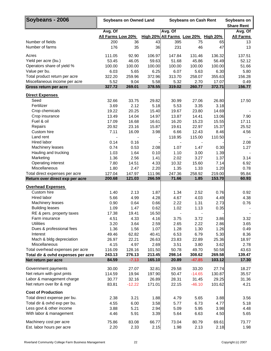| Soybeans - 2006                                                |                              | <b>Soybeans on Owned Land</b> |                | <b>Soybeans on Cash Rent</b>                   | Soybeans on<br><b>Share Rent</b> |                 |                             |
|----------------------------------------------------------------|------------------------------|-------------------------------|----------------|------------------------------------------------|----------------------------------|-----------------|-----------------------------|
|                                                                | Avg. Of<br>All Farms Low 20% |                               |                | Avg. Of<br>High 20% All Farms Low 20% High 20% |                                  |                 | Avg. Of<br><b>All Farms</b> |
| Number of fields                                               | 200                          | 36                            | 43             | 395                                            | 75                               | 65              | 13                          |
| Number of farms                                                | 176                          | 35                            | 36             | 231                                            | 46                               | 47              | 13                          |
| Acres                                                          | 111.05                       | 92.90                         | 106.97         | 147.84                                         | 131.46                           | 136.32          | 137.51                      |
| Yield per acre (bu.)                                           | 53.45                        | 46.05                         | 59.63          | 51.68                                          | 45.86                            | 56.49           | 52.12                       |
| Operators share of yield %                                     | 100.00                       | 100.00                        | 100.00         | 100.00                                         | 100.00                           | 100.00          | 51.66                       |
| Value per bu.                                                  | 6.03                         | 5.65                          | 6.25           | 6.07                                           | 5.63                             | 6.30            | 5.80                        |
| Total product return per acre<br>Miscellaneous income per acre | 322.20<br>5.52               | 259.96<br>9.04                | 372.96<br>5.58 | 313.70<br>5.32                                 | 258.07<br>2.70                   | 355.63<br>17.07 | 156.28<br>0.49              |
| Gross return per acre                                          | 327.72                       | 269.01                        | 378.55         | 319.02                                         | 260.77                           | 372.71          | 156.77                      |
| <b>Direct Expenses</b>                                         |                              |                               |                |                                                |                                  |                 |                             |
| Seed                                                           | 32.66                        | 33.75                         | 29.82          | 30.99                                          | 27.06                            | 26.80           | 17.50                       |
| Fertilizer                                                     | 3.69                         | 2.12                          | 5.18           | 5.53                                           | 3.35                             | 3.18            |                             |
| Crop chemicals                                                 | 19.22                        | 20.25                         | 15.40          | 19.67                                          | 23.80                            | 14.69           |                             |
| Crop insurance                                                 | 13.49                        | 14.04                         | 14.97          | 13.87                                          | 14.41                            | 13.06           | 7.90                        |
| Fuel & oil                                                     | 17.09                        | 16.68                         | 16.61          | 16.20                                          | 15.23                            | 15.55           | 17.11                       |
| Repairs                                                        | 20.92                        | 23.16                         | 15.87          | 19.61                                          | 22.97                            | 15.37           | 25.52                       |
| Custom hire                                                    | 7.11                         | 16.09                         | 3.98           | 6.66                                           | 12.43                            | 8.46            | 4.56                        |
| Land rent                                                      |                              |                               |                | 118.95                                         | 115.00                           | 110.50          |                             |
| Hired labor                                                    | 0.14                         | 0.16                          |                |                                                |                                  |                 | 2.08                        |
| Machinery leases                                               | 0.74                         | 0.53                          | 2.08           | 1.07                                           | 1.47                             | 0.30            | 1.27                        |
| Hauling and trucking                                           | 1.03                         | 1.64                          | 0.10           | 1.10                                           | 3.00                             | 1.39            |                             |
| Marketing                                                      | 1.36                         | 2.56                          | 1.41           | 2.02                                           | 3.27                             | 1.37            | 3.14                        |
| Operating interest                                             | 7.80                         | 14.51                         | 4.33           | 10.32                                          | 15.60                            | 7.14            | 6.92                        |
| Miscellaneous                                                  | 1.80                         | 2.47                          | 2.20           | 1.35                                           | 1.33                             | 1.20            | 0.78                        |
| Total direct expenses per acre                                 | 127.04                       | 147.97                        | 111.96         | 247.36                                         | 258.92                           | 219.00          | 95.84                       |
| Return over direct exp per acre                                | 200.68                       | 121.03                        | 266.59         | 71.66                                          | 1.85                             | 153.70          | 60.93                       |
| <b>Overhead Expenses</b>                                       |                              |                               |                |                                                |                                  |                 |                             |
| Custom hire                                                    | 1.40                         | 2.13                          | 1.87           | 1.34                                           | 2.52                             | 0.76            | 0.92                        |
| Hired labor                                                    | 5.66                         | 4.99                          | 4.28           | 4.67                                           | 4.03                             | 4.49            | 4.38                        |
| Machinery leases                                               | 0.90                         | 0.64                          | 0.66           | 2.22                                           | 1.31                             | 2.73            | 0.76                        |
| <b>Building leases</b>                                         | 1.09                         | 1.47                          | 0.62           | 1.02                                           | 1.13                             | 0.35            |                             |
| RE & pers. property taxes                                      | 17.38                        | 19.41                         | 16.50          |                                                |                                  |                 |                             |
| Farm insurance                                                 | 4.51                         | 4.33                          | 4.16           | 3.75                                           | 3.72                             | 3.86            | 3.32                        |
| <b>Utilities</b>                                               | 3.20                         | 3.64                          | 2.59           | 2.65                                           | 2.22                             | 2.86            | 3.65                        |
| Dues & professional fees                                       | 1.36                         | 1.56                          | 1.07           | 1.28                                           | 1.30                             | 1.26            | 0.49                        |
| Interest                                                       | 49.46                        | 62.82                         | 40.41          | 6.53                                           | 6.79                             | 5.30            | 8.36                        |
| Mach & bldg depreciation<br>Miscellaneous                      | 26.97<br>4.15                | 22.21<br>4.97                 | 26.63<br>2.69  | 23.83                                          | 22.89                            | 25.36<br>3.62   | 18.97                       |
| Total overhead expenses per acre                               | 116.09                       | 128.16                        | 101.50         | 3.51<br>50.78                                  | 3.80<br>49.70                    | 50.58           | 2.78<br>43.63               |
| Total dir & ovhd expenses per acre                             | 243.13                       | 276.13                        | 213.45         | 298.14                                         | 308.62                           | 269.58          | 139.47                      |
| Net return per acre                                            | 84.59                        | $-7.13$                       | 165.10         | 20.89                                          | $-47.85$                         | 103.12          | 17.30                       |
|                                                                |                              |                               |                |                                                |                                  |                 |                             |
| Government payments                                            | 30.00                        | 27.07                         | 32.81          | 29.58                                          | 33.20                            | 27.74           | 18.27                       |
| Net return with govt pmts                                      | 114.59                       | 19.94                         | 197.90         | 50.47                                          | $-14.65$                         | 130.87          | 35.57                       |
| Labor & management charge                                      | 30.77                        | 32.16                         | 26.89          | 28.31                                          | 31.45                            | 29.25           | 31.36                       |
| Net return over lbr & mgt                                      | 83.81                        | $-12.22$                      | 171.01         | 22.15                                          | $-46.10$                         | 101.62          | 4.21                        |
| <b>Cost of Production</b>                                      |                              |                               |                |                                                |                                  |                 |                             |
| Total direct expense per bu.                                   | 2.38                         | 3.21                          | 1.88           | 4.79                                           | 5.65                             | 3.88            | 3.56                        |
| Total dir & ovhd exp per bu.                                   | 4.55                         | 6.00                          | 3.58           | 5.77                                           | 6.73                             | 4.77            | 5.18                        |
| Less govt & other income                                       | 3.88                         | 5.21                          | 2.94           | 5.09                                           | 5.95                             | 3.98            | 4.48                        |
| With labor & management                                        | 4.46                         | 5.91                          | 3.39           | 5.64                                           | 6.63                             | 4.50            | 5.65                        |
| Machinery cost per acre                                        | 75.86                        | 83.08                         | 66.77          | 73.04                                          | 80.79                            | 69.61           | 73.77                       |
| Est. labor hours per acre                                      | 2.20                         | 2.33                          | 2.15           | 1.98                                           | 2.13                             | 2.18            | 1.98                        |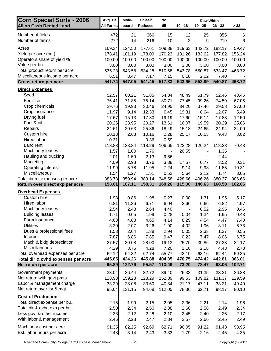| Corn Special Sorts - 2006                                         | Avg. Of          | Mold-            | Chisel/          | No               |                  | <b>Row Width</b> |                  |                  |
|-------------------------------------------------------------------|------------------|------------------|------------------|------------------|------------------|------------------|------------------|------------------|
| <b>All on Cash Rented Land</b>                                    | <b>All Farms</b> | board            | Reduced          | till             | $10 - 18$        | $19 - 25$        | $26 - 32$        | > 32             |
| Number of fields                                                  | 472              | 21               | 366              | 15               | 12               | 25               | 355              | 6                |
| Number of farms                                                   | 272              | 14               | 216              | 10               | $\mathbf 2$      | 9                | 219              | 6                |
| Acres                                                             | 169.34           | 124.50           | 177.61           | 109.38           | 119.63           | 142.72           | 183.17           | 59.47            |
| Yield per acre (bu.)                                              | 178.41           | 181.19           | 178.09           | 170.23           | 181.26           | 183.62           | 177.82           | 156.24           |
| Operators share of yield %                                        | 100.00           | 100.00           | 100.00           | 100.00           | 100.00           | 100.00           | 100.00           | 100.00           |
| Value per bu.                                                     | 3.00             | 3.00             | 3.00             | 3.00             | 3.00             | 3.00             | 3.00             | 3.00             |
| Total product return per acre                                     | 535.23           | 543.58           | 534.28           | 510.68           | 543.78           | 550.87           | 533.47           | 468.72           |
| Miscellaneous income per acre                                     | 6.51             | 3.47             | 7.17             | 7.15             | 0.18             | 2.02             | 7.40             |                  |
| Gross return per acre                                             | 541.74           | 547.05           | 541.45           | 517.83           | 543.96           | 552.89           | 540.87           | 468.72           |
| <b>Direct Expenses</b>                                            |                  |                  |                  |                  |                  |                  |                  |                  |
| Seed                                                              | 52.57            | 60.21            | 51.85            | 54.84            | 48.49            | 51.79            | 52.46            | 43.45            |
| Fertilizer                                                        | 76.41            | 71.85            | 75.14            | 80.71            | 77.45            | 99.26            | 74.59            | 67.05            |
| Crop chemicals                                                    | 29.76            | 19.93            | 30.46            | 24.95            | 34.20            | 37.46            | 29.58            | 27.00            |
| Crop insurance                                                    | 11.97            | 9.14             | 12.33            | 6.45             | 19.31            | 8.64             | 12.07            | 5.49             |
| Drying fuel                                                       | 17.67            | 15.13            | 17.80            | 19.19            | 17.60            | 15.14            | 17.83            | 12.50            |
| Fuel & oil                                                        | 20.26            | 23.95            | 20.27            | 13.61            | 16.07            | 19.59            | 20.29            | 25.06            |
| Repairs                                                           | 24.61            | 20.63            | 25.36            | 18.49            | 15.18            | 24.65            | 24.94            | 34.00            |
| Custom hire                                                       | 10.13            | 2.63             | 10.16            | 2.28             | 25.17            | 10.63            | 9.43             | 8.02             |
| <b>Hired labor</b>                                                | 0.31             | $\blacksquare$   | 0.36             | 0.59             |                  |                  |                  |                  |
| Land rent                                                         | 118.83           | 123.84           | 118.29           | 106.65           | 122.28           | 126.24           | 118.28           | 70.43            |
| Machinery leases                                                  | 1.57             | 1.00             | 1.76             |                  | 20.55            |                  | 1.35             |                  |
| Hauling and trucking                                              | 2.01             | 1.59             | 2.13             | 9.66             |                  |                  | 2.44             |                  |
| Marketing                                                         | 4.09             | 2.98             | 3.76             | 3.38             | 17.57            | 0.77             | 3.52             | 0.31             |
| Operating interest                                                | 11.99            | 5.78             | 11.95            | 7.24             | 9.14             | 9.98             | 11.85            | 10.31            |
| Miscellaneous                                                     | 1.54             | 1.27             | 1.51             | 0.52             | 5.64             | 2.12             | 1.74             | 3.05             |
| Total direct expenses per acre<br>Return over direct exp per acre | 383.73<br>158.01 | 359.94<br>187.11 | 383.14<br>158.31 | 348.58<br>169.26 | 428.66<br>115.30 | 406.26<br>146.63 | 380.37<br>160.50 | 306.66<br>162.06 |
|                                                                   |                  |                  |                  |                  |                  |                  |                  |                  |
| <b>Overhead Expenses</b><br>Custom hire                           |                  |                  |                  |                  |                  |                  |                  |                  |
| Hired labor                                                       | 1.93<br>6.81     | 0.86<br>11.36    | 1.98<br>6.71     | 0.27<br>6.04     | 0.00<br>2.66     | 1.31<br>6.66     | 1.95<br>6.82     | 5.17<br>4.97     |
| Machinery leases                                                  | 2.54             | 2.43             | 2.64             | 4.40             | $\blacksquare$   | 0.52             | 2.95             | 0.46             |
| <b>Building leases</b>                                            | 1.71             |                  | 1.99             |                  |                  | 1.34             | 1.95             | 0.43             |
| Farm insurance                                                    |                  |                  |                  |                  |                  |                  |                  |                  |
|                                                                   |                  | 0.05             |                  | 0.28             | 0.04             |                  |                  |                  |
|                                                                   | 4.68             | 4.83             | 4.65             | 4.14             | 8.29             | 4.54             | 4.47             | 7.40             |
| <b>Utilities</b>                                                  | 3.20             | 2.07             | 3.26             | 1.90             | 4.02             | 1.96             | 3.11             | 6.73             |
| Dues & professional fees<br>Interest                              | 1.53             | 2.04             | 1.38             | 2.94             | 0.05             | 2.33             | 1.37             | 0.55             |
|                                                                   | 7.87             | 6.86             | 7.85             | 9.47             | 0.23             | 7.47             | 8.06             | 6.75             |
| Mach & bldg depreciation<br>Miscellaneous                         | 27.57<br>4.29    | 30.08<br>3.75    | 28.00<br>4.28    | 19.13<br>7.20    | 25.70<br>1.10    | 39.86<br>2.18    | 27.33<br>4.43    | 24.17<br>2.73    |
| Total overhead expenses per acre                                  | 62.12            | 64.32            | 62.74            | 55.77            | 42.10            | 68.16            | 62.44            | 59.35            |
| Total dir & ovhd expenses per acre                                | 445.85           | 424.26           | 445.88           | 404.35           | 470.75           | 474.42           | 442.81           | 366.01           |
| Net return per acre                                               | 95.89            | 122.79           | 95.57            | 113.49           | 73.20            | 78.47            | 98.06            | 102.71           |
| Government payments                                               | 33.04            | 36.44            | 32.72            | 39.40            | 26.33            | 31.35            | 33.31            | 26.88            |
| Net return with govt pmts                                         | 128.93           | 159.23           | 128.29           | 152.89           | 99.53            | 109.82           | 131.37           | 129.59           |
| Labor & management charge                                         | 33.29            | 28.08            | 33.60            | 40.84            | 21.17            | 47.11            | 33.21            | 49.49            |
| Net return over lbr & mgt                                         | 95.64            | 131.15           | 94.68            | 112.05           | 78.36            | 62.71            | 98.17            | 80.10            |
| <b>Cost of Production</b>                                         |                  |                  |                  |                  |                  |                  |                  |                  |
| Total direct expense per bu.                                      | 2.15             | 1.99             | 2.15             | 2.05             | 2.36             | 2.21             | 2.14             | 1.96             |
| Total dir & ovhd exp per bu.                                      | 2.50             | 2.34             | 2.50             | 2.38             | 2.60             | 2.58             | 2.49             | 2.34             |
| Less govt & other income                                          | 2.28             | 2.12             | 2.28             | 2.10             | 2.45             | 2.40             | 2.26             | 2.17             |
| With labor & management                                           | 2.46             | 2.28             | 2.47             | 2.34             | 2.57             | 2.66             | 2.45             | 2.49             |
| Machinery cost per acre                                           | 91.35            | 82.25            | 92.69            | 62.71            | 96.05            | 91.22            | 91.43            | 98.95            |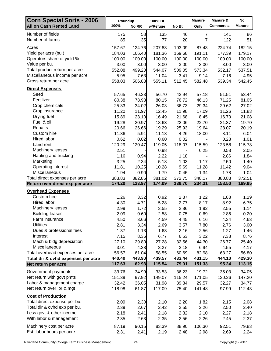| <b>Corn Special Sorts - 2006</b><br><b>All on Cash Rented Land</b> | Roundup<br>100% | No RR  | 100% Bt<br>w/Refuge | No Bt  | <b>Manure</b><br>Only | Manure &<br><b>Commercial</b> | No<br><b>Manure</b> |
|--------------------------------------------------------------------|-----------------|--------|---------------------|--------|-----------------------|-------------------------------|---------------------|
| Number of fields                                                   | 175             | 58     | 135                 | 46     | $\overline{7}$        | 141                           | 86                  |
| Number of farms                                                    | 85              | 35     | 77                  | 20     | $\overline{7}$        | 122                           | 51                  |
| Acres                                                              | 157.67          | 124.76 | 207.83              | 103.09 | 87.43                 | 224.74                        | 182.15              |
| Yield per acre (bu.)                                               | 184.03          | 166.40 | 181.36              | 169.68 | 191.11                | 177.39                        | 179.17              |
| Operators share of yield %                                         | 100.00          | 100.00 | 100.00              | 100.00 | 100.00                | 100.00                        | 100.00              |
| Value per bu.                                                      | 3.00            | 3.00   | 3.00                | 3.00   | 3.00                  | 3.00                          | 3.00                |
| Total product return per acre                                      | 552.08          | 499.20 | 544.07              | 509.05 | 573.34                | 532.17                        | 537.51              |
| Miscellaneous income per acre                                      | 5.95            | 7.63   | 11.04               | 3.41   | 9.14                  | 7.16                          | 4.95                |
| Gross return per acre                                              | 558.03          | 506.83 | 555.11              | 512.45 | 582.48                | 539.34                        | 542.45              |
| <b>Direct Expenses</b>                                             |                 |        |                     |        |                       |                               |                     |
| Seed                                                               | 57.65           | 46.33  | 56.70               | 42.94  | 57.18                 | 51.51                         | 53.44               |
| Fertilizer                                                         | 80.38           | 78.98  | 80.15               | 76.72  | 46.13                 | 71.25                         | 81.05               |
| Crop chemicals                                                     | 25.33           | 34.02  | 26.03               | 36.73  | 29.34                 | 29.62                         | 27.02               |
| Crop insurance                                                     | 11.20           | 11.97  | 12.45               | 11.98  | 17.09                 | 11.26                         | 11.83               |
| Drying fuel                                                        | 15.89           | 23.10  | 16.49               | 21.68  | 8.45                  | 16.70                         | 21.08               |
| Fuel & oil                                                         | 19.28           | 20.97  | 18.63               | 22.06  | 22.70                 | 21.37                         | 19.70               |
| Repairs                                                            | 20.66           | 26.66  | 19.29               | 25.93  | 19.64                 | 28.07                         | 20.19               |
| Custom hire                                                        | 11.86           | 5.91   | 11.18               | 4.26   | 18.00                 | 8.11                          | 6.04                |
| Hired labor                                                        | 0.62            | 0.02   | 0.60                | 0.02   |                       | 0.23                          | 1.01                |
| Land rent                                                          | 120.29          | 120.47 | 119.05              | 118.07 | 115.59                | 123.58                        | 115.78              |
| Machinery leases                                                   | 2.51            |        | 0.98                |        | 0.25                  | 0.58                          | 2.05                |
| Hauling and trucking                                               | 1.16            | 0.94   | 2.22                | 1.18   |                       | 2.86                          | 1.84                |
| Marketing                                                          | 3.25            | 2.34   | 5.18                | 1.03   | 1.17                  | 2.50                          | 1.40                |
| Operating interest                                                 | 11.81           | 10.25  | 10.28               | 9.69   | 11.28                 | 11.42                         | 9.04                |
| Miscellaneous                                                      | 1.94            | 0.90   | 1.79                | 0.45   | 1.34                  | 1.78                          | 1.04                |
| Total direct expenses per acre                                     | 383.83          | 382.86 | 381.02              | 372.75 | 348.17                | 380.83                        | 372.51              |
| Return over direct exp per acre                                    | 174.20          | 123.97 | 174.09              | 139.70 | 234.31                | 158.50                        | 169.95              |
| <b>Overhead Expenses</b>                                           |                 |        |                     |        |                       |                               |                     |
| Custom hire                                                        | 1.26            | 3.32   | 0.92                | 2.87   | 1.22                  | 1.88                          | 1.29                |
| Hired labor                                                        | 4.30            | 4.71   | 5.28                | 2.77   | 8.17                  | 8.92                          | 6.75                |
| Machinery leases                                                   | 2.99            | 1.72   | 3.55                | 2.86   | 1.92                  | 2.55                          | 1.14                |
| <b>Building leases</b>                                             | 2.09            | 0.60   | 2.58                | 0.75   | 0.69                  | 2.86                          | 0.20                |
| Farm insurance                                                     | 4.50            | 3.66   | 4.59                | 4.45   | 6.16                  | 4.34                          | 4.63                |
| <b>Utilities</b>                                                   | 2.81            | 3.34   | 2.69                | 3.57   | 7.80                  | 2.76                          | 3.00                |
| Dues & professional fees                                           | 1.37            | 1.13   | 1.63                | 2.16   | 2.56                  | 1.27                          | 1.46                |
| Interest                                                           | 7.15            | 8.36   | 6.77                | 6.53   | 3.22                  | 7.38                          | 8.76                |
| Mach & bldg depreciation                                           | 27.10           | 29.80  | 27.28               | 32.56  | 44.30                 | 26.77                         | 25.40               |
| Miscellaneous                                                      | 3.01            | 4.38   | 3.27                | 2.18   | 6.94                  | 4.55                          | 4.17                |
| Total overhead expenses per acre                                   | 56.57           | 61.04  | 58.55               | 60.69  | 82.98                 | 63.27                         | 56.80               |
| Total dir & ovhd expenses per acre                                 | 440.40          | 443.90 | 439.57              | 433.44 | 431.15                | 444.10                        | 429.30              |
| Net return per acre                                                | 117.63          | 62.93  | 115.54              | 79.01  | 151.33                | 95.24                         | 113.15              |
| Government payments                                                | 33.76           | 34.99  | 33.53               | 36.23  | 19.72                 | 35.03                         | 34.05               |
| Net return with govt pmts                                          | 151.39          | 97.92  | 149.07              | 115.24 | 171.05                | 130.26                        | 147.20              |
| Labor & management charge                                          | 32.42           | 36.05  | 31.98               | 39.84  | 29.57                 | 32.27                         | 34.77               |
| Net return over Ibr & mgt                                          | 118.98          | 61.87  | 117.09              | 75.40  | 141.48                | 97.99                         | 112.43              |
| <b>Cost of Production</b>                                          |                 |        |                     |        |                       |                               |                     |
| Total direct expense per bu.                                       | 2.09            | 2.30   | 2.10                | 2.20   | 1.82                  | 2.15                          | 2.08                |
| Total dir & ovhd exp per bu.                                       | 2.39            | 2.67   | 2.42                | 2.55   | 2.26                  | 2.50                          | 2.40                |
| Less govt & other income                                           | 2.18            | 2.41   | 2.18                | 2.32   | 2.10                  | 2.27                          | 2.18                |
| With labor & management                                            | 2.35            | 2.63   | 2.35                | 2.56   | 2.26                  | 2.45                          | 2.37                |
| Machinery cost per acre                                            | 87.19           | 90.15  | 83.39               | 88.90  | 106.30                | 92.51                         | 79.83               |
| Est. labor hours per acre                                          | 2.31            | 2.41   | 2.19                | 2.48   | 2.98                  | 2.69                          | 2.24                |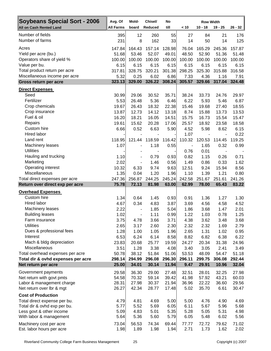| <b>Soybeans Special Sort - 2006</b>                               | Avg. Of          | Mold-                    | Chisel/         | No              |                              | <b>Row Width</b> |                 |                 |
|-------------------------------------------------------------------|------------------|--------------------------|-----------------|-----------------|------------------------------|------------------|-----------------|-----------------|
| <b>All on Cash Rented Land</b>                                    | <b>All Farms</b> | board                    | Reduced         | till            | < 10                         | $10 - 18$        | $19 - 25$       | $26 - 32$       |
| Number of fields                                                  | 395              | 12                       | 260             | 55              | 27                           | 84               | 21              | 176             |
| Number of farms                                                   | 231              | 8                        | 162             | 33              | 14                           | 50               | 14              | 125             |
| Acres                                                             | 147.84           | 164.43                   | 157.14          | 128.98          | 76.04                        | 165.29           | 245.36          | 157.87          |
| Yield per acre (bu.)                                              | 51.68            | 53.46                    | 52.07           | 49.01           | 48.50                        | 52.90            | 51.36           | 51.48           |
| Operators share of yield %                                        | 100.00           | 100.00                   | 100.00          | 100.00          | 100.00                       | 100.00           | 100.00          | 100.00          |
| Value per bu.                                                     | 6.15             | 6.15                     | 6.15            | 6.15            | 6.15                         | 6.15             | 6.15            | 6.15            |
| Total product return per acre                                     | 317.81           | 328.75                   | 320.21          | 301.38          | 298.25                       | 325.30           | 315.88          | 316.58          |
| Miscellaneous income per acre                                     | 5.32<br>323.13   | 0.25<br>329.00           | 6.02<br>326.22  | 6.86<br>308.24  | 7.33<br>305.57               | 4.36<br>329.66   | 1.16<br>317.04  | 7.91<br>324.48  |
| Gross return per acre                                             |                  |                          |                 |                 |                              |                  |                 |                 |
| <b>Direct Expenses</b><br>Seed                                    | 30.99            | 29.06                    | 30.52           | 35.71           | 38.24                        | 33.73            | 24.76           | 29.97           |
| Fertilizer                                                        | 5.53             | 26.48                    | 5.36            | 6.46            | 6.22                         | 5.93             | 5.46            | 6.87            |
| Crop chemicals                                                    | 19.67            | 26.43                    | 18.32           | 22.38           | 15.46                        | 19.68            | 27.40           | 18.55           |
| Crop insurance                                                    | 13.87            | 12.73                    | 14.12           | 13.18           | 8.74                         | 15.88            | 13.73           | 13.53           |
| Fuel & oil                                                        | 16.20            | 18.21                    | 16.05           | 14.51           | 15.75                        | 16.73            | 15.54           | 15.47           |
| Repairs                                                           | 19.61            | 15.62                    | 20.28           | 17.06           | 25.57                        | 18.92            | 23.58           | 18.58           |
| Custom hire                                                       | 6.66             | 0.52                     | 6.63            | 5.90            | 4.52                         | 5.98             | 8.62            | 6.15            |
| Hired labor                                                       |                  |                          |                 |                 | 1.07                         |                  |                 | 0.22            |
| Land rent                                                         | 118.95           | 121.44                   | 118.59          | 116.42          | 110.32                       | 120.53           | 114.45          | 119.25          |
| Machinery leases                                                  | 1.07             | $\blacksquare$           | 1.18            | 0.55            | $\qquad \qquad \blacksquare$ | 1.65             | 0.32            | 0.99            |
| <b>Utilities</b>                                                  |                  |                          | $\blacksquare$  |                 | 0.76                         | 0.01             | $\blacksquare$  |                 |
| Hauling and trucking                                              | 1.10             | $\overline{\phantom{a}}$ | 0.79            | 0.93            | 0.82                         | 1.15             | 0.26            | 0.71            |
| Marketing                                                         | 2.02             |                          | 1.46            | 0.56            | 1.49                         | 0.86             | 0.33            | 1.62            |
| Operating interest                                                | 10.32            | 6.33                     | 9.74            | 9.63            | 12.51                        | 9.24             | 15.94           | 8.56            |
| Miscellaneous                                                     | 1.35             | 0.04                     | 1.20            | 1.96            | 1.10                         | 1.39             | 1.21            | 0.80            |
| Total direct expenses per acre<br>Return over direct exp per acre | 247.36<br>75.78  | 256.87<br>72.13          | 244.25<br>81.98 | 245.24<br>63.00 | 242.58<br>62.99              | 251.67<br>78.00  | 251.61<br>65.43 | 241.26<br>83.22 |
| <b>Overhead Expenses</b>                                          |                  |                          |                 |                 |                              |                  |                 |                 |
| Custom hire                                                       | 1.34             | 0.64                     | 1.45            | 0.93            | 0.91                         | 1.36             | 1.27            | 1.30            |
| Hired labor                                                       | 4.67             | 0.34                     | 4.83            | 3.87            | 3.69                         | 4.56             | 4.58            | 4.52            |
| Machinery leases                                                  | 2.22             | $\overline{a}$           | 1.85            | 5.04            | 1.86                         | 3.68             | 1.47            | 2.01            |
| <b>Building leases</b>                                            | 1.02             |                          | 1.11            | 0.99            | 1.22                         | 1.03             | 0.78            | 1.25            |
| Farm insurance                                                    | 3.75             | 4.78                     | 3.66            | 3.71            | 4.38                         | 3.62             | 3.48            | 3.68            |
| <b>Utilities</b>                                                  | 2.65             | 3.17                     | 2.60            | 2.30            | 2.32                         | 2.32             | 1.69            | 2.79            |
| Dues & professional fees                                          | 1.28             | 1.00                     | 1.05            | 1.96            | 2.65                         | 1.31             | 1.02            | 0.95            |
| Interest                                                          | 6.53             | 6.24                     | 6.14            | 8.58            | 8.82                         | 6.82             | 6.38            | 6.22            |
| Mach & bldg depreciation                                          | 23.83            | 20.68                    | 25.77           | 19.59           | 24.27                        | 20.34            | 31.38           | 24.96           |
| Miscellaneous                                                     | 3.51             | 1.28                     | 3.38            | 4.08            | 3.40                         | 3.05             | 2.41            | 3.49            |
| Total overhead expenses per acre                                  | 50.78            | 38.12                    | 51.84           | 51.06           | 53.53                        | 48.09            | 54.47           | 51.18           |
| Total dir & ovhd expenses per acre<br>Net return per acre         | 298.14<br>25.00  | 294.99<br>34.01          | 296.08<br>30.14 | 296.30<br>11.94 | 296.11<br>9.47               | 299.75<br>29.91  | 306.08<br>10.96 | 292.44<br>32.04 |
|                                                                   |                  |                          |                 |                 |                              |                  |                 |                 |
| Government payments                                               | 29.58            | 36.30                    | 29.00           | 27.48           | 32.51                        | 28.01            | 32.25           | 27.98           |
| Net return with govt pmts<br>Labor & management charge            | 54.58<br>28.31   | 70.32<br>27.98           | 59.14<br>30.37  | 39.42<br>21.94  | 41.98<br>36.96               | 57.92<br>22.22   | 43.21<br>36.60  | 60.03<br>29.56  |
| Net return over Ibr & mgt                                         | 26.27            | 42.34                    | 28.77           | 17.48           | 5.02                         | 35.70            | 6.61            | 30.47           |
| <b>Cost of Production</b>                                         |                  |                          |                 |                 |                              |                  |                 |                 |
| Total direct expense per bu.                                      | 4.79             | 4.81                     | 4.69            | 5.00            | 5.00                         | 4.76             | 4.90            | 4.69            |
| Total dir & ovhd exp per bu.                                      | 5.77             | 5.52                     | 5.69            | 6.05            | 6.11                         | 5.67             | 5.96            | 5.68            |
| Less govt & other income                                          | 5.09             | 4.83                     | 5.01            | 5.35            | 5.28                         | 5.05             | 5.31            | 4.98            |
| With labor & management                                           | 5.64             | 5.36                     | 5.60            | 5.79            | 6.05                         | 5.48             | 6.02            | 5.56            |
| Machinery cost per acre                                           | 73.04            | 56.53                    | 74.34           | 69.44           | 77.77                        | 72.72            | 79.62           | 71.02           |
| Est. labor hours per acre                                         | 1.98             | 1.89                     | 1.98            | 1.94            | 2.71                         | 1.73             | 1.62            | 2.02            |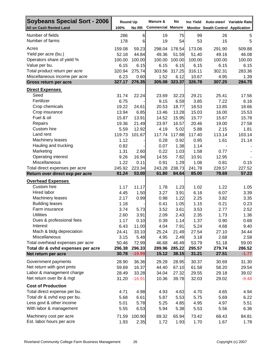| <b>Soybeans Special Sort - 2006</b>                       | <b>Round Up</b> |                   | Manure &                 | No              | Inc Yield       | Auto-steer/ Variable Rate         |                  |
|-----------------------------------------------------------|-----------------|-------------------|--------------------------|-----------------|-----------------|-----------------------------------|------------------|
| <b>All on Cash Rented Land</b>                            | 100%            | No RR             | <b>Commercial Manure</b> |                 |                 | Monitor Swath Control Application |                  |
| Number of fields                                          | 286             | $6\phantom{1}6$   | 19                       | 75              | 99              | 26                                | 5                |
| Number of farms                                           | 178             | 6                 | 19                       | 54              | 53              | 15                                | 5                |
| Acres                                                     | 159.08          | 59.23             | 298.04                   | 178.54          | 173.06          | 291.90                            | 509.88           |
| Yield per acre (bu.)                                      | 52.18           | 44.84             | 49.36                    | 51.59           | 51.40           | 49.16                             | 46.08            |
| Operators share of yield %                                | 100.00          | 100.00            | 100.00                   | 100.00          | 100.00          | 100.00                            | 100.00           |
| Value per bu.                                             | 6.15            | 6.15              | 6.15                     | 6.15            | 6.15            | 6.15                              | 6.15             |
| Total product return per acre                             | 320.94          | 275.74            | 303.56                   | 317.25          | 316.11          | 302.31                            | 283.36           |
| Miscellaneous income per acre                             | 6.23            | 0.60              | 1.52                     | 6.12            | 10.67           | 4.95                              | 1.39             |
| Gross return per acre                                     | 327.17          | 276.35            | 305.08                   | 323.37          | 326.78          | 307.25                            | 284.75           |
| <b>Direct Expenses</b>                                    |                 |                   |                          |                 |                 |                                   |                  |
| Seed                                                      | 31.74           | 22.24             | 23.69                    | 32.23           | 29.21           | 25.41                             | 17.56            |
| Fertilizer                                                | 6.75            |                   | 9.15                     | 6.59            | 3.85            | 7.22                              | 6.16             |
| Crop chemicals                                            | 19.22           | 24.61             | 20.53                    | 18.77           | 18.53           | 13.85                             | 18.66            |
| Crop insurance                                            | 13.94           | 6.85              | 13.46                    | 13.28           | 15.03           | 16.00                             | 15.53            |
| Fuel & oil                                                | 15.87           | 13.91             | 14.52                    | 15.95           | 15.77           | 15.67                             | 15.78            |
| Repairs                                                   | 19.36           | 21.49             | 23.97                    | 16.57           | 20.46           | 19.00                             | 27.58            |
| Custom hire<br>Land rent                                  | 5.59            | 12.92             | 4.19                     | 5.02            | 5.88            | 2.15                              | 1.81<br>103.14   |
| Machinery leases                                          | 119.73<br>1.12  | 101.67            | 117.74<br>0.28           | 117.88<br>0.92  | 117.40<br>0.95  | 113.14<br>1.61                    | 21.14            |
| Hauling and trucking                                      | 0.82            |                   | 0.07                     | 1.38            | 1.14            |                                   |                  |
| Marketing                                                 | 1.31            | 2.60              | 0.22                     | 1.03            | 1.58            | 0.77                              |                  |
| Operating interest                                        | 9.26            | 16.94             | 14.55                    | 7.82            | 10.91           | 12.95                             |                  |
| Miscellaneous                                             | 1.22            | 0.11              | 0.91                     | 1.29            | 1.06            | 0.81                              | 0.15             |
| Total direct expenses per acre                            | 245.92          | 223.34            | 243.28                   | 238.73          | 241.78          | 228.57                            | 227.52           |
| Return over direct exp per acre                           | 81.24           | 53.00             | 61.80                    | 84.64           | 85.00           | 78.69                             | 57.23            |
| <b>Overhead Expenses</b>                                  |                 |                   |                          |                 |                 |                                   |                  |
| Custom hire                                               | 1.17            | 11.17             | 1.78                     | 1.23            | 1.02            | 1.22                              | 1.05             |
| Hired labor                                               | 4.45            | 1.50              | 3.27                     | 3.91            | 6.16            | 6.07                              | 3.39             |
| Machinery leases                                          | 2.17            | 0.99              | 0.98                     | 1.22            | 2.25            | 3.82                              | 3.35             |
| <b>Building leases</b>                                    | 1.18            |                   | 0.41                     | 1.05            | 1.15            | 0.21                              | 0.23             |
| Farm insurance                                            | 3.74            | 5.73              | 3.52                     | 3.61            | 3.53            | 2.77                              | 2.52             |
| <b>Utilities</b>                                          | 2.60            | 3.91              | 2.09                     | 2.43            | 2.35            | 1.73                              | 1.36             |
| Dues & professional fees                                  | 1.17            | 0.10              | 0.39                     | 1.14            | 1.37            | 0.90                              | 0.68             |
| Interest                                                  | 6.43            | 11.00             | 4.04                     | 7.91            | 5.24            | 4.68                              | 9.40             |
| Mach & bldg depreciation                                  | 24.41           | 33.10             | 25.24                    | 21.49           | 27.54           | 27.10                             | 34.44            |
| Miscellaneous                                             | 3.15            | 5.48              | 4.95                     | 2.49            | 3.18            | 2.68                              | 2.58             |
| Total overhead expenses per acre                          | 50.46<br>296.38 | 72.99<br>296.33   | 46.68<br>289.96          | 46.49<br>285.22 | 53.79<br>295.57 | 51.18<br>279.74                   | 59.00<br>286.52  |
| Total dir & ovhd expenses per acre<br>Net return per acre | 30.78           | $-19.99$          | 15.12                    | 38.15           | 31.21           | 27.51                             | $-1.77$          |
|                                                           |                 |                   |                          |                 |                 |                                   |                  |
| Government payments                                       | 28.90           | 36.36             | 29.28                    | 28.95           | 30.37           | 30.69                             | 31.30            |
| Net return with govt pmts<br>Labor & management charge    | 59.69           | 16.37             | 44.40                    | 67.10           | 61.58           | 58.20                             | 29.54            |
| Net return over lbr & mgt                                 | 28.49<br>31.20  | 33.28<br>$-16.91$ | 34.04<br>10.36           | 27.32<br>39.78  | 29.55<br>32.03  | 29.18<br>29.02                    | 39.02<br>$-9.48$ |
|                                                           |                 |                   |                          |                 |                 |                                   |                  |
| <b>Cost of Production</b>                                 |                 |                   |                          |                 |                 |                                   |                  |
| Total direct expense per bu.                              | 4.71            | 4.98              | 4.93                     | 4.63            | 4.70            | 4.65                              | 4.94             |
| Total dir & ovhd exp per bu.                              | 5.68            | 6.61              | 5.87                     | 5.53            | 5.75            | 5.69                              | 6.22             |
| Less govt & other income<br>With labor & management       | 5.01            | 5.78              | 5.25                     | 4.85            | 4.95            | 4.97                              | 5.51             |
|                                                           | 5.55            | 6.53              | 5.94                     | 5.38            | 5.53            | 5.56                              | 6.36             |
| Machinery cost per acre                                   | 71.59           | 100.90            | 69.32                    | 65.94           | 73.42           | 68.43                             | 84.81            |
| Est. labor hours per acre                                 | 1.93            | 2.35              | 1.72                     | 1.93            | 1.70            | 1.67                              | 1.78             |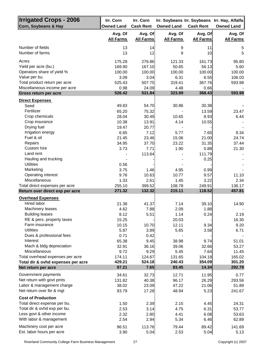| <b>Irrigated Crops - 2006</b><br>Corn, Soybeans & Hay | Irr. Corn<br><b>Owned Land</b> | Irr. Corn<br><b>Cash Rent</b> | <b>Owned Land</b> | <b>Cash Rent</b> | Irr. Soybeans Irr. Soybeans Irr. Hay, Alfalfa<br><b>Owned Land</b> |
|-------------------------------------------------------|--------------------------------|-------------------------------|-------------------|------------------|--------------------------------------------------------------------|
|                                                       | Avg. Of                        | Avg. Of                       | Avg. Of           | Avg. Of          | Avg. Of                                                            |
|                                                       | <b>All Farms</b>               | <b>All Farms</b>              | <b>All Farms</b>  | <b>All Farms</b> | <b>All Farms</b>                                                   |
| Number of fields                                      | 13                             | 14                            | 9                 | 11               | 5                                                                  |
| Number of farms                                       | 13                             | 12                            | 9                 | 10               | 5                                                                  |
| Acres                                                 | 175.28                         | 276.86                        | 121.33            | 161.73           | 95.80                                                              |
| Yield per acre (bu.)                                  | 169.90                         | 167.10                        | 50.65             | 56.13            | 5.60                                                               |
| Operators share of yield %                            | 100.00                         | 100.00                        | 100.00            | 100.00           | 100.00                                                             |
| Value per bu.                                         | 3.09                           | 3.04                          | 6.31              | 6.55             | 106.03                                                             |
| Total product return per acre                         | 525.43                         | 507.75                        | 319.41            | 367.76           | 593.98                                                             |
| Miscellaneous income per acre                         | 0.98                           | 24.09                         | 4.48              | 0.66             |                                                                    |
| Gross return per acre                                 | 526.42                         | 531.84                        | 323.89            | 368.43           | 593.98                                                             |
| <b>Direct Expenses</b>                                |                                |                               |                   |                  |                                                                    |
| Seed                                                  | 49.83                          | 54.70                         | 30.86             | 30.38            |                                                                    |
| Fertilizer                                            | 65.20                          | 75.32                         |                   | 13.59            | 23.47                                                              |
| Crop chemicals                                        | 28.04                          | 30.49                         | 10.65             | 8.93             | 6.44                                                               |
| Crop insurance                                        | 10.38                          | 13.91                         | 4.14              | 10.55            |                                                                    |
| Drying fuel                                           | 19.47                          | 20.77                         |                   |                  |                                                                    |
| Irrigation energy                                     | 6.65                           | 7.12                          | 5.77              | 7.65             | 9.34                                                               |
| Fuel & oil                                            | 21.45                          | 23.46                         | 15.06             | 21.00            | 24.74                                                              |
| Repairs                                               | 34.95                          | 37.70                         | 23.22             | 31.35            | 37.44                                                              |
| Custom hire                                           | 3.73                           | 7.71                          | 1.90              | 0.88             | 21.30                                                              |
| Land rent                                             |                                | 113.64                        |                   | 111.79           |                                                                    |
| Hauling and trucking                                  |                                |                               |                   | 0.25             |                                                                    |
| <b>Utilities</b>                                      | 0.56                           |                               |                   |                  |                                                                    |
| Marketing                                             | 3.75                           | 1.46                          | 4.95              | 0.99             |                                                                    |
| Operating interest                                    | 9.76                           | 10.63                         | 10.77             | 9.57             | 11.10                                                              |
| Miscellaneous                                         | 1.33                           | 2.61                          | 1.45              | 3.22             | 2.34                                                               |
| Total direct expenses per acre                        | 255.10                         | 399.52                        | 108.78            | 249.91           | 136.17                                                             |
| Return over direct exp per acre                       | 271.32                         | 132.32                        | 215.11            | 118.52           | 457.81                                                             |
| <b>Overhead Expenses</b>                              |                                |                               |                   |                  |                                                                    |
| Hired labor                                           | 21.38                          | 41.37                         | 7.14              | 39.10            | 14.90                                                              |
| Machinery leases                                      | 4.62                           | 7.88                          | 2.09              | 1.88             |                                                                    |
| <b>Building leases</b>                                | 8.12                           | 5.51                          | 1.14              | 0.24             | 2.19                                                               |
| RE & pers. property taxes                             | 15.25                          |                               | 20.03             |                  | 16.30                                                              |
| Farm insurance                                        | 10.15                          | 10.70                         | 12.11             | 9.34             | 9.20                                                               |
| <b>Utilities</b>                                      | 5.87                           | 3.89                          | 5.65              | 3.58             | 6.71                                                               |
| Dues & professional fees                              | 0.71                           | 0.42                          |                   |                  |                                                                    |
| Interest                                              | 65.38                          | 9.45                          | 38.98             | 9.74             | 51.01                                                              |
| Mach & bldg depreciation                              | 32.91                          | 36.16                         | 39.06             | 32.66            | 53.27                                                              |
| <b>Miscellaneous</b>                                  | 9.72                           | 9.29                          | 5.45              | 7.64             | 11.45                                                              |
| Total overhead expenses per acre                      | 174.11                         | 124.67                        | 131.65            | 104.18           | 165.02                                                             |
| Total dir & ovhd expenses per acre                    | 429.21                         | 524.18                        | 240.43            | 354.09           | 301.20                                                             |
| Net return per acre                                   | 97.21                          | 7.65                          | 83.45             | 14.34            | 292.79                                                             |
| Government payments                                   | 34.61                          | 32.73                         | 12.71             | 11.95            | 0.77                                                               |
| Net return with govt pmts                             | 131.82                         | 40.38                         | 96.17             | 26.29            | 293.56                                                             |
| Labor & management charge                             | 38.02                          | 23.09                         | 47.22             | 21.06            | 51.89                                                              |
| Net return over lbr & mgt                             | 93.79                          | 17.28                         | 48.94             | 5.23             | 241.67                                                             |
| <b>Cost of Production</b>                             |                                |                               |                   |                  |                                                                    |
| Total direct expense per bu.                          | 1.50                           | 2.39                          | 2.15              | 4.45             | 24.31                                                              |
| Total dir & ovhd exp per bu.                          | 2.53                           | 3.14                          | 4.75              | 6.31             | 53.77                                                              |
| Less govt & other income                              | 2.32                           | 2.80                          | 4.41              | 6.08             | 53.63                                                              |
| With labor & management                               | 2.54                           | 2.94                          | 5.34              | 6.46             | 62.89                                                              |
| Machinery cost per acre                               | 96.51                          | 113.76                        | 79.44             | 89.42            | 141.69                                                             |
| Est. labor hours per acre                             | 3.90                           | 5.04                          | 2.53              | 5.04             | 5.13                                                               |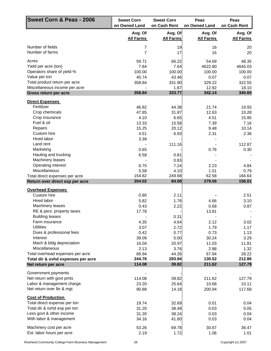| Sweet Corn & Peas - 2006                               | <b>Sweet Corn</b><br>on Owned Land | <b>Sweet Corn</b><br>on Cash Rent | Peas<br>on Owned Land       | Peas<br>on Cash Rent        |
|--------------------------------------------------------|------------------------------------|-----------------------------------|-----------------------------|-----------------------------|
|                                                        | Avg. Of<br><b>All Farms</b>        | Avg. Of<br><b>All Farms</b>       | Avg. Of<br><b>All Farms</b> | Avg. Of<br><b>All Farms</b> |
| Number of fields                                       | 7                                  | 19                                | 16                          | 20                          |
| Number of farms                                        | $\overline{7}$                     | 17                                | 16                          | 20                          |
| Acres                                                  | 59.71                              | 66.22                             | 54.69                       | 48.35                       |
| Yield per acre (ton)                                   | 7.84                               | 7.64                              | 4622.80                     | 4645.03                     |
| Operators share of yield %                             | 100.00                             | 100.00                            | 100.00                      | 100.00                      |
| Value per ton                                          | 45.74                              | 43.46                             | 0.07                        | 0.07                        |
| Total product return per acre                          | 358.84                             | 331.90                            | 329.22                      | 322.55                      |
| Miscellaneous income per acre<br>Gross return per acre | 358.84                             | 1.87<br>333.77                    | 12.92<br>342.14             | 18.10<br>340.65             |
|                                                        |                                    |                                   |                             |                             |
| <b>Direct Expenses</b><br>Fertilizer                   | 46.82                              | 44.38                             | 21.74                       | 19.93                       |
| Crop chemicals                                         | 47.85                              | 31.87                             | 12.63                       | 10.28                       |
| Crop insurance                                         | 4.10                               | 6.65                              | 4.51                        | 15.95                       |
| Fuel & oil                                             | 13.33                              | 15.58                             | 7.39                        | 7.16                        |
| Repairs                                                | 15.25                              | 20.12                             | 9.48                        | 10.14                       |
| Custom hire                                            | 4.51                               | 6.93                              | 2.31                        | 2.38                        |
| Hired labor                                            | 3.39                               |                                   |                             |                             |
| Land rent                                              |                                    | 111.16                            |                             | 112.87                      |
| Marketing                                              | 0.65                               |                                   | 0.76                        | 0.30                        |
| Hauling and trucking                                   | 6.58                               | 0.81                              |                             |                             |
| Machinery leases                                       |                                    | 0.83                              |                             |                             |
| Operating interest                                     | 6.75                               | 7.24                              | 2.23                        | 4.84                        |
| Miscellaneous                                          | 5.58                               | 4.10                              | 1.51                        | 0.79                        |
| Total direct expenses per acre                         | 154.82                             | 249.68                            | 62.58                       | 184.64                      |
| Return over direct exp per acre                        | 204.02                             | 84.08                             | 279.56                      | 156.01                      |
| <b>Overhead Expenses</b>                               |                                    |                                   |                             |                             |
| Custom hire                                            | 0.80                               | 2.11                              |                             | 2.51                        |
| Hired labor                                            | 5.82                               | 1.76                              | 4.66                        | 3.10                        |
| Machinery leases                                       | 0.43                               | 2.22                              | 0.68                        | 0.87                        |
| RE & pers. property taxes<br><b>Building leases</b>    | 17.78                              | 0.31                              | 13.81                       |                             |
| Farm insurance                                         | 4.35                               | 4.64                              | 2.12                        | 3.02                        |
| <b>Utilities</b>                                       | 3.07                               | 2.72                              | 1.79                        | 1.17                        |
| Dues & professional fees                               | 0.42                               | 0.77                              | 0.73                        | 1.13                        |
| Interest                                               | 39.09                              | 5.00                              | 30.24                       | 3.29                        |
| Mach & bldg depreciation                               | 16.04                              | 20.97                             | 11.03                       | 11.81                       |
| Miscellaneous                                          | 2.13                               | 3.76                              | 2.88                        | 1.32                        |
| Total overhead expenses per acre                       | 89.94                              | 44.26                             | 67.94                       | 28.22                       |
| Total dir & ovhd expenses per acre                     | 244.76                             | 293.94                            | 130.52                      | 212.86                      |
| Net return per acre                                    | 114.08                             | 39.82                             | 211.62                      | 127.79                      |
| Government payments                                    |                                    |                                   |                             |                             |
| Net return with govt pmts                              | 114.08                             | 39.82                             | 211.62                      | 127.79                      |
| Labor & management charge                              | 23.20                              | 25.64                             | 10.68                       | 10.11                       |
| Net return over lbr & mgt                              | 90.88                              | 14.18                             | 200.94                      | 117.68                      |
| <b>Cost of Production</b>                              |                                    |                                   |                             |                             |
| Total direct expense per ton                           | 19.74                              | 32.69                             | 0.01                        | 0.04                        |
| Total dir & ovhd exp per ton                           | 31.20                              | 38.49                             | 0.03                        | 0.05                        |
| Less govt & other income                               | 31.20                              | 38.24                             | 0.03                        | 0.04                        |
| With labor & management                                | 34.16                              | 41.60                             | 0.03                        | 0.04                        |
| Machinery cost per acre                                | 53.26                              | 69.78                             | 30.67                       | 36.47                       |
| Est. labor hours per acre                              | 2.19                               | 1.72                              | 1.06                        | 1.01                        |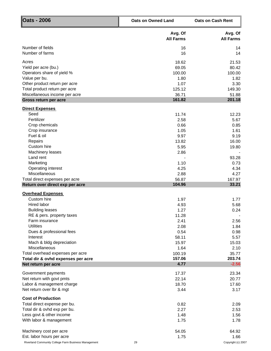| <b>Oats - 2006</b>                                        | <b>Oats on Owned Land</b>   | <b>Oats on Cash Rent</b>    |  |
|-----------------------------------------------------------|-----------------------------|-----------------------------|--|
|                                                           | Avg. Of<br><b>All Farms</b> | Avg. Of<br><b>All Farms</b> |  |
| Number of fields                                          | 16                          | 14                          |  |
| Number of farms                                           | 16                          | 14                          |  |
| Acres                                                     | 18.62                       | 21.53                       |  |
| Yield per acre (bu.)                                      | 69.05                       | 80.42                       |  |
| Operators share of yield %                                | 100.00                      | 100.00                      |  |
| Value per bu.                                             | 1.80                        | 1.82                        |  |
| Other product return per acre                             | 1.07                        | 3.30                        |  |
| Total product return per acre                             | 125.12                      | 149.30                      |  |
| Miscellaneous income per acre<br>Gross return per acre    | 36.71<br>161.82             | 51.88<br>201.18             |  |
|                                                           |                             |                             |  |
| <b>Direct Expenses</b>                                    |                             |                             |  |
| Seed                                                      | 11.74                       | 12.23                       |  |
| Fertilizer                                                | 2.58                        | 5.67                        |  |
| Crop chemicals<br>Crop insurance                          | 0.66                        | 0.85                        |  |
| Fuel & oil                                                | 1.05<br>9.97                | 1.61<br>9.19                |  |
| Repairs                                                   | 13.82                       | 16.00                       |  |
| Custom hire                                               | 5.95                        | 19.80                       |  |
| Machinery leases                                          | 2.86                        |                             |  |
| Land rent                                                 |                             | 93.28                       |  |
| Marketing                                                 | 1.10                        | 0.73                        |  |
| Operating interest                                        | 4.25                        | 4.34                        |  |
| Miscellaneous                                             | 2.88                        | 4.27                        |  |
| Total direct expenses per acre                            | 56.87                       | 167.97                      |  |
| Return over direct exp per acre                           | 104.96                      | 33.21                       |  |
| <b>Overhead Expenses</b>                                  |                             |                             |  |
| Custom hire                                               | 1.97                        | 1.77                        |  |
| Hired labor                                               | 4.93                        | 5.68                        |  |
| <b>Building leases</b>                                    | 1.27                        | 0.24                        |  |
| RE & pers. property taxes                                 | 11.28                       |                             |  |
| Farm insurance                                            | 2.41                        | 2.56                        |  |
| <b>Utilities</b>                                          | 2.08                        | 1.84                        |  |
| Dues & professional fees                                  | 0.54                        | 0.98                        |  |
| Interest                                                  | 58.11                       | 5.57                        |  |
| Mach & bldg depreciation                                  | 15.97                       | 15.03                       |  |
| Miscellaneous                                             | 1.64                        | 2.10                        |  |
| Total overhead expenses per acre                          | 100.19                      | 35.77                       |  |
| Total dir & ovhd expenses per acre<br>Net return per acre | 157.06<br>4.77              | 203.74<br>$-2.56$           |  |
|                                                           |                             |                             |  |
| Government payments                                       | 17.37                       | 23.34                       |  |
| Net return with govt pmts                                 | 22.14                       | 20.77                       |  |
| Labor & management charge                                 | 18.70                       | 17.60                       |  |
| Net return over lbr & mgt                                 | 3.44                        | 3.17                        |  |
| <b>Cost of Production</b>                                 |                             |                             |  |
| Total direct expense per bu.                              | 0.82                        | 2.09                        |  |
| Total dir & ovhd exp per bu.                              | 2.27                        | 2.53                        |  |
| Less govt & other income                                  | 1.48                        | 1.56                        |  |
| With labor & management                                   | 1.75                        | 1.78                        |  |
|                                                           |                             |                             |  |
| Machinery cost per acre<br>Est. labor hours per acre      | 54.05<br>1.75               | 64.92<br>1.66               |  |
|                                                           |                             |                             |  |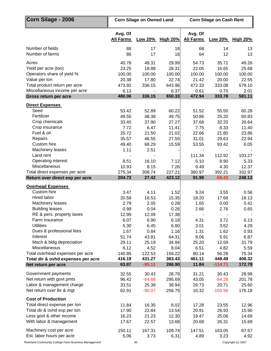| Corn Silage - 2006                 |                             | <b>Corn Silage on Owned Land</b> |                  | <b>Corn Silage on Cash Rent</b> |               |                 |  |
|------------------------------------|-----------------------------|----------------------------------|------------------|---------------------------------|---------------|-----------------|--|
|                                    | Avg. Of<br><b>All Farms</b> |                                  | Low 20% High 20% | Avg. Of<br><b>All Farms</b>     | Low 20%       | <b>High 20%</b> |  |
| Number of fields                   | 88                          | 17                               | 18               | 68                              | 14            | 13              |  |
| Number of farms                    | 86                          | 17                               | 18               | 64                              | 12            | 13              |  |
| Acres                              | 40.78                       | 48.31                            | 29.99            | 54.73                           | 35.71         | 49.26           |  |
| Yield per acre (ton)               | 23.25                       | 18.88                            | 28.31            | 22.05                           | 16.65         | 25.68           |  |
| Operators share of yield %         | 100.00                      | 100.00                           | 100.00           | 100.00                          | 100.00        | 100.00          |  |
| Value per ton                      | 20.38                       | 17.80                            | 22.74            | 21.42                           | 20.00         | 22.55           |  |
| Total product return per acre      | 473.92                      | 336.15                           | 643.96           | 472.33                          | 333.08        | 579.10          |  |
| Miscellaneous income per acre      | 6.13                        |                                  | 6.37             | 0.61                            | 0.70          | 2.01            |  |
| Gross return per acre              | 480.06                      | 336.15                           | 650.33           | 472.94                          | 333.78        | 581.11          |  |
| <b>Direct Expenses</b>             |                             |                                  |                  |                                 |               |                 |  |
| Seed                               | 53.42                       | 52.89                            | 60.22            | 51.52                           | 55.50         | 60.28           |  |
| Fertilizer                         | 49.55                       | 48.38                            | 49.75            | 50.86                           | 25.20         | 60.83           |  |
| Crop chemicals                     | 33.40                       | 37.90                            | 27.27            | 37.68                           | 32.20         | 26.64           |  |
| Crop insurance<br>Fuel & oil       | 7.72<br>25.72               | 6.47<br>21.50                    | 11.41<br>21.02   | 7.75<br>22.66                   | 8.33<br>21.80 | 11.40<br>23.86  |  |
| Repairs                            | 35.57                       | 46.55                            | 27.55            | 31.01                           | 29.63         | 22.94           |  |
| Custom hire                        | 49.40                       | 68.29                            | 15.59            | 53.55                           | 93.42         | 6.05            |  |
| Machinery leases                   | 1.11                        | 2.51                             |                  |                                 |               |                 |  |
| Land rent                          |                             |                                  |                  | 111.34                          | 112.92        | 103.27          |  |
| Operating interest                 | 8.51                        | 16.10                            | 7.12             | 5.10                            | 8.90          | 5.33            |  |
| Miscellaneous                      | 10.93                       | 8.15                             | 7.26             | 9.49                            | 4.30          | 12.37           |  |
| Total direct expenses per acre     | 275.34                      | 308.74                           | 227.21           | 380.97                          | 392.21        | 332.97          |  |
| Return over direct exp per acre    | 204.72                      | 27.42                            | 423.12           | 91.98                           | $-58.43$      | 248.13          |  |
| <b>Overhead Expenses</b>           |                             |                                  |                  |                                 |               |                 |  |
| Custom hire                        | 3.47                        | 4.11                             | 1.52             | 9.24                            | 3.55          | 0.56            |  |
| Hired labor                        | 20.58                       | 16.53                            | 15.35            | 18.20                           | 17.68         | 18.13           |  |
| Machinery leases                   | 2.79                        | 2.05                             | 0.28             | 1.65                            | 0.00          | 0.42            |  |
| <b>Building leases</b>             | 0.99                        | 0.04                             | 0.26             | 2.66                            | 2.76          | 0.65            |  |
| RE & pers. property taxes          | 12.99                       | 12.09                            | 17.38            |                                 |               |                 |  |
| Farm insurance<br><b>Utilities</b> | 6.07                        | 6.90                             | 6.18             | 4.31                            | 3.72          | 6.13            |  |
| Dues & professional fees           | 5.30<br>1.67                | 6.45<br>0.84                     | 6.80<br>1.16     | 3.01<br>1.31                    | 3.62<br>1.62  | 4.29<br>0.93    |  |
| Interest                           | 51.74                       | 43.81                            | 64.31            | 8.06                            | 5.91          | 6.87            |  |
| Mach & bldg depreciation           | 29.11                       | 25.19                            | 34.94            | 25.20                           | 12.59         | 31.79           |  |
| Miscellaneous                      | 6.12                        | 4.52                             | 8.04             | 6.51                            | 4.82          | 5.59            |  |
| Total overhead expenses per acre   | 140.85                      | 122.53                           | 156.22           | 80.14                           | 56.28         | 75.34           |  |
| Total dir & ovhd expenses per acre | 416.19                      | 431.27                           | 383.43           | 461.11                          | 448.49        | 408.32          |  |
| Net return per acre                | 63.87                       | $-95.11$                         | 266.90           | 11.84                           | $-114.71$     | 172.79          |  |
| Government payments                | 32.55                       | 30.43                            | 28.79            | 31.21                           | 30.43         | 28.99           |  |
| Net return with govt pmts          | 96.42                       | $-64.68$                         | 295.69           | 43.05                           | $-84.28$      | 201.78          |  |
| Labor & management charge          | 33.51                       | 25.39                            | 38.94            | 26.73                           | 20.71         | 25.60           |  |
| Net return over Ibr & mgt          | 62.91                       | $-90.07$                         | 256.75           | 16.32                           | $-104.99$     | 176.18          |  |
| <b>Cost of Production</b>          |                             |                                  |                  |                                 |               |                 |  |
| Total direct expense per ton       | 11.84                       | 16.35                            | 8.02             | 17.28                           | 23.55         | 12.96           |  |
| Total dir & ovhd exp per ton       | 17.90                       | 22.84                            | 13.54            | 20.91                           | 26.93         | 15.90           |  |
| Less govt & other income           | 16.23                       | 21.23                            | 12.30            | 19.47                           | 25.06         | 14.69           |  |
| With labor & management            | 17.67                       | 22.57                            | 13.68            | 20.68                           | 26.31         | 15.69           |  |
| Machinery cost per acre            | 150.11                      | 167.31                           | 109.74           | 147.51                          | 163.05        | 87.57           |  |
| Est. labor hours per acre          | 5.06                        | 3.73                             | 6.31             | 4.89                            | 3.23          | 4.92            |  |

Riverland Community College Farm Business Management 30 30 Copyright (c) 2007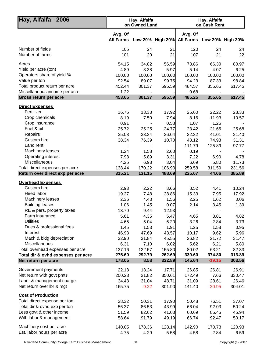| Hay, Alfalfa - 2006                                    |                             | Hay, Alfalfa<br>on Owned Land |                  | Hay, Alfalfa<br>on Cash Rent |              |                            |  |
|--------------------------------------------------------|-----------------------------|-------------------------------|------------------|------------------------------|--------------|----------------------------|--|
|                                                        | Avg. Of<br><b>All Farms</b> |                               | Low 20% High 20% | Avg. Of                      |              | All Farms Low 20% High 20% |  |
| Number of fields                                       | 105                         | 24                            | 21               | 120                          | 24           | 24                         |  |
| Number of farms                                        | 101                         | 20                            | 21               | 107                          | 21           | 22                         |  |
| Acres                                                  | 54.15                       | 34.82                         | 56.59            | 73.86                        | 66.30        | 80.97                      |  |
| Yield per acre (ton)                                   | 4.89                        | 3.38                          | 5.97             | 5.14                         | 4.07         | 6.25                       |  |
| Operators share of yield %                             | 100.00                      | 100.00                        | 100.00           | 100.00                       | 100.00       | 100.00                     |  |
| Value per ton                                          | 92.54                       | 89.07                         | 99.75            | 94.23                        | 87.33        | 98.84                      |  |
| Total product return per acre                          | 452.44                      | 301.37                        | 595.59           | 484.57                       | 355.65       | 617.45                     |  |
| Miscellaneous income per acre<br>Gross return per acre | 1.22<br>453.65              | 301.37                        | 595.59           | 0.68<br>485.25               | 355.65       | 617.45                     |  |
|                                                        |                             |                               |                  |                              |              |                            |  |
| <b>Direct Expenses</b><br>Fertilizer                   | 16.75                       | 13.33                         | 17.92            | 25.60                        | 22.22        | 28.33                      |  |
| Crop chemicals                                         | 8.19                        | 7.50                          | 7.94             | 8.16                         | 11.93        | 10.57                      |  |
| Crop insurance                                         | 0.91                        |                               | 0.58             | 1.07                         | 1.26         |                            |  |
| Fuel & oil                                             | 25.72                       | 25.25                         | 24.77            | 23.42                        | 21.65        | 25.68                      |  |
| Repairs                                                | 35.08                       | 33.34                         | 36.04            | 32.32                        | 41.01        | 21.40                      |  |
| Custom hire                                            | 38.34                       | 76.39                         | 10.70            | 43.12                        | 74.93        | 31.31                      |  |
| Land rent                                              |                             |                               |                  | 111.79                       | 125.89       | 97.77                      |  |
| Machinery leases                                       | 1.24                        | 1.58                          | 2.60             | 0.19                         |              |                            |  |
| Operating interest                                     | 7.98                        | 5.89                          | 3.31             | 7.22                         | 6.90         | 4.78                       |  |
| Miscellaneous                                          | 4.25                        | 6.93                          | 3.04             | 6.69                         | 5.80         | 11.73                      |  |
| Total direct expenses per acre                         | 138.44                      | 170.22                        | 106.90           | 259.58                       | 311.59       | 231.56                     |  |
| Return over direct exp per acre                        | 315.21                      | 131.15                        | 488.69           | 225.67                       | 44.06        | 385.89                     |  |
| <b>Overhead Expenses</b>                               |                             |                               |                  |                              |              |                            |  |
| Custom hire                                            | 2.93                        | 2.22                          | 3.66             | 8.52                         | 4.41         | 10.24                      |  |
| Hired labor                                            | 19.27                       | 7.48                          | 28.86            | 15.33                        | 7.95         | 17.92                      |  |
| Machinery leases                                       | 2.36                        | 4.43                          | 1.56             | 2.25                         | 1.62         | 0.06                       |  |
| <b>Building leases</b>                                 | 1.06                        | 1.45                          | 0.07             | 2.14                         | 3.45         | 1.39                       |  |
| RE & pers. property taxes<br>Farm insurance            | 13.70                       | 9.44                          | 12.93            |                              |              |                            |  |
| <b>Utilities</b>                                       | 5.61<br>4.65                | 4.35<br>5.04                  | 5.47<br>6.20     | 4.65<br>3.26                 | 3.81<br>2.84 | 4.82<br>3.73               |  |
| Dues & professional fees                               | 1.45                        | 1.53                          | 1.91             | 1.25                         | 1.58         | 0.95                       |  |
| Interest                                               | 46.93                       | 47.69                         | 43.57            | 10.17                        | 9.62         | 5.96                       |  |
| Mach & bldg depreciation                               | 32.90                       | 31.84                         | 45.55            | 26.82                        | 21.72        | 31.47                      |  |
| Miscellaneous                                          | 6.31                        | 7.10                          | 6.02             | 5.62                         | 6.21         | 5.80                       |  |
| Total overhead expenses per acre                       | 137.16                      | 122.57                        | 155.80           | 80.02                        | 63.21        | 82.33                      |  |
| Total dir & ovhd expenses per acre                     | 275.60                      | 292.79                        | 262.69           | 339.60                       | 374.80       | 313.89                     |  |
| Net return per acre                                    | 178.05                      | 8.58                          | 332.89           | 145.64                       | $-19.15$     | 303.56                     |  |
| Government payments                                    | 22.18                       | 13.24                         | 17.71            | 26.85                        | 26.81        | 26.91                      |  |
| Net return with govt pmts                              | 200.23                      | 21.82                         | 350.61           | 172.49                       | 7.66         | 330.47                     |  |
| Labor & management charge                              | 34.48                       | 31.04                         | 48.71            | 31.09                        | 28.61        | 26.46                      |  |
| Net return over Ibr & mgt                              | 165.75                      | $-9.22$                       | 301.90           | 141.40                       | $-20.95$     | 304.01                     |  |
| <b>Cost of Production</b>                              |                             |                               |                  |                              |              |                            |  |
| Total direct expense per ton                           | 28.32                       | 50.31                         | 17.90            | 50.48                        | 76.51        | 37.07                      |  |
| Total dir & ovhd exp per ton                           | 56.37                       | 86.53                         | 43.99            | 66.04                        | 92.03        | 50.24                      |  |
| Less govt & other income                               | 51.59                       | 82.62                         | 41.03            | 60.69                        | 85.45        | 45.94                      |  |
| With labor & management                                | 58.64                       | 91.79                         | 49.19            | 66.74                        | 92.47        | 50.17                      |  |
| Machinery cost per acre                                | 140.05                      | 178.36                        | 128.14           | 142.90                       | 170.73       | 120.93                     |  |
| Est. labor hours per acre                              | 4.75                        | 4.29                          | 5.58             | 4.58                         | 2.84         | 6.59                       |  |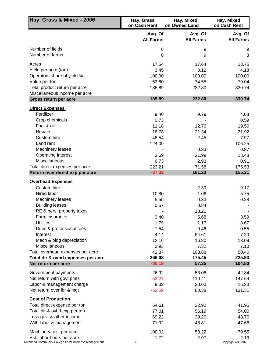| Hay, Grass & Mixed - 2006                                 | Hay, Grass<br>on Cash Rent  | Hay, Mixed<br>on Owned Land | Hay, Mixed<br>on Cash Rent  |
|-----------------------------------------------------------|-----------------------------|-----------------------------|-----------------------------|
|                                                           | Avg. Of<br><b>All Farms</b> | Avg. Of<br><b>All Farms</b> | Avg. Of<br><b>All Farms</b> |
| Number of fields                                          | 8                           | 9                           | 9                           |
| Number of farms                                           | 8                           | 9                           | 8                           |
| Acres                                                     | 17.54                       | 17.64                       | 18.75                       |
| Yield per acre (ton)                                      | 3.45                        | 3.12                        | 4.18                        |
| Operators share of yield %                                | 100.00                      | 100.00                      | 100.00                      |
| Value per ton                                             | 53.80                       | 74.55                       | 79.04                       |
| Total product return per acre                             | 185.89                      | 232.80                      | 330.74                      |
| Miscellaneous income per acre                             |                             |                             |                             |
| Gross return per acre                                     | 185.89                      | 232.80                      | 330.74                      |
| <b>Direct Expenses</b>                                    |                             |                             |                             |
| Fertilizer                                                | 9.46                        | 9.79                        | 4.03                        |
| Crop chemicals                                            | 0.73                        |                             | 0.59                        |
| Fuel & oil                                                | 11.18                       | 12.76                       | 19.50                       |
| Repairs                                                   | 18.78                       | 21.34                       | 21.92                       |
| Custom hire<br>Land rent                                  | 48.54                       | 2.45                        | 7.97                        |
| Machinery leases                                          | 124.09                      | 0.33                        | 106.25<br>0.87              |
| Operating interest                                        | 3.69                        | 21.99                       | 13.48                       |
| Miscellaneous                                             | 6.73                        | 2.93                        | 0.91                        |
| Total direct expenses per acre                            | 223.21                      | 71.58                       | 175.53                      |
| Return over direct exp per acre                           | $-37.32$                    | 161.23                      | 155.21                      |
| <b>Overhead Expenses</b>                                  |                             |                             |                             |
| Custom hire                                               |                             | 2.39                        | 9.17                        |
| <b>Hired labor</b>                                        | 10.80                       | 1.06                        | 5.75                        |
| Machinery leases                                          | 5.55                        | 0.33                        | 0.28                        |
| <b>Building leases</b>                                    | 0.57                        | 0.84                        |                             |
| RE & pers. property taxes                                 |                             | 13.21                       |                             |
| Farm insurance                                            | 3.40                        | 5.68                        | 3.59                        |
| <b>Utilities</b>                                          | 1.79                        | 1.17                        | 3.67                        |
| Dues & professional fees                                  | 1.54                        | 0.46                        | 0.55                        |
| Interest                                                  | 4.14                        | 54.61                       | 7.20                        |
| Mach & bldg depreciation                                  | 12.16                       | 16.80                       | 13.09                       |
| <b>Miscellaneous</b>                                      | 2.93                        | 7.32                        | 7.10                        |
| Total overhead expenses per acre                          | 42.87<br>266.08             | 103.88<br>175.45            | 50.40<br>225.93             |
| Total dir & ovhd expenses per acre<br>Net return per acre | $-80.19$                    | 57.35                       | 104.80                      |
|                                                           |                             |                             |                             |
| Government payments<br>Net return with govt pmts          | 26.92<br>$-53.27$           | 53.06<br>110.41             | 42.84<br>147.64             |
| Labor & management charge                                 | 9.32                        | 30.03                       | 16.33                       |
| Net return over lbr & mgt                                 | $-62.59$                    | 80.38                       | 131.31                      |
| <b>Cost of Production</b>                                 |                             |                             |                             |
| Total direct expense per ton                              | 64.61                       | 22.92                       | 41.95                       |
| Total dir & ovhd exp per ton                              | 77.01                       | 56.19                       | 54.00                       |
| Less govt & other income                                  | 69.22                       | 39.20                       | 43.76                       |
| With labor & management                                   | 71.92                       | 48.81                       | 47.66                       |
| Machinery cost per acre                                   | 100.02                      | 58.22                       | 79.55                       |
| Est. labor hours per acre                                 | 1.72                        | 2.97                        | 2.13                        |
| Riverland Community College Farm Business Management      | 32                          |                             | Copyright (c) 2007          |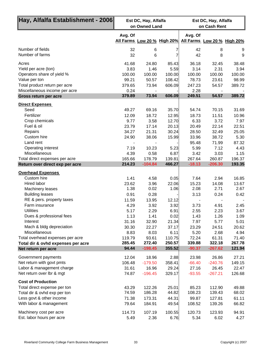| ∥Hay, Alfalfa Establishment - 2006∥     | Est DC, Hay, Alfalfa<br>on Owned Land |                             |               | Est DC, Hay, Alfalfa<br>on Cash Rent |                             |               |
|-----------------------------------------|---------------------------------------|-----------------------------|---------------|--------------------------------------|-----------------------------|---------------|
|                                         | Avg. Of                               |                             | Avg. Of       |                                      |                             |               |
|                                         |                                       | All Farms Low 20 % High 20% |               |                                      | All Farms Low 20 % High 20% |               |
| Number of fields<br>Number of farms     | 32<br>32                              | 6<br>6                      | 7             | 42<br>42                             | 8<br>8                      | 9<br>9        |
| Acres                                   | 41.68                                 | 24.80                       | 85.43         | 36.18                                | 32.45                       | 38.48         |
| Yield per acre (ton)                    | 3.83                                  | 1.46                        | 5.59          | 3.14                                 | 2.31                        | 3.94          |
| Operators share of yield %              | 100.00                                | 100.00                      | 100.00        | 100.00                               | 100.00                      | 100.00        |
| Value per ton                           | 99.21                                 | 50.57                       | 108.42        | 78.73                                | 23.61                       | 98.99         |
| Total product return per acre           | 379.65                                | 73.94                       | 606.09        | 247.23                               | 54.57                       | 389.72        |
| Miscellaneous income per acre           | 0.24                                  |                             |               | 2.28                                 |                             |               |
| Gross return per acre                   | 379.89                                | 73.94                       | 606.09        | 249.51                               | 54.57                       | 389.72        |
| <b>Direct Expenses</b>                  |                                       |                             |               |                                      |                             |               |
| Seed                                    | 49.27                                 | 69.16                       | 35.70         | 54.74                                | 70.15                       | 31.69         |
| Fertilizer                              | 12.09                                 | 18.72                       | 12.95         | 18.73                                | 11.51                       | 10.96         |
| Crop chemicals                          | 9.77                                  | 3.58                        | 12.70         | 6.33                                 | 3.72                        | 7.97          |
| Fuel & oil                              | 23.79                                 | 17.14                       | 20.13         | 20.49                                | 22.14                       | 22.51         |
| Repairs                                 | 34.27                                 | 21.31                       | 30.24         | 28.50                                | 32.49                       | 25.05         |
| Custom hire<br>Land rent                | 24.90                                 | 38.06                       | 15.99         | 33.96                                | 38.72                       | 5.30          |
| Operating interest                      | 7.19                                  | 10.23                       | 5.23          | 95.48<br>5.99                        | 71.99<br>7.12               | 87.32<br>4.43 |
| Miscellaneous                           | 4.39                                  | 0.58                        | 6.87          | 3.42                                 | 3.03                        | 1.15          |
| Total direct expenses per acre          | 165.66                                | 178.79                      | 139.81        | 267.64                               | 260.87                      | 196.37        |
| Return over direct exp per acre         | 214.23                                | $-104.84$                   | 466.27        | $-18.13$                             | $-206.30$                   | 193.35        |
|                                         |                                       |                             |               |                                      |                             |               |
| <b>Overhead Expenses</b><br>Custom hire |                                       |                             |               |                                      |                             |               |
| Hired labor                             | 1.41<br>23.62                         | 4.58                        | 0.05<br>22.06 | 7.64<br>15.23                        | 2.94                        | 16.85         |
| Machinery leases                        | 1.38                                  | 3.96<br>0.02                | 1.06          | 2.08                                 | 14.08<br>2.71               | 13.67<br>2.67 |
| <b>Building leases</b>                  | 0.91                                  | 0.28                        |               | 3.13                                 | 0.24                        | 0.42          |
| RE & pers. property taxes               | 11.59                                 | 13.95                       | 12.12         |                                      |                             |               |
| Farm insurance                          | 4.29                                  | 3.92                        | 3.92          | 3.73                                 | 4.91                        | 2.45          |
| <b>Utilities</b>                        | 5.17                                  | 2.29                        | 6.91          | 2.55                                 | 2.23                        | 3.67          |
| Dues & professional fees                | 1.13                                  | 1.41                        | 0.02          | 1.43                                 | 1.26                        | 1.09          |
| Interest                                | 31.16                                 | 32.90                       | 21.34         | 7.97                                 | 5.77                        | 5.01          |
| Mach & bldg depreciation                | 30.30                                 | 22.27                       | 37.17         | 23.29                                | 24.51                       | 20.62         |
| Miscellaneous                           | 8.83                                  | 8.03                        | 6.11          | 5.20                                 | 2.68                        | 4.94          |
| Total overhead expenses per acre        | 119.79                                | 93.61                       | 110.75        | 72.24                                | 61.31                       | 71.40         |
| Total dir & ovhd expenses per acre      | 285.45                                | 272.40                      | 250.57        | 339.88                               | 322.18                      | 267.78        |
| Net return per acre                     | 94.44                                 | $-198.45$                   | 355.52        | $-90.37$                             | $-267.62$                   | 121.94        |
| Government payments                     | 12.04                                 | 18.96                       | 2.88          | 23.98                                | 26.86                       | 27.21         |
| Net return with govt pmts               | 106.48                                | $-179.50$                   | 358.41        | $-66.40$                             | $-240.76$                   | 149.15        |
| Labor & management charge               | 31.61                                 | 16.96                       | 29.24         | 27.16                                | 26.45                       | 22.47         |
| Net return over lbr & mgt               | 74.87                                 | $-196.45$                   | 329.17        | $-93.55$                             | $-267.21$                   | 126.68        |
| <b>Cost of Production</b>               |                                       |                             |               |                                      |                             |               |
| Total direct expense per ton            | 43.29                                 | 122.26                      | 25.01         | 85.23                                | 112.90                      | 49.88         |
| Total dir & ovhd exp per ton            | 74.59                                 | 186.28                      | 44.82         | 108.23                               | 139.43                      | 68.02         |
| Less govt & other income                | 71.38                                 | 173.31                      | 44.31         | 99.87                                | 127.81                      | 61.11         |
| With labor & management                 | 79.64                                 | 184.91                      | 49.54         | 108.52                               | 139.26                      | 66.82         |
| Machinery cost per acre                 | 114.73                                | 107.19                      | 100.55        | 120.73                               | 123.93                      | 94.91         |
| Est. labor hours per acre               | 5.49                                  | 2.36                        | 6.76          | 5.34                                 | 6.02                        | 4.27          |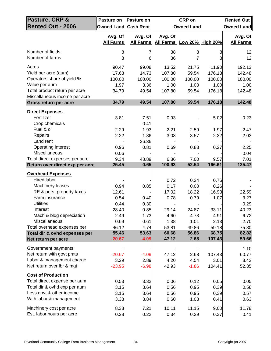| Pasture, CRP &                                                                                                                             | Pasture on                                | <b>Pasture on</b>                         |                                             | <b>CRP</b> on                             |                                             | <b>Rented Out</b>                            |
|--------------------------------------------------------------------------------------------------------------------------------------------|-------------------------------------------|-------------------------------------------|---------------------------------------------|-------------------------------------------|---------------------------------------------|----------------------------------------------|
| <b>Rented Out - 2006</b>                                                                                                                   | <b>Owned Land Cash Rent</b>               |                                           |                                             | <b>Owned Land</b>                         |                                             | Owned Land                                   |
|                                                                                                                                            | Avg. Of<br><b>All Farms</b>               | Avg. Of<br><b>All Farms</b>               | Avg. Of<br>All Farms Low 20% High 20%       |                                           |                                             | Avg. Of<br><b>All Farms</b>                  |
| Number of fields<br>Number of farms                                                                                                        | 8<br>8                                    | 6                                         | 38<br>36                                    | 8<br>$\overline{7}$                       | 8<br>8                                      | 12<br>12                                     |
| Acres<br>Yield per acre (aum)<br>Operators share of yield %<br>Value per aum<br>Total product return per acre                              | 90.47<br>17.63<br>100.00<br>1.97<br>34.79 | 99.08<br>14.73<br>100.00<br>3.36<br>49.54 | 13.52<br>107.80<br>100.00<br>1.00<br>107.80 | 21.75<br>59.54<br>100.00<br>1.00<br>59.54 | 11.90<br>176.18<br>100.00<br>1.00<br>176.18 | 192.13<br>142.48<br>100.00<br>1.00<br>142.48 |
| Miscellaneous income per acre                                                                                                              | 34.79                                     | 49.54                                     | 107.80                                      | 59.54                                     | 176.18                                      |                                              |
| Gross return per acre                                                                                                                      |                                           |                                           |                                             |                                           |                                             | 142.48                                       |
| <b>Direct Expenses</b><br>Fertilizer<br>Crop chemicals<br>Fuel & oil<br>Repairs                                                            | 3.81<br>2.29<br>2.22                      | 7.51<br>0.41<br>1.93<br>1.86              | 0.93<br>2.21<br>3.03                        | 2.59<br>3.57                              | 5.02<br>1.97<br>2.32                        | 0.23<br>2.47<br>2.03                         |
| Land rent<br>Operating interest<br>Miscellaneous                                                                                           | 0.96<br>0.06                              | 36.36<br>0.81                             | 0.69                                        | 0.83                                      | 0.27                                        | 2.25<br>0.04                                 |
| Total direct expenses per acre                                                                                                             | 9.34<br>25.45                             | 48.89<br>0.65                             | 6.86<br>100.93                              | 7.00<br>52.54                             | 9.57<br>166.61                              | 7.01<br>135.47                               |
| Return over direct exp per acre                                                                                                            |                                           |                                           |                                             |                                           |                                             |                                              |
| <b>Overhead Expenses</b><br>Hired labor<br>Machinery leases<br>RE & pers. property taxes<br>Farm insurance<br><b>Utilities</b><br>Interest | 0.94<br>12.61<br>0.54<br>0.44<br>28.40    | 0.85<br>0.40<br>0.30<br>0.85              | 0.72<br>0.17<br>17.02<br>0.78<br>29.14      | 0.24<br>0.00<br>18.22<br>0.79<br>24.87    | 0.76<br>0.26<br>16.93<br>1.07<br>33.11      | 22.59<br>3.27<br>0.29<br>40.23               |
| Mach & bldg depreciation                                                                                                                   | 2.49                                      | 1.73                                      | 4.60                                        | 4.73                                      | 4.91                                        | 6.72                                         |
| Miscellaneous<br>Total overhead expenses per<br>Total dir & ovhd expenses per                                                              | 0.69<br>46.12<br>55.46                    | 0.61<br>4.74<br>53.63<br>$-4.09$          | 1.38<br>53.81<br>60.68                      | 1.01<br>49.86<br>56.86                    | 2.13<br>59.18<br>68.75<br>107.43            | 2.70<br>75.80<br>82.82                       |
| Net return per acre                                                                                                                        | $-20.67$                                  |                                           | 47.12                                       | 2.68                                      |                                             | 59.66                                        |
| Government payments<br>Net return with govt pmts<br>Labor & management charge<br>Net return over lbr & mgt                                 | $-20.67$<br>3.29<br>$-23.95$              | $-4.09$<br>2.89<br>$-6.98$                | 47.12<br>4.20<br>42.93                      | 2.68<br>4.54<br>$-1.86$                   | 107.43<br>3.01<br>104.41                    | 1.10<br>60.77<br>8.42<br>52.35               |
| <b>Cost of Production</b>                                                                                                                  |                                           |                                           |                                             |                                           |                                             |                                              |
| Total direct expense per aum<br>Total dir & ovhd exp per aum<br>Less govt & other income<br>With labor & management                        | 0.53<br>3.15<br>3.15<br>3.33              | 3.32<br>3.64<br>3.64<br>3.84              | 0.06<br>0.56<br>0.56<br>0.60                | 0.12<br>0.95<br>0.95<br>1.03              | 0.05<br>0.39<br>0.39<br>0.41                | 0.05<br>0.58<br>0.57<br>0.63                 |
| Machinery cost per acre<br>Est. labor hours per acre                                                                                       | 8.38<br>0.28                              | 7.21<br>0.22                              | 10.11<br>0.34                               | 11.15<br>0.29                             | 9.00<br>0.37                                | 11.78<br>0.41                                |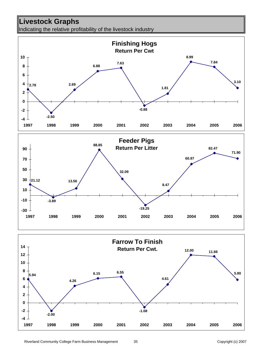## **Livestock Graphs**

Indicating the relative profitability of the livestock industry



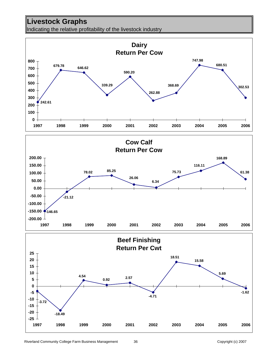## **Livestock Graphs**

Indicating the relative profitability of the livestock industry

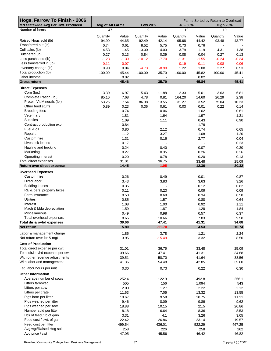| Hogs, Farrow To Finish - 2006<br><b>MN Statewide Avg Per Cwt. Produced</b> | Avg of All Farms |         | <b>Low 20%</b> |                | 40 - 60% |         | Farms Sorted by Return to Overhead<br><b>High 20%</b> |         |
|----------------------------------------------------------------------------|------------------|---------|----------------|----------------|----------|---------|-------------------------------------------------------|---------|
| Number of farms                                                            | 47               |         | 9              |                | 10       |         | 10                                                    |         |
|                                                                            | Quantity         | Value   | Quantity       | Value          | Quantity | Value   | Quantity                                              | Value   |
| Raised Hogs sold (lb)                                                      | 94.90            | 44.65   | 92.49          | 42.14          | 95.68    | 44.42   | 93.48                                                 | 43.77   |
| Transferred out (lb)                                                       | 0.74             | 0.61    | 8.52           | 5.75           | 0.73     | 0.76    |                                                       |         |
| Cull sales (lb)                                                            | 4.53             | 1.45    | 13.00          | 4.03           | 3.79     | 1.19    | 4.31                                                  | 1.38    |
| Butchered (lb)                                                             | 0.27             | 0.13    | 0.84           | 0.39           | 0.08     | 0.04    | 0.27                                                  | 0.13    |
| Less purchased (lb)                                                        | $-1.23$          | $-1.39$ | $-10.12$       | $-7.70$        | $-1.31$  | $-1.55$ | $-0.24$                                               | $-0.34$ |
| Less transferred in (lb)                                                   | $-0.11$          | $-0.07$ | $\blacksquare$ | $\blacksquare$ | $-0.19$  | $-0.11$ | $-0.08$                                               | $-0.06$ |
| Inventory change (lb)                                                      | 0.90             | 0.04    | $-4.73$        | $-8.90$        | 1.22     | 1.08    | 2.27                                                  | 0.53    |
| Total production (lb)                                                      | 100.00           | 45.44   | 100.00         | 35.70          | 100.00   | 45.82   | 100.00                                                | 45.41   |
| Other income                                                               |                  | 0.02    |                | $\blacksquare$ |          | 0.02    |                                                       |         |
| <b>Gross return</b>                                                        |                  | 45.46   |                | 35.70          |          | 45.84   |                                                       | 45.41   |
| <b>Direct Expenses</b>                                                     |                  |         |                |                |          |         |                                                       |         |
| Corn (bu.)                                                                 | 3.39             | 6.97    | 5.43           | 11.88          | 2.33     | 5.01    | 3.63                                                  | 6.81    |
| Complete Ration (lb.)                                                      | 85.10            | 7.68    | 4.78           | 0.81           | 164.20   | 14.60   | 26.29                                                 | 2.38    |
| Protein Vit Minerals (lb.)                                                 | 53.25            | 7.54    | 86.38          | 13.55          | 31.27    | 3.52    | 75.04                                                 | 10.23   |
| Other feed stuffs                                                          | 0.89             | 0.23    | 0.36           | 0.61           | 0.03     | 0.01    | 0.22                                                  | 0.14    |
| <b>Breeding fees</b>                                                       |                  | 0.74    |                | 0.06           |          | 1.02    |                                                       | 0.61    |
| Veterinary                                                                 |                  | 1.81    |                | 1.64           |          | 1.97    |                                                       | 1.21    |
| Supplies                                                                   |                  | 1.09    |                | 1.11           |          | 0.43    |                                                       | 0.90    |
| Contract production exp.                                                   |                  | 0.84    |                |                |          | 1.79    |                                                       |         |
| Fuel & oil                                                                 |                  | 0.80    |                | 2.12           |          | 0.74    |                                                       | 0.65    |
| Repairs                                                                    |                  | 1.12    |                | 3.27           |          | 1.08    |                                                       | 1.20    |
| Custom hire                                                                |                  |         |                |                |          |         |                                                       |         |
|                                                                            |                  | 1.31    |                | 0.16           |          | 2.77    |                                                       | 0.04    |
| Livestock leases                                                           |                  | 0.17    |                |                |          |         |                                                       | 0.23    |
| Hauling and trucking                                                       |                  | 0.24    |                | 0.40           |          | 0.07    |                                                       | 0.30    |
| Marketing                                                                  |                  | 0.27    |                | 0.35           |          | 0.26    |                                                       | 0.26    |
| Operating interest                                                         |                  | 0.20    |                | 0.78           |          | 0.20    |                                                       | 0.13    |
| Total direct expenses                                                      |                  | 31.01   |                | 36.75          |          | 33.48   |                                                       | 25.09   |
| Return over direct expense                                                 |                  | 14.45   |                | $-1.05$        |          | 12.36   |                                                       | 20.32   |
| <b>Overhead Expenses</b>                                                   |                  |         |                |                |          |         |                                                       |         |
| Custom hire                                                                |                  | 0.26    |                | 0.49           |          | 0.01    |                                                       | 0.87    |
| Hired labor                                                                |                  | 3.43    |                | 3.83           |          | 3.63    |                                                       | 3.26    |
| <b>Building leases</b>                                                     |                  | 0.35    |                |                |          | 0.12    |                                                       | 0.82    |
| RE & pers. property taxes                                                  |                  | 0.11    |                | 0.23           |          | 0.09    |                                                       | 0.09    |
| Farm insurance                                                             |                  | 0.50    |                | 0.69           |          | 0.34    |                                                       | 0.58    |
| Utilities                                                                  |                  | 0.85    |                | 1.57           |          | 0.88    |                                                       | 0.64    |
| Interest                                                                   |                  | 1.08    |                | 1.00           |          | 0.92    |                                                       | 1.11    |
| Mach & bldg depreciation                                                   |                  | 1.59    |                | 1.87           |          | 1.28    |                                                       | 1.84    |
| Miscellaneous                                                              |                  | 0.49    |                | 0.98           |          | 0.57    |                                                       | 0.37    |
| Total overhead expenses                                                    |                  | 8.65    |                | 10.66          |          | 7.83    |                                                       | 9.58    |
| Total dir & ovhd expenses                                                  |                  | 39.66   |                | 47.41          |          | 41.31   |                                                       | 34.68   |
| Net return                                                                 |                  | 5.80    |                | $-11.70$       |          | 4.53    |                                                       | 10.74   |
| Labor & management charge                                                  |                  | 1.85    |                | 3.78           |          | 1.21    |                                                       | 2.24    |
| Net return over lbr & mgt                                                  |                  | 3.95    |                | $-15.49$       |          | 3.32    |                                                       | 8.50    |
| <b>Cost of Production</b>                                                  |                  |         |                |                |          |         |                                                       |         |
| Total direct expense per cwt.                                              |                  | 31.01   |                | 36.75          |          | 33.48   |                                                       | 25.09   |
| Total dir& ovhd expense per cwt.                                           |                  | 39.66   |                | 47.41          |          | 41.31   |                                                       | 34.68   |
| With other revenue adjustments                                             |                  | 39.51   |                | 50.70          |          | 41.64   |                                                       | 33.56   |
| With labor and management                                                  |                  | 41.36   |                | 54.48          |          | 42.85   |                                                       | 35.80   |
| Est. labor hours per unit                                                  |                  | 0.30    |                |                |          | 0.22    |                                                       | 0.30    |
|                                                                            |                  |         |                | 0.73           |          |         |                                                       |         |
| <b>Other Information</b>                                                   |                  |         |                |                |          |         |                                                       |         |
| Average number of sows                                                     |                  | 252.4   |                | 122.9          |          | 492.8   |                                                       | 256.1   |
| Litters farrowed                                                           |                  | 505     |                | 156            |          | 1,094   |                                                       | 543     |
| Litters per sow                                                            |                  | 2.00    |                | 1.27           |          | 2.22    |                                                       | 2.12    |
| Litters per crate                                                          |                  | 11.63   |                | 7.05           |          | 13.32   |                                                       | 13.55   |
| Pigs born per litter                                                       |                  | 10.67   |                | 9.58           |          | 10.75   |                                                       | 11.31   |
| Pigs weaned per litter                                                     |                  | 9.46    |                | 8.09           |          | 9.89    |                                                       | 9.62    |
| Pigs weaned per sow                                                        |                  | 18.88   |                | 10.15          |          | 21.5    |                                                       | 20.86   |
| Number sold per litter                                                     |                  | 8.18    |                | 6.64           |          | 8.36    |                                                       | 8.53    |
| Lbs of feed / lb of gain                                                   |                  | 3.31    |                | 4.1            |          | 3.26    |                                                       | 3.05    |
| Feed cost / cwt. of gain                                                   |                  | 22.42   |                | 26.86          |          | 23.14   |                                                       | 19.57   |
| Feed cost per litter                                                       |                  | 499.54  |                | 436.01         |          | 522.29  |                                                       | 467.25  |
| Avg wgt/Raised Hog sold                                                    |                  | 258     |                | 226            |          | 258     |                                                       | 262     |
| Avg price / cwt                                                            |                  | 47.05   |                | 45.56          |          | 46.42   |                                                       | 46.82   |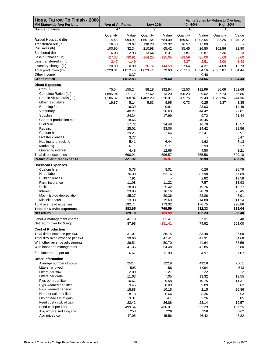| Hogs, Farrow To Finish - 2006                         |                        |                  | <b>Low 20%</b><br>$40 - 60%$ |                          |                  |                  | Farms Sorted by Return to Overhead<br><b>High 20%</b> |                 |  |
|-------------------------------------------------------|------------------------|------------------|------------------------------|--------------------------|------------------|------------------|-------------------------------------------------------|-----------------|--|
| <b>MN Statewide Avg Per Litter</b><br>Number of farms | Avg of All Farms<br>47 |                  | 9                            |                          | 10               |                  | 10                                                    |                 |  |
|                                                       |                        |                  |                              |                          |                  |                  |                                                       |                 |  |
|                                                       | Quantity               | Value            | Quantity                     | Value                    | Quantity         | Value            | Quantity                                              | Value           |  |
| Raised Hogs sold (lb)                                 | 2,114.48               | 994.92           | 1,501.54                     | 684.09                   | 2,159.57         | 1,002.54         | 2,232.25                                              | 1,045.12        |  |
| Transferred out (lb)                                  | 16.40                  | 13.67            | 138.23                       | 93.32                    | 16.57            | 17.09            |                                                       |                 |  |
| Cull sales (lb)<br>Butchered (lb)                     | 100.90                 | 32.34            | 210.98                       | 65.42                    | 85.45            | 26.80            | 102.86                                                | 32.90           |  |
| Less purchased (lb)                                   | 6.08<br>$-27.38$       | 2.93<br>$-30.91$ | 13.64<br>$-164.25$           | 6.31<br>$-125.05$        | 1.87<br>$-29.59$ | 0.87<br>$-35.00$ | 6.36<br>$-5.69$                                       | 3.13<br>$-8.00$ |  |
| Less transferred in (lb)                              | $-2.47$                | $-1.49$          |                              |                          | $-4.37$          | $-2.51$          | $-2.00$                                               | $-1.43$         |  |
| Inventory change (lb)                                 | 20.00                  | 0.99             | $-76.74$                     | $-144.50$                | 27.64            | 24.37            | 54.09                                                 | 12.73           |  |
| Total production (lb)                                 | 2,228.01               | 1,012.46         | 1,623.41                     | 579.60                   | 2,257.14         | 1,034.16         | 2,387.87                                              | 1,084.44        |  |
| Other income                                          |                        | 0.37             |                              | $\overline{\phantom{a}}$ |                  | 0.40             |                                                       |                 |  |
| <b>Gross return</b>                                   |                        | 1,012.83         |                              | 579.60                   |                  | 1,034.56         |                                                       | 1,084.44        |  |
| <b>Direct Expenses</b>                                |                        |                  |                              |                          |                  |                  |                                                       |                 |  |
| Corn (bu.)                                            | 75.54                  | 155.24           | 88.18                        | 192.84                   | 52.53            | 112.99           | 86.69                                                 | 162.68          |  |
| Complete Ration (lb.)                                 | 1,895.94               | 171.12           | 77.62                        | 13.20                    | 3,706.23         | 329.62           | 627.73                                                | 56.86           |  |
| Protein Vit Minerals (lb.)                            | 1,186.32               | 168.04           | 1,402.23                     | 220.01                   | 705.75           | 79.43            | 1,791.96                                              | 244.36          |  |
| Other feed stuffs                                     | 19.87                  | 5.14             | 5.83                         | 9.95                     | 0.73             | 0.25             | 5.37                                                  | 3.35            |  |
| <b>Breeding fees</b>                                  |                        | 16.39            |                              | 0.91                     |                  | 23.03            |                                                       | 14.46           |  |
| Veterinary                                            |                        | 40.27            |                              | 26.63                    |                  | 44.42            |                                                       | 29.01           |  |
| <b>Supplies</b>                                       |                        | 24.34            |                              | 17.99                    |                  | 9.72             |                                                       | 21.44           |  |
| Contract production exp.                              |                        | 18.66            |                              |                          |                  | 40.45            |                                                       |                 |  |
| Fuel & oil                                            |                        | 17.72            |                              | 34.48                    |                  | 16.79            |                                                       | 15.57           |  |
| Repairs                                               |                        | 25.01            |                              | 53.06                    |                  | 24.42            |                                                       | 28.56           |  |
| Custom hire                                           |                        | 29.21            |                              | 2.66                     |                  | 62.41            |                                                       | 0.91            |  |
| Livestock leases                                      |                        | 3.77             |                              |                          |                  |                  |                                                       | 5.47            |  |
| Hauling and trucking<br>Marketing                     |                        | 5.41<br>6.11     |                              | 6.44<br>5.71             |                  | 1.62<br>5.93     |                                                       | 7.13<br>6.17    |  |
| Operating interest                                    |                        | 4.48             |                              | 12.66                    |                  | 4.50             |                                                       | 3.21            |  |
| Total direct expenses                                 |                        | 690.91           |                              | 596.57                   |                  | 755.58           |                                                       | 599.18          |  |
| Return over direct expense                            |                        | 321.92           |                              | $-16.97$                 |                  | 278.99           |                                                       | 485.25          |  |
| <b>Overhead Expenses</b>                              |                        |                  |                              |                          |                  |                  |                                                       |                 |  |
| Custom hire                                           |                        | 5.78             |                              | 8.01                     |                  | 0.26             |                                                       | 20.79           |  |
| Hired labor                                           |                        | 76.38            |                              | 62.16                    |                  | 81.98            |                                                       | 77.89           |  |
| <b>Building leases</b>                                |                        | 7.91             |                              |                          |                  | 2.82             |                                                       | 19.58           |  |
| Farm insurance                                        |                        | 11.08            |                              | 11.22                    |                  | 7.57             |                                                       | 13.93           |  |
| <b>Utilities</b>                                      |                        | 18.88            |                              | 25.42                    |                  | 19.76            |                                                       | 15.17           |  |
| Interest                                              |                        | 23.96            |                              | 16.16                    |                  | 20.70            |                                                       | 26.45           |  |
| Mach & bldg depreciation                              |                        | 35.37            |                              | 30.36                    |                  | 28.86            |                                                       | 43.91           |  |
| Miscellaneous                                         |                        | 13.38            |                              | 19.69                    |                  | 14.80            |                                                       | 11.14           |  |
| Total overhead expenses                               |                        | 192.74           |                              | 173.02                   |                  | 176.75           |                                                       | 228.86          |  |
| Total dir & ovhd expenses                             |                        | 883.65           |                              | 769.59                   |                  | 932.33           |                                                       | 828.04          |  |
| Net return                                            |                        | 129.18           |                              | $-189.99$                |                  | 102.23           |                                                       | 256.40          |  |
| Labor & management charge                             |                        | 41.19            |                              | 61.41                    |                  | 27.31            |                                                       | 53.40           |  |
| Net return over lbr & mgt                             |                        | 87.98            |                              | $-251.41$                |                  | 74.92            |                                                       | 203.00          |  |
| <b>Cost of Production</b>                             |                        |                  |                              |                          |                  |                  |                                                       |                 |  |
| Total direct expense per cwt.                         |                        | 31.01            |                              | 36.75                    |                  | 33.48            |                                                       | 25.09           |  |
| Total dir& ovhd expense per cwt.                      |                        | 39.66            |                              | 47.41                    |                  | 41.31            |                                                       | 34.68           |  |
| With other revenue adjustments                        |                        | 39.51            |                              | 50.70                    |                  | 41.64            |                                                       | 33.56           |  |
| With labor and management                             |                        | 41.36            |                              | 54.48                    |                  | 42.85            |                                                       | 35.80           |  |
| Est. labor hours per unit                             |                        | 6.67             |                              | 11.90                    |                  | 4.97             |                                                       | 7.07            |  |
| <b>Other Information</b>                              |                        |                  |                              |                          |                  |                  |                                                       |                 |  |
| Average number of sows                                |                        | 252.4            |                              | 122.9                    |                  | 492.8            |                                                       | 256.1           |  |
| Litters farrowed                                      |                        | 505              |                              | 156                      |                  | 1,094            |                                                       | 543             |  |
| Litters per sow                                       |                        | 2.00             |                              | 1.27                     |                  | 2.22             |                                                       | 2.12            |  |
| Litters per crate                                     |                        | 11.63            |                              | 7.05                     |                  | 13.32            |                                                       | 13.55           |  |
| Pigs born per litter                                  |                        | 10.67            |                              | 9.58                     |                  | 10.75            |                                                       | 11.31           |  |
| Pigs weaned per litter                                |                        | 9.46             |                              | 8.09                     |                  | 9.89             |                                                       | 9.62            |  |
| Pigs weaned per sow                                   |                        | 18.88            |                              | 10.15                    |                  | 21.5             |                                                       | 20.86           |  |
| Number sold per litter                                |                        | 8.18             |                              | 6.64                     |                  | 8.36             |                                                       | 8.53            |  |
| Lbs of feed / lb of gain                              |                        | 3.31             |                              | 4.1                      |                  | 3.26             |                                                       | 3.05            |  |
| Feed cost / cwt. of gain                              |                        | 22.42            |                              | 26.86                    |                  | 23.14            |                                                       | 19.57           |  |
| Feed cost per litter                                  |                        | 499.54           |                              | 436.01                   |                  | 522.29           |                                                       | 467.25          |  |
| Avg wgt/Raised Hog sold                               |                        | 258              |                              | 226                      |                  | 258              |                                                       | 262             |  |
| Avg price / cwt                                       |                        | 47.05            |                              | 45.56                    |                  | 46.42            |                                                       | 46.82           |  |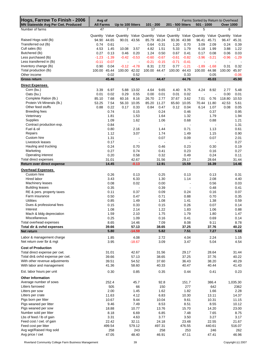| Hogs, Farrow To Finish - 2006<br><b>MN Statewide Avg Per Cwt. Produced</b> | Avg of<br><b>All Farms</b> |         | Up to 100 litters                                                                         |                          | 101 - 200 |         | 201 - 500 litters |                          | Farms Sorted by Return to Overhead<br>501 - 1000 |                | <b>Over 1000</b> |          |
|----------------------------------------------------------------------------|----------------------------|---------|-------------------------------------------------------------------------------------------|--------------------------|-----------|---------|-------------------|--------------------------|--------------------------------------------------|----------------|------------------|----------|
| Number of farms                                                            | 47                         |         | 7                                                                                         |                          | 17        |         | 12                |                          | 5                                                |                | 6                |          |
|                                                                            |                            |         | Quantity Value Quantity Value Quantity Value Quantity Value Quantity Value Quantity Value |                          |           |         |                   |                          |                                                  |                |                  |          |
| Raised Hogs sold (lb)                                                      | 94.90                      | 44.65   | 90.01                                                                                     | 43.56                    | 85.79     | 40.24   | 93.36             | 43.98                    | 96.41                                            | 45.71          | 96.47            | 45.31    |
| Transferred out (lb)                                                       | 0.74                       | 0.61    | $\overline{a}$                                                                            | $\blacksquare$           | 0.64      | 0.31    | 1.20              | 0.70                     | 3.09                                             | 2.09           | 0.24             | 0.39     |
| Cull sales (lb)                                                            | 4.53                       | 1.45    | 10.08                                                                                     | 3.57                     | 4.82      | 1.51    | 5.33              | 1.79                     | 6.18                                             | 1.99           | 3.88             | 1.22     |
| Butchered (lb)                                                             | 0.27                       | 0.13    | 0.46                                                                                      | 0.20                     | 1.24      | 0.50    | 0.67              | 0.41                     | 0.17                                             | 0.08           | 0.06             | 0.03     |
| Less purchased (lb)                                                        | $-1.23$                    | $-1.39$ | $-0.42$                                                                                   | $-0.53$                  | $-0.60$   | $-0.67$ | $-0.61$           | $-0.82$                  | $-3.96$                                          | $-3.21$        | $-0.96$          | $-1.29$  |
| Less transferred in (lb)                                                   | $-0.11$                    | $-0.07$ |                                                                                           | $\overline{\phantom{a}}$ | $-0.21$   | $-0.15$ | $-0.71$           | $-0.41$                  |                                                  |                |                  |          |
| Inventory change (lb)                                                      | 0.90                       | 0.04    | $-0.12$                                                                                   | $-4.78$                  | 8.31      | 2.72    | 0.77              | $-1.21$                  | $-1.89$                                          | $-1.68$        | 0.31             | 0.32     |
| Total production (lb)                                                      | 100.00 45.44               |         | 100.00                                                                                    | 42.02                    | 100.00    | 44.47   | 100.00            | 44.43                    | 100.00                                           | 44.98          | 100.00           | 45.97    |
| Other income                                                               |                            | 0.02    |                                                                                           | 0.52                     |           |         |                   | 0.33                     |                                                  | 0.05           |                  | $-0.06$  |
| <b>Gross return</b>                                                        |                            | 45.46   |                                                                                           | 42.54                    |           | 44.47   |                   | 44.76                    |                                                  | 45.03          |                  | 45.90    |
| <b>Direct Expenses</b>                                                     |                            |         |                                                                                           |                          |           |         |                   |                          |                                                  |                |                  |          |
| Corn (bu.)                                                                 | 3.39                       | 6.97    | 5.88                                                                                      | 13.02                    | 4.64      | 9.65    | 4.40              | 9.75                     | 4.24                                             | 8.92           | 2.77             | 5.48     |
| Oats (bu.)                                                                 | 0.01                       | 0.02    | 0.29                                                                                      | 0.55                     | 0.00      | 0.01    | 0.01              | 0.02                     |                                                  | $\blacksquare$ | 0.00             | 0.01     |
| Complete Ration (lb.)                                                      | 85.10                      | 7.68    | 60.16                                                                                     | 8.16                     | 26.70     | 2.77    | 37.67             | 3.62                     | 7.01                                             | 0.76           | 118.80           | 10.53    |
| Protein Vit Minerals (lb.)                                                 | 53.25                      | 7.54    | 56.33                                                                                     | 10.05                    | 85.20     | 11.27   | 65.60             | 10.05                    | 70.44                                            | 11.80          | 42.53            | 5.61     |
| Other feed stuffs                                                          | 0.88                       | 0.22    | 0.17                                                                                      | 0.33                     | 0.84      | 0.47    | 0.12              | 0.04                     | 6.14                                             | 1.07           | 0.08             | 0.05     |
| <b>Breeding fees</b>                                                       |                            | 0.74    |                                                                                           | 0.15                     |           | 0.24    |                   | 0.46                     |                                                  | 0.37           |                  | 0.95     |
| Veterinary                                                                 |                            | 1.81    |                                                                                           | 1.53                     |           | 1.64    |                   | 1.32                     |                                                  | 1.79           |                  | 1.94     |
| Supplies                                                                   |                            | 1.09    |                                                                                           | 1.62                     |           | 1.06    |                   | 0.68                     |                                                  | 0.88           |                  | 1.21     |
| Contract production exp.                                                   |                            | 0.84    |                                                                                           |                          |           |         |                   |                          |                                                  |                |                  | 1.31     |
| Fuel & oil                                                                 |                            | 0.80    |                                                                                           | 2.16                     |           | 1.44    |                   | 0.71                     |                                                  | 1.13           |                  | 0.61     |
| Repairs                                                                    |                            | 1.12    |                                                                                           | 3.07                     |           | 1.74    |                   | 1.49                     |                                                  | 1.15           |                  | 0.90     |
| Custom hire                                                                |                            | 1.31    |                                                                                           | ٠                        |           | 0.07    |                   | 0.09                     |                                                  | 0.07           |                  | 2.01     |
| Livestock leases                                                           |                            | 0.17    |                                                                                           |                          |           |         |                   |                          |                                                  |                |                  | 0.27     |
| Hauling and trucking                                                       |                            | 0.24    |                                                                                           | 0.70                     |           | 0.46    |                   | 0.23                     |                                                  | 0.30           |                  | 0.19     |
| Marketing                                                                  |                            | 0.27    |                                                                                           | 0.74                     |           | 0.41    |                   | 0.23                     |                                                  | 0.16           |                  | 0.27     |
| Operating interest                                                         |                            | 0.20    |                                                                                           | 0.58                     |           | 0.32    |                   | 0.49                     |                                                  | 0.24           |                  | 0.11     |
| Total direct expenses                                                      |                            | 31.01   |                                                                                           | 42.67                    |           | 31.56   |                   | 29.17                    |                                                  | 28.64          |                  | 31.44    |
| Return over direct expense                                                 |                            | 14.45   |                                                                                           | $-0.13$                  |           | 12.91   |                   | 15.59                    |                                                  | 16.39          |                  | 14.46    |
| <b>Overhead Expenses</b>                                                   |                            |         |                                                                                           |                          |           |         |                   |                          |                                                  |                |                  |          |
| Custom hire                                                                |                            | 0.26    |                                                                                           | 0.13                     |           | 0.25    |                   | 0.13                     |                                                  | 0.13           |                  | 0.31     |
| Hired labor                                                                |                            | 3.43    |                                                                                           | 6.33                     |           | 1.30    |                   | 1.14                     |                                                  | 2.08           |                  | 4.40     |
| Machinery leases                                                           |                            | 0.08    |                                                                                           | 0.02                     |           | 0.00    |                   | $\overline{\phantom{a}}$ |                                                  | 0.56           |                  | 0.03     |
| <b>Building leases</b>                                                     |                            | 0.35    |                                                                                           | $\overline{a}$           |           | 0.39    |                   | $\overline{\phantom{a}}$ |                                                  | 0.48           |                  | 0.41     |
| RE & pers. property taxes                                                  |                            | 0.11    |                                                                                           | 0.37                     |           | 0.09    |                   | 0.24                     |                                                  | 0.16           |                  | 0.07     |
| Farm insurance                                                             |                            | 0.50    |                                                                                           | 0.47                     |           | 0.71    |                   | 0.88                     |                                                  | 0.70           |                  | 0.35     |
| <b>Utilities</b>                                                           |                            | 0.85    |                                                                                           | 1.49                     |           | 1.08    |                   | 1.41                     |                                                  | 1.38           |                  | 0.59     |
| Dues & professional fees                                                   |                            | 0.15    |                                                                                           | 0.33                     |           | 0.15    |                   | 0.26                     |                                                  | 0.07           |                  | 0.14     |
| Interest                                                                   |                            | 1.08    |                                                                                           | 2.14                     |           | 1.22    |                   | 1.83                     |                                                  | 1.06           |                  | 0.88     |
| Mach & bldg depreciation                                                   |                            | 1.59    |                                                                                           | 2.10                     |           | 1.75    |                   | 1.79                     |                                                  | 1.80           |                  | 1.47     |
| Miscellaneous                                                              |                            | 0.25    |                                                                                           | 1.09                     |           | 0.16    |                   | 0.41                     |                                                  | 0.69           |                  | 0.14     |
| Total overhead expenses                                                    |                            | 8.65    |                                                                                           | 14.46                    |           | 7.09    |                   | 8.08                     |                                                  | 9.11           |                  | 8.78     |
| Total dir & ovhd expenses                                                  |                            | 39.66   |                                                                                           | 57.13                    |           | 38.65   |                   | 37.25                    |                                                  | 37.76          |                  | 40.22    |
| Net return                                                                 |                            | 5.80    |                                                                                           | $-14.59$                 |           | 5.82    |                   | 7.51                     |                                                  | 7.27           |                  | 5.68     |
| Labor & management charge                                                  |                            | 1.85    |                                                                                           | 4.08                     |           | 2.72    |                   | 4.04                     |                                                  | 2.24           |                  | 1.15     |
| Net return over lbr & mgt                                                  |                            | 3.95    |                                                                                           | $-18.67$                 |           | 3.09    |                   | 3.47                     |                                                  | 5.04           |                  | 4.54     |
| <b>Cost of Production</b>                                                  |                            |         |                                                                                           |                          |           |         |                   |                          |                                                  |                |                  |          |
| Total direct expense per cwt.                                              |                            | 31.01   |                                                                                           | 42.67                    |           | 31.56   |                   | 29.17                    |                                                  | 28.64          |                  | 31.44    |
| Total dir& ovhd expense per cwt.                                           |                            | 39.66   |                                                                                           | 57.13                    |           | 38.65   |                   | 37.25                    |                                                  | 37.76          |                  | 40.22    |
| With other revenue adjustments                                             |                            | 39.51   |                                                                                           | 54.52                    |           | 37.60   |                   | 36.43                    |                                                  | 38.20          |                  | 40.29    |
| With labor and management                                                  |                            | 41.36   |                                                                                           | 58.60                    |           | 40.33   |                   | 40.47                    |                                                  | 40.44          |                  | 41.43    |
| Est. labor hours per unit                                                  |                            | 0.30    |                                                                                           | 0.85                     |           | 0.35    |                   | 0.44                     |                                                  | 0.41           |                  | 0.23     |
| <b>Other Information</b>                                                   |                            |         |                                                                                           |                          |           |         |                   |                          |                                                  |                |                  |          |
| Average number of sows                                                     |                            | 252.4   |                                                                                           | 45.7                     |           | 92.8    |                   | 151.7                    |                                                  | 386.4          |                  | 1,035.30 |
| Litters farrowed                                                           |                            | 505     |                                                                                           | 66                       |           | 150     |                   | 277                      |                                                  | 642            |                  | 2362     |
| Litters per sow                                                            |                            | 2.00    |                                                                                           | 1.45                     |           | 1.62    |                   | 1.82                     |                                                  | 1.66           |                  | 2.28     |
| Litters per crate                                                          |                            | 11.63   |                                                                                           | 4.12                     |           | 6.83    |                   | 10.30                    |                                                  | 13.11          |                  | 14.37    |
| Pigs born per litter                                                       |                            | 10.67   |                                                                                           | 9.44                     |           | 10.04   |                   | 9.61                     |                                                  | 10.31          |                  | 11.15    |
| Pigs weaned per litter                                                     |                            | 9.46    |                                                                                           | 7.49                     |           | 8.53    |                   | 8.51                     |                                                  | 8.55           |                  | 10.12    |
| Pigs weaned per sow                                                        |                            | 18.88   |                                                                                           | 10.77                    |           | 13.76   |                   | 15.70                    |                                                  | 14.20          |                  | 23.00    |
| Number sold per litter                                                     |                            | 8.18    |                                                                                           | 6.69                     |           | 6.85    |                   | 7.48                     |                                                  | 7.65           |                  | 8.75     |
| Lbs of feed / lb of gain                                                   |                            | 3.31    |                                                                                           | 4.63                     |           | 3.77    |                   | 3.50                     |                                                  | 3.27           |                  | 3.17     |
| Feed cost / cwt. of gain                                                   |                            | 22.42   |                                                                                           | 32.11                    |           | 24.18   |                   | 23.48                    |                                                  | 22.55          |                  | 21.67    |
| Feed cost per litter                                                       |                            | 499.54  |                                                                                           | 579.12                   |           | 497.31  |                   | 476.55                   |                                                  | 440.61         |                  | 516.07   |
| Avg wgt/Raised Hog sold                                                    |                            | 258     |                                                                                           | 243                      |           | 258     |                   | 253                      |                                                  | 246            |                  | 262      |
| Avg price / cwt                                                            |                            | 47.05   |                                                                                           | 48.40                    |           | 46.91   |                   | 47.11                    |                                                  | 47.41          |                  | 46.96    |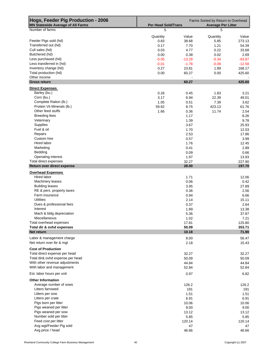| Hogs, Feeder Pig Production - 2006<br><b>MN Statewide Average of All Farms</b> | <b>Per Head Sold/Trans</b> |                | Farms Sorted by Return to Overhead<br><b>Average Per Litter</b> |                 |
|--------------------------------------------------------------------------------|----------------------------|----------------|-----------------------------------------------------------------|-----------------|
| Number of farms                                                                | 5                          |                | 5                                                               |                 |
|                                                                                |                            |                |                                                                 |                 |
| Feeder Pigs sold (hd)                                                          | Quantity<br>0.83           | Value<br>38.68 | Quantity<br>5.85                                                | Value<br>273.13 |
| Transferred out (hd)                                                           | 0.17                       | 7.70           | 1.21                                                            | 54.39           |
| Cull sales (hd)                                                                | 0.03                       | 4.77           | 0.22                                                            | 33.68           |
| Butchered (hd)                                                                 | 0.00                       | 0.38           | 0.02                                                            | 2.69            |
| Less purchased (hd)                                                            | $-0.05$                    | $-13.29$       | $-0.34$                                                         | $-93.87$        |
| Less transferred in (hd)                                                       | $-0.01$                    | $-1.78$        | $-0.08$                                                         | $-12.58$        |
| Inventory change (hd)                                                          | 0.27                       | 23.81          | 1.89                                                            | 168.17          |
| Total production (hd)                                                          | 0.00                       | 60.27          | 0.00                                                            | 425.60          |
| Other income                                                                   |                            |                |                                                                 |                 |
| <b>Gross return</b>                                                            |                            | 60.27          |                                                                 | 425.60          |
| <b>Direct Expenses</b>                                                         |                            |                |                                                                 |                 |
| Barley (bu.)                                                                   | 0.26                       | 0.45           | 1.83                                                            | 3.21            |
| Corn (bu.)                                                                     | 3.17                       | 6.94           | 22.39                                                           | 49.01           |
| Complete Ration (lb.)<br>Protein Vit Minerals (lb.)                            | 1.05<br>59.92              | 0.51<br>8.75   | 7.39<br>423.13                                                  | 3.62<br>61.76   |
| Other feed stuffs                                                              | 1.66                       | 0.36           | 11.74                                                           | 2.54            |
| <b>Breeding fees</b>                                                           |                            | 1.17           |                                                                 | 8.26            |
| Veterinary                                                                     |                            | 1.39           |                                                                 | 9.78            |
| Supplies                                                                       |                            | 3.67           |                                                                 | 25.93           |
| Fuel & oil                                                                     |                            | 1.70           |                                                                 | 12.03           |
| Repairs                                                                        |                            | 2.53           |                                                                 | 17.86           |
| Custom hire                                                                    |                            | 0.57           |                                                                 | 3.99            |
| Hired labor                                                                    |                            | 1.76           |                                                                 | 12.45           |
| Marketing                                                                      |                            | 0.41           |                                                                 | 2.89            |
| Bedding                                                                        |                            | 0.09           |                                                                 | 0.66            |
| Operating interest                                                             |                            | 1.97           |                                                                 | 13.93           |
| Total direct expenses                                                          |                            | 32.27          |                                                                 | 227.90          |
| Return over direct expense                                                     |                            | 28.00          |                                                                 | 197.70          |
| <b>Overhead Expenses</b>                                                       |                            |                |                                                                 |                 |
| Hired labor                                                                    |                            | 1.71           |                                                                 | 12.06           |
| Machinery leases                                                               |                            | 0.06           |                                                                 | 0.42            |
| <b>Building leases</b>                                                         |                            | 3.95           |                                                                 | 27.89           |
| RE & pers. property taxes                                                      |                            | 0.36           |                                                                 | 2.56            |
| Farm insurance<br><b>Utilities</b>                                             |                            | 0.94           |                                                                 | 6.66            |
| Dues & professional fees                                                       |                            | 2.14<br>0.37   |                                                                 | 15.11<br>2.64   |
| Interest                                                                       |                            | 1.89           |                                                                 | 13.38           |
| Mach & bldg depreciation                                                       |                            | 5.36           |                                                                 | 37.87           |
| Miscellaneous                                                                  |                            | 1.02           |                                                                 | 7.21            |
| Total overhead expenses                                                        |                            | 17.81          |                                                                 | 125.80          |
| Total dir & ovhd expenses                                                      |                            | 50.09          |                                                                 | 353.71          |
| Net return                                                                     |                            | 10.18          |                                                                 | 71.90           |
| Labor & management charge                                                      |                            | 8.00           |                                                                 | 56.47           |
| Net return over lbr & mgt                                                      |                            | 2.18           |                                                                 | 15.43           |
| <b>Cost of Production</b>                                                      |                            |                |                                                                 |                 |
| Total direct expense per head                                                  |                            | 32.27          |                                                                 | 32.27           |
| Total dir& ovhd expense per head                                               |                            | 50.09          |                                                                 | 50.09           |
| With other revenue adjustments                                                 |                            | 44.84          |                                                                 | 44.84           |
| With labor and management                                                      |                            | 52.84          |                                                                 | 52.84           |
|                                                                                |                            |                |                                                                 |                 |
| Est. labor hours per unit                                                      |                            | 0.97           |                                                                 | 6.82            |
| <b>Other Information</b>                                                       |                            |                |                                                                 |                 |
| Average number of sows                                                         |                            | 126.2          |                                                                 | 126.2           |
| Litters farrowed                                                               |                            | 191            |                                                                 | 191             |
| Litters per sow                                                                |                            | 1.51           |                                                                 | 1.51            |
| Litters per crate                                                              |                            | 6.91           |                                                                 | 6.91            |
| Pigs born per litter                                                           |                            | 10.06          |                                                                 | 10.06           |
| Pigs weaned per litter<br>Pigs weaned per sow                                  |                            | 9.00<br>13.12  |                                                                 | 9.00<br>13.12   |
| Number sold per litter                                                         |                            | 5.85           |                                                                 | 5.85            |
| Feed cost per litter                                                           |                            | 120.14         |                                                                 | 120.14          |
| Avg wgt/Feeder Pig sold                                                        |                            | 47             |                                                                 | 47              |
| Avg price / head                                                               |                            | 46.66          |                                                                 | 46.66           |
|                                                                                |                            |                |                                                                 |                 |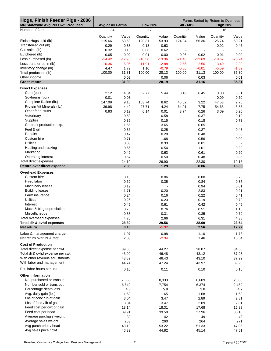| Hogs, Finish Feeder Pigs - 2006<br>MN Statewide Avg Per Cwt. Produced | Avg of All Farms   |                | <b>Low 20%</b>     |                          | 40 - 60%           |                          | Farms Sorted by Return to Overhead<br><b>High 20%</b> |                |
|-----------------------------------------------------------------------|--------------------|----------------|--------------------|--------------------------|--------------------|--------------------------|-------------------------------------------------------|----------------|
| Number of farms                                                       | 84                 |                | 17                 |                          | 17                 |                          | 16                                                    |                |
|                                                                       |                    |                |                    |                          |                    |                          |                                                       |                |
| Finish Hogs sold (lb)                                                 | Quantity<br>115.66 | Value<br>53.58 | Quantity<br>120.31 | Value<br>53.93           | Quantity<br>124.84 | Value<br>56.36           | Quantity<br>126.74                                    | Value<br>60.21 |
| Transferred out (lb)                                                  | 0.29               | 0.33           | 0.13               | 0.63                     |                    | $\overline{\phantom{a}}$ | 0.92                                                  | 0.47           |
| Cull sales (lb)                                                       | 0.32               | 0.16           | 0.86               | 0.62                     | $\blacksquare$     |                          | $\blacksquare$                                        |                |
| Butchered (lb)                                                        | 0.05               | 0.02           | 0.01               | 0.00                     | 0.06               | 0.02                     | 0.01                                                  | 0.00           |
| Less purchased (lb)                                                   | $-14.42$           | $-17.95$       | $-10.50$           | $-13.36$                 | $-21.48$           | $-22.69$                 | $-18.67$                                              | $-20.24$       |
| Less transferred in (lb)                                              | $-6.36$            | $-6.06$        | $-11.91$           | $-12.88$                 | $-2.56$            | $-2.56$                  | $-3.40$                                               | $-2.83$        |
| Inventory change (lb)                                                 | 4.47               | 1.72           | 1.10               | $-0.79$                  | $-0.86$            | $-0.01$                  | $-5.59$                                               | $-1.82$        |
| Total production (lb)                                                 | 100.00             | 31.81          | 100.00             | 28.13                    | 100.00             | 31.13                    | 100.00                                                | 35.80          |
| Other income                                                          |                    | 0.09           |                    | 0.06                     |                    | 0.03                     |                                                       | 0.01           |
| <b>Gross return</b>                                                   |                    | 31.90          |                    | 28.19                    |                    | 31.16                    |                                                       | 35.81          |
| <b>Direct Expenses</b>                                                |                    |                |                    |                          |                    |                          |                                                       |                |
| Corn (bu.)                                                            | 2.12               | 4.34           | 2.77               | 5.44                     | 3.10               | 6.45                     | 3.00                                                  | 6.51           |
| Soybeans (bu.)<br>Complete Ration (lb.)                               | 0.01               | 0.03           | $\blacksquare$     | $\overline{\phantom{a}}$ | $\blacksquare$     |                          | 0.09                                                  | 0.50           |
| Protein Vit Minerals (lb.)                                            | 147.09<br>36.98    | 9.15<br>4.49   | 163.74<br>27.71    | 8.62<br>4.24             | 46.62<br>64.91     | 3.22<br>7.75             | 47.53<br>54.63                                        | 2.76<br>5.85   |
| Other feed stuffs                                                     | 0.93               | 0.12           | 0.14               | 0.01                     | 3.74               | 0.26                     | 3.09                                                  | 0.25           |
| Veterinary                                                            |                    | 0.58           |                    | 0.58                     |                    | 0.37                     |                                                       | 0.19           |
| Supplies                                                              |                    | 0.35           |                    | 0.15                     |                    | 0.18                     |                                                       | 0.73           |
| Contract production exp.                                              |                    | 1.66           |                    | 3.65                     |                    | 0.65                     |                                                       |                |
| Fuel & oil                                                            |                    | 0.36           |                    | 0.25                     |                    | 0.27                     |                                                       | 0.43           |
| Repairs                                                               |                    | 0.47           |                    | 0.28                     |                    | 0.48                     |                                                       | 0.60           |
| Custom hire                                                           |                    | 0.71           |                    | 1.68                     |                    | 0.56                     |                                                       | 0.00           |
| <b>Utilities</b>                                                      |                    | 0.08           |                    | 0.33                     |                    | 0.01                     |                                                       |                |
| Hauling and trucking                                                  |                    | 0.66           |                    | 0.54                     |                    | 1.01                     |                                                       | 0.29           |
| Marketing                                                             |                    | 0.42           |                    | 0.63                     |                    | 0.61                     |                                                       | 0.20           |
| Operating interest<br>Total direct expenses                           |                    | 0.67           |                    | 0.50                     |                    | 0.48                     |                                                       | 0.85<br>19.16  |
| Return over direct expense                                            |                    | 24.10<br>7.80  |                    | 26.90<br>1.29            |                    | 22.30<br>8.86            |                                                       | 16.65          |
|                                                                       |                    |                |                    |                          |                    |                          |                                                       |                |
| <b>Overhead Expenses</b><br>Custom hire                               |                    |                |                    |                          |                    |                          |                                                       |                |
| Hired labor                                                           |                    | 0.10<br>0.62   |                    | 0.06<br>0.35             |                    | 0.00<br>0.84             |                                                       | 0.26<br>0.37   |
| Machinery leases                                                      |                    | 0.19           |                    | ÷.                       |                    | 0.94                     |                                                       | 0.01           |
| <b>Building leases</b>                                                |                    | 1.71           |                    | 0.20                     |                    | 2.83                     |                                                       | 0.21           |
| Farm insurance                                                        |                    | 0.24           |                    | 0.16                     |                    | 0.22                     |                                                       | 0.41           |
| <b>Utilities</b>                                                      |                    | 0.26           |                    | 0.23                     |                    | 0.19                     |                                                       | 0.72           |
| Interest                                                              |                    | 0.49           |                    | 0.61                     |                    | 0.42                     |                                                       | 0.46           |
| Mach & bldg depreciation                                              |                    | 0.75           |                    | 0.76                     |                    | 0.51                     |                                                       | 1.15           |
| Miscellaneous                                                         |                    | 0.33           |                    | 0.31                     |                    | 0.35                     |                                                       | 0.79           |
| Total overhead expenses                                               |                    | 4.70           |                    | 2.66                     |                    | 6.31                     |                                                       | 4.38           |
| Total dir & ovhd expenses                                             |                    | 28.80          |                    | 29.56                    |                    | 28.60                    |                                                       | 23.54          |
| <b>Net return</b>                                                     |                    | 3.10           |                    | $-1.37$                  |                    | 2.56                     |                                                       | 12.27          |
| Labor & management charge                                             |                    | 1.07           |                    | 0.98                     |                    | 1.10                     |                                                       | 1.73           |
| Net return over lbr & mgt                                             |                    | 2.03           |                    | $-2.34$                  |                    | 1.46                     |                                                       | 10.54          |
| <b>Cost of Production</b>                                             |                    |                |                    |                          |                    |                          |                                                       |                |
| Total direct expense per cwt.                                         |                    | 39.85          |                    | 44.27                    |                    | 38.07                    |                                                       | 34.50          |
| Total dir& ovhd expense per cwt.                                      |                    | 43.90          |                    | 46.48                    |                    | 43.12                    |                                                       | 37.93          |
| With other revenue adjustments                                        |                    | 43.82          |                    | 46.43                    |                    | 43.10                    |                                                       | 37.92          |
| With labor and management                                             |                    | 44.74          |                    | 47.24                    |                    | 43.97                    |                                                       | 39.28          |
| Est. labor hours per unit                                             |                    | 0.10           |                    | 0.11                     |                    | 0.10                     |                                                       | 0.16           |
| <b>Other Information</b>                                              |                    |                |                    |                          |                    |                          |                                                       |                |
| No. purchased or trans in                                             |                    | 7,350          |                    | 8,333                    |                    | 6,609                    |                                                       | 2,600          |
| Number sold or trans out                                              |                    | 6,640          |                    | 7,754                    |                    | 6,374                    |                                                       | 2,469          |
| Percentage death loss                                                 |                    | 4.8            |                    | 5.9                      |                    | 3.8                      |                                                       | 4.7            |
| Avg. daily gain (lbs)                                                 |                    | 1.68           |                    | 1.65                     |                    | 1.68                     |                                                       | 1.63           |
| Lbs of conc / lb of gain<br>Lbs of feed / lb of gain                  |                    | 3.04<br>3.04   |                    | 3.47<br>3.47             |                    | 2.89<br>2.89             |                                                       | 2.81<br>2.81   |
| Feed cost per cwt of gain                                             |                    | 18.14          |                    | 18.31                    |                    | 17.68                    |                                                       | 15.88          |
| Feed cost per head                                                    |                    | 39.91          |                    | 39.50                    |                    | 37.96                    |                                                       | 35.10          |
| Average purchase weight                                               |                    | 39             |                    | 42                       |                    | 49                       |                                                       | 43             |
| Average sales weight                                                  |                    | 263            |                    | 260                      |                    | 264                      |                                                       | 271            |
| Avg purch price / head                                                |                    | 48.18          |                    | 53.22                    |                    | 51.33                    |                                                       | 47.05          |
| Avg sales price / cwt                                                 |                    | 46.32          |                    | 44.82                    |                    | 45.14                    |                                                       | 47.51          |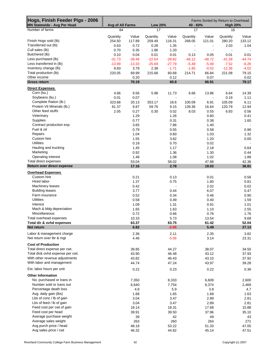| Hogs, Finish Feeder Pigs - 2006<br>MN Statewide - Avg Per Head     | Avg of All Farms   |                 | <b>Low 20%</b>           |                        | 40 - 60%                 |                          | Farms Sorted by Return to Overhead<br><b>High 20%</b> |                 |
|--------------------------------------------------------------------|--------------------|-----------------|--------------------------|------------------------|--------------------------|--------------------------|-------------------------------------------------------|-----------------|
| Number of farms                                                    | 84                 |                 | 17                       |                        | 17                       |                          | 16                                                    |                 |
|                                                                    |                    |                 |                          |                        |                          |                          |                                                       |                 |
| Finish Hogs sold (lb)                                              | Quantity<br>254.50 | Value<br>117.89 | Quantity<br>259.49       | Value<br>116.31        | Quantity<br>268.05       | Value<br>121.01          | Quantity<br>280.20                                    | Value<br>133.12 |
| Transferred out (lb)                                               | 0.63               | 0.72            | 0.28                     | 1.35                   | $\overline{\phantom{a}}$ | $\overline{\phantom{a}}$ | 2.03                                                  | 1.04            |
| Cull sales (lb)                                                    | 0.70               | 0.35            | 1.86                     | 1.33                   |                          |                          | $\blacksquare$                                        |                 |
| Butchered (lb)                                                     | 0.10               | 0.04            | 0.01                     | 0.01                   | 0.13                     | 0.05                     | 0.01                                                  | 0.01            |
| Less purchased (lb)                                                | $-31.73$           | $-39.49$        | $-22.64$                 | $-28.82$               | $-46.12$                 | $-48.72$                 | $-41.28$                                              | $-44.74$        |
| Less transferred in (lb)                                           | $-13.99$           | $-13.33$        | $-25.69$                 | $-27.79$               | $-5.49$                  | $-5.49$                  | $-7.52$                                               | $-6.26$         |
| Inventory change (lb)                                              | 9.83               | 3.79            | 2.38                     | $-1.71$                | $-1.85$                  | $-0.02$                  | $-12.36$                                              | $-4.02$         |
| Total production (lb)                                              | 220.05             | 69.99           | 215.68                   | 60.68                  | 214.71                   | 66.84                    | 221.08                                                | 79.15           |
| Other income                                                       |                    | 0.20            |                          | 0.12                   |                          | 0.07                     |                                                       | 0.02            |
| <b>Gross return</b>                                                |                    | 70.19           |                          | 60.8                   |                          | 66.91                    |                                                       | 79.17           |
| <b>Direct Expenses</b>                                             |                    |                 |                          |                        |                          |                          |                                                       |                 |
| Corn (bu.)<br>Soybeans (bu.)                                       | 4.66               | 9.56            | 5.98                     | 11.73                  | 6.66                     | 13.86                    | 6.64                                                  | 14.39           |
| Complete Ration (lb.)                                              | 0.01<br>323.68     | 0.07<br>20.13   | $\blacksquare$<br>353.17 | $\blacksquare$<br>18.6 | $\blacksquare$<br>100.09 | 6.91                     | 0.19<br>105.09                                        | 1.11<br>6.11    |
| Protein Vit Minerals (lb.)                                         | 81.37              | 9.87            | 59.76                    | 9.15                   | 139.36                   | 16.64                    | 120.79                                                | 12.94           |
| Other feed stuffs                                                  | 2.05               | 0.27            | 0.30                     | 0.02                   | 8.03                     | 0.55                     | 6.83                                                  | 0.56            |
| Veterinary                                                         |                    | 1.29            |                          | 1.26                   |                          | 0.80                     |                                                       | 0.41            |
| Supplies                                                           |                    | 0.77            |                          | 0.31                   |                          | 0.38                     |                                                       | 1.60            |
| Contract production exp.                                           |                    | 3.65            |                          | 7.86                   |                          | 1.40                     |                                                       |                 |
| Fuel & oil                                                         |                    | 0.79            |                          | 0.55                   |                          | 0.58                     |                                                       | 0.96            |
| Repairs                                                            |                    | 1.04            |                          | 0.60                   |                          | 1.03                     |                                                       | 1.32            |
| Custom hire                                                        |                    | 1.55            |                          | 3.62                   |                          | 1.20                     |                                                       | 0.00            |
| <b>Utilities</b>                                                   |                    | 0.18            |                          | 0.70                   |                          | 0.02                     |                                                       |                 |
| Hauling and trucking                                               |                    | 1.45            |                          | 1.17                   |                          | 2.18                     |                                                       | 0.64            |
| Marketing                                                          |                    | 0.92            |                          | 1.36                   |                          | 1.30                     |                                                       | 0.44            |
| Operating interest<br>Total direct expenses                        |                    | 1.48<br>53.04   |                          | 1.08<br>58.02          |                          | 1.02<br>47.88            |                                                       | 1.88<br>42.36   |
| Return over direct expense                                         |                    | 17.16           |                          | 2.78                   |                          | 19.03                    |                                                       | 36.81           |
| <b>Overhead Expenses</b>                                           |                    |                 |                          |                        |                          |                          |                                                       |                 |
| Custom hire                                                        |                    | 0.21            |                          | 0.13                   |                          | 0.01                     |                                                       | 0.56            |
| Hired labor                                                        |                    | 1.37            |                          | 0.75                   |                          | 1.80                     |                                                       | 0.81            |
| Machinery leases                                                   |                    | 0.42            |                          | $\blacksquare$         |                          | 2.02                     |                                                       | 0.02            |
| <b>Building leases</b>                                             |                    | 3.77            |                          | 0.44                   |                          | 6.07                     |                                                       | 0.47            |
| Farm insurance                                                     |                    | 0.52            |                          | 0.34                   |                          | 0.46                     |                                                       | 0.90            |
| <b>Utilities</b>                                                   |                    | 0.58            |                          | 0.49                   |                          | 0.40                     |                                                       | 1.59            |
| Interest                                                           |                    | 1.09            |                          | 1.31                   |                          | 0.91                     |                                                       | 1.01            |
| Mach & bldg depreciation                                           |                    | 1.65            |                          | 1.63                   |                          | 1.10                     |                                                       | 2.55            |
| Miscellaneous                                                      |                    | 0.72            |                          | 0.66                   |                          | 0.76                     |                                                       | 1.76            |
| Total overhead expenses<br>Total dir & ovhd expenses               |                    | 10.33<br>63.37  |                          | 5.73<br>63.75          |                          | 13.54<br>61.42           |                                                       | 9.68<br>52.04   |
| Net return                                                         |                    | 6.82            |                          | $-2.95$                |                          | 5.49                     |                                                       | 27.13           |
|                                                                    |                    |                 |                          |                        |                          |                          |                                                       |                 |
| Labor & management charge<br>Net return over lbr & mgt             |                    | 2.36            |                          | 2.11                   |                          | 2.35                     |                                                       | 3.82            |
|                                                                    |                    | 4.46            |                          | $-5.06$                |                          | 3.14                     |                                                       | 23.31           |
| <b>Cost of Production</b>                                          |                    |                 |                          |                        |                          |                          |                                                       |                 |
| Total direct expense per cwt.                                      |                    | 39.85           |                          | 44.27                  |                          | 38.07                    |                                                       | 34.50           |
| Total dir& ovhd expense per cwt.<br>With other revenue adjustments |                    | 43.90<br>43.82  |                          | 46.48<br>46.43         |                          | 43.12<br>43.10           |                                                       | 37.93<br>37.92  |
| With labor and management                                          |                    | 44.74           |                          | 47.24                  |                          | 43.97                    |                                                       | 39.28           |
|                                                                    |                    |                 |                          |                        |                          |                          |                                                       |                 |
| Est. labor hours per unit                                          |                    | 0.22            |                          | 0.23                   |                          | 0.22                     |                                                       | 0.36            |
| <b>Other Information</b>                                           |                    |                 |                          |                        |                          |                          |                                                       |                 |
| No. purchased or trans in                                          |                    | 7,350           |                          | 8,333                  |                          | 6,609                    |                                                       | 2,600           |
| Number sold or trans out<br>Percentage death loss                  |                    | 6,640<br>4.8    |                          | 7,754                  |                          | 6,374                    |                                                       | 2,469           |
| Avg. daily gain (lbs)                                              |                    | 1.68            |                          | 5.9<br>1.65            |                          | 3.8<br>1.68              |                                                       | 4.7<br>1.63     |
| Lbs of conc / lb of gain                                           |                    | 3.04            |                          | 3.47                   |                          | 2.89                     |                                                       | 2.81            |
| Lbs of feed / lb of gain                                           |                    | 3.04            |                          | 3.47                   |                          | 2.89                     |                                                       | 2.81            |
| Feed cost per cwt of gain                                          |                    | 18.14           |                          | 18.31                  |                          | 17.68                    |                                                       | 15.88           |
| Feed cost per head                                                 |                    | 39.91           |                          | 39.50                  |                          | 37.96                    |                                                       | 35.10           |
| Average purchase weight                                            |                    | 39              |                          | 42                     |                          | 49                       |                                                       | 43              |
| Average sales weight                                               |                    | 263             |                          | 260                    |                          | 264                      |                                                       | 271             |
| Avg purch price / head                                             |                    | 48.18           |                          | 53.22                  |                          | 51.33                    |                                                       | 47.05           |
| Avg sales price / cwt                                              |                    | 46.32           |                          | 44.82                  |                          | 45.14                    |                                                       | 47.51           |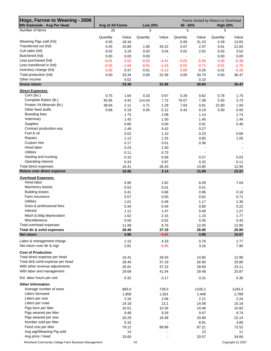| Hogs, Farrow to Weaning - 2006<br><b>MN Statewide - Avg Per Head</b> | Avg of All Farms |                | <b>Low 20%</b>             |                          | Farms Sorted by Return to Overhead<br>40 - 60%<br><b>High 20%</b> |                |              |                |
|----------------------------------------------------------------------|------------------|----------------|----------------------------|--------------------------|-------------------------------------------------------------------|----------------|--------------|----------------|
| Number of farms                                                      | 25               |                | 5                          |                          | 5                                                                 |                | 5            |                |
|                                                                      |                  |                |                            |                          |                                                                   |                |              |                |
| Weaning Pigs sold (hd)                                               | Quantity         | Value          | Quantity<br>$\blacksquare$ | Value                    | Quantity                                                          | Value          | Quantity     | Value          |
| Transferred out (hd)                                                 | 0.55<br>0.45     | 18.34<br>15.80 | 1.00                       | $\blacksquare$<br>34.22  | 0.93<br>0.07                                                      | 31.23<br>2.37  | 0.39<br>0.61 | 13.65<br>21.64 |
| Cull sales (hd)                                                      | 0.02             | 3.19           | 0.03                       | 3.04                     | 0.02                                                              | 2.91           | 0.03         | 3.52           |
| Butchered (hd)                                                       | 0.00             | 0.00           | 0.00                       | $\overline{\phantom{a}}$ | $\blacksquare$                                                    | $\blacksquare$ | 0.00         | 0.00           |
| Less purchased (hd)                                                  | $-0.01$          | $-2.52$        | $-0.02$                    | $-4.41$                  | $-0.02$                                                           | $-5.30$        | 0.00         | $-0.38$        |
| Less transferred in (hd)                                             | $-0.02$          | $-1.84$        | $-0.01$                    | $-1.15$                  | $-0.01$                                                           | $-0.71$        | $-0.01$      | $-1.70$        |
| Inventory change (hd)                                                | 0.00             | 0.37           | 0.01                       | $-0.13$                  | 0.00                                                              | 0.25           | 0.01         | $-0.26$        |
| Total production (hd)                                                | 0.00             | 33.34          | 0.00                       | 31.56                    | 0.00                                                              | 30.75          | 0.00         | 36.47          |
| Other income                                                         |                  | 0.02           |                            |                          |                                                                   | 0.10           |              |                |
| <b>Gross return</b>                                                  |                  | 33.36          |                            | 31.56                    |                                                                   | 30.84          |              | 36.47          |
| <b>Direct Expenses</b>                                               |                  |                |                            |                          |                                                                   |                |              |                |
| Corn (bu.)                                                           | 0.75             | 1.64           | 0.33                       | 0.67                     | 0.29                                                              |                | 0.78         | 1.75           |
| Complete Ration (lb.)                                                | 40.95            | 4.42           | 114.43                     | 7.72                     | 76.07                                                             | 0.62<br>7.38   | 5.50         | 3.73           |
| Protein Vit Minerals (lb.)                                           | 38.94            | 2.11           | 4.71                       | 1.29                     | 7.64                                                              | 0.91           | 22.90        | 1.93           |
| Other feed stuffs                                                    | 0.66             | 0.19           | 0.05                       | 0.12                     | 0.43                                                              | 0.19           | 0.00         | 0.00           |
| <b>Breeding fees</b>                                                 |                  | 1.75           |                            | 2.08                     |                                                                   | 1.14           |              | 1.74           |
| Veterinary                                                           |                  | 1.43           |                            | 1.50                     |                                                                   | 1.40           |              | 1.44           |
| Supplies                                                             |                  | 0.80           |                            | 0.00                     |                                                                   | 0.91           |              | 0.46           |
| Contract production exp.                                             |                  | 1.49           |                            | 9.42                     |                                                                   | 0.27           |              |                |
| Fuel & oil                                                           |                  | 0.52           |                            | 1.10                     |                                                                   | 0.23           |              | 0.66           |
| Repairs                                                              |                  | 1.12           |                            | 1.25                     |                                                                   | 0.85           |              | 1.05           |
| Custom hire                                                          |                  | 0.17           |                            | 0.01                     |                                                                   | 0.36           |              | $\blacksquare$ |
| Hired labor                                                          |                  | 0.23           |                            | 1.50                     |                                                                   |                |              | $\blacksquare$ |
| <b>Utilities</b>                                                     |                  | 0.11           |                            | 0.73                     |                                                                   |                |              |                |
| Hauling and trucking                                                 |                  | 0.10           |                            | 0.06                     |                                                                   | 0.27           |              | 0.03           |
| Operating interest                                                   |                  | 0.33           |                            | 0.97                     |                                                                   | 0.32           |              | 0.11           |
| Total direct expenses                                                |                  | 16.41          |                            | 28.43                    |                                                                   | 14.85          |              | 12.90          |
| Return over direct expense                                           |                  | 16.95          |                            | 3.14                     |                                                                   | 15.99          |              | 23.57          |
| <b>Overhead Expenses</b>                                             |                  |                |                            |                          |                                                                   |                |              |                |
| Hired labor                                                          |                  | 5.90           |                            | 2.62                     |                                                                   | 6.09           |              | 7.04           |
| Machinery leases                                                     |                  | 0.52           |                            | 0.01                     |                                                                   | 0.41           |              |                |
| <b>Building leases</b>                                               |                  | 0.41           |                            | 0.68                     |                                                                   | 0.96           |              | 0.16           |
| Farm insurance                                                       |                  | 0.57           |                            | 0.50                     |                                                                   | 0.62           |              | 0.71           |
| <b>Utilities</b>                                                     |                  | 1.01           |                            | 0.48                     |                                                                   | 1.17           |              | 1.30           |
| Dues & professional fees                                             |                  | 0.34           |                            | 0.34                     |                                                                   | 0.80           |              | 0.22           |
| Interest                                                             |                  | 1.12           |                            | 1.47                     |                                                                   | 0.49           |              | 1.27           |
| Mach & bldg depreciation                                             |                  | 1.62           |                            | 2.15                     |                                                                   | 1.15           |              | 1.77           |
| Miscellaneous                                                        |                  | 0.50           |                            | 0.52                     |                                                                   | 0.35           |              | 0.43           |
| Total overhead expenses                                              |                  | 11.99          |                            | 8.76                     |                                                                   | 12.05          |              | 12.90          |
| Total dir & ovhd expenses                                            |                  | 28.40          |                            | 37.19                    |                                                                   | 26.90          |              | 25.80          |
| Net return                                                           |                  | 4.96           |                            | $-5.62$                  |                                                                   | 3.95           |              | 10.67          |
| Labor & management charge                                            |                  | 2.15           |                            | 4.33                     |                                                                   | 0.79           |              | 2.77           |
| Net return over Ibr & mgt                                            |                  | 2.81           |                            | $-9.95$                  |                                                                   | 3.16           |              | 7.90           |
| <b>Cost of Production</b>                                            |                  |                |                            |                          |                                                                   |                |              |                |
| Total direct expense per head                                        |                  | 16.41          |                            | 28.43                    |                                                                   | 14.85          |              | 12.90          |
| Total dir& ovhd expense per head                                     |                  | 28.40          |                            | 37.19                    |                                                                   | 26.90          |              | 25.80          |
| With other revenue adjustments                                       |                  | 26.91          |                            | 37.22                    |                                                                   | 28.69          |              | 23.11          |
| With labor and management                                            |                  | 29.06          |                            | 41.54                    |                                                                   | 29.48          |              | 25.87          |
| Est. labor hours per unit                                            |                  | 0.32           |                            | 0.17                     |                                                                   | 0.31           |              | 0.30           |
| <b>Other Information</b>                                             |                  |                |                            |                          |                                                                   |                |              |                |
| Average number of sows                                               |                  | 883.0          |                            | 728.0                    |                                                                   | 1105.2         |              | 1243.2         |
| Litters farrowed                                                     |                  | 1,906          |                            | 1,501                    |                                                                   | 2,448          |              | 2,789          |
| Litters per sow                                                      |                  | 2.16           |                            | 2.06                     |                                                                   | 2.21           |              | 2.24           |
| Litters per crate                                                    |                  | 14.18          |                            | 13.1                     |                                                                   | 14.59          |              | 15.16          |
| Pigs born per litter                                                 |                  | 10.51          |                            | 10.35                    |                                                                   | 10.46          |              | 10.82          |
| Pigs weaned per litter                                               |                  | 9.48           |                            | 9.28                     |                                                                   | 9.47           |              | 9.74           |
| Pigs weaned per sow                                                  |                  | 20.29          |                            | 18.38                    |                                                                   | 20.89          |              | 22.14          |
| Number sold per litter                                               |                  | 5.16           |                            |                          |                                                                   | 8.91           |              | 3.85           |
| Feed cost per litter                                                 |                  | 79.12          |                            | 88.86                    |                                                                   | 87.21          |              | 72.52          |
| Avg wgt/Weaning Pig sold                                             |                  | 13             |                            |                          |                                                                   | 13             |              | 11             |
| Avg price / head                                                     |                  | 33.65          |                            |                          |                                                                   | 33.57          |              | 34.66          |

Riverland Community College Farm Business Management 43 43 Copyright (c) 2007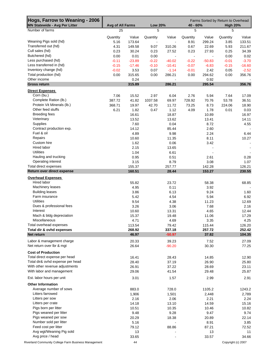| Hogs, Farrow to Weaning - 2006<br><b>MN Statewide - Avg Per Litter</b> | Avg of All Farms |                 | <b>Low 20%</b> |                    | 40 - 60%       |                 | Farms Sorted by Return to Overhead<br><b>High 20%</b> |                  |  |
|------------------------------------------------------------------------|------------------|-----------------|----------------|--------------------|----------------|-----------------|-------------------------------------------------------|------------------|--|
| Number of farms                                                        | 25               |                 | 5              |                    | 5              |                 | 5                                                     |                  |  |
|                                                                        | Quantity         | Value           | Quantity       | Value              | Quantity       | Value           | Quantity                                              | Value            |  |
| Weaning Pigs sold (hd)                                                 | 5.16             | 173.64          |                | $\blacksquare$     | 8.91           | 299.24          | 3.85                                                  | 133.51           |  |
| Transferred out (hd)                                                   | 4.31             | 149.58          | 9.07           | 310.26             | 0.67           | 22.69           | 5.93                                                  | 211.67           |  |
| Cull sales (hd)                                                        | 0.23             | 30.24           | 0.23           | 27.52              | 0.23           | 27.93           | 0.25                                                  | 34.39            |  |
| Butchered (hd)                                                         | 0.00             | 0.01            | 0.00           | $\blacksquare$     | $\blacksquare$ |                 | 0.00                                                  | 0.02             |  |
| Less purchased (hd)                                                    | $-0.11$          | $-23.89$        | $-0.22$        | $-40.02$           | $-0.22$        | $-50.83$        | $-0.01$                                               | $-3.70$          |  |
| Less transferred in (hd)                                               | $-0.15$          | $-17.46$        | $-0.10$        | $-10.41$           | $-0.07$        | $-6.83$         | $-0.15$                                               | $-16.60$         |  |
| Inventory change (hd)                                                  | $-0.02$          | 3.53            | 0.07           | $-1.14$            | $-0.01$        | 2.42            | 0.05                                                  | $-2.52$          |  |
| Total production (hd)                                                  | 0.00             | 315.65          | 0.00           | 286.21             | 0.00           | 294.62          | 0.00                                                  | 356.76           |  |
| Other income                                                           |                  | 0.24            |                |                    |                | 0.92            |                                                       |                  |  |
| <b>Gross return</b>                                                    |                  | 315.89          |                | 286.21             |                | 295.54          |                                                       | 356.76           |  |
| <b>Direct Expenses</b>                                                 |                  |                 |                |                    |                |                 |                                                       |                  |  |
| Corn (bu.)                                                             | 7.06             | 15.52           | 2.97           | 6.04               | 2.76           | 5.94            | 7.64                                                  | 17.09            |  |
| Complete Ration (lb.)                                                  | 387.72           | 41.82           | 1037.58        | 69.97              | 728.92         | 70.76           | 53.78                                                 | 36.51            |  |
| Protein Vit Minerals (lb.)<br>Other feed stuffs                        | 368.71           | 19.97           | 42.70          | 11.72              | 73.25          | 8.73            | 224.06                                                | 18.90            |  |
| <b>Breeding fees</b>                                                   | 6.21             | 1.82<br>16.61   | 0.47           | 1.12<br>18.87      | 4.09           | 1.78<br>10.89   | 0.01                                                  | 0.03<br>16.97    |  |
| Veterinary                                                             |                  | 13.52           |                | 13.62              |                | 13.41           |                                                       | 14.11            |  |
| Supplies                                                               |                  | 7.60            |                | 0.04               |                | 8.72            |                                                       | 4.55             |  |
| Contract production exp.                                               |                  | 14.12           |                | 85.44              |                | 2.60            |                                                       |                  |  |
| Fuel & oil                                                             |                  | 4.89            |                | 9.98               |                | 2.24            |                                                       | 6.44             |  |
| Repairs                                                                |                  | 10.60           |                | 11.35              |                | 8.11            |                                                       | 10.27            |  |
| Custom hire                                                            |                  | 1.62            |                | 0.06               |                | 3.42            |                                                       |                  |  |
| Hired labor                                                            |                  | 2.15            |                | 13.65              |                |                 |                                                       |                  |  |
| <b>Utilities</b>                                                       |                  | 1.04            |                | 6.61               |                |                 |                                                       |                  |  |
| Hauling and trucking                                                   |                  | 0.95            |                | 0.51               |                | 2.61            |                                                       | 0.28             |  |
| Operating interest                                                     |                  | 3.15            |                | 8.79               |                | 3.08            |                                                       | 1.07             |  |
| Total direct expenses                                                  |                  | 155.37          |                | 257.77             |                | 142.28          |                                                       | 126.21           |  |
| Return over direct expense                                             |                  | 160.51          |                | 28.44              |                | 153.27          |                                                       | 230.55           |  |
| <b>Overhead Expenses</b>                                               |                  |                 |                |                    |                |                 |                                                       |                  |  |
| Hired labor                                                            |                  | 55.82           |                | 23.72              |                | 58.38           |                                                       | 68.85            |  |
| Machinery leases                                                       |                  | 4.95            |                | 0.11               |                | 3.92            |                                                       |                  |  |
| <b>Building leases</b>                                                 |                  | 3.86            |                | 6.13               |                | 9.24            |                                                       | 1.60             |  |
| Farm insurance                                                         |                  | 5.42            |                | 4.54               |                | 5.94            |                                                       | 6.92             |  |
| <b>Utilities</b>                                                       |                  | 9.54            |                | 4.38               |                | 11.23           |                                                       | 12.69            |  |
| Dues & professional fees                                               |                  | 3.26            |                | 3.06               |                | 7.68            |                                                       | 2.16             |  |
| Interest                                                               |                  | 10.60           |                | 13.31              |                | 4.65            |                                                       | 12.44            |  |
| Mach & bldg depreciation                                               |                  | 15.37           |                | 19.48              |                | 11.06           |                                                       | 17.29            |  |
| Miscellaneous                                                          |                  | 4.71            |                | 4.69               |                | 3.35            |                                                       | 4.25             |  |
| Total overhead expenses                                                |                  | 113.54          |                | 79.42              |                | 115.44          |                                                       | 126.20           |  |
| Total dir & ovhd expenses<br>Net return                                |                  | 268.92<br>46.97 |                | 337.18<br>$-50.97$ |                | 257.72<br>37.82 |                                                       | 252.42<br>104.35 |  |
|                                                                        |                  |                 |                |                    |                |                 |                                                       |                  |  |
| Labor & management charge                                              |                  | 20.33           |                | 39.23              |                | 7.52            |                                                       | 27.09            |  |
| Net return over lbr & mgt                                              |                  | 26.64           |                | $-90.20$           |                | 30.30           |                                                       | 77.25            |  |
| <b>Cost of Production</b>                                              |                  |                 |                |                    |                |                 |                                                       |                  |  |
| Total direct expense per head                                          |                  | 16.41           |                | 28.43              |                | 14.85           |                                                       | 12.90            |  |
| Total dir& ovhd expense per head                                       |                  | 28.40           |                | 37.19              |                | 26.90           |                                                       | 25.80            |  |
| With other revenue adjustments                                         |                  | 26.91           |                | 37.22              |                | 28.69           |                                                       | 23.11            |  |
| With labor and management                                              |                  | 29.06           |                | 41.54              |                | 29.48           |                                                       | 25.87            |  |
| Est. labor hours per unit                                              |                  | 3.01            |                | 1.57               |                | 2.99            |                                                       | 2.91             |  |
| <b>Other Information</b>                                               |                  |                 |                |                    |                |                 |                                                       |                  |  |
| Average number of sows                                                 |                  | 883.0           |                | 728.0              |                | 1105.2          |                                                       | 1243.2           |  |
| Litters farrowed                                                       |                  | 1,906           |                | 1,501              |                | 2,448           |                                                       | 2,789            |  |
| Litters per sow                                                        |                  | 2.16            |                | 2.06               |                | 2.21            |                                                       | 2.24             |  |
| Litters per crate                                                      |                  | 14.18           |                | 13.10              |                | 14.59           |                                                       | 15.16            |  |
| Pigs born per litter                                                   |                  | 10.51           |                | 10.35              |                | 10.46           |                                                       | 10.82            |  |
| Pigs weaned per litter                                                 |                  | 9.48            |                | 9.28               |                | 9.47            |                                                       | 9.74             |  |
| Pigs weaned per sow                                                    |                  | 20.29           |                | 18.38              |                | 20.89           |                                                       | 22.14            |  |
| Number sold per litter                                                 |                  | 5.16            |                |                    |                | 8.91            |                                                       | 3.85             |  |
| Feed cost per litter                                                   |                  | 79.12           |                | 88.86              |                | 87.21           |                                                       | 72.52            |  |
| Avg wgt/Weaning Pig sold                                               |                  | 13              |                |                    |                | 13              |                                                       | 11               |  |
| Avg price / head                                                       |                  | 33.65           |                |                    |                | 33.57           |                                                       | 34.66            |  |
| Riverland Community College Farm Business Management                   |                  | 44              |                |                    |                |                 | Copyright (c) 2007                                    |                  |  |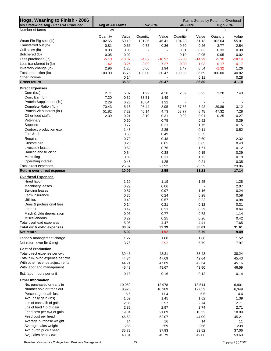| Hogs, Weaning to Finish - 2006<br>MN Statewide Avg - Per Cwt Produced | Avg of All Farms |          | <b>Low 20%</b>           |                | 40 - 60%       |          | Farms Sorted by Return to Overhead<br><b>High 20%</b> |          |
|-----------------------------------------------------------------------|------------------|----------|--------------------------|----------------|----------------|----------|-------------------------------------------------------|----------|
| Number of farms                                                       | 39               |          | 7                        |                | 8              |          | 8                                                     |          |
|                                                                       | Quantity         | Value    | Quantity                 | Value          | Quantity       | Value    | Quantity                                              | Value    |
| Wean-Fin Pig sold (lb)                                                | 102.65           | 50.10    | 101.36                   | 46.41          | 104.23         | 51.13    | 102.64                                                | 55.01    |
| Transferred out (lb)                                                  | 0.81             | 0.66     | 0.75                     | 0.36           | 0.60           | 0.26     | 3.77                                                  | 2.54     |
| Cull sales (lb)                                                       | 0.08             | 0.06     | $\blacksquare$           | $\blacksquare$ | 0.01           | 0.03     | 0.33                                                  | 0.30     |
| Butchered (lb)                                                        | 0.05             | 0.02     | $\overline{\phantom{a}}$ | $\blacksquare$ | 0.10           | 0.05     | 0.05                                                  | 0.02     |
| Less purchased (lb)                                                   | $-5.13$          | $-13.07$ | $-4.62$                  | $-10.97$       | $-6.03$        | $-14.29$ | $-5.30$                                               | $-18.14$ |
| Less transferred in (lb)                                              | $-1.42$          | $-3.26$  | $-3.09$                  | $-7.27$        | $-0.39$        | $-1.03$  | $-0.17$                                               | $-0.17$  |
| Inventory change (lb)                                                 | 2.96             | 1.25     | 5.60                     | 1.94           | 1.47           | 0.54     | $-1.32$                                               | 1.26     |
| Total production (lb)                                                 | 100.00           | 35.75    | 100.00                   | 30.47          | 100.00         | 36.69    | 100.00                                                | 40.82    |
| Other income                                                          |                  | 0.14     |                          |                |                | 0.11     |                                                       | 0.28     |
| <b>Gross return</b>                                                   |                  | 35.89    |                          | 30.47          |                | 36.80    |                                                       | 41.10    |
| <b>Direct Expenses</b>                                                |                  |          |                          |                |                |          |                                                       |          |
| Corn (bu.)                                                            | 2.71             | 5.82     | 1.99                     | 4.30           | 2.89           | 5.92     | 3.28                                                  | 7.43     |
| Corn, Ear (lb.)                                                       | 7.20             | 0.32     | 33.51                    | 1.49           | $\blacksquare$ |          |                                                       |          |
| Protein Supplement (lb.)                                              | 2.29             | 0.28     | 10.64                    | 1.32           |                |          |                                                       |          |
| Complete Ration (lb.)                                                 | 70.43            | 5.18     | 98.44                    | 8.95           | 57.86          | 3.92     | 39.89                                                 | 3.12     |
| Protein Vit Minerals (lb.)                                            | 51.82            | 7.22     | 40.14                    | 4.73           | 53.77          | 8.48     | 47.32                                                 | 7.28     |
| Other feed stuffs                                                     | 2.39             | 0.21     | 3.10                     | 0.31           | 0.02           | 0.01     | 0.25                                                  | 0.27     |
| Veterinary                                                            |                  | 0.60     |                          | 0.75           |                | 0.52     |                                                       | 0.39     |
| Supplies                                                              |                  |          |                          |                |                |          |                                                       |          |
|                                                                       |                  | 0.77     |                          | 0.21           |                | 1.75     |                                                       | 0.15     |
| Contract production exp.                                              |                  | 1.43     |                          | 2.35           |                | 0.11     |                                                       | 0.52     |
| Fuel & oil                                                            |                  | 0.60     |                          | 0.49           |                | 0.55     |                                                       | 1.11     |
| Repairs                                                               |                  | 0.79     |                          | 0.48           |                | 0.60     |                                                       | 2.32     |
| Custom hire                                                           |                  | 0.26     |                          | 0.05           |                | 0.05     |                                                       | 0.43     |
| Livestock leases                                                      |                  | 0.62     |                          | 0.76           |                | 1.61     |                                                       | 0.12     |
| Hauling and trucking                                                  |                  | 0.34     |                          | 0.38           |                | 0.15     |                                                       | 0.29     |
| Marketing                                                             |                  | 0.88     |                          | 0.11           |                | 1.72     |                                                       | 0.19     |
| Operating interest                                                    |                  | 0.48     |                          | 1.25           |                | 0.21     |                                                       | 0.35     |
| Total direct expenses                                                 |                  | 25.82    |                          | 27.92          |                | 25.59    |                                                       | 23.96    |
| Return over direct expense                                            |                  | 10.07    |                          | 2.55           |                | 11.21    |                                                       | 17.14    |
| <b>Overhead Expenses</b>                                              |                  |          |                          |                |                |          |                                                       |          |
| Hired labor                                                           |                  | 1.19     |                          | 1.19           |                | 1.25     |                                                       | 1.28     |
| Machinery leases                                                      |                  | 0.29     |                          | 0.06           |                |          |                                                       | 2.07     |
| <b>Building leases</b>                                                |                  | 0.87     |                          | 0.97           |                | 1.16     |                                                       | 0.24     |
| Farm insurance                                                        |                  | 0.36     |                          | 0.24           |                | 0.28     |                                                       | 0.58     |
| <b>Utilities</b>                                                      |                  | 0.49     |                          | 0.57           |                | 0.22     |                                                       | 0.98     |
| Dues & professional fees                                              |                  | 0.14     |                          | 0.21           |                | 0.12     |                                                       | 0.31     |
| Interest                                                              |                  | 0.49     |                          | 0.21           |                | 0.39     |                                                       | 0.64     |
| Mach & bldg depreciation                                              |                  | 0.96     |                          | 0.77           |                | 0.72     |                                                       | 1.14     |
| Miscellaneous                                                         |                  | 0.27     |                          | 0.25           |                | 0.26     |                                                       | 0.42     |
| Total overhead expenses                                               |                  | 5.05     |                          | 4.47           |                | 4.41     |                                                       | 7.65     |
| Total dir & ovhd expenses                                             |                  | 30.87    |                          | 32.39          |                | 30.01    |                                                       | 31.61    |
| Net return                                                            |                  | 5.02     |                          | $-1.92$        |                | 6.79     |                                                       | 9.49     |
|                                                                       |                  |          |                          |                |                |          |                                                       |          |
| Labor & management charge                                             |                  | 1.27     |                          | 1.00           |                | 1.00     |                                                       | 1.52     |
| Net return over Ibr & mgt                                             |                  | 3.75     |                          | $-2.92$        |                | 5.79     |                                                       | 7.97     |
| <b>Cost of Production</b>                                             |                  |          |                          |                |                |          |                                                       |          |
| Total direct expense per cwt.                                         |                  | 39.46    |                          | 43.31          |                | 38.43    |                                                       | 38.24    |
| Total dir& ovhd expense per cwt.                                      |                  | 44.34    |                          | 47.69          |                | 42.64    |                                                       | 45.43    |
| With other revenue adjustments                                        |                  | 44.21    |                          | 47.69          |                | 42.54    |                                                       | 45.16    |
| With labor and management                                             |                  | 45.43    |                          | 48.67          |                | 43.50    |                                                       | 46.59    |
| Est. labor hours per unit                                             |                  | 0.13     |                          | 0.16           |                | 0.12     |                                                       | 0.14     |
|                                                                       |                  |          |                          |                |                |          |                                                       |          |
| <b>Other Information</b><br>No. purchased or trans in                 |                  |          |                          |                |                |          |                                                       |          |
|                                                                       |                  | 10,050   |                          | 12,978         |                | 13,514   |                                                       | 6,901    |
| Number sold or trans out                                              |                  | 8,928    |                          | 10,289         |                | 12,053   |                                                       | 6,349    |
| Percentage death loss                                                 |                  | 6.6      |                          | 11.4           |                | 5.5      |                                                       | 4.4      |
| Avg. daily gain (lbs)                                                 |                  | 1.52     |                          | 1.45           |                | 1.62     |                                                       | 1.39     |
| Lbs of conc / lb of gain                                              |                  | 2.86     |                          | 2.97           |                | 2.74     |                                                       | 2.71     |
| Lbs of feed / lb of gain                                              |                  | 2.86     |                          | 2.97           |                | 2.74     |                                                       | 2.71     |
| Feed cost per cwt of gain                                             |                  | 19.04    |                          | 21.09          |                | 18.32    |                                                       | 18.09    |
| Feed cost per head                                                    |                  | 46.63    |                          | 52.07          |                | 44.09    |                                                       | 45.21    |
| Average purchase weight                                               |                  | 14       |                          | 16             |                | 14       |                                                       | 11       |
| Average sales weight                                                  |                  | 255      |                          | 259            |                | 256      |                                                       | 238      |
| Avg purch price / head                                                |                  | 35.73    |                          | 37.93          |                | 33.52    |                                                       | 37.06    |
| Avg sales price / cwt                                                 |                  | 48.81    |                          | 45.79          |                | 49.06    |                                                       | 53.60    |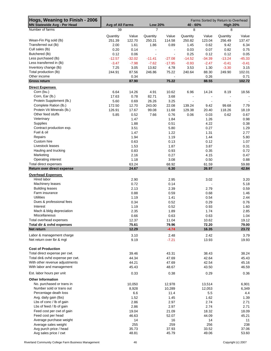| Hogs, Weaning to Finish - 2006     |                  |          |                |                          |                |          | Farms Sorted by Return to Overhead |          |
|------------------------------------|------------------|----------|----------------|--------------------------|----------------|----------|------------------------------------|----------|
| <b>MN Statewide Avg - Per Head</b> | Avg of All Farms |          | <b>Low 20%</b> |                          | 40 - 60%       |          | <b>High 20%</b>                    |          |
| Number of farms                    | 39               |          | 7              |                          | 8              |          | 8                                  |          |
|                                    | Quantity         | Value    | Quantity       | Value                    | Quantity       | Value    | Quantity                           | Value    |
| Wean-Fin Pig sold (lb)             | 251.39           | 122.70   | 250.21         | 114.58                   | 250.82         | 123.04   | 256.49                             | 137.47   |
| Transferred out (lb)               | 2.00             | 1.61     | 1.86           | 0.89                     | 1.45           | 0.62     | 9.42                               | 6.34     |
| Cull sales (lb)                    | 0.20             | 0.14     | $\blacksquare$ | $\blacksquare$           | 0.03           | 0.07     | 0.82                               | 0.75     |
| Butchered (lb)                     | 0.12             | 0.06     | $\overline{a}$ | $\overline{\phantom{a}}$ | 0.25           | 0.12     | 0.12                               | 0.05     |
| Less purchased (lb)                | $-12.57$         | $-32.02$ | $-11.41$       | $-27.08$                 | $-14.52$       | $-34.39$ | $-13.24$                           | $-45.33$ |
| Less transferred in (lb)           | $-3.47$          | $-7.98$  | $-7.62$        | $-17.95$                 | $-0.93$        | $-2.47$  | $-0.41$                            | $-0.41$  |
| Inventory change (lb)              | 7.25             | 3.05     | 13.82          | 4.78                     | 3.53           | 1.30     | $-3.30$                            | 3.15     |
| Total production (lb)              | 244.91           | 87.56    | 246.86         | 75.22                    | 240.64         | 88.30    | 249.90                             | 102.01   |
| Other income                       |                  | 0.34     |                | $\blacksquare$           |                | 0.26     |                                    | 0.71     |
| <b>Gross return</b>                |                  | 87.90    |                | 75.22                    |                | 88.55    |                                    | 102.72   |
| <b>Direct Expenses</b>             |                  |          |                |                          |                |          |                                    |          |
| Corn (bu.)                         | 6.64             | 14.26    | 4.91           | 10.62                    | 6.96           | 14.24    | 8.19                               | 18.56    |
| Corn, Ear (lb.)                    | 17.63            | 0.78     | 82.71          | 3.68                     | $\blacksquare$ |          |                                    |          |
| Protein Supplement (lb.)           | 5.60             | 0.69     | 26.26          | 3.25                     |                |          |                                    |          |
|                                    |                  |          |                |                          |                |          |                                    |          |
| Complete Ration (lb.)              | 172.50           | 12.70    | 243.00         | 22.08                    | 139.24         | 9.42     | 99.68                              | 7.79     |
| Protein Vit Minerals (lb.)         | 126.91           | 17.67    | 99.08          | 11.68                    | 129.38         | 20.40    | 118.26                             | 18.19    |
| Other feed stuffs                  | 5.85             | 0.52     | 7.66           | 0.76                     | 0.06           | 0.03     | 0.62                               | 0.67     |
| Veterinary                         |                  | 1.47     |                | 1.84                     |                | 1.26     |                                    | 0.98     |
| <b>Supplies</b>                    |                  | 1.88     |                | 0.51                     |                | 4.22     |                                    | 0.38     |
| Contract production exp.           |                  | 3.51     |                | 5.80                     |                | 0.27     |                                    | 1.29     |
| Fuel & oil                         |                  | 1.47     |                | 1.22                     |                | 1.31     |                                    | 2.77     |
| Repairs                            |                  | 1.94     |                | 1.19                     |                | 1.44     |                                    | 5.80     |
| Custom hire                        |                  | 0.63     |                | 0.13                     |                | 0.12     |                                    | 1.07     |
| Livestock leases                   |                  | 1.53     |                | 1.87                     |                | 3.87     |                                    | 0.31     |
| Hauling and trucking               |                  | 0.83     |                | 0.93                     |                | 0.35     |                                    | 0.72     |
| Marketing                          |                  | 2.16     |                | 0.27                     |                | 4.15     |                                    | 0.47     |
| Operating interest                 |                  | 1.18     |                | 3.08                     |                | 0.50     |                                    | 0.88     |
| Total direct expenses              |                  | 63.24    |                | 68.92                    |                | 61.59    |                                    | 59.88    |
| Return over direct expense         |                  | 24.67    |                | 6.30                     |                | 26.97    |                                    | 42.84    |
|                                    |                  |          |                |                          |                |          |                                    |          |
| <b>Overhead Expenses</b>           |                  |          |                |                          |                |          |                                    |          |
| Hired labor                        |                  | 2.90     |                | 2.95                     |                | 3.02     |                                    | 3.20     |
| Machinery leases                   |                  | 0.72     |                | 0.14                     |                |          |                                    | 5.18     |
| <b>Building leases</b>             |                  | 2.13     |                | 2.39                     |                | 2.79     |                                    | 0.59     |
| Farm insurance                     |                  | 0.88     |                | 0.59                     |                | 0.68     |                                    | 1.46     |
| Utilities                          |                  | 1.19     |                | 1.41                     |                | 0.54     |                                    | 2.44     |
| Dues & professional fees           |                  | 0.34     |                | 0.52                     |                | 0.29     |                                    | 0.76     |
| Interest                           |                  | 1.19     |                | 0.52                     |                | 0.93     |                                    | 1.60     |
| Mach & bldg depreciation           |                  | 2.35     |                | 1.89                     |                | 1.74     |                                    | 2.85     |
| Miscellaneous                      |                  | 0.66     |                | 0.63                     |                | 0.63     |                                    | 1.04     |
| Total overhead expenses            |                  | 12.37    |                | 11.04                    |                | 10.62    |                                    | 19.12    |
| Total dir & ovhd expenses          |                  | 75.61    |                | 79.96                    |                | 72.20    |                                    | 79.00    |
| Net return                         |                  | 12.29    |                | $-4.74$                  |                | 16.35    |                                    | 23.72    |
| Labor & management charge          |                  | 3.10     |                | 2.48                     |                | 2.42     |                                    | 3.79     |
| Net return over lbr & mgt          |                  | 9.19     |                | $-7.21$                  |                | 13.93    |                                    | 19.93    |
|                                    |                  |          |                |                          |                |          |                                    |          |
| <b>Cost of Production</b>          |                  |          |                |                          |                |          |                                    |          |
| Total direct expense per cwt.      |                  | 39.46    |                | 43.31                    |                | 38.43    |                                    | 38.24    |
| Total dir& ovhd expense per cwt.   |                  | 44.34    |                | 47.69                    |                | 42.64    |                                    |          |
|                                    |                  |          |                |                          |                |          |                                    | 45.43    |
| With other revenue adjustments     |                  | 44.21    |                | 47.69                    |                | 42.54    |                                    | 45.16    |
| With labor and management          |                  | 45.43    |                | 48.67                    |                | 43.50    |                                    | 46.59    |
| Est. labor hours per unit          |                  | 0.33     |                | 0.38                     |                | 0.29     |                                    | 0.36     |
| <b>Other Information</b>           |                  |          |                |                          |                |          |                                    |          |
| No. purchased or trans in          |                  | 10,050   |                | 12,978                   |                | 13,514   |                                    | 6,901    |
| Number sold or trans out           |                  | 8,928    |                | 10,289                   |                | 12,053   |                                    | 6,349    |
| Percentage death loss              |                  | 6.6      |                | 11.4                     |                | 5.5      |                                    | 4.4      |
| Avg. daily gain (lbs)              |                  | 1.52     |                | 1.45                     |                | 1.62     |                                    | 1.39     |
| Lbs of conc / lb of gain           |                  | 2.86     |                | 2.97                     |                | 2.74     |                                    | 2.71     |
| Lbs of feed / lb of gain           |                  | 2.86     |                | 2.97                     |                | 2.74     |                                    | 2.71     |
| Feed cost per cwt of gain          |                  | 19.04    |                | 21.09                    |                | 18.32    |                                    | 18.09    |
| Feed cost per head                 |                  | 46.63    |                | 52.07                    |                | 44.09    |                                    | 45.21    |
| Average purchase weight            |                  | 14       |                | 16                       |                | 14       |                                    | 11       |
| Average sales weight               |                  | 255      |                | 259                      |                | 256      |                                    | 238      |
| Avg purch price / head             |                  | 35.73    |                | 37.93                    |                | 33.52    |                                    | 37.06    |
| Avg sales price / cwt              |                  | 48.81    |                | 45.79                    |                | 49.06    |                                    | 53.60    |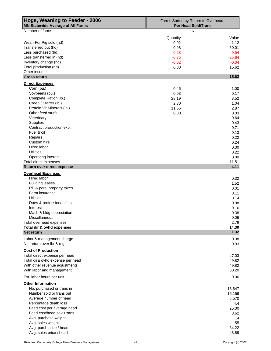| Hogs, Weaning to Feeder - 2006<br><b>MN Statewide Average of All Farms</b> | Farms Sorted by Return to Overhead<br><b>Per Head Sold/Trans</b> |              |  |  |  |  |
|----------------------------------------------------------------------------|------------------------------------------------------------------|--------------|--|--|--|--|
| Number of farms                                                            | 6                                                                |              |  |  |  |  |
|                                                                            | Quantity                                                         | Value        |  |  |  |  |
| Wean-Fdr Pig sold (hd)                                                     | 0.02                                                             | 1.12         |  |  |  |  |
| Transferred out (hd)                                                       | 0.98                                                             | 50.01        |  |  |  |  |
| Less purchased (hd)                                                        | $-0.28$                                                          | $-9.54$      |  |  |  |  |
| Less transferred in (hd)                                                   | $-0.75$                                                          | $-25.64$     |  |  |  |  |
| Inventory change (hd)                                                      | $-0.02$                                                          | $-0.34$      |  |  |  |  |
| Total production (hd)                                                      | 0.00                                                             | 15.62        |  |  |  |  |
| Other income<br><b>Gross return</b>                                        |                                                                  | 15.62        |  |  |  |  |
| <b>Direct Expenses</b>                                                     |                                                                  |              |  |  |  |  |
| Corn (bu.)                                                                 | 0.46                                                             | 1.00         |  |  |  |  |
| Soybeans (bu.)                                                             | 0.03                                                             | 0.17         |  |  |  |  |
| Complete Ration (lb.)                                                      | 28.19                                                            | 3.52         |  |  |  |  |
| Creep / Starter (lb.)                                                      | 2.30                                                             | 1.04         |  |  |  |  |
| Protein Vit Minerals (lb.)                                                 | 11.55                                                            | 2.87         |  |  |  |  |
| Other feed stuffs                                                          | 0.00                                                             | 0.03         |  |  |  |  |
| Veterinary                                                                 |                                                                  | 0.64         |  |  |  |  |
| <b>Supplies</b>                                                            |                                                                  | 0.43         |  |  |  |  |
| Contract production exp.                                                   |                                                                  | 0.71         |  |  |  |  |
| Fuel & oil                                                                 |                                                                  | 0.13         |  |  |  |  |
| Repairs                                                                    |                                                                  | 0.22         |  |  |  |  |
| Custom hire<br>Hired labor                                                 |                                                                  | 0.24<br>0.30 |  |  |  |  |
| <b>Utilities</b>                                                           |                                                                  | 0.22         |  |  |  |  |
| <b>Operating interest</b>                                                  |                                                                  | 0.00         |  |  |  |  |
| Total direct expenses                                                      |                                                                  | 11.51        |  |  |  |  |
| Return over direct expense                                                 |                                                                  | 4.11         |  |  |  |  |
| <b>Overhead Expenses</b>                                                   |                                                                  |              |  |  |  |  |
| Hired labor                                                                |                                                                  | 0.32         |  |  |  |  |
| <b>Building leases</b>                                                     |                                                                  | 1.52         |  |  |  |  |
| RE & pers. property taxes                                                  |                                                                  | 0.01         |  |  |  |  |
| Farm insurance                                                             |                                                                  | 0.11         |  |  |  |  |
| <b>Utilities</b>                                                           |                                                                  | 0.14         |  |  |  |  |
| Dues & professional fees                                                   |                                                                  | 0.08         |  |  |  |  |
| Interest                                                                   |                                                                  | 0.16         |  |  |  |  |
| Mach & bldg depreciation<br>Miscellaneous                                  |                                                                  | 0.38         |  |  |  |  |
| Total overhead expenses                                                    |                                                                  | 0.06<br>2.79 |  |  |  |  |
| Total dir & ovhd expenses                                                  |                                                                  | 14.30        |  |  |  |  |
| Net return                                                                 |                                                                  | 1.32         |  |  |  |  |
| Labor & management charge                                                  |                                                                  | 0.38         |  |  |  |  |
| Net return over lbr & mgt                                                  |                                                                  | 0.93         |  |  |  |  |
| <b>Cost of Production</b>                                                  |                                                                  |              |  |  |  |  |
| Total direct expense per head                                              |                                                                  | 47.03        |  |  |  |  |
| Total dir& ovhd expense per head                                           |                                                                  | 49.82        |  |  |  |  |
| With other revenue adjustments                                             |                                                                  | 49.82        |  |  |  |  |
| With labor and management                                                  |                                                                  | 50.20        |  |  |  |  |
| Est. labor hours per unit                                                  |                                                                  | 0.06         |  |  |  |  |
| <b>Other Information</b>                                                   |                                                                  |              |  |  |  |  |
| No. purchased or trans in                                                  |                                                                  | 16,647       |  |  |  |  |
| Number sold or trans out                                                   |                                                                  | 16,156       |  |  |  |  |
| Average number of head                                                     |                                                                  | 5,570        |  |  |  |  |
| Percentage death loss                                                      |                                                                  | 4.4          |  |  |  |  |
| Feed cost per average head                                                 |                                                                  | 25.00        |  |  |  |  |
| Feed cost/head sold+trans                                                  |                                                                  | 8.62         |  |  |  |  |
| Avg. purchase weight                                                       |                                                                  | 14           |  |  |  |  |
| Avg. sales weight                                                          |                                                                  | 55           |  |  |  |  |
| Avg. purch price / head                                                    |                                                                  | 34.22        |  |  |  |  |
| Avg. sales price / head                                                    |                                                                  | 48.89        |  |  |  |  |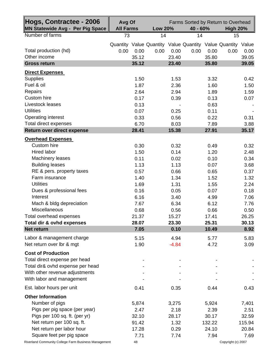| Hogs, Contractee - 2006<br><b>MN Statewide Avg - Per Pig Space</b> | Avg Of<br><b>All Farms</b> | <b>Low 20%</b>                                              | 40 - 60%      | Farms Sorted by Return to Overhead<br><b>High 20%</b> |  |  |
|--------------------------------------------------------------------|----------------------------|-------------------------------------------------------------|---------------|-------------------------------------------------------|--|--|
| Number of farms                                                    | 73                         | 14                                                          | 14            | 15                                                    |  |  |
|                                                                    |                            | Quantity Value Quantity Value Quantity Value Quantity Value |               |                                                       |  |  |
| Total production (hd)                                              | 0.00<br>0.00               | 0.00<br>0.00                                                | 0.00<br>0.00  | 0.00<br>0.00                                          |  |  |
| Other income                                                       | 35.12                      | 23.40                                                       | 35.80         | 39.05                                                 |  |  |
| <b>Gross return</b>                                                | 35.12                      | 23.40                                                       | 35.80         | 39.05                                                 |  |  |
| <b>Direct Expenses</b>                                             |                            |                                                             |               |                                                       |  |  |
| <b>Supplies</b>                                                    | 1.50                       | 1.53                                                        | 3.32          | 0.42                                                  |  |  |
| Fuel & oil                                                         | 1.87                       | 2.36                                                        | 1.60          | 1.50                                                  |  |  |
| Repairs                                                            | 2.64                       | 2.94                                                        | 1.89          | 1.59                                                  |  |  |
| Custom hire                                                        | 0.17                       | 0.39                                                        | 0.13          | 0.07                                                  |  |  |
| Livestock leases                                                   | 0.13                       |                                                             | 0.63          |                                                       |  |  |
| <b>Utilities</b>                                                   | 0.07                       | 0.25                                                        | 0.11          |                                                       |  |  |
| <b>Operating interest</b>                                          | 0.33                       | 0.56                                                        | 0.22          | 0.31                                                  |  |  |
| Total direct expenses                                              | 6.70                       | 8.03                                                        | 7.89          | 3.88                                                  |  |  |
| Return over direct expense                                         | 28.41                      | 15.38                                                       | 27.91         | 35.17                                                 |  |  |
| <b>Overhead Expenses</b>                                           |                            |                                                             |               |                                                       |  |  |
| Custom hire                                                        | 0.30                       | 0.32                                                        | 0.49          | 0.32                                                  |  |  |
| Hired labor                                                        | 1.50                       | 0.14                                                        | 1.20          | 2.48                                                  |  |  |
| <b>Machinery leases</b>                                            | 0.11                       | 0.02                                                        | 0.10          | 0.34                                                  |  |  |
| <b>Building leases</b>                                             | 1.13                       | 1.13                                                        | 0.07          | 3.68                                                  |  |  |
| RE & pers. property taxes<br>Farm insurance                        | 0.57                       | 0.66                                                        | 0.65          | 0.37                                                  |  |  |
| <b>Utilities</b>                                                   | 1.40                       | 1.34                                                        | 1.52          | 1.32                                                  |  |  |
| Dues & professional fees                                           | 1.69<br>0.16               | 1.31<br>0.05                                                | 1.55<br>0.07  | 2.24<br>0.18                                          |  |  |
| Interest                                                           | 6.16                       | 3.40                                                        | 4.99          | 7.06                                                  |  |  |
| Mach & bldg depreciation                                           | 7.67                       | 6.34                                                        | 6.12          | 7.76                                                  |  |  |
| Miscellaneous                                                      | 0.68                       | 0.56                                                        | 0.66          | 0.50                                                  |  |  |
| Total overhead expenses                                            | 21.37                      | 15.27                                                       | 17.41         | 26.25                                                 |  |  |
| Total dir & ovhd expenses                                          | 28.07                      | 23.30                                                       | 25.31         | 30.13                                                 |  |  |
| <b>Net return</b>                                                  | 7.05                       | 0.10                                                        | 10.49         | 8.92                                                  |  |  |
| Labor & management charge                                          | 5.15                       | 4.94                                                        | 5.77          | 5.83                                                  |  |  |
| Net return over lbr & mgt                                          | 1.90                       | $-4.84$                                                     | 4.72          | 3.09                                                  |  |  |
| <b>Cost of Production</b>                                          |                            |                                                             |               |                                                       |  |  |
| Total direct expense per head                                      |                            |                                                             |               |                                                       |  |  |
| Total dir& ovhd expense per head                                   |                            |                                                             |               |                                                       |  |  |
| With other revenue adjustments                                     |                            |                                                             |               |                                                       |  |  |
| With labor and management                                          |                            |                                                             |               |                                                       |  |  |
| Est. labor hours per unit                                          | 0.41                       | 0.35                                                        | 0.44          | 0.43                                                  |  |  |
|                                                                    |                            |                                                             |               |                                                       |  |  |
| <b>Other Information</b>                                           |                            |                                                             |               |                                                       |  |  |
| Number of pigs                                                     | 5,874                      | 3,275                                                       | 5,924         | 7,401                                                 |  |  |
| Pigs per pig space (per year)<br>Pigs per 100 sq. ft. (per yr)     | 2.47<br>32.10              | 2.18<br>28.17                                               | 2.39<br>30.17 | 2.51<br>32.59                                         |  |  |
| Net return per 100 sq. ft.                                         | 91.42                      | 1.32                                                        | 132.22        | 115.94                                                |  |  |
| Net return per labor hour                                          | 17.28                      | 0.29                                                        | 24.10         | 20.84                                                 |  |  |
| Square feet per pig space                                          | 7.71                       | 7.74                                                        | 7.94          | 7.69                                                  |  |  |
| Riverland Community College Farm Business Management               | 48                         |                                                             |               | Copyright (c) 2007                                    |  |  |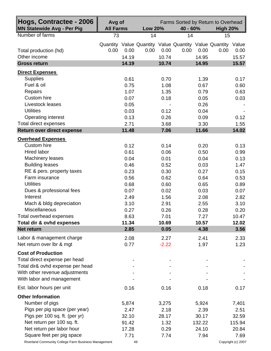| Hogs, Contractee - 2006<br><b>MN Statewide Avg - Per Pig</b> | Avg of<br><b>All Farms</b> | <b>Low 20%</b> | Farms Sorted by Return to Overhead<br>40 - 60%                              | <b>High 20%</b> |
|--------------------------------------------------------------|----------------------------|----------------|-----------------------------------------------------------------------------|-----------------|
| Number of farms                                              | 73                         | 14             | 14                                                                          | 15              |
| Total production (hd)                                        | 0.00<br>0.00               | 0.00<br>0.00   | Quantity Value Quantity Value Quantity Value Quantity Value<br>0.00<br>0.00 | 0.00<br>0.00    |
| Other income                                                 | 14.19                      | 10.74          | 14.95                                                                       | 15.57           |
| <b>Gross return</b>                                          | 14.19                      | 10.74          | 14.95                                                                       | 15.57           |
| <b>Direct Expenses</b>                                       |                            |                |                                                                             |                 |
| <b>Supplies</b>                                              | 0.61                       | 0.70           | 1.39                                                                        | 0.17            |
| Fuel & oil                                                   | 0.75                       | 1.08           | 0.67                                                                        | 0.60            |
| Repairs                                                      | 1.07                       | 1.35           | 0.79                                                                        | 0.63            |
| <b>Custom hire</b>                                           | 0.07                       | 0.18           | 0.05                                                                        | 0.03            |
| Livestock leases                                             | 0.05                       |                | 0.26                                                                        |                 |
| <b>Utilities</b>                                             | 0.03                       | 0.12           | 0.04                                                                        |                 |
| <b>Operating interest</b>                                    | 0.13                       | 0.26           | 0.09                                                                        | 0.12            |
| <b>Total direct expenses</b><br>Return over direct expense   | 2.71<br>11.48              | 3.68<br>7.06   | 3.30<br>11.66                                                               | 1.55<br>14.02   |
|                                                              |                            |                |                                                                             |                 |
| <b>Overhead Expenses</b>                                     |                            |                |                                                                             |                 |
| <b>Custom hire</b>                                           | 0.12                       | 0.14           | 0.20                                                                        | 0.13            |
| Hired labor                                                  | 0.61                       | 0.06           | 0.50                                                                        | 0.99            |
| <b>Machinery leases</b>                                      | 0.04                       | 0.01           | 0.04                                                                        | 0.13            |
| <b>Building leases</b>                                       | 0.46                       | 0.52           | 0.03                                                                        | 1.47            |
| RE & pers. property taxes<br>Farm insurance                  | 0.23                       | 0.30           | 0.27                                                                        | 0.15            |
| <b>Utilities</b>                                             | 0.56<br>0.68               | 0.62<br>0.60   | 0.64<br>0.65                                                                | 0.53<br>0.89    |
| Dues & professional fees                                     | 0.07                       | 0.02           | 0.03                                                                        | 0.07            |
| Interest                                                     | 2.49                       | 1.56           | 2.08                                                                        | 2.82            |
| Mach & bldg depreciation                                     | 3.10                       | 2.91           | 2.55                                                                        | 3.10            |
| Miscellaneous                                                | 0.27                       | 0.26           | 0.28                                                                        | 0.20            |
| Total overhead expenses                                      | 8.63                       | 7.01           | 7.27                                                                        | 10.47           |
| Total dir & ovhd expenses                                    | 11.34                      | 10.69          | 10.57                                                                       | 12.02           |
| <b>Net return</b>                                            | 2.85                       | 0.05           | 4.38                                                                        | 3.56            |
| Labor & management charge                                    | 2.08                       | 2.27           | 2.41                                                                        | 2.33            |
| Net return over lbr & mgt                                    | 0.77                       | $-2.22$        | 1.97                                                                        | 1.23            |
|                                                              |                            |                |                                                                             |                 |
| <b>Cost of Production</b><br>Total direct expense per head   |                            |                |                                                                             |                 |
| Total dir& ovhd expense per head                             |                            |                |                                                                             |                 |
| With other revenue adjustments                               |                            |                |                                                                             |                 |
| With labor and management                                    |                            |                |                                                                             |                 |
|                                                              |                            |                |                                                                             |                 |
| Est. labor hours per unit                                    | 0.16                       | 0.16           | 0.18                                                                        | 0.17            |
| <b>Other Information</b>                                     |                            |                |                                                                             |                 |
| Number of pigs                                               | 5,874                      | 3,275          | 5,924                                                                       | 7,401           |
| Pigs per pig space (per year)                                | 2.47                       | 2.18           | 2.39                                                                        | 2.51            |
| Pigs per 100 sq. ft. (per yr)                                | 32.10                      | 28.17          | 30.17                                                                       | 32.59           |
| Net return per 100 sq. ft.                                   | 91.42                      | 1.32           | 132.22                                                                      | 115.94          |
| Net return per labor hour                                    | 17.28                      | 0.29           | 24.10                                                                       | 20.84           |
| Square feet per pig space                                    | 7.71                       | 7.74           | 7.94                                                                        | 7.69            |

Riverland Community College Farm Business Management 49 49 Copyright (c) 2007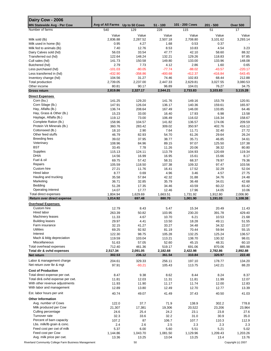| Dairy Cow - 2006                                     |                                |                 |                 |                 |                 |                    |
|------------------------------------------------------|--------------------------------|-----------------|-----------------|-----------------|-----------------|--------------------|
| <b>MN Statewide Avg - Per Cow</b>                    | Avg of All Farms Up to 50 Cows |                 | $51 - 100$      | 101 - 200 Cows  | $201 - 500$     | <b>Over 500</b>    |
| Number of farms                                      | 540                            | 129             | 228             | 115             | 51              | 17                 |
|                                                      | Value                          | Value           | Value           | Value           | Value           | Value              |
| Milk sold (lb)                                       | 2,836.88                       | 2,287.52        | 2,507.18        | 2,708.80        | 3,101.62        | 3,293.14           |
| Milk used in home (lb)<br>Milk fed to animals (lb)   | 0.95<br>7.40                   | 4.27<br>12.76   | 1.68<br>8.53    | 0.53<br>10.83   | 0.37<br>4.54    | 3.23               |
| Dairy Calves sold (hd)                               | 56.03                          | 33.54           | 47.77           | 42.10           | 58.60           | 88.32              |
| Transferred out (hd)                                 | 122.64                         | 148.24          | 132.21          | 129.26          | 118.83          | 97.85              |
| Cull sales (hd)                                      | 141.73                         | 150.58          | 149.80          | 133.00          | 133.96          | 148.08             |
| Butchered (hd)                                       | 2.79                           | 7.73            | 4.12            | 2.86            | 1.60            | 0.65               |
| Less purchased (hd)                                  | $-101.03$                      | $-80.05$        | $-77.74$        | $-88.02$        | $-43.57$        | $-220.17$          |
| Less transferred in (hd)                             | $-432.90$                      | $-358.86$       | $-400.68$       | $-412.37$       | $-416.84$       | $-543.45$          |
| Inventory change (hd)                                | 104.56                         | 31.27           | 74.46           | 102.83          | 68.44           | 212.88             |
| Total production                                     | 2,739.05                       | 2,237.00        | 2,447.33        | 2,629.81        | 3,027.55        | 3,080.53           |
| Other income                                         | 80.81                          | 90.17           | 96.89           | 104.01          | 76.27           | 34.75              |
| <b>Gross return</b>                                  | 2,819.86                       | 2,327.17        | 2,544.21        | 2,733.83        | 3,103.83        | 3,115.28           |
| <b>Direct Expenses</b>                               |                                |                 |                 |                 |                 |                    |
| Corn (bu.)                                           | 141.25                         | 129.20          | 141.76          | 149.16          | 153.79          | 120.91             |
| Corn Silage (lb.)<br>Hay, Alfalfa (lb.)              | 147.91                         | 126.04          | 136.17          | 140.36          | 159.61          | 165.97             |
| Hay, Grass & Other (lb.)                             | 136.74<br>15.23                | 208.64<br>33.00 | 167.49<br>16.40 | 146.00<br>17.93 | 133.85<br>6.98  | 64.46<br>13.58     |
| Haylage, Alfalfa (lb.)                               | 119.12                         | 73.00           | 106.49          | 116.02          | 116.34          | 158.67             |
| Complete Ration (lb.)                                | 158.96                         | 104.57          | 141.82          | 136.57          | 174.06          | 209.59             |
| Protein Vit Minerals (lb.)                           | 360.76                         | 283.42          | 309.02          | 350.97          | 402.76          | 416.12             |
| Cottonseed (lb.)                                     | 18.10                          | 2.90            | 7.64            | 11.71           | 32.40           | 27.72              |
| Other feed stuffs                                    | 46.79                          | 82.93           | 54.70           | 61.26           | 29.64           | 26.24              |
| <b>Breeding fees</b>                                 | 39.02                          | 37.95           | 38.77           | 35.71           | 46.85           | 34.61              |
| Veterinary                                           | 108.96                         | 84.96           | 89.15           | 97.07           | 125.50          | 137.38             |
| <b>BST</b>                                           | 33.45                          | 7.78            | 11.26           | 20.06           | 38.32           | 80.80              |
| Supplies                                             | 115.13                         | 124.11          | 113.79          | 104.93          | 120.69          | 119.34             |
| <b>DHIA</b>                                          | 14.56                          | 16.99           | 16.95           | 15.61           | 15.66           | 8.17               |
| Fuel & oil                                           | 69.75                          | 57.42           | 58.31           | 68.37           | 78.97           | 79.36              |
| Repairs                                              | 105.59                         | 118.50          | 107.38          | 109.32          | 97.47           | 103.56             |
| Custom hire<br>Hired labor                           | 27.21                          | 11.76           | 16.41           | 17.52           | 32.29           | 52.04              |
| Hauling and trucking                                 | 8.77<br>35.58                  | 0.69<br>57.84   | 4.96<br>42.32   | 3.46<br>31.88   | 4.57<br>34.76   | 27.75<br>24.48     |
| Marketing                                            | 36.71                          | 32.85           | 35.79           | 36.48           | 34.01           | 42.68              |
| Bedding                                              | 51.28                          | 17.35           | 34.46           | 43.59           | 60.22           | 83.42              |
| Operating interest                                   | 14.07                          | 17.77           | 12.46           | 17.96           | 14.05           | 10.06              |
| Total direct expenses                                | 1,804.94                       | 1,629.69        | 1,663.51        | 1,731.92        | 1,912.80        | 2,006.90           |
| Return over direct expense                           | 1,014.92                       | 697.48          | 880.70          | 1,001.90        | 1,191.03        | 1,108.38           |
| <b>Overhead Expenses</b>                             |                                |                 |                 |                 |                 |                    |
| Custom hire                                          | 12.79                          | 8.43            | 5.47            | 15.34           | 20.49           | 11.43              |
| Hired labor                                          | 263.39                         | 50.82           | 103.95          | 230.20          | 391.78          | 429.40             |
| <b>Machinery leases</b>                              | 11.33                          | 4.67            | 10.70           | 6.21            | 10.53           | 21.68              |
| <b>Building leases</b>                               | 29.97                          | 4.41            | 13.50           | 18.28           | 49.11           | 51.55              |
| Farm insurance                                       | 32.15                          | 41.27           | 33.27           | 34.48           | 34.32           | 22.07              |
| Utilities                                            | 69.25                          | 92.92           | 81.19           | 70.44           | 59.94           | 55.15              |
| Interest                                             | 122.30                         | 98.75           | 105.28          | 132.25          | 125.24          | 136.57             |
| Mach & bldg depreciation<br>Miscellaneous            | 119.59                         | 103.04          | 113.21          | 138.70          | 130.32          | 98.01              |
| Total overhead expenses                              | 51.63<br>712.40                | 57.05<br>461.36 | 52.60<br>519.17 | 45.15<br>691.06 | 48.31<br>870.06 | 60.10<br>885.98    |
| Total dir & ovhd expenses                            | 2,517.34                       | 2,091.05        | 2,182.68        | 2,422.98        | 2,782.86        | 2,892.88           |
| Net return                                           | 302.53                         | 236.12          | 361.54          | 310.84          | 320.97          | 222.40             |
| Labor & management charge                            | 204.61                         | 329.33          | 256.11          | 197.10          | 178.77          | 134.20             |
| Net return over lbr & mgt                            | 97.91                          | $-93.21$        | 105.43          | 113.75          | 142.21          | 88.20              |
| <b>Cost of Production</b>                            |                                |                 |                 |                 |                 |                    |
| Total direct expense per cwt.                        | 8.47                           | 9.38            | 8.62            | 8.44            | 8.24            | 8.37               |
| Total dir& ovhd expense per cwt.                     | 11.81                          | 12.03           | 11.31           | 11.81           | 11.99           | 12.07              |
| With other revenue adjustments                       | 11.93                          | 11.90           | 11.17           | 11.74           | 12.00           | 12.83              |
| With labor and management                            | 12.89                          | 13.80           | 12.49           | 12.70           | 12.77           | 13.39              |
| Est. labor hours per unit                            | 40.74                          | 49.07           | 41.49           | 37.43           | 40.50           | 41.03              |
| <b>Other Information</b>                             |                                |                 |                 |                 |                 |                    |
| Avg. number of Cows                                  | 122.0                          | 37.7            | 71.9            | 138.9           | 302.2           | 778.8              |
| Milk produced per Cow                                | 21,307                         | 17,381          | 19,306          | 20,522          | 23,206          | 23,964             |
| Culling percentage                                   | 24.6                           | 25.4            | 24.2            | 23.1            | 23.8            | 27.6               |
| Turnover rate                                        | 32.3                           | 33.6            | 32.2            | 31.0            | 30.9            | 35.0               |
| Percent of barn capacity                             | 107.2                          | 87              | 106.7           | 107.7           | 110.3           | 112.9              |
| Lbs. milk/lb grain & conc.                           | 2.4                            | 2.6             | 2.5             | 2.3             | 2.3             | 2.3                |
| Feed cost per cwt of milk                            | 5.37                           | 6.00            | 5.60            | 5.51            | 5.21            | 5.02               |
| Feed cost per Cow                                    | 1,144.86                       | 1,043.70        | 1,081.50        | 1,129.96        | 1,209.43        | 1,203.26           |
| Avg. milk price per cwt.                             | 13.36                          | 13.25           | 13.04           | 13.25           | 13.4            | 13.76              |
| Riverland Community College Farm Business Management |                                | 50              |                 |                 |                 | Copyright (c) 2007 |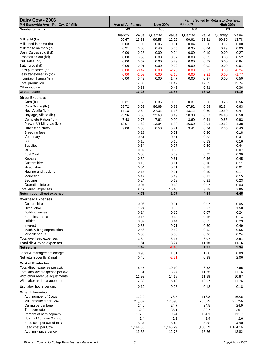| Dairy Cow - 2006<br>MN Statewide Avg - Per Cwt Of Milk | Avg of All Farms |          | <b>Low 20%</b> |          | Farms Sorted by Return to Overhead<br>$40 - 60%$<br><b>High 20%</b> |          |          |          |
|--------------------------------------------------------|------------------|----------|----------------|----------|---------------------------------------------------------------------|----------|----------|----------|
| Number of farms                                        | 540              |          | 108            |          | 108                                                                 |          | 108      |          |
|                                                        |                  |          |                |          |                                                                     |          |          |          |
|                                                        | Quantity         | Value    | Quantity       | Value    | Quantity                                                            | Value    | Quantity | Value    |
| Milk sold (lb)                                         | 99.67            | 13.31    | 99.55          | 12.72    | 99.61                                                               | 13.21    | 99.69    | 13.78    |
| Milk used in home (lb)                                 | 0.03             | 0.00     | 0.05           | 0.01     | 0.04                                                                | 0.00     | 0.02     | 0.00     |
| Milk fed to animals (lb)                               | 0.31             | 0.03     | 0.40           | 0.05     | 0.35                                                                | 0.04     | 0.29     | 0.03     |
| Dairy Calves sold (hd)                                 | 0.00             | 0.26     | 0.00           | 0.24     | 0.00                                                                | 0.19     | 0.00     | 0.27     |
| Transferred out (hd)                                   | 0.00             | 0.58     | 0.00           | 0.57     | 0.00                                                                | 0.63     | 0.00     | 0.52     |
| Cull sales (hd)                                        | 0.00             | 0.67     | 0.00           | 0.79     | 0.00                                                                | 0.62     | 0.00     | 0.64     |
| Butchered (hd)                                         | 0.00             | 0.01     | 0.00           | 0.02     | 0.00                                                                | 0.02     | 0.00     | 0.01     |
| Less purchased (hd)                                    | 0.00             | $-0.47$  | 0.00           | $-2.28$  | 0.00                                                                | $-0.27$  | 0.00     | $-0.24$  |
| Less transferred in (hd)                               | 0.00             | $-2.03$  | 0.00           | $-2.16$  | 0.00                                                                | $-2.21$  | 0.00     | $-1.77$  |
| Inventory change (hd)                                  | 0.00             | 0.49     | 0.00           | 1.47     | 0.00                                                                | 0.37     | 0.00     | 0.50     |
| Total production                                       |                  | 12.86    |                | 11.42    |                                                                     | 12.62    |          | 13.74    |
| Other income                                           |                  | 0.38     |                | 0.45     |                                                                     | 0.41     |          | 0.36     |
| <b>Gross return</b>                                    |                  | 13.23    |                | 11.87    |                                                                     | 13.02    |          | 14.10    |
|                                                        |                  |          |                |          |                                                                     |          |          |          |
| <b>Direct Expenses</b>                                 |                  |          |                |          |                                                                     |          |          |          |
| Corn (bu.)                                             | 0.31             | 0.66     | 0.36           | 0.80     | 0.31                                                                | 0.66     | 0.26     | 0.56     |
| Corn Silage (lb.)                                      | 68.72            | 0.69     | 86.69          | 0.89     | 67.92                                                               | 0.69     | 62.84    | 0.63     |
| Hay, Alfalfa (lb.)                                     | 14.18            | 0.64     | 27.31          | 1.16     | 13.12                                                               | 0.60     | 10.39    | 0.47     |
| Haylage, Alfalfa (lb.)                                 | 25.96            | 0.56     | 22.63          | 0.49     | 30.30                                                               | 0.67     | 24.40    | 0.50     |
| Complete Ration (lb.)                                  | 7.48             | 0.75     | 7.61           | 0.90     | 3.60                                                                | 0.41     | 9.86     | 0.93     |
| Protein Vit Minerals (lb.)                             | 13.07            | 1.69     | 13.94          | 1.83     | 16.60                                                               | 2.01     | 10.62    | 1.38     |
| Other feed stuffs                                      | 9.08             | 0.38     | 8.58           | 0.41     | 9.41                                                                | 0.34     | 7.85     | 0.43     |
| <b>Breeding fees</b>                                   |                  | 0.18     |                | 0.21     |                                                                     | 0.20     |          | 0.18     |
| Veterinary                                             |                  |          |                | 0.51     |                                                                     | 0.53     |          | 0.47     |
|                                                        |                  | 0.51     |                |          |                                                                     |          |          |          |
| <b>BST</b>                                             |                  | 0.16     |                | 0.16     |                                                                     | 0.13     |          | 0.16     |
| <b>Supplies</b>                                        |                  | 0.54     |                | 0.77     |                                                                     | 0.59     |          | 0.44     |
| <b>DHIA</b>                                            |                  | 0.07     |                | 0.08     |                                                                     | 0.07     |          | 0.07     |
| Fuel & oil                                             |                  | 0.33     |                | 0.39     |                                                                     | 0.33     |          | 0.30     |
| Repairs                                                |                  | 0.50     |                | 0.61     |                                                                     | 0.46     |          | 0.45     |
| Custom hire                                            |                  | 0.13     |                | 0.11     |                                                                     | 0.10     |          | 0.11     |
| Hired labor                                            |                  | 0.04     |                | 0.01     |                                                                     | 0.15     |          | 0.01     |
| Hauling and trucking                                   |                  | 0.17     |                | 0.21     |                                                                     | 0.19     |          | 0.17     |
| Marketing                                              |                  | 0.17     |                | 0.19     |                                                                     | 0.17     |          | 0.15     |
| Bedding                                                |                  | 0.24     |                | 0.19     |                                                                     | 0.21     |          | 0.23     |
| Operating interest                                     |                  | 0.07     |                | 0.18     |                                                                     | 0.07     |          | 0.03     |
| Total direct expenses                                  |                  | 8.47     |                | 10.10    |                                                                     | 8.58     |          | 7.65     |
| Return over direct expense                             |                  | 4.76     |                | 1.77     |                                                                     | 4.44     |          | 6.45     |
|                                                        |                  |          |                |          |                                                                     |          |          |          |
| <b>Overhead Expenses</b>                               |                  |          |                |          |                                                                     |          |          |          |
| Custom hire                                            |                  | 0.06     |                | 0.01     |                                                                     | 0.07     |          | 0.05     |
| <b>Hired labor</b>                                     |                  | 1.24     |                | 0.86     |                                                                     | 0.97     |          | 1.50     |
| <b>Building leases</b>                                 |                  | 0.14     |                | 0.15     |                                                                     | 0.07     |          | 0.24     |
| Farm insurance                                         |                  | 0.15     |                | 0.18     |                                                                     | 0.16     |          | 0.14     |
| <b>Utilities</b>                                       |                  | 0.32     |                | 0.44     |                                                                     | 0.33     |          | 0.29     |
| Interest                                               |                  | 0.57     |                | 0.71     |                                                                     | 0.60     |          | 0.49     |
| Mach & bldg depreciation                               |                  | 0.56     |                | 0.52     |                                                                     | 0.52     |          | 0.56     |
| Miscellaneous                                          |                  | 0.30     |                | 0.30     |                                                                     | 0.36     |          | 0.24     |
| Total overhead expenses                                |                  | 3.34     |                | 3.17     |                                                                     | 3.07     |          | 3.51     |
| Total dir & ovhd expenses                              |                  | 11.81    |                | 13.27    |                                                                     | 11.65    |          | 11.16    |
|                                                        |                  | 1.42     |                | $-1.40$  |                                                                     | 1.37     |          | 2.94     |
| Net return                                             |                  |          |                |          |                                                                     |          |          |          |
| Labor & management charge                              |                  | 0.96     |                | 1.31     |                                                                     | 1.08     |          | 0.89     |
| Net return over lbr & mgt                              |                  | 0.46     |                | $-2.71$  |                                                                     | 0.29     |          | 2.06     |
| <b>Cost of Production</b>                              |                  |          |                |          |                                                                     |          |          |          |
|                                                        |                  |          |                |          |                                                                     |          |          |          |
| Total direct expense per cwt.                          |                  | 8.47     |                | 10.10    |                                                                     | 8.58     |          | 7.65     |
| Total dir& ovhd expense per cwt.                       |                  | 11.81    |                | 13.27    |                                                                     | 11.65    |          | 11.16    |
| With other revenue adjustments                         |                  | 11.93    |                | 14.18    |                                                                     | 11.89    |          | 10.87    |
| With labor and management                              |                  | 12.89    |                | 15.48    |                                                                     | 12.97    |          | 11.76    |
| Est. labor hours per unit                              |                  | 0.19     |                | 0.23     |                                                                     | 0.18     |          | 0.18     |
|                                                        |                  |          |                |          |                                                                     |          |          |          |
| <b>Other Information</b>                               |                  |          |                |          |                                                                     |          |          |          |
| Avg. number of Cows                                    |                  | 122.0    |                | 73.5     |                                                                     | 113.8    |          | 162.6    |
| Milk produced per Cow                                  |                  | 21,307   |                | 17,698   |                                                                     | 20,599   |          | 23,756   |
| Culling percentage                                     |                  | 24.6     |                | 24.7     |                                                                     | 24.8     |          | 24.9     |
| Turnover rate                                          |                  | 32.3     |                | 36.1     |                                                                     | 32.7     |          | 30.7     |
| Percent of barn capacity                               |                  | 107.2    |                | 96.4     |                                                                     | 104.1    |          | 111.7    |
| Lbs. milk/lb grain & conc.                             |                  | 2.4      |                | 2.2      |                                                                     | 2.4      |          | 2.6      |
| Feed cost per cwt of milk                              |                  | 5.37     |                | 6.48     |                                                                     | 5.38     |          | 4.90     |
| Feed cost per Cow                                      |                  | 1,144.86 |                | 1,146.29 |                                                                     | 1,108.19 |          | 1,164.16 |
| Avg. milk price per cwt.                               |                  | 13.36    |                | 12.78    |                                                                     | 13.26    |          | 13.82    |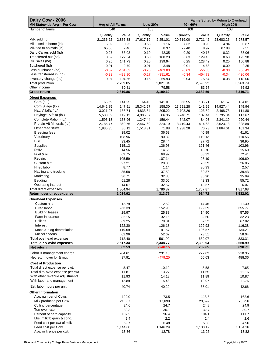| Dairy Cow - 2006<br><b>MN Statewide Avg - Per Cow</b>  | <b>Avg of All Farms</b><br><b>Low 20%</b><br>40 - 60% |                    |                   |                    |                   | Farms Sorted by Return to Overhead<br><b>High 20%</b> |                   |                    |  |
|--------------------------------------------------------|-------------------------------------------------------|--------------------|-------------------|--------------------|-------------------|-------------------------------------------------------|-------------------|--------------------|--|
| Number of farms                                        | 540                                                   |                    | 108               |                    | 108               |                                                       | 108               |                    |  |
|                                                        |                                                       |                    |                   |                    |                   |                                                       |                   |                    |  |
| Milk sold (lb)                                         | Quantity                                              | Value              | Quantity          | Value              | Quantity          | Value                                                 | Quantity          | Value              |  |
| Milk used in home (lb)                                 | 21,236.22<br>6.02                                     | 2,836.88<br>0.95   | 17,617.19<br>9.58 | 2,251.01<br>1.16   | 20,519.00<br>7.32 | 2,721.42<br>0.90                                      | 23,683.26<br>4.84 | 3,273.57<br>0.87   |  |
| Milk fed to animals (lb)                               | 65.00                                                 | 7.40               | 70.92             | 8.37               | 72.40             | 8.97                                                  | 67.88             | 7.51               |  |
| Dairy Calves sold (hd)                                 | 0.27                                                  | 56.03              | 0.19              | 42.35              | 0.20              | 40.13                                                 | 0.32              | 63.06              |  |
| Transferred out (hd)                                   | 0.62                                                  | 122.64             | 0.60              | 100.23             | 0.63              | 129.46                                                | 0.63              | 123.98             |  |
| Cull sales (hd)                                        | 0.25                                                  | 141.73             | 0.25              | 139.94             | 0.25              | 128.42                                                | 0.25              | 150.88             |  |
| Butchered (hd)                                         | 0.01                                                  | 2.79               | 0.01              | 3.48               | 0.01              | 4.68                                                  | 0.00              | 2.35               |  |
| Less purchased (hd)                                    | $-0.07$                                               | $-101.03$          | $-0.25$           | $-403.83$          | $-0.03$           | $-55.86$                                              | $-0.03$           | $-56.43$           |  |
| Less transferred in (hd)                               | $-0.33$                                               | $-432.90$          | $-0.27$           | $-381.61$          | $-0.34$           | $-454.73$                                             | $-0.34$           | $-420.06$          |  |
| Inventory change (hd)                                  | 0.07                                                  | 104.56             | 0.16              | 259.93             | 0.04              | 75.54                                                 | 0.08              | 118.06             |  |
| Total production                                       |                                                       | 2,739.05           |                   | 2,021.04           |                   | 2,598.92                                              |                   | 3,263.79           |  |
| Other income                                           |                                                       | 80.81              |                   | 79.58              |                   | 83.67                                                 |                   | 85.92              |  |
| <b>Gross return</b>                                    |                                                       | 2,819.86           |                   | 2,100.62           |                   | 2,682.59                                              |                   | 3,349.71           |  |
| <b>Direct Expenses</b>                                 |                                                       |                    |                   |                    |                   |                                                       |                   |                    |  |
| Corn (bu.)                                             | 65.69                                                 | 141.25             | 64.48             | 141.01             | 63.55             | 135.71                                                | 61.67             | 134.01             |  |
| Corn Silage (lb.)                                      | 14,642.85                                             | 147.91             | 15,342.57         | 158.30             | 13,991.28         | 141.99                                                | 14,927.44         | 149.94             |  |
| Hay, Alfalfa (lb.)                                     | 3,021.97                                              | 136.74             | 4,833.64          | 205.22             | 2,703.26          | 123.62                                                | 2.468.73          | 111.88             |  |
| Haylage, Alfalfa (lb.)                                 | 5,530.52                                              | 119.12             | 4,005.67          | 86.35              | 6,240.71          | 137.44                                                | 5,795.34          | 117.67             |  |
| Complete Ration (lb.)                                  | 1,593.18                                              | 158.96             | 1,347.44          | 159.44             | 742.07            | 84.03                                                 | 2,341.19          | 220.44             |  |
| Protein Vit Minerals (lb.)                             | 2,785.77                                              | 360.76             | 2,467.69          | 324.10             | 3,419.43          | 414.68                                                | 2,523.13          | 328.89             |  |
| Other feed stuffs                                      | 1,935.35                                              | 80.12              | 1,518.31          | 71.88              | 1,938.28          | 70.73                                                 | 1,864.61          | 101.34             |  |
| <b>Breeding fees</b>                                   |                                                       | 39.02              |                   | 36.63              |                   | 40.99                                                 |                   | 41.61              |  |
| Veterinary                                             |                                                       | 108.96             |                   | 90.82              |                   | 110.13                                                |                   | 110.56             |  |
| <b>BST</b>                                             |                                                       | 33.45              |                   | 28.44              |                   | 27.72                                                 |                   | 36.95              |  |
| Supplies                                               |                                                       | 115.13             |                   | 136.98             |                   | 121.46                                                |                   | 103.96             |  |
| <b>DHIA</b>                                            |                                                       | 14.56              |                   | 14.55              |                   | 13.70                                                 |                   | 15.60              |  |
| Fuel & oil                                             |                                                       | 69.75              |                   | 68.92              |                   | 68.32                                                 |                   | 72.41              |  |
| Repairs                                                |                                                       | 105.59             |                   | 107.14             |                   | 95.19                                                 |                   | 106.60             |  |
| Custom hire                                            |                                                       | 27.21              |                   | 20.05              |                   | 20.59                                                 |                   | 26.05              |  |
| Hired labor                                            |                                                       | 8.77               |                   | 1.14               |                   | 30.33                                                 |                   | 2.57               |  |
| Hauling and trucking                                   |                                                       | 35.58              |                   | 37.50              |                   | 39.37                                                 |                   | 39.43              |  |
| Marketing                                              |                                                       | 36.71              |                   | 32.80              |                   | 35.96                                                 |                   | 35.99              |  |
| Bedding                                                |                                                       | 51.28              |                   | 33.06              |                   | 42.33                                                 |                   | 55.72              |  |
| Operating interest                                     |                                                       | 14.07              |                   | 32.57              |                   | 13.57                                                 |                   | 6.07               |  |
| Total direct expenses                                  |                                                       | 1,804.94           |                   | 1,786.87           |                   | 1,767.87                                              |                   | 1,817.68           |  |
| Return over direct expense                             |                                                       | 1,014.92           |                   | 313.75             |                   | 914.72                                                |                   | 1,532.02           |  |
| <b>Overhead Expenses</b>                               |                                                       |                    |                   |                    |                   |                                                       |                   |                    |  |
| Custom hire                                            |                                                       | 12.79              |                   | 2.52               |                   | 14.46                                                 |                   | 11.30              |  |
| Hired labor                                            |                                                       | 263.39             |                   | 152.98             |                   | 199.59                                                |                   | 355.77             |  |
| <b>Building leases</b>                                 |                                                       | 29.97              |                   | 25.88              |                   | 14.90                                                 |                   | 57.55              |  |
| Farm insurance                                         |                                                       | 32.15              |                   | 32.15              |                   | 32.60                                                 |                   | 32.23              |  |
| <b>Utilities</b>                                       |                                                       | 69.25              |                   | 78.01              |                   | 67.52                                                 |                   | 67.82              |  |
| Interest                                               |                                                       | 122.30             |                   | 126.18             |                   | 122.93                                                |                   | 116.38             |  |
| Mach & bldg depreciation                               |                                                       | 119.59             |                   | 91.57              |                   | 106.57                                                |                   | 134.21             |  |
| Miscellaneous                                          |                                                       | 62.96              |                   | 52.62              |                   | 73.51                                                 |                   | 58.04              |  |
| Total overhead expenses<br>Total dir & ovhd expenses   |                                                       | 712.40<br>2,517.34 |                   | 561.90<br>2,348.77 |                   | 632.07<br>2,399.94                                    |                   | 833.31<br>2,650.99 |  |
| Net return                                             |                                                       | 302.53             |                   | $-248.15$          |                   | 282.65                                                |                   | 698.71             |  |
|                                                        |                                                       |                    |                   |                    |                   |                                                       |                   |                    |  |
| Labor & management charge<br>Net return over lbr & mgt |                                                       | 204.61<br>97.91    |                   | 231.10             |                   | 222.02                                                |                   | 210.35<br>488.36   |  |
|                                                        |                                                       |                    |                   | -479.25            |                   | 60.63                                                 |                   |                    |  |
| <b>Cost of Production</b>                              |                                                       |                    |                   |                    |                   |                                                       |                   |                    |  |
| Total direct expense per cwt.                          |                                                       | 8.47               |                   | 10.10              |                   | 8.58                                                  |                   | 7.65               |  |
| Total dir& ovhd expense per cwt.                       |                                                       | 11.81              |                   | 13.27              |                   | 11.65                                                 |                   | 11.16              |  |
| With other revenue adjustments                         |                                                       | 11.93              |                   | 14.18              |                   | 11.89                                                 |                   | 10.87              |  |
| With labor and management                              |                                                       | 12.89              |                   | 15.48              |                   | 12.97                                                 |                   | 11.76              |  |
| Est. labor hours per unit                              |                                                       | 40.74              |                   | 40.20              |                   | 38.01                                                 |                   | 42.66              |  |
| <b>Other Information</b>                               |                                                       |                    |                   |                    |                   |                                                       |                   |                    |  |
| Avg. number of Cows                                    |                                                       | 122.0              |                   | 73.5               |                   | 113.8                                                 |                   | 162.6              |  |
| Milk produced per Cow                                  |                                                       | 21,307             |                   | 17,698             |                   | 20,599                                                |                   | 23,756             |  |
| Culling percentage                                     |                                                       | 24.6               |                   | 24.7               |                   | 24.8                                                  |                   | 24.9               |  |
| Turnover rate                                          |                                                       | 32.3               |                   | 36.1               |                   | 32.7                                                  |                   | 30.7               |  |
| Percent of barn capacity                               |                                                       | 107.2              |                   | 96.4               |                   | 104.1                                                 |                   | 111.7              |  |
| Lbs. milk/lb grain & conc.                             |                                                       | 2.4                |                   | 2.2                |                   | 2.4                                                   |                   | 2.6                |  |
| Feed cost per cwt of milk<br>Feed cost per Cow         |                                                       | 5.37               |                   | 6.48               |                   | 5.38                                                  |                   | 4.90               |  |
| Avg. milk price per cwt.                               |                                                       | 1,144.86<br>13.36  |                   | 1,146.29<br>12.78  |                   | 1,108.19<br>13.26                                     |                   | 1,164.16<br>13.82  |  |
|                                                        |                                                       |                    |                   |                    |                   |                                                       |                   |                    |  |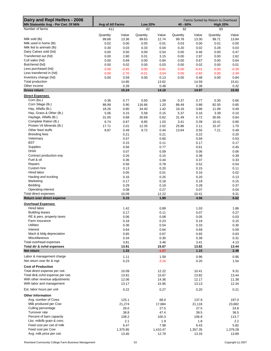| Dairy and Repl Heifers - 2006<br>MN Statewide Avg - Per Cwt. Of Milk | Avg of All Farms |               | <b>Low 20%</b> |              | Farms Sorted by Return to Overhead<br>40 - 60%<br><b>High 20%</b> |              |          |               |  |
|----------------------------------------------------------------------|------------------|---------------|----------------|--------------|-------------------------------------------------------------------|--------------|----------|---------------|--|
| Number of farms                                                      | 411              |               | 82             |              | 82                                                                |              | 83       |               |  |
|                                                                      | Quantity         | Value         | Quantity       | Value        | Quantity                                                          | Value        | Quantity | Value         |  |
| Milk sold (lb)                                                       | 99.68            | 13.36         | 99.63          | 12.74        | 99.78                                                             | 13.30        | 99.71    | 13.84         |  |
| Milk used in home (lb)                                               | 0.02             | 0.00          | 0.05           | 0.01         | 0.03                                                              | 0.00         | 0.01     | 0.00          |  |
| Milk fed to animals (lb)                                             | 0.30             | 0.03          | 0.33           | 0.04         | 0.20                                                              | 0.02         | 0.28     | 0.03          |  |
| Dairy Calves sold (hd)                                               | 0.00             | 0.50          | 0.00           | 0.54         | 0.00                                                              | 0.46         | 0.00     | 0.47          |  |
| Transferred out (hd)                                                 | 0.00             | 2.80          | 0.01           | 3.15         | 0.00                                                              | 2.97         | 0.00     | 2.62          |  |
| Cull sales (hd)                                                      | 0.00             | 0.69          | 0.00           | 0.84         | 0.00                                                              | 0.67         | 0.00     | 0.64          |  |
| Butchered (hd)                                                       | 0.00             | 0.02          | 0.00           | 0.03         | 0.00                                                              | 0.02         | 0.00     | 0.01          |  |
| Less purchased (hd)                                                  | 0.00             | $-0.45$       | 0.00           | $-0.81$      | 0.00                                                              | $-0.41$      | 0.00     | $-0.35$       |  |
| Less transferred in (hd)                                             | 0.00             | $-2.70$       | $-0.01$        | $-3.04$      | 0.00                                                              | $-2.92$      | 0.00     | $-2.49$       |  |
| Inventory change (hd)                                                | 0.00             | 0.59          | 0.00           | 0.13         | 0.00                                                              | 0.48         | 0.00     | 0.84          |  |
| Total production                                                     |                  | 14.85         |                | 13.62        |                                                                   | 14.59        |          | 15.61         |  |
| Other income                                                         |                  | 0.39          |                | 0.48         |                                                                   | 0.38         |          | 0.32          |  |
| <b>Gross return</b>                                                  |                  | 15.24         |                | 14.10        |                                                                   | 14.97        |          | 15.93         |  |
| <b>Direct Expenses</b>                                               |                  |               |                |              |                                                                   |              |          |               |  |
| Corn (bu.)                                                           | 0.36             | 0.77          | 0.50           | 1.09         | 0.37                                                              | 0.77         | 0.30     | 0.66          |  |
| Corn Silage (lb.)                                                    | 88.99            | 0.90          | 116.66         | 1.20         | 88.49                                                             | 0.88         | 82.50    | 0.85          |  |
| Hay, Alfalfa (lb.)                                                   | 18.26            | 0.80          | 34.40          | 1.42         | 19.16                                                             | 0.86         | 11.09    | 0.49          |  |
| Hay, Grass & Other (lb.)                                             | 5.06             | 0.15          | 5.58           | 0.15         | 5.37                                                              | 0.16         | 3.39     | 0.10          |  |
| Haylage, Alfalfa (lb.)                                               | 31.05            | 0.68          | 30.69          | 0.62         | 31.49                                                             | 0.72         | 30.65    | 0.64          |  |
| Complete Ration (lb.)                                                | 6.74             | 0.67          | 8.85           | 1.03         | 3.41                                                              | 0.39         | 10.41    | 0.90          |  |
| Protein Vit Minerals (lb.)                                           | 17.71            | 2.01          | 12.35          | 2.02         | 25.86                                                             | 2.11         | 15.37    | 1.70          |  |
| Other feed stuffs                                                    | 8.87             | 0.49          | 9.72           | 0.44         | 13.64                                                             | 0.55         | 7.21     | 0.49          |  |
| <b>Breeding fees</b>                                                 |                  | 0.21          |                | 0.21         |                                                                   | 0.22         |          | 0.20<br>0.53  |  |
| Veterinary<br><b>BST</b>                                             |                  | 0.57          |                | 0.60<br>0.11 |                                                                   | 0.59<br>0.17 |          |               |  |
| Supplies                                                             |                  | 0.15<br>0.56  |                | 0.77         |                                                                   | 0.61         |          | 0.17<br>0.45  |  |
| <b>DHIA</b>                                                          |                  | 0.07          |                | 0.09         |                                                                   | 0.06         |          | 0.06          |  |
| Contract production exp.                                             |                  | 0.26          |                | 0.15         |                                                                   | 0.38         |          | 0.39          |  |
| Fuel & oil                                                           |                  | 0.36          |                | 0.44         |                                                                   | 0.37         |          | 0.33          |  |
| Repairs                                                              |                  | 0.56          |                | 0.78         |                                                                   | 0.52         |          | 0.54          |  |
| Custom hire                                                          |                  | 0.13          |                | 0.20         |                                                                   | 0.15         |          | 0.11          |  |
| Hired labor                                                          |                  | 0.05          |                | 0.01         |                                                                   | 0.16         |          | 0.02          |  |
| Hauling and trucking                                                 |                  | 0.16          |                | 0.25         |                                                                   | 0.20         |          | 0.13          |  |
| Marketing                                                            |                  | 0.17          |                | 0.18         |                                                                   | 0.19         |          | 0.15          |  |
| Bedding                                                              |                  | 0.29          |                | 0.19         |                                                                   | 0.28         |          | 0.37          |  |
| Operating interest                                                   |                  | 0.08          |                | 0.27         |                                                                   | 0.07         |          | 0.04          |  |
| Total direct expenses                                                |                  | 10.09         |                | 12.22        |                                                                   | 10.41        |          | 9.31          |  |
| Return over direct expense                                           |                  | 5.15          |                | 1.89         |                                                                   | 4.56         |          | 6.62          |  |
| <b>Overhead Expenses</b>                                             |                  |               |                |              |                                                                   |              |          |               |  |
| Hired labor                                                          |                  | 1.42          |                | 0.89         |                                                                   | 1.03         |          | 1.86          |  |
| <b>Building leases</b>                                               |                  | 0.17          |                | 0.11         |                                                                   | 0.07         |          | 0.27          |  |
| RE & pers. property taxes                                            |                  | 0.06          |                | 0.08         |                                                                   | 0.05         |          | 0.03          |  |
| Farm insurance                                                       |                  | 0.18          |                | 0.23         |                                                                   | 0.19         |          | 0.15          |  |
| <b>Utilities</b>                                                     |                  | 0.36          |                | 0.54         |                                                                   | 0.33         |          | 0.30          |  |
| Interest                                                             |                  | 0.64          |                | 0.64         |                                                                   | 0.69         |          | 0.59          |  |
| Mach & bldg depreciation                                             |                  | 0.65          |                | 0.67         |                                                                   | 0.65         |          | 0.63          |  |
| Miscellaneous                                                        |                  | 0.34          |                | 0.30         |                                                                   | 0.39         |          | 0.31          |  |
| Total overhead expenses                                              |                  | 3.81          |                | 3.46         |                                                                   | 3.41         |          | 4.13          |  |
| Total dir & ovhd expenses                                            |                  | 13.91         |                | 15.67        |                                                                   | 13.82        |          | 13.44         |  |
| Net return                                                           |                  | 1.33          |                | $-1.57$      |                                                                   | 1.15         |          | 2.49          |  |
| Labor & management charge                                            |                  | 1.11          |                | 1.59         |                                                                   | 0.96         |          | 0.95          |  |
| Net return over Ibr & mgt                                            |                  | 0.23          |                | $-3.16$      |                                                                   | 0.20         |          | 1.54          |  |
| <b>Cost of Production</b>                                            |                  |               |                |              |                                                                   |              |          |               |  |
| Total direct expense per cwt.                                        |                  | 10.09         |                | 12.22        |                                                                   | 10.41        |          | 9.31          |  |
| Total dir& ovhd expense per cwt.                                     |                  | 13.91         |                | 15.67        |                                                                   | 13.82        |          | 13.44         |  |
| With other revenue adjustments                                       |                  | 12.06         |                | 14.36        |                                                                   | 12.17        |          | 11.38         |  |
| With labor and management                                            |                  | 13.17         |                | 15.95        |                                                                   | 13.13        |          | 12.34         |  |
| Est. labor hours per unit                                            |                  | 0.22          |                | 0.27         |                                                                   | 0.20         |          | 0.21          |  |
|                                                                      |                  |               |                |              |                                                                   |              |          |               |  |
| <b>Other Information</b>                                             |                  |               |                |              |                                                                   |              |          |               |  |
| Avg. number of Cows                                                  |                  | 125.1         |                | 68.0         |                                                                   | 137.9        |          | 197.0         |  |
| Milk produced per Cow<br>Culling percentage                          |                  | 21,274        |                | 17,684       |                                                                   | 21,116       |          | 23,682        |  |
| Turnover rate                                                        |                  | 26.0          |                | 27.5<br>47.4 |                                                                   | 27.5<br>39.5 |          | 24.8          |  |
| Percent of barn capacity                                             |                  | 38.8<br>108.2 |                | 100.3        |                                                                   | 106.8        |          | 36.5<br>113.7 |  |
| Lbs. milk/lb grain & conc.                                           |                  | 2.1           |                | 1.9          |                                                                   | 1.8          |          | $2.2\,$       |  |
| Feed cost per cwt of milk                                            |                  | 6.47          |                | 7.98         |                                                                   | 6.43         |          | 5.82          |  |
| Feed cost per Cow                                                    |                  | 1,375.85      |                | 1,410.47     |                                                                   | 1,357.35     |          | 1,379.28      |  |
| Avg. milk price per cwt.                                             |                  | 13.40         |                | 12.79        |                                                                   | 13.33        |          | 13.89         |  |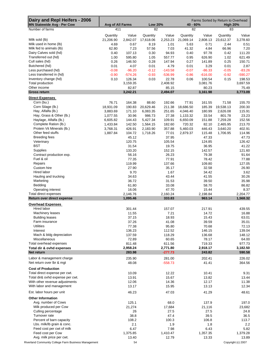| Dairy and Repl Heifers - 2006<br><b>MN Statewide Avg - Per Cow</b> | Avg of All Farms |           | <b>Low 20%</b>       |           | 40 - 60%  |           | Farms Sorted by Return to Overhead<br><b>High 20%</b> |                    |
|--------------------------------------------------------------------|------------------|-----------|----------------------|-----------|-----------|-----------|-------------------------------------------------------|--------------------|
| Number of farms                                                    | 411              |           | 82                   |           | 82        |           | 83                                                    |                    |
|                                                                    | Quantity         | Value     | Quantity             | Value     | Quantity  | Value     | Quantity                                              | Value              |
| Milk sold (lb)                                                     | 21,206.90        | 2,842.07  | 17,618.06            | 2,253.23  | 21,069.14 | 2,808.13  | 23,612.37                                             | 3,278.60           |
| Milk used in home (lb)                                             | 4.69             | 0.67      | 8.19                 | 1.01      | 5.63      | 0.71      | 2.44                                                  | 0.51               |
| Milk fed to animals (lb)                                           | 62.80            | 7.23      | 57.56                | 7.03      | 41.32     | 4.84      | 66.96                                                 | 7.20               |
| Dairy Calves sold (hd)                                             | 0.40             | 107.13    | 0.30                 | 94.93     | 0.40      | 97.78     | 0.42                                                  | 111.20             |
| Transferred out (hd)                                               | 1.00             | 595.80    | 1.05                 | 557.77    | 0.95      | 626.90    | 1.02                                                  | 621.49             |
| Cull sales (hd)                                                    | 0.26             | 146.50    | 0.28                 | 147.94    | 0.27      | 141.89    | 0.25                                                  | 150.71             |
| Butchered (hd)                                                     | 0.01             | 4.07      | 0.01                 | 4.79      | 0.01      | 3.29      | 0.01                                                  | 2.87               |
| Less purchased (hd)                                                | $-0.08$          | $-96.20$  | $-0.12$              | $-143.58$ | $-0.07$   | $-86.33$  | $-0.05$                                               | $-83.26$           |
| Less transferred in (hd)                                           | $-0.90$          | $-574.26$ | $-0.93$              | $-536.99$ | $-0.86$   | $-616.00$ | $-0.92$                                               | $-590.27$          |
| Inventory change (hd)                                              | 0.10             | 126.34    | 0.03                 | 22.78     | 0.06      | 100.54    | 0.15                                                  | 198.53             |
| Total production                                                   |                  | 3,159.35  |                      | 2,408.92  |           | 3,081.76  |                                                       | 3,697.59           |
| Other income                                                       |                  | 82.87     |                      | 85.15     |           | 80.23     |                                                       | 75.49              |
| <b>Gross return</b>                                                |                  | 3,242.21  |                      | 2,494.07  |           | 3,161.98  |                                                       | 3,773.09           |
| <b>Direct Expenses</b>                                             |                  |           |                      |           |           |           |                                                       |                    |
| Corn (bu.)                                                         | 76.71            | 164.38    | 88.60                | 192.66    | 77.91     | 161.55    | 71.58                                                 | 155.70             |
| Corn Silage (lb.)                                                  | 18,931.09        | 190.83    | 20,629.46            | 211.38    | 18,686.50 | 185.39    | 19,538.13                                             | 200.30             |
| Hay, Alfalfa (lb.)                                                 | 3,883.69         | 171.10    | 6,083.35             | 251.65    | 4,046.40  | 180.99    | 2,626.08                                              | 115.91             |
| Hay, Grass & Other (lb.)                                           | 1,077.55         | 30.96     | 986.73               | 27.38     | 1,133.32  | 33.54     | 801.78                                                | 23.23              |
| Haylage, Alfalfa (lb.)                                             | 6,605.82         | 144.43    | 5,427.34             | 109.91    | 6,650.09  | 151.88    | 7,259.28                                              | 152.56             |
| Complete Ration (lb.)                                              | 1,433.84         | 142.50    |                      | 182.60    | 720.32    | 82.10     | 2,465.95                                              | 213.70             |
| Protein Vit Minerals (lb.)                                         | 3,768.31         | 426.91    | 1,564.15<br>2,183.90 | 357.88    | 5,460.03  | 446.43    | 3,640.20                                              | 402.91             |
| Other feed stuffs                                                  |                  |           |                      |           |           |           |                                                       |                    |
|                                                                    | 1,887.84         | 104.72    | 1,718.26             | 77.01     | 2,879.37  | 115.48    | 1,706.95                                              | 114.96             |
| <b>Breeding fees</b>                                               |                  | 45.12     |                      | 37.95     |           | 47.33     |                                                       | 47.73              |
| Veterinary                                                         |                  | 120.75    |                      | 105.54    |           | 124.85    |                                                       | 126.42             |
| BST                                                                |                  | 31.54     |                      | 19.75     |           | 36.95     |                                                       | 41.22              |
| Supplies                                                           |                  | 133.20    |                      | 152.15    |           | 142.57    |                                                       | 121.60             |
| Contract production exp.                                           |                  | 56.16     |                      | 26.23     |           | 79.38     |                                                       | 91.64              |
| Fuel & oil                                                         |                  | 77.35     |                      | 77.91     |           | 78.42     |                                                       | 77.88              |
| Repairs                                                            |                  | 119.99    |                      | 137.66    |           | 109.80    |                                                       | 127.05             |
| Custom hire                                                        |                  | 27.90     |                      | 35.17     |           | 32.58     |                                                       | 26.90              |
| Hired labor                                                        |                  | 9.70      |                      | 1.67      |           | 34.42     |                                                       | 3.62               |
| Hauling and trucking                                               |                  | 34.63     |                      | 43.44     |           | 41.55     |                                                       | 30.26              |
| Marketing                                                          |                  | 36.72     |                      | 31.53     |           | 39.50     |                                                       | 35.98              |
| Bedding                                                            |                  | 61.80     |                      | 33.08     |           | 58.70     |                                                       | 86.82              |
| Operating interest                                                 |                  | 16.06     |                      | 47.70     |           | 15.44     |                                                       | 8.37               |
| Total direct expenses                                              |                  | 2,146.76  |                      | 2,160.24  |           | 2,198.84  |                                                       | 2,204.77           |
| Return over direct expense                                         |                  | 1,095.46  |                      | 333.83    |           | 963.14    |                                                       | 1,568.32           |
| <b>Overhead Expenses</b>                                           |                  |           |                      |           |           |           |                                                       |                    |
| Hired labor                                                        |                  | 301.44    |                      | 157.07    |           | 217.91    |                                                       | 439.55             |
| Machinery leases                                                   |                  | 11.55     |                      | 7.21      |           | 14.72     |                                                       | 16.88              |
| <b>Building leases</b>                                             |                  | 37.15     |                      | 18.93     |           | 15.43     |                                                       | 63.01              |
| Farm insurance                                                     |                  | 37.26     |                      | 41.08     |           | 39.59     |                                                       | 35.01              |
| Utilities                                                          |                  | 77.38     |                      | 95.80     |           | 70.68     |                                                       | 72.13              |
| Interest                                                           |                  | 136.23    |                      | 112.52    |           | 146.15    |                                                       | 139.04             |
| Mach & bldg depreciation                                           |                  | 137.59    |                      | 118.29    |           | 136.68    |                                                       | 148.12             |
| Miscellaneous                                                      |                  | 72.89     |                      | 60.65     |           | 78.17     |                                                       | 64.00              |
| Total overhead expenses                                            |                  | 811.48    |                      | 611.56    |           | 719.33    |                                                       | 977.73             |
| Total dir & ovhd expenses                                          |                  | 2,958.24  |                      | 2,771.80  |           | 2,918.17  |                                                       | 3,182.50           |
| <b>Net return</b>                                                  |                  | 283.98    |                      | $-277.73$ |           | 243.82    |                                                       | 590.58             |
| Labor & management charge                                          |                  | 235.90    |                      | 281.00    |           | 202.41    |                                                       | 226.02             |
| Net return over lbr & mgt                                          |                  | 48.08     |                      | $-558.73$ |           | 41.41     |                                                       | 364.56             |
| <b>Cost of Production</b>                                          |                  |           |                      |           |           |           |                                                       |                    |
| Total direct expense per cwt.                                      |                  | 10.09     |                      | 12.22     |           | 10.41     |                                                       | 9.31               |
| Total dir& ovhd expense per cwt.                                   |                  | 13.91     |                      | 15.67     |           | 13.82     |                                                       | 13.44              |
| With other revenue adjustments                                     |                  | 12.06     |                      | 14.36     |           | 12.17     |                                                       | 11.38              |
| With labor and management                                          |                  |           |                      | 15.95     |           |           |                                                       | 12.34              |
|                                                                    |                  | 13.17     |                      |           |           | 13.13     |                                                       |                    |
| Est. labor hours per unit                                          |                  | 46.23     |                      | 47.03     |           | 41.29     |                                                       | 48.61              |
| <b>Other Information</b>                                           |                  |           |                      |           |           |           |                                                       |                    |
| Avg. number of Cows                                                |                  | 125.1     |                      | 68.0      |           | 137.9     |                                                       | 197.0              |
| Milk produced per Cow                                              |                  | 21,274    |                      | 17,684    |           | 21,116    |                                                       | 23,682             |
| Culling percentage                                                 |                  | 26        |                      | 27.5      |           | 27.5      |                                                       | 24.8               |
| Turnover rate                                                      |                  | 38.8      |                      | 47.4      |           | 39.5      |                                                       | 36.5               |
| Percent of barn capacity                                           |                  | 108.2     |                      | 100.3     |           | 106.8     |                                                       | 113.7              |
| Lbs. milk/lb grain & conc.                                         |                  | 2.1       |                      | 1.9       |           | 1.8       |                                                       | 2.2                |
| Feed cost per cwt of milk                                          |                  | 6.47      |                      | 7.98      |           | 6.43      |                                                       | 5.82               |
| Feed cost per Cow                                                  |                  | 1,375.85  |                      | 1,410.47  |           | 1,357.35  |                                                       | 1,379.28           |
| Avg. milk price per cwt.                                           |                  | 13.40     |                      | 12.79     |           | 13.33     |                                                       | 13.89              |
| Riverland Community College Farm Business Management               |                  | 54        |                      |           |           |           |                                                       | Copyright (c) 2007 |
|                                                                    |                  |           |                      |           |           |           |                                                       |                    |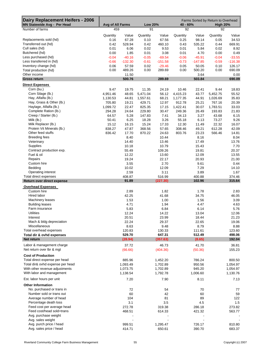| <b>Dairy Replacement Heifers - 2006</b><br>MN Statewide Avg - Per Head | Avg of All Farms |                | <b>Low 20%</b> |                | 40 - 60% |                | Farms Sorted by Return to Overhead<br><b>High 20%</b> |                |
|------------------------------------------------------------------------|------------------|----------------|----------------|----------------|----------|----------------|-------------------------------------------------------|----------------|
| Number of farms                                                        | 459              |                | 91             |                | 92       |                | 92                                                    |                |
|                                                                        | Quantity         | Value          | Quantity       | Value          | Quantity | Value          | Quantity                                              | Value          |
| Replacements sold (hd)                                                 | 0.16             | 67.28          | 0.10           | 67.56          | 0.25     | 98.14          | 0.05                                                  | 34.53          |
| Transferred out (hd)                                                   | 0.42             | 528.94         | 0.42           | 460.10         | 0.43     | 535.22         | 0.44                                                  | 669.91         |
| Cull sales (hd)                                                        | 0.01             | 6.06           | 0.02           | 9.53           | 0.01     | 5.84           | 0.02                                                  | 8.92           |
| Butchered (hd)                                                         | 0.00             | 1.85           | 0.01           | 3.08           | 0.01     | 4.70           | 0.00                                                  | 0.49           |
| Less purchased (hd)                                                    | $-0.04$          | $-40.16$       | $-0.05$        | $-69.54$       | $-0.06$  | $-45.91$       | $-0.04$                                               | $-33.55$       |
| Less transferred in (hd)                                               | $-0.66$          | $-132.30$      | $-0.61$        | $-151.58$      | $-0.73$  | $-147.85$      | $-0.59$                                               | $-116.38$      |
| Inventory change (hd)                                                  | 0.06             | 57.59          | 0.02           | $-29.46$       | 0.05     | 50.05          | 0.10                                                  | 126.17         |
| Total production (hd)                                                  | 0.00             | 489.26         | 0.00           | 289.69         | 0.00     | 500.20         | 0.00                                                  | 690.09         |
| Other income                                                           |                  | 11.50          |                |                |          | 3.64           |                                                       | 0.00           |
| <b>Gross return</b>                                                    |                  | 500.76         |                | 289.69         |          | 503.84         |                                                       | 690.09         |
| <b>Direct Expenses</b>                                                 |                  |                |                |                |          |                |                                                       |                |
| Corn (bu.)                                                             | 9.47             | 19.75          | 11.35          | 24.19          | 10.46    | 22.41          | 9.44                                                  | 18.83          |
| Corn Silage (lb.)                                                      | 4,951.46         | 48.65          | 5,471.04       | 56.12          | 4,415.23 | 43.77          | 5,452.75                                              | 55.52          |
| Hay, Alfalfa (lb.)                                                     | 1,130.53         | 44.81          | 1,557.61       | 68.21          | 1,177.35 | 44.91          | 1,026.69                                              | 35.83          |
| Hay, Grass & Other (lb.)                                               | 705.80           | 19.21          | 429.71         | 12.97          | 912.78   | 25.21          | 767.16                                                | 20.39          |
| Haylage, Alfalfa (lb.)                                                 | 1,099.72         | 22.47          | 825.35         | 17.15          | 1,422.41 | 30.07          | 1,783.51                                              | 33.03          |
| Complete Ration (lb.)                                                  | 294.28           | 24.64          | 229.80         | 30.47          | 249.36   | 26.49          | 193.83                                                | 21.83          |
| Creep / Starter (lb.)                                                  | 64.57            | 5.28           | 147.83         | 7.41           | 34.13    | 3.27           | 43.68                                                 | 6.15           |
| Milk (lb.)                                                             | 50.41            | 6.25           | 18.28          | 3.26           | 55.18    | 6.13           | 73.27                                                 | 9.26           |
| Milk Replacer (lb.)                                                    | 15.12            | 16.15          | 15.24          | 17.33          | 12.30    | 11.49          | 22.32                                                 | 16.07          |
| Protein Vit Minerals (lb.)                                             | 838.27           | 47.87          | 368.56         | 57.65          | 308.46   | 49.21          | 612.28                                                | 42.09          |
| Other feed stuffs                                                      | 836.42           | 17.70          | 870.22         | 24.63          | 803.76   | 23.23          | 566.46                                                | 14.81          |
| <b>Breeding fees</b>                                                   |                  | 8.40           |                | 10.44          |          | 8.16           |                                                       | 8.04           |
| Veterinary                                                             |                  | 14.40          |                | 13.46          |          | 17.49          |                                                       | 13.76          |
| Supplies                                                               |                  | 10.18          |                | 10.79          |          | 15.43          |                                                       | 7.70           |
| Contract production exp.                                               |                  | 55.49          |                | 109.26         |          | 19.81          |                                                       | 20.37          |
| Fuel & oil                                                             |                  | 12.22          |                | 13.60          |          | 12.09          |                                                       | 13.55          |
| Repairs                                                                |                  | 19.24          |                | 22.17          |          | 20.93          |                                                       | 21.00          |
| Custom hire                                                            |                  | 3.55           |                | 2.70           |          | 9.61           |                                                       | 0.44           |
| Bedding                                                                |                  | 10.02          |                | 12.09          |          | 7.29           |                                                       | 14.10          |
| Operating interest<br>Total direct expenses                            |                  | 2.59<br>408.87 |                | 3.11<br>516.99 |          | 3.89<br>400.88 |                                                       | 1.67<br>374.46 |
| Return over direct expense                                             |                  | 91.89          |                | (227.30)       |          | 102.96         |                                                       | 315.64         |
| <b>Overhead Expenses</b>                                               |                  |                |                |                |          |                |                                                       |                |
| Custom hire                                                            |                  | 2.89           |                | 1.82           |          | 1.78           |                                                       | 2.83           |
| Hired labor                                                            |                  | 42.25          |                | 41.68          |          | 34.75          |                                                       | 46.05          |
| Machinery leases                                                       |                  | 1.53           |                | 1.00           |          | 1.56           |                                                       | 3.09           |
| <b>Building leases</b>                                                 |                  | 4.71           |                | 1.94           |          | 4.47           |                                                       | 4.63           |
| Farm insurance                                                         |                  | 5.83           |                | 6.84           |          | 6.14           |                                                       | 5.76           |
| <b>Utilities</b>                                                       |                  | 12.24          |                | 14.22          |          | 13.04          |                                                       | 12.06          |
| Interest                                                               |                  | 20.51          |                | 23.99          |          | 18.44          |                                                       | 21.23          |
| Mach & bldg depreciation                                               |                  | 22.24          |                | 29.37          |          | 22.65          |                                                       | 19.06          |
| Miscellaneous                                                          |                  | 8.63           |                | 9.48           |          | 8.79           |                                                       | 8.88           |
| Total overhead expenses                                                |                  | 120.83         |                | 130.33         |          | 111.61         |                                                       | 123.60         |
| Total dir & ovhd expenses                                              |                  | 529.70         |                | 647.31         |          | 512.49         |                                                       | 498.06         |
| Net return                                                             |                  | (28.94)        |                | (357.63)       |          | (8.65)         |                                                       | 192.04         |
| Labor & management charge                                              |                  | 37.72          |                | 46.73          |          | 41.70          |                                                       | 36.81          |
| Net return over lbr & mgt                                              |                  | (66.66)        |                | (404.36)       |          | (50.36)        |                                                       | 155.23         |
| <b>Cost of Production</b>                                              |                  |                |                |                |          |                |                                                       |                |
| Total direct expense per head                                          |                  | 885.96         |                | 1,452.20       |          | 786.24         |                                                       | 800.50         |
| Total dir& ovhd expense per head                                       |                  | 1,093.49       |                | 1,702.89       |          | 950.56         |                                                       | 1,054.97       |
| With other revenue adjustments                                         |                  | 1,073.75       |                | 1,702.89       |          | 945.20         |                                                       | 1,054.97       |
| With labor and management                                              |                  | 1,138.54       |                | 1,792.78       |          | 1,006.60       |                                                       | 1,130.76       |
| Est. labor hours per unit                                              |                  | 7.20           |                | 7.90           |          | 8.11           |                                                       | 7.13           |
| <b>Other Information</b>                                               |                  |                |                |                |          |                |                                                       |                |
| No. purchased or trans in                                              |                  | 72             |                | 54             |          | 70             |                                                       | 77             |
| Number sold or trans out                                               |                  | 60             |                | 42             |          | 60             |                                                       | 59             |
| Average number of head                                                 |                  | 104            |                | 81             |          | 89             |                                                       | 122            |
| Percentage death loss                                                  |                  | 3.1            |                | 3.5            |          | 4.5            |                                                       | 1.5            |
| Feed cost per average head                                             |                  | 272.78         |                | 319.38         |          | 286.18         |                                                       | 273.82         |
| Feed cost/head sold+trans                                              |                  | 468.51         |                | 614.33         |          | 421.32         |                                                       | 563.77         |
| Avg. purchase weight                                                   |                  |                |                |                |          |                |                                                       |                |
| Avg. sales weight                                                      |                  |                |                |                |          |                |                                                       |                |
| Avg. purch price / head                                                |                  | 999.51         |                | 1,295.47       |          | 726.17         |                                                       | 810.80         |
| Avg. sales price / head                                                |                  | 414.71         |                | 650.61         |          | 390.70         |                                                       | 683.37         |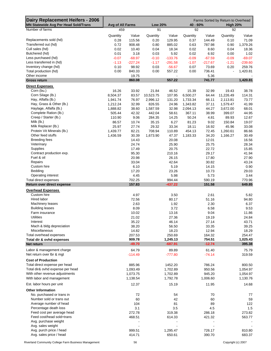| Dairy Replacement Heifers - 2006<br><b>MN Statewide Avg Per Head Sold/Trans</b> | Avg of All Farms<br><b>Low 20%</b> |                |                       |                          | Farms Sorted by Return to Overhead<br>40 - 60% |                |                       | <b>High 20%</b> |
|---------------------------------------------------------------------------------|------------------------------------|----------------|-----------------------|--------------------------|------------------------------------------------|----------------|-----------------------|-----------------|
| Number of farms                                                                 | 459                                |                | 91                    |                          | 92                                             |                | 92                    |                 |
|                                                                                 | Quantity                           | Value          | Quantity              | Value                    | Quantity                                       | Value          | Quantity              | Value           |
| Replacements sold (hd)                                                          | 0.28                               | 115.56         | 0.20                  | 129.95                   | 0.37                                           | 144.49         | 0.10                  | 71.09           |
| Transferred out (hd)                                                            | 0.72                               | 908.48         | 0.80                  | 885.02                   | 0.63                                           | 787.98         | 0.90                  | 1,379.26        |
| Cull sales (hd)                                                                 | 0.02                               | 10.40          | 0.04                  | 18.34                    | 0.02                                           | 8.60           | 0.04                  | 18.36           |
| Butchered (hd)                                                                  | 0.01                               | 3.18           | 0.03                  | 5.92                     | 0.02                                           | 6.92           | 0.00                  | 1.02            |
| Less purchased (hd)                                                             | $-0.07$                            | $-68.97$       | $-0.10$               | $-133.76$                | $-0.09$                                        | $-67.59$       | $-0.09$               | $-69.07$        |
| Less transferred in (hd)                                                        | $-1.13$                            | $-227.24$      | $-1.17$               | $-291.58$                | $-1.07$                                        | $-217.67$      | $-1.21$               | $-239.60$       |
| Inventory change (hd)                                                           | 0.10                               | 98.92          | 0.03                  | $-56.67$                 | 0.07                                           | 73.69          | 0.20                  | 259.76          |
| Total production (hd)                                                           | 0.00                               | 840.33         | 0.00                  | 557.22                   | 0.00                                           | 736.41         |                       | 1,420.81        |
| Other income                                                                    |                                    | 19.75          |                       | $\overline{\phantom{a}}$ |                                                | 5.36           |                       |                 |
| <b>Gross return</b>                                                             |                                    | 860.08         |                       | 557.22                   |                                                | 741.77         |                       | 1,420.81        |
| <b>Direct Expenses</b>                                                          |                                    |                |                       |                          |                                                |                |                       |                 |
| Corn (bu.)<br>Corn Silage (lb.)                                                 | 16.26                              | 33.92          | 21.84                 | 46.52                    | 15.39                                          | 32.99          | 19.43                 | 38.78           |
| Hay, Alfalfa (lb.)                                                              | 8,504.37<br>1,941.74               | 83.57<br>76.97 | 10,523.75<br>2,996.12 | 107.95<br>131.20         | 6,500.27<br>1,733.34                           | 64.44<br>66.11 | 11,226.49<br>2,113.81 | 114.31<br>73.77 |
| Hay, Grass & Other (lb.)                                                        | 1,212.24                           | 32.99          | 826.55                | 24.96                    | 1,343.82                                       | 37.11          | 1,579.47              | 41.99           |
| Haylage, Alfalfa (lb.)                                                          | 1,888.82                           | 38.60          | 1,587.59              | 32.98                    | 2,094.13                                       | 44.27          | 3,672.00              | 68.01           |
| Complete Ration (lb.)                                                           | 505.44                             | 42.32          | 442.04                | 58.61                    | 367.11                                         | 38.99          | 399.07                | 44.95           |
| Creep / Starter (lb.)                                                           | 110.90                             | 9.06           | 284.35                | 14.25                    | 50.24                                          | 4.81           | 89.93                 | 12.67           |
| Milk (lb.)                                                                      | 86.57                              | 10.74          | 35.15                 | 6.27                     | 81.23                                          | 9.02           | 150.84                | 19.07           |
| Milk Replacer (lb.)                                                             | 25.97                              | 27.74          | 29.32                 | 33.34                    | 18.11                                          | 16.92          | 45.96                 | 33.08           |
| Protein Vit Minerals (lb.)                                                      | 1,439.77                           | 82.21          | 708.94                | 110.89                   | 454.13                                         | 72.45          | 1,260.61              | 86.66           |
| Other feed stuffs                                                               | 1,436.59                           | 30.39          | 1,673.90              | 47.37                    | 1,183.33                                       | 34.20          | 1,166.27              | 30.49           |
| <b>Breeding fees</b>                                                            |                                    | 14.43          |                       | 20.08                    |                                                | 12.01          |                       | 16.56           |
| Veterinary                                                                      |                                    | 24.74          |                       | 25.90                    |                                                | 25.75          |                       | 28.34           |
| Supplies                                                                        |                                    | 17.49          |                       | 20.75                    |                                                | 22.72          |                       | 15.85           |
| Contract production exp.                                                        |                                    | 95.30          |                       | 210.16                   |                                                | 29.17          |                       | 41.94           |
| Fuel & oil                                                                      |                                    | 20.98          |                       | 26.15                    |                                                | 17.80          |                       | 27.90           |
| Repairs                                                                         |                                    | 33.04          |                       | 42.64                    |                                                | 30.82          |                       | 43.24           |
| Custom hire                                                                     |                                    | 6.10           |                       | 5.19                     |                                                | 14.15          |                       | 0.90            |
| Bedding<br>Operating interest                                                   |                                    | 17.20<br>4.45  |                       | 23.26<br>5.98            |                                                | 10.73<br>5.73  |                       | 29.03<br>3.44   |
| Total direct expenses                                                           |                                    | 702.25         |                       | 994.44                   |                                                | 590.19         |                       | 770.96          |
| Return over direct expense                                                      |                                    | 157.83         |                       | $-437.22$                |                                                | 151.58         |                       | 649.85          |
| <b>Overhead Expenses</b>                                                        |                                    |                |                       |                          |                                                |                |                       |                 |
| Custom hire                                                                     |                                    | 4.97           |                       | 3.50                     |                                                | 2.61           |                       | 5.82            |
| Hired labor                                                                     |                                    | 72.56          |                       | 80.17                    |                                                | 51.16          |                       | 94.80           |
| Machinery leases                                                                |                                    | 2.63           |                       | 1.92                     |                                                | 2.30           |                       | 6.37            |
| <b>Building leases</b>                                                          |                                    | 8.09           |                       | 3.72                     |                                                | 6.58           |                       | 9.53            |
| Farm insurance                                                                  |                                    | 10.02          |                       | 13.16                    |                                                | 9.04           |                       | 11.86           |
| <b>Utilities</b>                                                                |                                    | 21.02          |                       | 27.36                    |                                                | 19.19          |                       | 24.84           |
| Interest                                                                        |                                    | 35.22          |                       | 46.14                    |                                                | 27.14          |                       | 43.71           |
| Mach & bldg depreciation                                                        |                                    | 38.20          |                       | 56.50                    |                                                | 33.35          |                       | 39.25           |
| Miscellaneous                                                                   |                                    | 14.82          |                       | 18.23                    |                                                | 12.94          |                       | 18.29           |
| Total overhead expenses                                                         |                                    | 207.53         |                       | 250.69                   |                                                | 164.32         |                       | 254.47          |
| Total dir & ovhd expenses                                                       |                                    | 909.78         |                       | 1,245.13                 |                                                | 754.51         |                       | 1,025.43        |
| Net return                                                                      |                                    | $-49.70$       |                       | $-687.91$                |                                                | $-12.74$       |                       | 395.38          |
| Labor & management charge                                                       |                                    | 64.79          |                       | 89.89                    |                                                | 61.40          |                       | 75.79           |
| Net return over lbr & mgt                                                       |                                    | $-114.49$      |                       | $-777.80$                |                                                | $-74.14$       |                       | 319.59          |
| <b>Cost of Production</b>                                                       |                                    |                |                       |                          |                                                |                |                       |                 |
| Total direct expense per head                                                   |                                    | 885.96         |                       | 1452.20                  |                                                | 786.24         |                       | 800.50          |
| Total dir& ovhd expense per head                                                |                                    | 1,093.49       |                       | 1,702.89                 |                                                | 950.56         |                       | 1,054.97        |
| With other revenue adjustments                                                  |                                    | 1,073.75       |                       | 1,702.89                 |                                                | 945.20         |                       | 1,054.97        |
| With labor and management                                                       |                                    | 1,138.54       |                       | 1,792.78                 |                                                | 1,006.60       |                       | 1,130.76        |
| Est. labor hours per unit                                                       |                                    | 12.37          |                       | 15.19                    |                                                | 11.95          |                       | 14.68           |
| <b>Other Information</b>                                                        |                                    |                |                       |                          |                                                |                |                       |                 |
| No. purchased or trans in                                                       |                                    | 72             |                       | 54                       |                                                | 70             |                       | 77              |
| Number sold or trans out                                                        |                                    | 60             |                       | 42                       |                                                | 60             |                       | 59              |
| Average number of head                                                          |                                    | 104            |                       | 81                       |                                                | 89             |                       | 122             |
| Percentage death loss                                                           |                                    | 3.1            |                       | 3.5                      |                                                | 4.5            |                       | 1.5             |
| Feed cost per average head                                                      |                                    | 272.78         |                       | 319.38                   |                                                | 286.18         |                       | 273.82          |
| Feed cost/head sold+trans                                                       |                                    | 468.51         |                       | 614.33                   |                                                | 421.32         |                       | 563.77          |
| Avg. purchase weight                                                            |                                    |                |                       |                          |                                                |                |                       |                 |
| Avg. sales weight                                                               |                                    |                |                       |                          |                                                |                |                       |                 |
| Avg. purch price / head                                                         |                                    | 999.51         |                       | 1,295.47                 |                                                | 726.17         |                       | 810.80          |
| Avg. sales price / head                                                         |                                    | 414.71         |                       | 650.61                   |                                                | 390.70         |                       | 683.37          |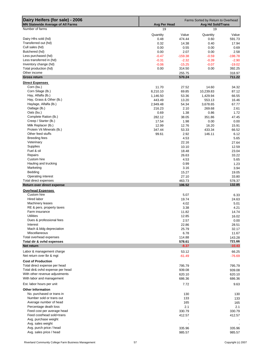| Dairy Heifers (for sale) - 2006<br>MN Statewide Average of All Farms | Farms Sorted by Return to Overhead<br><b>Avg Per Head</b><br><b>Avg Hd Sold/Trans</b> |                  |                    |                  |  |
|----------------------------------------------------------------------|---------------------------------------------------------------------------------------|------------------|--------------------|------------------|--|
| Number of farms                                                      | 19                                                                                    |                  | 19                 |                  |  |
|                                                                      | Quantity                                                                              | Value            | Quantity           | Value            |  |
| Dairy Hfrs sold (hd)                                                 | 0.48                                                                                  | 474.44           | 0.60               | 591.73           |  |
| Transferred out (hd)                                                 | 0.32                                                                                  | 14.38            | 0.40               | 17.94            |  |
| Cull sales (hd)                                                      | 0.00                                                                                  | 0.55             | 0.00               | 0.69             |  |
| Butchered (hd)                                                       | 0.00                                                                                  | 2.07             | 0.00               | 2.58             |  |
| Less purchased (hd)                                                  | $-0.47$                                                                               | $-159.38$        | $-0.59$            | $-198.78$        |  |
| Less transferred in (hd)                                             | $-0.31$                                                                               | $-2.32$          | $-0.39$            | $-2.90$          |  |
| Inventory change (hd)                                                | $-0.06$                                                                               | $-15.25$         | $-0.07$            | $-19.02$         |  |
| Total production (hd)                                                | 0.00                                                                                  | 314.50           | 0.00               | 392.25           |  |
| Other income<br><b>Gross return</b>                                  |                                                                                       | 255.75<br>570.24 |                    | 318.97<br>711.22 |  |
|                                                                      |                                                                                       |                  |                    |                  |  |
| <b>Direct Expenses</b>                                               |                                                                                       |                  |                    |                  |  |
| Corn (bu.)<br>Corn Silage (lb.)                                      | 11.70                                                                                 | 27.52            | 14.60              | 34.32            |  |
| Hay, Alfalfa (lb.)                                                   | 8,210.10                                                                              | 69.85            | 10,239.83          | 87.12<br>66.55   |  |
| Hay, Grass & Other (lb.)                                             | 1,146.50<br>443.49                                                                    | 53.36            | 1,429.94<br>553.13 | 16.46            |  |
| Haylage, Alfalfa (lb.)                                               | 2,949.48                                                                              | 13.20<br>54.34   | 3,678.65           | 67.77            |  |
| Oatlage (lb.)                                                        | 216.23                                                                                | 2.10             | 269.68             | 2.61             |  |
| Oats (bu.)                                                           | 0.69                                                                                  | 1.38             | 0.86               | 1.72             |  |
| Complete Ration (lb.)                                                | 282.12                                                                                | 38.05            | 351.86             | 47.45            |  |
| Creep / Starter (lb.)                                                | 17.54                                                                                 | 1.98             | 0.00               | 0.00             |  |
| Milk Replacer (lb.)                                                  | 12.99                                                                                 | 12.76            | 16.20              | 15.91            |  |
| Protein Vit Minerals (lb.)                                           | 347.44                                                                                | 53.33            | 433.34             | 66.52            |  |
| Other feed stuffs                                                    | 99.61                                                                                 | 2.92             | 146.11             | 6.12             |  |
| Breeding fees                                                        |                                                                                       | 4.53             |                    | 5.65             |  |
| Veterinary                                                           |                                                                                       | 22.16            |                    | 27.64            |  |
| Supplies                                                             |                                                                                       | 10.10            |                    | 12.59            |  |
| Fuel & oil                                                           |                                                                                       | 18.48            |                    | 23.04            |  |
| Repairs                                                              |                                                                                       | 26.63            |                    | 33.22            |  |
| Custom hire                                                          |                                                                                       | 4.53             |                    | 5.65             |  |
| Hauling and trucking                                                 |                                                                                       | 0.99             |                    |                  |  |
| Marketing                                                            |                                                                                       |                  |                    | 1.23             |  |
| Bedding                                                              |                                                                                       | 3.16             |                    | 3.94             |  |
| Operating interest                                                   |                                                                                       | 15.27<br>27.10   |                    | 19.05<br>33.80   |  |
| Total direct expenses                                                |                                                                                       | 463.73           |                    | 578.37           |  |
| Return over direct expense                                           |                                                                                       | 106.52           |                    | 132.85           |  |
| <b>Overhead Expenses</b>                                             |                                                                                       |                  |                    |                  |  |
| Custom hire                                                          |                                                                                       | 5.07             |                    | 6.33             |  |
| Hired labor                                                          |                                                                                       | 19.74            |                    | 24.63            |  |
| <b>Machinery leases</b>                                              |                                                                                       | 4.02             |                    | 5.01             |  |
| RE & pers. property taxes                                            |                                                                                       | 3.38             |                    | 4.21             |  |
| Farm insurance                                                       |                                                                                       | 11.82            |                    | 14.74            |  |
| Utilities                                                            |                                                                                       | 12.85            |                    | 16.02            |  |
| Dues & professional fees                                             |                                                                                       | 2.57             |                    | 0.00             |  |
| Interest                                                             |                                                                                       | 22.86            |                    | 28.51            |  |
| Mach & bldg depreciation                                             |                                                                                       | 25.79            |                    | 32.17            |  |
| Miscellaneous                                                        |                                                                                       | 6.78             |                    | 11.67            |  |
| Total overhead expenses                                              |                                                                                       | 114.88           |                    | 143.28           |  |
| Total dir & ovhd expenses                                            |                                                                                       | 578.61           |                    | 721.66           |  |
| Net return                                                           |                                                                                       | $-8.37$          |                    | $-10.43$         |  |
| Labor & management charge                                            |                                                                                       | 53.12            |                    | 66.25            |  |
| Net return over Ibr & mgt                                            |                                                                                       | $-61.49$         |                    | $-76.69$         |  |
|                                                                      |                                                                                       |                  |                    |                  |  |
| <b>Cost of Production</b>                                            |                                                                                       |                  |                    |                  |  |
| Total direct expense per head<br>Total dir& ovhd expense per head    |                                                                                       | 795.79           |                    | 795.79<br>939.08 |  |
| With other revenue adjustments                                       |                                                                                       | 939.08           |                    |                  |  |
| With labor and management                                            |                                                                                       | 620.10<br>686.36 |                    | 620.10<br>686.36 |  |
|                                                                      |                                                                                       |                  |                    |                  |  |
| Est. labor hours per unit                                            |                                                                                       | 7.72             |                    | 9.63             |  |
| <b>Other Information</b>                                             |                                                                                       |                  |                    |                  |  |
| No. purchased or trans in                                            |                                                                                       | 130              |                    | 130              |  |
| Number sold or trans out                                             |                                                                                       | 133              |                    | 133              |  |
| Average number of head                                               |                                                                                       | 165              |                    | 165              |  |
| Percentage death loss                                                |                                                                                       | 2.1              |                    | 2.1              |  |
| Feed cost per average head                                           |                                                                                       | 330.79           |                    | 330.79           |  |
| Feed cost/head sold+trans                                            |                                                                                       | 412.57           |                    | 412.57           |  |
| Avg. purchase weight                                                 |                                                                                       |                  |                    |                  |  |
| Avg. sales weight                                                    |                                                                                       |                  |                    |                  |  |
| Avg. purch price / head                                              |                                                                                       | 335.96           |                    | 335.96           |  |
| Avg. sales price / head                                              |                                                                                       | 985.57           |                    | 985.57           |  |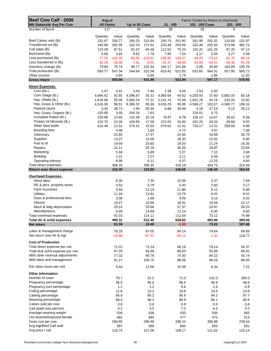| Beef Cow Calf - 2006                     | Avg of               |                 |                      |                 | Farms Sorted by Return to Overhead |                 |                      |                  |                    |                  |
|------------------------------------------|----------------------|-----------------|----------------------|-----------------|------------------------------------|-----------------|----------------------|------------------|--------------------|------------------|
| <b>MN Statewide Avg Per Cow</b>          | <b>All Farms</b>     |                 | Up to 50 Cows        |                 | $51 - 100$                         |                 | 101 - 200 Cows       |                  | $201 - 500$        |                  |
| Number of farms                          | 117                  |                 | 45                   |                 | 38                                 |                 | 28                   |                  | 6                  |                  |
|                                          | Quantity             | Value           | Quantity             | Value           | Quantity                           | Value           | Quantity             | Value            | Quantity           | Value            |
| Beef Calves sold (lb)                    | 231.87               | 256.77          | 290.25               | 310.84          | 230.74                             | 251.90          | 261.90               | 292.32           | 110.68             | 132.97           |
| Transferred out (lb)<br>Cull sales (lb)  | 245.88<br>110.28     | 262.95<br>87.51 | 162.33<br>81.07      | 172.81<br>64.48 | 233.49<br>112.62                   | 250.55<br>75.24 | 232.49<br>125.31     | 255.63<br>101.26 | 373.98<br>97.20    | 382.73<br>97.12  |
| Butchered (lb)                           | 5.68                 | 4.83            | 8.62                 | 7.79            | 7.60                               | 7.04            | 4.17                 | 3.04             | 3.27               | 2.56             |
| Less purchased (lb)                      | $-77.55$             | $-102.30$       | $-89.00$             | $-120.81$       | $-106.85$                          | $-126.57$       | $-49.43$             | $-79.14$         | $-82.75$           | $-98.14$         |
| Less transferred in (lb)                 | $-35.28$             | $-38.46$        | $-7.41$              | $-6.55$         | $-31.37$                           | $-38.99$        | $-42.84$             | $-44.41$         | $-49.36$           | $-52.29$         |
| Inventory change (lb)                    | 79.89                | 75.74           | 98.77                | 102.53          | 164.17                             | 101.88          | 0.06                 | 35.60            | 104.88             | 100.78           |
| Total production (lb)                    | 560.77               | 547.04          | 544.64               | 531.09          | 610.42                             | 521.05          | 531.65               | 564.31           | 557.90             | 565.72           |
| Other income<br><b>Gross return</b>      |                      | 3.65<br>550.68  |                      | 0.85<br>531.95  |                                    | 1.79<br>522.84  |                      | 2.86<br>567.17   |                    | 11.20<br>576.92  |
|                                          |                      |                 |                      |                 |                                    |                 |                      |                  |                    |                  |
| <b>Direct Expenses</b>                   |                      |                 |                      |                 |                                    |                 |                      |                  |                    |                  |
| Corn (bu.)<br>Corn Silage (lb.)          | 2.07                 | 4.51            | 3.33                 | 7.84            | 1.98                               | 4.06            | 2.53                 | 5.50             |                    |                  |
| Hay, Alfalfa (lb.)                       | 4,694.42<br>1,818.68 | 42.85<br>55.06  | 4,096.87<br>2,690.24 | 35.31<br>77.21  | 4,985.64<br>2,141.74               | 44.02<br>70.49  | 4,203.93<br>1,921.78 | 37.50<br>54.19   | 5,882.05<br>233.33 | 60.18<br>10.50   |
| Hay, Grass & Other (lb.)                 | 4,516.30             | 98.51           | 6,389.32             | 95.38           | 3,633.29                           | 90.06           | 4,506.27             | 102.67           | 4,380.77           | 106.16           |
| Pasture (aum)                            | 5.34                 | 38.73           | 2.94                 | 30.34           | 8.88                               | 39.48           | 4.18                 | 47.19            | 4.13               | 25.12            |
| Hay, Grass, Organic (lb.)                | 120.80               | 3.40            | 204.34               | 7.63            | $\overline{\phantom{a}}$           | $\blacksquare$  | 229.01               | 5.73             | $\blacksquare$     |                  |
| Complete Ration (lb.)                    | 100.88               | 10.65           | 122.56               | 10.16           | 79.97                              | 6.78            | 136.14               | 14.57            | 34.62              | 8.56             |
| Protein Vit Minerals (lb.)               | 152.70               | 24.36           | 109.66               | 17.58           | 223.05                             | 31.93           | 161.25               | 28.33            | 49.68              | 8.05             |
| Other feed stuffs                        | 615.48               | 12.52           | 578.31               | 15.54           | 679.62                             | 11.41           | 734.17               | 13.31            | 258.94             | 9.88             |
| Breeding fees                            |                      | 4.80            |                      | 1.89            |                                    | 4.74            |                      | 4.97             |                    | 7.09<br>22.79    |
| Veterinary<br>Supplies                   |                      | 22.85<br>13.07  |                      | 17.47<br>15.08  |                                    | 24.56<br>16.32  |                      | 23.68<br>12.92   |                    | 6.00             |
| Fuel & oil                               |                      | 19.69           |                      | 20.60           |                                    | 19.03           |                      | 21.24            |                    | 16.35            |
| Repairs                                  |                      | 31.11           |                      | 35.16           |                                    | 36.25           |                      | 28.97            |                    | 23.64            |
| Marketing                                |                      | 5.69            |                      | 3.98            |                                    | 5.57            |                      | 7.15             |                    | 3.98             |
| Bedding                                  |                      | 1.51            |                      | 1.07            |                                    | 3.11            |                      | 0.58             |                    | 1.34             |
| Operating interest                       |                      | 8.96            |                      | 6.11            |                                    | 8.37            |                      | 12.25            |                    | 4.84             |
| Total direct expenses                    |                      | 398.28          |                      | 398.35          |                                    | 416.19          |                      | 420.73           |                    | 314.48           |
| Return over direct expense               |                      | 152.40          |                      | 133.60          |                                    | 106.65          |                      | 146.44           |                    | 262.44           |
| <b>Overhead Expenses</b>                 |                      |                 |                      |                 |                                    |                 |                      |                  |                    |                  |
| Hired labor                              |                      | 6.35            |                      | 7.30            |                                    | 10.56           |                      | 2.37             |                    | 7.58             |
| RE & pers. property taxes                |                      | 3.52            |                      | 3.79            |                                    | 5.40            |                      | 2.60             |                    | 2.17             |
| Farm insurance<br><b>Utilities</b>       |                      | 9.53<br>11.16   |                      | 12.19<br>13.81  |                                    | 11.80<br>13.75  |                      | 8.12<br>9.41     |                    | 6.49<br>8.41     |
| Dues & professional fees                 |                      | 3.08            |                      | 2.68            |                                    | 3.09            |                      | 3.12             |                    | 3.32             |
| Interest                                 |                      | 18.67           |                      | 23.99           |                                    | 18.41           |                      | 19.58            |                    | 12.17            |
| Mach & bldg depreciation                 |                      | 29.14           |                      | 35.66           |                                    | 37.37           |                      | 20.97            |                    | 28.23            |
| Miscellaneous                            |                      | 9.59            |                      | 14.69           |                                    | 12.24           |                      | 6.95             |                    | 6.60             |
| Total overhead expenses                  |                      | 91.03           |                      | 114.11          |                                    | 112.64          |                      | 73.12            |                    | 74.98            |
| Total dir & ovhd expenses                |                      | 489.31<br>61.38 |                      | 512.46          |                                    | 528.82          |                      | 493.86           |                    | 389.46<br>187.46 |
| Net return                               |                      |                 |                      | 19.48           |                                    | $-5.99$         |                      | 73.32            |                    |                  |
| Labor & management charge                |                      | 78.26           |                      | 87.05           |                                    | 84.14           |                      | 74.64            |                    | 68.69            |
| Net return over lbr & mgt                |                      | $-16.88$        |                      | $-67.57$        |                                    | $-90.12$        |                      | $-1.32$          |                    | 118.77           |
| <b>Cost of Production</b>                |                      |                 |                      |                 |                                    |                 |                      |                  |                    |                  |
| Total direct expense per cwt.            |                      | 71.02           |                      | 73.14           |                                    | 68.18           |                      | 79.14            |                    | 56.37            |
| Total dir& ovhd expense per cwt.         |                      | 87.26           |                      | 94.09           |                                    | 86.63           |                      | 92.89            |                    | 69.81            |
| With other revenue adjustments           |                      | 77.32           |                      | 90.78           |                                    | 74.30           |                      | 84.22            |                    | 55.74            |
| With labor and management                |                      | 91.27           |                      | 106.76          |                                    | 88.08           |                      | 98.26            |                    | 68.05            |
| Est. labor hours per unit                |                      | 9.44            |                      | 12.96           |                                    | 10.38           |                      | 8.34             |                    | 7.22             |
| <b>Other Information</b>                 |                      |                 |                      |                 |                                    |                 |                      |                  |                    |                  |
| Number of cows                           |                      | 79.7            |                      | 31.2            |                                    | 71.0            |                      | 131.0            |                    | 260.0            |
| Pregnancy percentage                     |                      | 96.6            |                      | 96.5            |                                    | 96.4            |                      | 95.9             |                    | 98.6             |
| Pregnancy loss percentage                |                      | 1.2             |                      | 1.2             |                                    | 0.6             |                      | 1.8              |                    | 0.8              |
| Culling percentage                       |                      | 12.6            |                      | 10.2            |                                    | 10.8            |                      | 14.3             |                    | 13.8             |
| Calving percentage<br>Weaning percentage |                      | 95.4<br>89.4    |                      | 95.2<br>90.2    |                                    | 95.9<br>89.9    |                      | 94.2<br>88.1     |                    | 97.7<br>90.8     |
| Calves sold per cow                      |                      | 0.8             |                      | 0.8             |                                    | 0.8             |                      | 0.9              |                    | 0.8              |
| Calf death loss percent                  |                      | 6.2             |                      | 4.5             |                                    | 7.0             |                      | 6.4              |                    | 5.5              |
| Average weaning weight                   |                      | 539             |                      | 536             |                                    | 530             |                      | 536              |                    | 565              |
| Lbs weaned/exposed female                |                      | 482             |                      | 484             |                                    | 477             |                      | 472              |                    | 513              |
| Feed cost per cow                        |                      | 290.60          |                      | 296.99          |                                    | 298.24          |                      | 308.98           |                    | 228.44           |
| Avg wgt/Beef Calf sold                   |                      | 597             |                      | 580             |                                    | 600             |                      | 603              |                    | 591              |
| Avg price / cwt                          |                      | 110.74          |                      | 107.09          |                                    | 109.17          |                      | 111.62           |                    | 120.14           |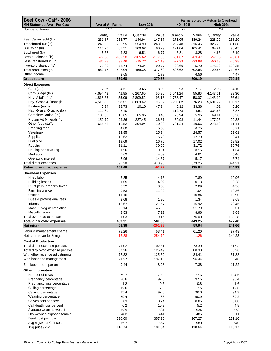| Beef Cow - Calf - 2006<br><b>MN Statewide Avg - Per Cow</b> | Avg of All Farms |                | <b>Low 20%</b> |                                   | Farms Sorted by Return to Overhead<br>40 - 60%<br><b>High 20%</b> |               |                |                 |
|-------------------------------------------------------------|------------------|----------------|----------------|-----------------------------------|-------------------------------------------------------------------|---------------|----------------|-----------------|
| Number of farms                                             | 117              |                | 23             |                                   | 24                                                                |               | 24             |                 |
|                                                             | Quantity         | Value          | Quantity       | Value                             | Quantity                                                          | Value         | Quantity       | Value           |
| Beef Calves sold (lb)                                       | 231.87           | 256.77         | 144.94         | 147.17                            | 171.05                                                            | 189.24        | 228.22         | 258.29          |
| Transferred out (lb)                                        | 245.88           | 262.95         | 254.90         | 263.38                            | 297.48                                                            | 316.46        | 325.78         | 351.38          |
| Cull sales (lb)                                             | 110.28           | 87.51          | 100.02         | 88.29                             | 121.84                                                            | 105.41        | 94.21          | 90.45           |
| Butchered (lb)                                              | 5.68             | 4.83           | 6.51           | 6.77                              | 3.81                                                              | 3.28          | 4.66           | 3.19            |
| Less purchased (lb)                                         | $-77.55$         | $-102.30$      | $-105.62$      | $-177.36$                         | $-81.87$                                                          | $-83.47$      | $-57.06$       | $-70.61$        |
| Less transferred in (lb)                                    | $-35.28$         | $-38.46$       | $-15.72$       | $-41.13$                          | $-27.39$                                                          | $-33.98$      | $-50.38$       | $-46.38$        |
| Inventory change (lb)                                       | 79.89            | 75.74          | 74.34          | 90.77                             | 23.69                                                             | 5.70          | 175.22         | 128.35          |
| Total production (lb)                                       | 560.77           | 547.04         | 459.38         | 377.89                            | 508.62                                                            | 502.63        | 720.65         | 714.67          |
| Other income                                                |                  | 3.65           |                | 1.79                              |                                                                   | 6.56          |                | 4.47            |
| <b>Gross return</b>                                         |                  | 550.68         |                | 379.68                            |                                                                   | 509.19        |                | 719.14          |
| <b>Direct Expenses</b>                                      |                  |                |                |                                   |                                                                   |               |                |                 |
| Corn (bu.)                                                  | 2.07             | 4.51           | 3.65           | 8.03                              | 0.93                                                              | 2.17          | 2.03           | 4.10            |
| Corn Silage (lb.)                                           | 4,694.42         | 42.85          | 6,267.65       | 56.36                             | 5,541.24                                                          | 55.86         | 4,147.61       | 39.36           |
| Hay, Alfalfa (lb.)                                          | 1,818.68         | 55.06          | 2,809.52       | 93.18                             | 1,758.47                                                          | 58.07         | 1,143.19       | 36.61           |
| Hay, Grass & Other (lb.)<br>Pasture (aum)                   | 4,516.30         | 98.51<br>38.73 | 3,868.62       | 96.07                             | 3,290.82                                                          | 76.23         | 5,631.27       | 100.17<br>40.20 |
| Hay, Grass, Organic (lb.)                                   | 5.34<br>120.80   | 3.40           | 10.10          | 47.34<br>$\overline{\phantom{a}}$ | 6.12<br>112.78                                                    | 33.36<br>4.51 | 4.02<br>334.66 | 8.37            |
| Complete Ration (lb.)                                       | 100.88           | 10.65          | 85.96          | 8.48                              | 73.94                                                             | 5.96          | 69.41          | 8.56            |
| Protein Vit Minerals (lb.)                                  | 152.70           | 24.36          | 227.45         | 36.81                             | 59.98                                                             | 11.44         | 177.26         | 22.38           |
| Other feed stuffs                                           | 615.48           | 12.52          | 394.94         | 10.93                             | 781.24                                                            | 19.66         | 278.59         | 11.41           |
| <b>Breeding fees</b>                                        |                  | 4.80           |                | 5.68                              |                                                                   | 6.75          |                | 6.71            |
| Veterinary                                                  |                  | 22.85          |                | 25.34                             |                                                                   | 24.57         |                | 22.61           |
| Supplies                                                    |                  | 12.62          |                | 15.73                             |                                                                   | 12.79         |                | 9.41            |
| Fuel & oil                                                  |                  | 19.69          |                | 16.76                             |                                                                   | 17.02         |                | 19.82           |
| Repairs                                                     |                  | 31.11          |                | 30.29                             |                                                                   | 31.72         |                | 30.76           |
| Hauling and trucking                                        |                  | 1.96           |                | 0.94                              |                                                                   | 3.15          |                | 1.54            |
| Marketing                                                   |                  | 5.69           |                | 4.39                              |                                                                   | 4.81          |                | 5.46            |
| Operating interest                                          |                  | 8.96           |                | 14.57                             |                                                                   | 5.17          |                | 6.74            |
| Total direct expenses                                       |                  | 398.28         |                | 470.90                            |                                                                   | 373.25        |                | 374.21          |
| Return over direct expense                                  |                  | 152.40         |                | $-91.22$                          |                                                                   | 135.94        |                | 344.93          |
| <b>Overhead Expenses</b>                                    |                  |                |                |                                   |                                                                   |               |                |                 |
| Hired labor                                                 |                  | 6.35           |                | 4.13                              |                                                                   | 7.89          |                | 10.96           |
| <b>Building leases</b>                                      |                  | 1.05           |                | 4.02                              |                                                                   | 0.13          |                | 0.28            |
| RE & pers. property taxes                                   |                  | 3.52           |                | 3.60                              |                                                                   | 2.09          |                | 4.56            |
| Farm insurance                                              |                  | 9.53           |                | 11.02                             |                                                                   | 7.04          |                | 10.26           |
| <b>Utilities</b>                                            |                  | 11.16          |                | 11.08                             |                                                                   | 10.84         |                | 10.90           |
| Dues & professional fees                                    |                  | 3.08           |                | 1.90                              |                                                                   | 1.34          |                | 3.68            |
| Interest                                                    |                  | 18.67          |                | 21.57                             |                                                                   | 15.92         |                | 20.45           |
| Mach & bldg depreciation                                    |                  | 29.14          |                | 45.66                             |                                                                   | 21.79         |                | 33.51           |
| Miscellaneous                                               |                  | 8.53           |                | 7.19                              |                                                                   | 8.96          |                | 8.68            |
| Total overhead expenses                                     |                  | 91.03          |                | 110.16                            |                                                                   | 76.00         |                | 103.28          |
| Total dir & ovhd expenses                                   |                  | 489.31         |                | 581.06                            |                                                                   | 449.25        |                | 477.48          |
| Net return                                                  |                  | 61.38          |                | $-201.38$                         |                                                                   | 59.94         |                | 241.66          |
| Labor & management charge                                   |                  | 78.26          |                | 53.41                             |                                                                   | 61.20         |                | 97.43           |
| Net return over lbr & mgt                                   |                  | $-16.88$       |                | $-254.79$                         |                                                                   | $-1.26$       |                | 144.23          |
| <b>Cost of Production</b>                                   |                  |                |                |                                   |                                                                   |               |                |                 |
| Total direct expense per cwt.                               |                  | 71.02          |                | 102.51                            |                                                                   | 73.39         |                | 51.93           |
| Total dir& ovhd expense per cwt.                            |                  | 87.26          |                | 126.49                            |                                                                   | 88.33         |                | 66.26           |
| With other revenue adjustments                              |                  | 77.32          |                | 125.52                            |                                                                   | 84.41         |                | 51.88           |
| With labor and management                                   |                  | 91.27          |                | 137.15                            |                                                                   | 96.44         |                | 65.40           |
| Est. labor hours per unit                                   |                  | 9.44           |                | 8.28                              |                                                                   | 7.38          |                | 11.22           |
| <b>Other Information</b>                                    |                  |                |                |                                   |                                                                   |               |                |                 |
| Number of cows                                              |                  | 79.7           |                | 70.8                              |                                                                   | 77.6          |                | 104.6           |
| Pregnancy percentage                                        |                  | 96.6           |                | 92.8                              |                                                                   | 97.6          |                | 96.4            |
| Pregnancy loss percentage                                   |                  | 1.2            |                | 0.6                               |                                                                   | 0.8           |                | 1.6             |
| Culling percentage                                          |                  | 12.6           |                | 12.8                              |                                                                   | 15            |                | 12.8            |
| Calving percentage                                          |                  | 95.4           |                | 92.3                              |                                                                   | 96.8          |                | 94.9            |
| Weaning percentage                                          |                  | 89.4           |                | 83                                |                                                                   | 90.9          |                | 89.2            |
| Calves sold per cow                                         |                  | 0.83           |                | 0.74                              |                                                                   | 0.85          |                | 0.88            |
| Calf death loss percent                                     |                  | 6.2            |                | 10.9                              |                                                                   | 5.2           |                | 4.8             |
| Average weaning weight                                      |                  | 539            |                | 531                               |                                                                   | 534           |                | 573             |
| Lbs weaned/exposed female                                   |                  | 482            |                | 441                               |                                                                   | 485           |                | 511             |
| Feed cost per cow                                           |                  | 290.60         |                | 357.20                            |                                                                   | 267.27        |                | 271.16          |
| Avg wgt/Beef Calf sold                                      |                  | 597            |                | 557                               |                                                                   | 580           |                | 640             |
| Avg price / cwt                                             |                  | 110.74         |                | 101.54                            |                                                                   | 110.64        |                | 113.17          |
|                                                             |                  |                |                |                                   |                                                                   |               |                |                 |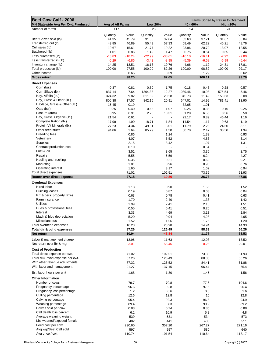| Beef Cow Calf - 2006<br><b>MN Statewide Avg Per Cwt. Produced</b> | Avg of All Farms<br><b>Low 20%</b><br>40 - 60% |          |          |                |          | Farms Sorted by Return to Overhead<br><b>High 20%</b> |          |         |
|-------------------------------------------------------------------|------------------------------------------------|----------|----------|----------------|----------|-------------------------------------------------------|----------|---------|
| Number of farms                                                   | 117                                            |          | 23       |                | 24       |                                                       | 24       |         |
|                                                                   |                                                |          |          |                |          |                                                       |          |         |
| Beef Calves sold (lb)                                             | Quantity                                       | Value    | Quantity | Value          | Quantity | Value                                                 | Quantity | Value   |
| Transferred out (lb)                                              | 41.35                                          | 45.79    | 31.55    | 32.04          | 33.63    | 37.21                                                 | 31.67    | 35.84   |
|                                                                   | 43.85                                          | 46.89    | 55.49    | 57.33          | 58.49    | 62.22                                                 | 45.21    | 48.76   |
| Cull sales (lb)                                                   | 19.67                                          | 15.61    | 21.77    | 19.22          | 23.96    | 20.72                                                 | 13.07    | 12.55   |
| Butchered (lb)                                                    | 1.01                                           | 0.86     | 1.42     | 1.47           | 0.75     | 0.64                                                  | 0.65     | 0.44    |
| Less purchased (lb)                                               | $-13.83$                                       | $-18.24$ | $-22.99$ | $-38.61$       | $-16.10$ | $-16.41$                                              | $-7.92$  | $-9.80$ |
| Less transferred in (lb)                                          | $-6.29$                                        | $-6.86$  | $-3.42$  | $-8.95$        | $-5.39$  | $-6.68$                                               | $-6.99$  | $-6.44$ |
| Inventory change (lb)                                             | 14.25                                          | 13.51    | 16.18    | 19.76          | 4.66     | 1.12                                                  | 24.31    | 17.81   |
| Total production (lb)                                             | 100.00                                         | 97.55    | 100.00   | 82.26          | 100.00   | 98.82                                                 | 100.00   | 99.17   |
| Other income                                                      |                                                | 0.65     |          | 0.39           |          | 1.29                                                  |          | 0.62    |
| <b>Gross return</b>                                               |                                                | 98.20    |          | 82.65          |          | 100.11                                                |          | 99.79   |
| <b>Direct Expenses</b>                                            |                                                |          |          |                |          |                                                       |          |         |
| Corn (bu.)                                                        | 0.37                                           | 0.81     | 0.80     | 1.75           | 0.18     | 0.43                                                  | 0.28     | 0.57    |
| Corn Silage (lb.)                                                 | 837.14                                         | 7.64     | 1364.38  | 12.27          | 1089.46  | 10.98                                                 | 575.54   | 5.46    |
| Hay, Alfalfa (lb.)                                                | 324.32                                         | 9.82     | 611.59   | 20.28          | 345.73   | 11.42                                                 | 158.63   | 5.08    |
| Hay, Grass & Other (lb.)                                          | 805.38                                         | 17.57    | 842.15   | 20.91          | 647.01   | 14.99                                                 | 781.41   | 13.90   |
| Haylage, Grass & Other (lb.)                                      |                                                |          | ÷,       |                |          |                                                       |          |         |
|                                                                   | 15.45                                          | 0.19     |          |                | 72.65    | 1.01                                                  |          |         |
| Oats (bu.)                                                        | 0.25                                           | 0.40     | 0.68     | 1.07           | 0.25     | 0.38                                                  | 0.16     | 0.25    |
| Pasture (aum)                                                     | 0.95                                           | 6.91     | 2.20     | 10.31          | 1.20     | 6.56                                                  | 0.56     | 5.58    |
| Hay, Grass, Organic (lb.)                                         | 21.54                                          | 0.61     |          | $\overline{a}$ | 22.17    | 0.89                                                  | 46.44    | 1.16    |
| Complete Ration (lb.)                                             | 17.99                                          | 1.90     | 18.71    | 1.84           | 14.54    | 1.17                                                  | 9.63     | 1.19    |
| Protein Vit Minerals (lb.)                                        | 27.23                                          | 4.34     | 49.51    | 8.01           | 11.79    | 2.25                                                  | 24.60    | 3.11    |
| Other feed stuffs                                                 | 94.06                                          | 1.64     | 85.29    | 1.30           | 80.70    | 2.47                                                  | 38.50    | 1.34    |
| <b>Breeding fees</b>                                              |                                                | 0.86     |          | 1.24           |          | 1.33                                                  |          | 0.93    |
| Veterinary                                                        |                                                | 4.07     |          | 5.52           |          | 4.83                                                  |          | 3.14    |
| Supplies                                                          |                                                | 2.15     |          | 3.42           |          | 1.97                                                  |          | 1.31    |
| Contract production exp.                                          |                                                | 0.10     |          |                |          | 0.54                                                  |          |         |
| Fuel & oil                                                        |                                                | 3.51     |          | 3.65           |          | 3.35                                                  |          | 2.75    |
|                                                                   |                                                |          |          |                |          |                                                       |          |         |
| Repairs                                                           |                                                | 5.55     |          | 6.59           |          | 6.24                                                  |          | 4.27    |
| Hauling and trucking                                              |                                                | 0.35     |          | 0.21           |          | 0.62                                                  |          | 0.21    |
| Marketing                                                         |                                                | 1.01     |          | 0.96           |          | 0.95                                                  |          | 0.76    |
| Operating interest                                                |                                                | 1.60     |          | 3.17           |          | 1.02                                                  |          | 0.94    |
| Total direct expenses                                             |                                                | 71.02    |          | 102.51         |          | 73.39                                                 |          | 51.93   |
| Return over direct expense                                        |                                                | 27.18    |          | $-19.86$       |          | 26.73                                                 |          | 47.86   |
| <b>Overhead Expenses</b>                                          |                                                |          |          |                |          |                                                       |          |         |
| Hired labor                                                       |                                                | 1.13     |          | 0.90           |          | 1.55                                                  |          | 1.52    |
| <b>Building leases</b>                                            |                                                | 0.19     |          | 0.87           |          | 0.03                                                  |          | 0.04    |
| RE & pers. property taxes                                         |                                                | 0.63     |          | 0.78           |          | 0.41                                                  |          | 0.63    |
| Farm insurance                                                    |                                                | 1.70     |          | 2.40           |          | 1.38                                                  |          | 1.42    |
| <b>Utilities</b>                                                  |                                                | 1.99     |          | 2.41           |          | 2.13                                                  |          | 1.51    |
| Dues & professional fees                                          |                                                |          |          |                |          |                                                       |          |         |
| Interest                                                          |                                                | 0.55     |          | 0.41           |          | 0.26                                                  |          | 0.51    |
|                                                                   |                                                | 3.33     |          | 4.69           |          | 3.13                                                  |          | 2.84    |
| Mach & bldg depreciation                                          |                                                | 5.20     |          | 9.94           |          | 4.28                                                  |          | 4.65    |
| Miscellaneous                                                     |                                                | 1.52     |          | 1.56           |          | 1.76                                                  |          | 1.20    |
| Total overhead expenses                                           |                                                | 16.23    |          | 23.98          |          | 14.94                                                 |          | 14.33   |
| Total dir & ovhd expenses                                         |                                                | 87.26    |          | 126.49         |          | 88.33                                                 |          | 66.26   |
| Net return                                                        |                                                | 10.94    |          | $-43.84$       |          | 11.78                                                 |          | 33.53   |
| Labor & management charge                                         |                                                | 13.96    |          | 11.63          |          | 12.03                                                 |          | 13.52   |
| Net return over lbr & mgt                                         |                                                | $-3.01$  |          | $-55.46$       |          | $-0.25$                                               |          | 20.01   |
|                                                                   |                                                |          |          |                |          |                                                       |          |         |
| <b>Cost of Production</b>                                         |                                                |          |          |                |          |                                                       |          |         |
| Total direct expense per cwt.                                     |                                                | 71.02    |          | 102.51         |          | 73.39                                                 |          | 51.93   |
| Total dir& ovhd expense per cwt.                                  |                                                | 87.26    |          | 126.49         |          | 88.33                                                 |          | 66.26   |
| With other revenue adjustments                                    |                                                | 77.32    |          | 125.52         |          | 84.41                                                 |          | 51.88   |
| With labor and management                                         |                                                | 91.27    |          | 137.15         |          | 96.44                                                 |          | 65.4    |
| Est. labor hours per unit                                         |                                                | 1.68     |          | 1.80           |          | 1.45                                                  |          | 1.56    |
|                                                                   |                                                |          |          |                |          |                                                       |          |         |
| <b>Other Information</b>                                          |                                                |          |          |                |          |                                                       |          |         |
| Number of cows                                                    |                                                | 79.7     |          | 70.8           |          | 77.6                                                  |          | 104.6   |
| Pregnancy percentage                                              |                                                | 96.6     |          | 92.8           |          | 97.6                                                  |          | 96.4    |
| Pregnancy loss percentage                                         |                                                | 1.2      |          | 0.6            |          | 0.8                                                   |          | 1.6     |
| Culling percentage                                                |                                                | 12.6     |          | 12.8           |          | 15                                                    |          | 12.8    |
| Calving percentage                                                |                                                | 95.4     |          | 92.3           |          | 96.8                                                  |          | 94.9    |
| Weaning percentage                                                |                                                | 89.4     |          | 83             |          | 90.9                                                  |          | 89.2    |
| Calves sold per cow                                               |                                                | 0.83     |          | 0.74           |          | 0.85                                                  |          | 0.88    |
| Calf death loss percent                                           |                                                | 6.2      |          | 10.9           |          | 5.2                                                   |          | 4.8     |
| Average weaning weight                                            |                                                | 539      |          | 531            |          | 534                                                   |          | 573     |
| Lbs weaned/exposed female                                         |                                                | 482      |          | 441            |          | 485                                                   |          | 511     |
|                                                                   |                                                |          |          |                |          |                                                       |          |         |
| Feed cost per cow                                                 |                                                | 290.60   |          | 357.20         |          | 267.27                                                |          | 271.16  |
| Avg wgt/Beef Calf sold                                            |                                                | 597      |          | 557            |          | 580                                                   |          | 640     |
| Avg price / cwt                                                   |                                                | 110.74   |          | 101.54         |          | 110.64                                                |          | 113.17  |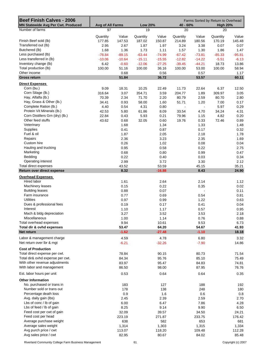| <b>Beef Finish Calves - 2006</b><br><b>MN Statewide Avg Per Cwt. Produced</b> |              | Avg of All Farms<br><b>Low 20%</b> |                  |                  | 40 - 60%         |                          | Farms Sorted by Return to Overhead<br><b>High 20%</b> |                  |
|-------------------------------------------------------------------------------|--------------|------------------------------------|------------------|------------------|------------------|--------------------------|-------------------------------------------------------|------------------|
| Number of farms                                                               | 97           |                                    | 19               |                  | 20               |                          | 20                                                    |                  |
|                                                                               |              |                                    |                  |                  |                  |                          |                                                       |                  |
|                                                                               | Quantity     | Value                              | Quantity         | Value            | Quantity         | Value                    | Quantity                                              | Value            |
| Finish Beef sold (lb)<br>Transferred out (lb)                                 | 177.85       | 147.53                             | 187.02           | 150.87           | 214.89           | 180.56                   | 170.19                                                | 145.48           |
| Butchered (lb)                                                                | 2.95<br>1.68 | 2.67                               | 1.87             | 1.97             | 3.24             | 3.38                     | 0.07                                                  | 0.07             |
| Less purchased (lb)                                                           | $-78.84$     | 1.36<br>$-89.15$                   | 1.73<br>$-63.44$ | 1.11<br>$-74.99$ | 1.57<br>$-67.42$ | 1.30<br>$-73.81$         | 1.86<br>$-85.33$                                      | 1.47<br>$-95.81$ |
| Less transferred in (lb)                                                      | $-10.06$     | $-10.64$                           | $-15.11$         | $-15.55$         | $-12.82$         | $-14.22$                 | $-5.51$                                               | $-6.13$          |
| Inventory change (lb)                                                         | 6.42         | $-0.60$                            | $-12.06$         | $-27.25$         | $-39.45$         | $-44.21$                 | 18.73                                                 | 13.86            |
| Total production (lb)                                                         | 100.00       | 51.16                              | 100.00           | 36.16            | 100.00           | 53.00                    | 100.00                                                | 58.94            |
| Other income                                                                  |              | 0.68                               |                  | 0.56             |                  | 0.57                     |                                                       | 1.17             |
| <b>Gross return</b>                                                           |              | 51.84                              |                  | 36.72            |                  | 53.57                    |                                                       | 60.11            |
|                                                                               |              |                                    |                  |                  |                  |                          |                                                       |                  |
| <b>Direct Expenses</b>                                                        |              |                                    |                  |                  |                  |                          |                                                       |                  |
| Corn (bu.)                                                                    | 9.09         | 18.31                              | 10.25            | 22.49            | 11.73            | 22.64                    | 6.37                                                  | 12.50            |
| Corn Silage (lb.)                                                             | 316.64       | 3.07                               | 354.71           | 3.59             | 204.77           | 1.89                     | 309.97                                                | 3.05             |
| Hay, Alfalfa (lb.)                                                            | 70.39        | 2.34                               | 71.70            | 2.20             | 80.79            | 2.59                     | 80.70                                                 | 2.80             |
| Hay, Grass & Other (lb.)                                                      | 34.41        | 0.93                               | 58.00            | 1.60             | 51.71            | 1.20                     | 7.00                                                  | 0.17             |
| Complete Ration (lb.)                                                         | 4.40         | 0.54                               | 4.31             | 0.80             | $\blacksquare$   | $\overline{\phantom{a}}$ | 5.97                                                  | 0.29             |
| Protein Vit Minerals (lb.)                                                    | 42.53        | 5.80                               | 61.86            | 8.09             | 33.54            | 4.70                     | 34.24                                                 | 4.31             |
| Corn Distillers Grn (dry) (lb.)                                               | 22.84        | 0.43                               | 5.93             | 0.21             | 79.96            | 1.15                     | 4.82                                                  | 0.20             |
| Other feed stuffs                                                             | 43.62        | 0.68                               | 32.05            | 0.60             | 19.76            | 0.33                     | 72.46                                                 | 0.89             |
| Veterinary                                                                    |              | 1.68                               |                  | 1.34             |                  | 1.33                     |                                                       | 1.48             |
| <b>Supplies</b>                                                               |              | 0.41                               |                  | 0.87             |                  | 0.17                     |                                                       | 0.32             |
| Fuel & oil                                                                    |              | 1.87                               |                  | 2.05             |                  | 2.18                     |                                                       | 1.78             |
| Repairs                                                                       |              | 2.36                               |                  | 3.23             |                  | 2.35                     |                                                       | 1.69             |
| Custom hire                                                                   |              | 0.26                               |                  | 1.02             |                  | 0.08                     |                                                       | 0.04             |
| Hauling and trucking                                                          |              | 0.95                               |                  | 0.58             |                  | 0.22                     |                                                       | 2.75             |
| Marketing                                                                     |              | 0.68                               |                  | 0.80             |                  | 0.99                     |                                                       | 0.47             |
| Bedding                                                                       |              | 0.22                               |                  | 0.40             |                  | 0.03                     |                                                       | 0.34             |
| Operating interest                                                            |              | 2.99                               |                  | 3.72             |                  | 3.30                     |                                                       | 2.12             |
| Total direct expenses                                                         |              | 43.52                              |                  | 53.59            |                  | 45.15                    |                                                       | 35.21            |
| Return over direct expense                                                    |              | 8.32                               |                  | $-16.88$         |                  | 8.43                     |                                                       | 24.90            |
| <b>Overhead Expenses</b>                                                      |              |                                    |                  |                  |                  |                          |                                                       |                  |
| Hired labor                                                                   |              | 1.61                               |                  | 2.64             |                  | 2.14                     |                                                       | 1.12             |
| Machinery leases                                                              |              | 0.15                               |                  | 0.22             |                  | 0.35                     |                                                       | 0.02             |
| <b>Building leases</b>                                                        |              | 0.88                               |                  | 0.07             |                  | $\overline{\phantom{a}}$ |                                                       | 0.11             |
| Farm insurance                                                                |              | 0.77                               |                  | 0.69             |                  | 0.54                     |                                                       | 0.81             |
| <b>Utilities</b>                                                              |              | 0.97                               |                  | 0.99             |                  | 1.22                     |                                                       | 0.63             |
| Dues & professional fees                                                      |              | 0.19                               |                  | 0.17             |                  | 0.41                     |                                                       | 0.04             |
| Interest                                                                      |              | 1.10                               |                  | 1.17             |                  | 0.57                     |                                                       | 0.95             |
| Mach & bldg depreciation                                                      |              | 3.27                               |                  | 3.52             |                  | 3.53                     |                                                       | 2.18             |
| Miscellaneous                                                                 |              | 1.00                               |                  | 1.14             |                  | 0.76                     |                                                       | 0.88             |
| Total overhead expenses                                                       |              | 9.94                               |                  | 10.61            |                  | 9.53                     |                                                       | 6.73             |
| Total dir & ovhd expenses                                                     |              | 53.47                              |                  | 64.20            |                  | 54.67                    |                                                       | 41.93            |
| Net return                                                                    |              | $-1.62$                            |                  | $-27.48$         |                  | $-1.10$                  |                                                       | 18.18            |
| Labor & management charge                                                     |              | 4.59                               |                  | 4.78             |                  | 6.80                     |                                                       | 3.32             |
| Net return over Ibr & mgt                                                     |              | $-6.21$                            |                  | $-32.26$         |                  | $-7.90$                  |                                                       | 14.86            |
|                                                                               |              |                                    |                  |                  |                  |                          |                                                       |                  |
| <b>Cost of Production</b>                                                     |              |                                    |                  |                  |                  |                          |                                                       |                  |
| Total direct expense per cwt.                                                 |              | 78.84                              |                  | 90.15            |                  | 80.73                    |                                                       | 71.54            |
| Total dir& ovhd expense per cwt.                                              |              | 84.34                              |                  | 95.76            |                  | 85.10                    |                                                       | 75.49            |
| With other revenue adjustments                                                |              | 83.97                              |                  | 95.47            |                  | 84.83                    |                                                       | 74.81            |
| With labor and management                                                     |              | 86.50                              |                  | 98.00            |                  | 87.95                    |                                                       | 76.76            |
| Est. labor hours per unit                                                     |              | 0.53                               |                  | 0.64             |                  | 0.64                     |                                                       | 0.35             |
| <b>Other Information</b>                                                      |              |                                    |                  |                  |                  |                          |                                                       |                  |
| No. purchased or trans in                                                     |              | 183                                |                  | 127              |                  | 188                      |                                                       | 192              |
| Number sold or trans out                                                      |              | 178                                |                  | 138              |                  | 248                      |                                                       | 180              |
| Percentage death loss                                                         |              | 0.9                                |                  | 1.6              |                  | 0.6                      |                                                       | 0.8              |
| Avg. daily gain (lbs)                                                         |              | 2.45                               |                  | 2.39             |                  | 2.59                     |                                                       | 2.70             |
| Lbs of conc / lb of gain                                                      |              | 6.00                               |                  | 6.47             |                  | 7.86                     |                                                       | 4.28             |
| Lbs of feed / lb of gain                                                      |              | 8.25                               |                  | 9.14             |                  | 9.90                     |                                                       | 6.50             |
| Feed cost per cwt of gain                                                     |              | 32.09                              |                  | 39.57            |                  | 34.50                    |                                                       | 24.21            |
| Feed cost per head                                                            |              | 223.19                             |                  | 271.87           |                  | 233.75                   |                                                       | 176.42           |
| Average purchase weight                                                       |              | 638                                |                  | 582              |                  | 653                      |                                                       | 681              |
| Average sales weight                                                          |              | 1,314                              |                  | 1,303            |                  | 1,315                    |                                                       | 1,334            |
| Avg purch price / cwt                                                         |              | 113.07                             |                  | 118.20           |                  | 109.48                   |                                                       | 112.28           |
| Avg sales price / cwt                                                         |              | 82.95                              |                  | 80.67            |                  | 84.02                    |                                                       | 85.48            |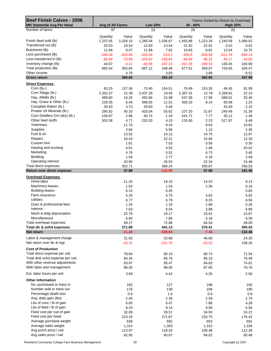| Beef Finish Calves - 2006                            | Farms Sorted by Return to Overhead |                 |                 |                 |                  |                 |                 |                 |
|------------------------------------------------------|------------------------------------|-----------------|-----------------|-----------------|------------------|-----------------|-----------------|-----------------|
| MN Statewide Avg Per Head                            | Avg of All Farms                   |                 | <b>Low 20%</b>  |                 | 40 - 60%         |                 | <b>High 20%</b> |                 |
| Number of farms                                      | 97                                 |                 | 19              |                 | 20               |                 | 20              |                 |
|                                                      | Quantity                           | Value           | Quantity        | Value           | Quantity         | Value           | Quantity        | Value           |
| Finish Beef sold (lb)                                | 1,237.05                           | 1,026.10        | 1,285.04        | 1,036.67        | 1,455.88         | 1,223.28        | 1,240.09        | 1,060.02        |
| Transferred out (lb)                                 | 20.53                              | 18.54           | 12.83           | 13.54           | 21.92            | 22.91           | 0.52            | 0.52            |
| Butchered (lb)                                       | 11.68                              | 9.47            | 11.89           | 7.62            | 10.65            | 8.82            | 13.54           | 10.75           |
| Less purchased (lb)                                  | $-548.39$                          | $-620.08$       | $-435.94$       | $-515.3$        | $-456.8$         | $-500.08$       | $-621.78$       | $-698.14$       |
| Less transferred in (lb)                             | $-69.99$                           | $-73.99$        | $-103.82$       | $-106.84$       | $-86.86$         | $-96.32$        | $-40.17$        | $-44.65$        |
| Inventory change (lb)                                | 44.67                              | $-4.21$         | $-82.89$        | $-187.23$       | $-267.28$        | $-299.53$       | 136.45          | 100.98          |
| Total production (lb)                                | 695.54                             | 355.84          | 687.12          | 248.46          | 677.51           | 359.07          | 728.65          | 429.47          |
| Other income                                         |                                    | 4.76            |                 | 3.83            |                  | 3.89            |                 | 8.52            |
| <b>Gross return</b>                                  |                                    | 360.60          |                 | 252.29          |                  | 362.95          |                 | 437.99          |
| <b>Direct Expenses</b>                               |                                    |                 |                 |                 |                  |                 |                 |                 |
| Corn (bu.)                                           | 63.25                              | 127.36          | 70.40           | 154.51          | 79.49            | 153.35          | 46.45           | 91.09           |
| Corn Silage (lb.)                                    | 2,202.37                           | 21.36           | 2,437.26        | 24.65           | 1,387.31         | 12.79           | 2,258.61        | 22.23           |
| Hay, Alfalfa (lb.)                                   | 489.60                             | 16.25           | 492.66          | 15.08           | 547.38           | 17.58           | 588.01          | 20.40           |
| Hay, Grass & Other (lb.)                             | 239.35                             | 6.49            | 398.55          | 11.01           | 350.33           | 8.14            | 50.98           | 1.25            |
| Complete Ration (lb.)<br>Protein Vit Minerals (lb.)  | 30.63                              | 3.73            | 29.60           | 5.46            |                  | $\blacksquare$  | 43.49           | 2.10            |
| Corn Distillers Grn (dry) (lb.)                      | 295.82<br>158.87                   | 40.33<br>2.96   | 425.04<br>40.74 | 55.62<br>1.43   | 227.20<br>541.71 | 31.87<br>7.77   | 249.49<br>35.11 | 31.39<br>1.49   |
| Other feed stuffs                                    | 303.38                             | 4.71            | 220.20          | 4.10            | 133.90           | 2.23            | 527.97          | 6.48            |
| Veterinary                                           |                                    | 11.70           |                 | 9.24            |                  | 9.03            |                 | 10.82           |
| Supplies                                             |                                    | 2.84            |                 | 5.95            |                  | 1.13            |                 | 2.35            |
| Fuel & oil                                           |                                    | 13.02           |                 | 14.12           |                  | 14.75           |                 | 12.97           |
| Repairs                                              |                                    | 16.43           |                 | 22.21           |                  | 15.94           |                 | 12.28           |
| Custom hire                                          |                                    | 1.81            |                 | 7.03            |                  | 0.56            |                 | 0.30            |
| Hauling and trucking                                 |                                    | 6.61            |                 | 4.02            |                  | 1.46            |                 | 20.02           |
| Marketing                                            |                                    | 4.76            |                 | 5.52            |                  | 6.73            |                 | 3.40            |
| Bedding                                              |                                    | 1.56            |                 | 2.77            |                  | 0.18            |                 | 2.49            |
| Operating interest                                   |                                    | 20.80           |                 | 25.53           |                  | 22.34           |                 | 15.48           |
| Total direct expenses                                |                                    | 302.71          |                 | 368.24          |                  | 305.87          |                 | 256.53          |
| Return over direct expense                           |                                    | 57.88           |                 | $-115.95$       |                  | 57.08           |                 | 181.46          |
| <b>Overhead Expenses</b>                             |                                    |                 |                 |                 |                  |                 |                 |                 |
| Hired labor                                          |                                    | 11.20           |                 | 18.15           |                  | 14.53           |                 | 8.13            |
| Machinery leases                                     |                                    | 1.02            |                 | 1.53            |                  | 2.36            |                 | 0.16            |
| <b>Building leases</b>                               |                                    | 6.15            |                 | 0.45            |                  |                 |                 | 0.83            |
| Farm insurance                                       |                                    | 5.35            |                 | 4.75            |                  | 3.63            |                 | 5.92            |
| <b>Utilities</b>                                     |                                    | 6.77            |                 | 6.79            |                  | 8.25            |                 | 4.56            |
| Dues & professional fees                             |                                    | 1.34            |                 | 1.15            |                  | 2.80            |                 | 0.26            |
| Interest                                             |                                    | 7.63            |                 | 8.04            |                  | 3.88            |                 | 6.89            |
| Mach & bldg depreciation                             |                                    | 22.76           |                 | 24.17           |                  | 23.91           |                 | 15.87           |
| Miscellaneous                                        |                                    | 6.95            |                 | 7.85            |                  | 5.18            |                 | 6.39            |
| Total overhead expenses<br>Total dir & ovhd expenses |                                    | 69.17<br>371.88 |                 | 72.88<br>441.13 |                  | 64.54<br>370.41 |                 | 49.00<br>305.53 |
| Net return                                           |                                    | $-11.28$        |                 | $-188.84$       |                  | $-7.46$         |                 | 132.46          |
|                                                      |                                    |                 |                 |                 |                  |                 |                 |                 |
| Labor & management charge                            |                                    | 31.93           |                 | 32.86           |                  | 46.06           |                 | 24.20           |
| Net return over lbr & mgt                            |                                    | $-43.21$        |                 | $-221.70$       |                  | $-53.52$        |                 | 108.26          |
| <b>Cost of Production</b>                            |                                    |                 |                 |                 |                  |                 |                 |                 |
| Total direct expense per cwt.                        |                                    | 78.84           |                 | 90.15           |                  | 80.73           |                 | 71.54           |
| Total dir& ovhd expense per cwt.                     |                                    | 84.34           |                 | 95.76           |                  | 85.10           |                 | 75.49           |
| With other revenue adjustments                       |                                    | 83.97           |                 | 95.47           |                  | 84.83           |                 | 74.81           |
| With labor and management                            |                                    | 86.50           |                 | 98.00           |                  | 87.95           |                 | 76.76           |
| Est. labor hours per unit                            |                                    | 3.68            |                 | 4.42            |                  | 4.35            |                 | 2.56            |
| <b>Other Information</b>                             |                                    |                 |                 |                 |                  |                 |                 |                 |
| No. purchased or trans in                            |                                    | 183             |                 | 127             |                  | 188             |                 | 192             |
| Number sold or trans out                             |                                    | 178             |                 | 138             |                  | 248             |                 | 180             |
| Percentage death loss                                |                                    | 0.9             |                 | 1.6             |                  | 0.6             |                 | 0.8             |
| Avg. daily gain (lbs)                                |                                    | 2.45            |                 | 2.39            |                  | 2.59            |                 | 2.70            |
| Lbs of conc / lb of gain                             |                                    | 6.00            |                 | 6.47            |                  | 7.86            |                 | 4.28            |
| Lbs of feed / lb of gain                             |                                    | 8.25            |                 | 9.14            |                  | 9.90            |                 | 6.50            |
| Feed cost per cwt of gain                            |                                    | 32.09           |                 | 39.57           |                  | 34.50           |                 | 24.21           |
| Feed cost per head                                   |                                    | 223.19          |                 | 271.87          |                  | 233.75          |                 | 176.42          |
| Average purchase weight<br>Average sales weight      |                                    | 638             |                 | 582             |                  | 653             |                 | 681             |
| Avg purch price / cwt                                |                                    | 1,314<br>113.07 |                 | 1,303<br>118.20 |                  | 1,315<br>109.48 |                 | 1,334<br>112.28 |
| Avg sales price / cwt                                |                                    | 82.95           |                 | 80.67           |                  | 84.02           |                 | 85.48           |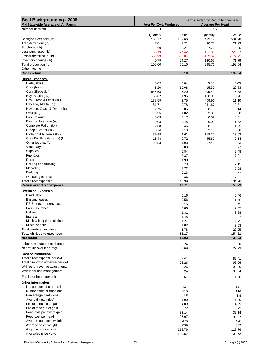| <b>Beef Backgrounding - 2006</b><br><b>MN Statewide Average of All Farms</b> | Farms Sorted by Return to Overhead<br>Avg Per Cwt. Produced<br><b>Average Per Head</b> |              |                |              |  |  |  |
|------------------------------------------------------------------------------|----------------------------------------------------------------------------------------|--------------|----------------|--------------|--|--|--|
| Number of farms                                                              | 15                                                                                     |              | 15             |              |  |  |  |
|                                                                              | Quantity                                                                               | Value        | Quantity       | Value        |  |  |  |
| Backgnd Beef sold (lb)                                                       | 168.77                                                                                 | 169.66       | 499.17         | 501.78       |  |  |  |
| Transferred out (lb)                                                         | 7.01                                                                                   | 7.21         | 20.75          | 21.33        |  |  |  |
| Butchered (lb)                                                               | 2.60                                                                                   | 2.21         | 7.70           | 6.55         |  |  |  |
| Less purchased (lb)                                                          | $-65.19$                                                                               | $-77.42$     | $-192.80$      | $-228.97$    |  |  |  |
| Less transferred in (lb)                                                     | $-53.99$                                                                               | $-60.84$     | $-159.69$      | $-179.95$    |  |  |  |
| Inventory change (lb)                                                        | 40.79                                                                                  | 24.27        | 120.65         | 71.79        |  |  |  |
| Total production (lb)                                                        | 100.00                                                                                 | 65.10        | 295.76         | 192.54       |  |  |  |
| Other income                                                                 |                                                                                        |              |                |              |  |  |  |
| <b>Gross return</b>                                                          |                                                                                        | 65.10        |                | 192.54       |  |  |  |
| <b>Direct Expenses</b>                                                       |                                                                                        |              |                |              |  |  |  |
| Barley (bu.)                                                                 | 0.02                                                                                   | 0.04         | 0.00           | 0.00         |  |  |  |
| Corn (bu.)                                                                   | 5.20                                                                                   | 10.08        | 15.37          | 29.83        |  |  |  |
| Corn Silage (lb.)                                                            | 645.58                                                                                 | 5.20         | 1,909.40       | 15.38        |  |  |  |
| Hay, Alfalfa (lb.)                                                           | 56.82                                                                                  | 1.95         | 168.06         | 5.76         |  |  |  |
| Hay, Grass & Other (lb.)                                                     | 138.59                                                                                 | 3.75         | 409.91         | 11.10        |  |  |  |
| Haylage, Alfalfa (lb.)                                                       | 81.71                                                                                  | 0.78         | 241.67         | 2.31         |  |  |  |
| Haylage, Grass & Other (lb.)<br>Oats (bu.)                                   | 2.75                                                                                   | 0.05         | 8.13           | 0.14         |  |  |  |
|                                                                              | 0.95                                                                                   | 1.82         | 2.81           | 5.38         |  |  |  |
| Pasture (aum)<br>Pasture, Intensive (aum)                                    | 0.03                                                                                   | 0.17         | 0.09           | 0.51         |  |  |  |
| Complete Ration (lb.)                                                        | 0.03                                                                                   | 0.45         | 0.09           | 1.32         |  |  |  |
| Creep / Starter (lb.)                                                        | 12.88<br>0.74                                                                          | 0.46         | 38.10<br>2.18  | 1.35         |  |  |  |
| Protein Vit Minerals (lb.)                                                   | 39.98                                                                                  | 0.13         |                | 0.38         |  |  |  |
| Corn Distillers Grn (dry) (lb.)                                              | 15.43                                                                                  | 4.61         | 118.25         | 13.63        |  |  |  |
| Other feed stuffs                                                            | 29.53                                                                                  | 0.72<br>1.93 | 45.62<br>87.42 | 2.14<br>5.83 |  |  |  |
| Veterinary                                                                   |                                                                                        | 3.03         |                |              |  |  |  |
| <b>Supplies</b>                                                              |                                                                                        | 0.84         |                | 8.97<br>2.48 |  |  |  |
| Fuel & oil                                                                   |                                                                                        | 2.37         |                | 7.01         |  |  |  |
| Repairs                                                                      |                                                                                        | 1.90         |                | 5.62         |  |  |  |
| Hauling and trucking                                                         |                                                                                        | 0.73         |                | 2.15         |  |  |  |
| Marketing                                                                    |                                                                                        | 1.72         |                | 5.08         |  |  |  |
| Bedding                                                                      |                                                                                        | 0.23         |                | 0.67         |  |  |  |
| Operating interest                                                           |                                                                                        | 2.44         |                | 7.21         |  |  |  |
| Total direct expenses                                                        |                                                                                        | 45.39        |                | 134.26       |  |  |  |
| Return over direct expense                                                   |                                                                                        | 19.71        |                | 58.29        |  |  |  |
| <b>Overhead Expenses</b>                                                     |                                                                                        |              |                |              |  |  |  |
| Hired labor                                                                  |                                                                                        | 0.16         |                | 0.46         |  |  |  |
| <b>Building leases</b>                                                       |                                                                                        | 0.56         |                | 1.66         |  |  |  |
| RE & pers. property taxes                                                    |                                                                                        | 0.15         |                | 0.45         |  |  |  |
| Farm insurance                                                               |                                                                                        | 0.86         |                | 2.55         |  |  |  |
| <b>Utilities</b>                                                             |                                                                                        | 1.31         |                | 3.88         |  |  |  |
| Interest                                                                     |                                                                                        | 1.45         |                | 4.27         |  |  |  |
| Mach & bldg depreciation                                                     |                                                                                        | 1.27         |                | 3.75         |  |  |  |
| Miscellaneous                                                                |                                                                                        | 1.02         |                | 3.03         |  |  |  |
| Total overhead expenses                                                      |                                                                                        | 6.78         |                | 20.05        |  |  |  |
| Total dir & ovhd expenses                                                    |                                                                                        | 52.17        |                | 154.31       |  |  |  |
| Net return                                                                   |                                                                                        | 12.93        |                | 38.23        |  |  |  |
| Labor & management charge                                                    |                                                                                        | 5.24         |                | 15.50        |  |  |  |
| Net return over Ibr & mgt                                                    |                                                                                        | 7.69         |                | 22.73        |  |  |  |
| <b>Cost of Production</b>                                                    |                                                                                        |              |                |              |  |  |  |
| Total direct expense per cwt.                                                |                                                                                        | 89.41        |                | 89.41        |  |  |  |
| Total dir& ovhd expense per cwt.                                             |                                                                                        | 93.26        |                | 93.26        |  |  |  |
| With other revenue adjustments                                               |                                                                                        | 93.26        |                | 93.26        |  |  |  |
| With labor and management                                                    |                                                                                        | 96.24        |                | 96.24        |  |  |  |
|                                                                              |                                                                                        |              |                |              |  |  |  |
| Est. labor hours per unit                                                    |                                                                                        | 0.61         |                | 1.80         |  |  |  |
| <b>Other Information</b>                                                     |                                                                                        |              |                |              |  |  |  |
| No. purchased or trans in                                                    |                                                                                        | 141          |                | 141          |  |  |  |
| Number sold or trans out                                                     |                                                                                        | 116          |                | 116          |  |  |  |
| Percentage death loss                                                        |                                                                                        | 1.8          |                | 1.8          |  |  |  |
| Avg. daily gain (lbs)                                                        |                                                                                        | 1.90         |                | 1.90         |  |  |  |
| Lbs of conc / lb of gain                                                     |                                                                                        | 4.09         |                | 4.09         |  |  |  |
| Lbs of feed / lb of gain                                                     |                                                                                        | 8.72         |                | 8.72         |  |  |  |
| Feed cost per cwt of gain                                                    |                                                                                        | 32.14        |                | 32.14        |  |  |  |
| Feed cost per head                                                           |                                                                                        | 95.07        |                | 95.07        |  |  |  |
| Average purchase weight                                                      |                                                                                        | 476          |                | 476          |  |  |  |
| Average sales weight                                                         |                                                                                        | 839          |                | 839          |  |  |  |
| Avg purch price / cwt                                                        |                                                                                        | 118.76       |                | 118.76       |  |  |  |
| Avg sales price / cwt                                                        |                                                                                        | 100.52       |                | 100.52       |  |  |  |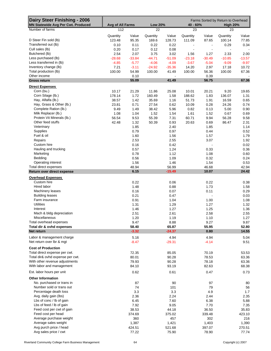| Dairy Steer Finishing - 2006<br><b>MN Statewide Avg Per Cwt. Produced</b> | Avg of All Farms<br><b>Low 20%</b> |                |          | Farms Sorted by Return to Overhead<br>$40 - 60%$<br><b>High 20%</b> |                          |                          |                          |                |
|---------------------------------------------------------------------------|------------------------------------|----------------|----------|---------------------------------------------------------------------|--------------------------|--------------------------|--------------------------|----------------|
| Number of farms                                                           | 112                                |                | 22       |                                                                     | 23                       |                          | 23                       |                |
|                                                                           | Quantity                           |                | Quantity |                                                                     |                          |                          |                          |                |
| D Steer Fin sold (lb)                                                     | 123.48                             | Value<br>95.35 | 169.6    | Value<br>128.73                                                     | Quantity<br>111.09       | Value<br>87.65           | Quantity<br>100.14       | Value<br>77.85 |
| Transferred out (lb)                                                      | 0.10                               | 0.11           | 0.22     | 0.22                                                                |                          | $\overline{\phantom{a}}$ | 0.29                     | 0.34           |
| Cull sales (lb)                                                           | 0.20                               | 0.17           | 0.12     | 0.08                                                                | $\overline{\phantom{a}}$ | $\blacksquare$           | $\overline{\phantom{a}}$ |                |
| Butchered (lb)                                                            | 2.54                               | 2.07           | 3.75     | 3.02                                                                | 1.56                     | 1.27                     | 2.33                     | 2.00           |
| Less purchased (lb)                                                       | $-28.68$                           | $-33.84$       | $-44.71$ | $-51.09$                                                            | $-23.18$                 | $-30.49$                 | $-10.85$                 | $-13.57$       |
| Less transferred in (lb)                                                  | $-4.85$                            | $-5.77$        | $-4.06$  | $-4.09$                                                             | $-3.67$                  | $-5.04$                  | $-9.09$                  | $-9.97$        |
| Inventory change (lb)                                                     | 7.21                               | $-3.11$        | $-24.92$ | $-35.36$                                                            | 14.20                    | 2.97                     | 17.18                    | 10.72          |
| Total production (lb)                                                     | 100.00                             | 54.99          | 100.00   | 41.49                                                               | 100.00                   | 56.36                    | 100.00                   | 67.36          |
| Other income                                                              |                                    | 0.10           |          | $\blacksquare$                                                      |                          | 0.39                     |                          |                |
| <b>Gross return</b>                                                       |                                    | 55.09          |          | 41.49                                                               |                          | 56.75                    |                          | 67.36          |
| <b>Direct Expenses</b>                                                    |                                    |                |          |                                                                     |                          |                          |                          |                |
| Corn (bu.)                                                                | 10.17                              | 21.29          | 11.86    | 25.08                                                               | 10.01                    | 20.21                    | 9.20                     | 19.65          |
| Corn Silage (lb.)                                                         | 178.14                             | 1.72           | 160.49   | 1.58                                                                | 188.62                   | 1.83                     | 136.07                   | 1.31           |
| Hay, Alfalfa (lb.)                                                        | 38.57                              | 1.42           | 35.69    | 1.16                                                                | 51.73                    | 1.91                     | 16.59                    | 0.65           |
| Hay, Grass & Other (lb.)                                                  | 23.81                              | 0.71           | 27.54    | 0.62                                                                | 10.09                    | 0.28                     | 24.26                    | 0.74           |
| Complete Ration (lb.)                                                     | 9.49                               | 1.49           | 38.42    | 5.96                                                                | 0.82                     | 0.13                     | 5.00                     | 0.90           |
| Milk Replacer (lb.)                                                       | 1.08                               | 1.04           | 1.52     | 1.54                                                                | 1.61                     | 1.52                     | 0.67                     | 0.69           |
| Protein Vit Minerals (lb.)                                                | 56.54                              | 9.53           | 55.39    | 7.31                                                                | 60.71                    | 9.94                     | 56.28                    | 9.58           |
| Other feed stuffs                                                         | 42.48                              | 1.32           | 50.39    | 0.93                                                                | 20.63                    | 0.69                     | 86.47                    | 2.31           |
| Veterinary                                                                |                                    | 1.85           |          | 2.40                                                                |                          | 1.85                     |                          | 1.14           |
| Supplies                                                                  |                                    | 0.79           |          | 0.97                                                                |                          | 0.44                     |                          | 0.52           |
| Fuel & oil                                                                |                                    | 1.60           |          | 1.56                                                                |                          | 1.57                     |                          | 1.79           |
| Repairs                                                                   |                                    | 2.53           |          | 2.55                                                                |                          | 3.07                     |                          | 1.92           |
| Custom hire                                                               |                                    | 0.16           |          | 0.42                                                                |                          |                          |                          | 0.02           |
| Hauling and trucking                                                      |                                    | 0.57           |          | 1.24                                                                |                          | 0.33                     |                          | 0.36           |
| Marketing                                                                 |                                    | 0.78           |          | 1.12                                                                |                          | 1.08                     |                          | 0.60           |
| Bedding                                                                   |                                    | 0.56           |          | 1.09                                                                |                          | 0.32                     |                          | 0.24           |
| Operating interest                                                        |                                    | 1.56           |          | 1.46                                                                |                          | 1.54                     |                          | 0.53           |
| Total direct expenses                                                     |                                    | 48.94          |          | 56.99                                                               |                          | 46.68                    |                          | 42.94          |
| Return over direct expense                                                |                                    | 6.15           |          | $-15.49$                                                            |                          | 10.07                    |                          | 24.42          |
| <b>Overhead Expenses</b>                                                  |                                    |                |          |                                                                     |                          |                          |                          |                |
| Custom hire                                                               |                                    | 0.22           |          | 0.06                                                                |                          | 0.22                     |                          | 0.38           |
| Hired labor                                                               |                                    | 1.48           |          | 0.88                                                                |                          | 1.73                     |                          | 1.58           |
| Machinery leases                                                          |                                    | 0.16           |          | 0.07                                                                |                          | 0.11                     |                          | 0.29           |
| <b>Building leases</b>                                                    |                                    | 0.21           |          | 0.47                                                                |                          |                          |                          | 0.03           |
| Farm insurance                                                            |                                    | 0.91           |          | 1.04                                                                |                          | 1.00                     |                          | 1.08           |
| <b>Utilities</b>                                                          |                                    | 1.31           |          | 1.29                                                                |                          | 1.27                     |                          | 1.32           |
| Interest                                                                  |                                    | 1.46           |          | 1.27                                                                |                          | 1.25                     |                          | 1.36           |
| Mach & bldg depreciation                                                  |                                    | 2.51           |          | 2.61                                                                |                          | 2.58                     |                          | 2.55           |
| Miscellaneous                                                             |                                    | 1.20           |          | 1.19                                                                |                          | 1.10                     |                          | 1.27           |
| Total overhead expenses                                                   |                                    | 9.47           |          | 8.88                                                                |                          | 9.27                     |                          | 9.87           |
| Total dir & ovhd expenses                                                 |                                    | 58.40          |          | 65.87                                                               |                          | 55.95                    |                          | 52.80          |
| Net return                                                                |                                    | $-3.32$        |          | $-24.37$                                                            |                          | 0.80                     |                          | 14.55          |
| Labor & management charge                                                 |                                    | 5.16           |          | 4.94                                                                |                          | 4.94                     |                          | 5.04           |
| Net return over lbr & mgt                                                 |                                    | $-8.47$        |          | $-29.31$                                                            |                          | $-4.14$                  |                          | 9.51           |
| <b>Cost of Production</b>                                                 |                                    |                |          |                                                                     |                          |                          |                          |                |
| Total direct expense per cwt.                                             |                                    | 72.35          |          | 85.05                                                               |                          | 70.19                    |                          | 53.53          |
| Total dir& ovhd expense per cwt.                                          |                                    | 80.01          |          | 90.28                                                               |                          | 78.53                    |                          | 63.36          |
| With other revenue adjustments                                            |                                    | 79.93          |          | 90.28                                                               |                          | 78.18                    |                          | 63.36          |
| With labor and management                                                 |                                    | 84.10          |          | 93.19                                                               |                          | 82.63                    |                          | 68.38          |
|                                                                           |                                    |                |          |                                                                     |                          |                          |                          |                |
| Est. labor hours per unit                                                 |                                    | 0.62           |          | 0.61                                                                |                          | 0.47                     |                          | 0.73           |
| <b>Other Information</b>                                                  |                                    |                |          |                                                                     |                          |                          |                          |                |
| No. purchased or trans in                                                 |                                    | 87             |          | 90                                                                  |                          | 97                       |                          | 80             |
| Number sold or trans out                                                  |                                    | 74             |          | 101                                                                 |                          | 79                       |                          | 56             |
| Percentage death loss                                                     |                                    | 3.3            |          | 3.3                                                                 |                          | 4.9                      |                          | 1.7            |
| Avg. daily gain (lbs)                                                     |                                    | 2.36           |          | 2.24                                                                |                          | 2.44                     |                          | 2.35           |
| Lbs of conc / lb of gain                                                  |                                    | 6.45           |          | 7.60                                                                |                          | 6.38                     |                          | 5.88           |
| Lbs of feed / lb of gain                                                  |                                    | 7.92           |          | 9.05                                                                |                          | 7.70                     |                          | 7.35           |
| Feed cost per cwt of gain                                                 |                                    | 38.53          |          | 44.18                                                               |                          | 36.50                    |                          | 35.83          |
| Feed cost per head                                                        |                                    | 374.69         |          | 375.02                                                              |                          | 339.48                   |                          | 423.10         |
| Average purchase weight                                                   |                                    | 360            |          | 457                                                                 |                          | 302                      |                          | 216            |
| Average sales weight                                                      |                                    | 1,387          |          | 1,421                                                               |                          | 1,403                    |                          | 1,390          |
| Avg purch price / head                                                    |                                    | 424.51         |          | 521.68                                                              |                          | 397.07                   |                          | 270.51         |
| Avg sales price / cwt                                                     |                                    | 77.22          |          | 75.90                                                               |                          | 78.90                    |                          | 77.74          |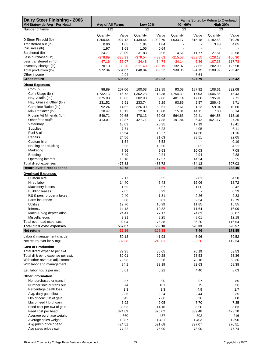| Dairy Steer Finishing - 2006<br><b>MN Statewide Avg - Per Head</b> | Avg of All Farms<br><b>Low 20%</b> |           |           | Farms Sorted by Return to Overhead<br>40 - 60%<br><b>High 20%</b> |                          |                          |           |           |
|--------------------------------------------------------------------|------------------------------------|-----------|-----------|-------------------------------------------------------------------|--------------------------|--------------------------|-----------|-----------|
| Number of farms                                                    | 112                                |           | 22        |                                                                   | 23                       |                          | 23        |           |
|                                                                    |                                    |           |           |                                                                   |                          |                          |           |           |
|                                                                    | Quantity                           | Value     | Quantity  | Value                                                             | Quantity                 | Value                    | Quantity  | Value     |
| D Steer Fin sold (lb)                                              | 1,200.64                           | 927.12    | 1,439.64  | 1,092.70                                                          | 1,033.17                 | 815.18                   | 1,182.58  | 919.29    |
| Transferred out (lb)                                               | 0.96                               | 1.05      | 1.84      | 1.84                                                              | $\overline{\phantom{a}}$ | $\blacksquare$           | 3.48      | 4.05      |
| Cull sales (lb)                                                    | 1.97                               | 1.68      | 1.05      | 0.64                                                              | $\overline{\phantom{a}}$ | $\blacksquare$           |           |           |
| Butchered (lb)                                                     | 24.71                              | 20.09     | 31.83     | 25.6                                                              | 14.51                    | 11.77                    | 27.51     | 23.58     |
| Less purchased (lb)                                                | $-278.89$                          | $-328.99$ | $-379.54$ | $-433.63$                                                         | $-215.57$                | $-283.55$                | $-128.17$ | $-160.30$ |
| Less transferred in (lb)                                           | $-47.16$                           | $-56.07$  | $-34.48$  | $-34.74$                                                          | $-34.14$                 | $-46.86$                 | $-107.38$ | $-117.78$ |
| Inventory change (lb)                                              | 70.10                              | $-30.20$  | $-211.49$ | $-300.19$                                                         | 132.07                   | 27.62                    | 202.90    | 126.58    |
| Total production (lb)                                              | 972.34                             | 534.67    | 848.84    | 352.22                                                            | 930.05                   | 524.15                   | 1180.92   | 795.42    |
| Other income                                                       |                                    | 0.94      |           |                                                                   |                          | 3.64                     |           |           |
| <b>Gross return</b>                                                |                                    | 535.62    |           | 352.22                                                            |                          | 527.79                   |           | 795.42    |
| <b>Direct Expenses</b>                                             |                                    |           |           |                                                                   |                          |                          |           |           |
| Corn (bu.)                                                         | 98.89                              | 207.06    | 100.68    | 212.85                                                            | 93.08                    | 187.92                   | 108.61    | 232.08    |
| Corn Silage (lb.)                                                  | 1,732.13                           | 16.72     | 1,362.28  | 13.38                                                             | 1,754.30                 | 17.03                    | 1,606.86  | 15.43     |
| Hay, Alfalfa (lb.)                                                 | 375.03                             | 13.85     | 302.93    | 9.86                                                              | 481.14                   | 17.80                    | 195.91    | 7.71      |
| Hay, Grass & Other (lb.)                                           | 231.52                             | 6.91      | 233.74    | 5.29                                                              | 93.86                    | 2.57                     | 286.45    | 8.71      |
| Complete Ration (lb.)                                              | 92.24                              | 14.52     | 326.09    | 50.61                                                             | 7.61                     | 1.23                     | 59.04     | 10.60     |
| Milk Replacer (lb.)                                                | 10.47                              | 10.12     | 12.87     | 13.08                                                             | 15.01                    | 14.11                    | 7.88      | 8.14      |
| Protein Vit Minerals (lb.)                                         | 549.71                             | 92.65     | 470.13    | 62.08                                                             | 564.63                   | 92.41                    | 664.58    | 113.19    |
| Other feed stuffs                                                  | 413.01                             | 12.87     | 427.71    | 7.88                                                              | 191.84                   | 6.42                     | 1021.17   | 27.25     |
| Veterinary                                                         |                                    | 18.03     |           | 20.35                                                             |                          | 17.19                    |           | 13.41     |
| Supplies                                                           |                                    | 7.71      |           | 8.23                                                              |                          | 4.05                     |           | 6.11      |
| Fuel & oil                                                         |                                    | 15.54     |           | 13.27                                                             |                          | 14.56                    |           | 21.16     |
| Repairs                                                            |                                    | 24.56     |           | 21.63                                                             |                          | 28.51                    |           | 22.65     |
| Custom hire                                                        |                                    | 1.54      |           | 3.53                                                              |                          |                          |           | 0.19      |
| Hauling and trucking                                               |                                    | 5.53      |           | 10.56                                                             |                          | 3.02                     |           | 4.21      |
| Marketing                                                          |                                    | 7.56      |           | 9.53                                                              |                          | 10.03                    |           | 7.08      |
| Bedding                                                            |                                    | 5.49      |           | 9.24                                                              |                          | 2.94                     |           | 2.88      |
| Operating interest                                                 |                                    | 15.18     |           | 12.37                                                             |                          | 14.34                    |           | 6.25      |
| Total direct expenses                                              |                                    | 475.83    |           | 483.72                                                            |                          | 434.13                   |           | 507.03    |
| Return over direct expense                                         |                                    | 59.78     |           | $-131.50$                                                         |                          | 93.66                    |           | 288.40    |
|                                                                    |                                    |           |           |                                                                   |                          |                          |           |           |
| <b>Overhead Expenses</b>                                           |                                    |           |           |                                                                   |                          |                          |           |           |
| Custom hire                                                        |                                    | 2.17      |           | 0.55                                                              |                          | 2.01                     |           | 4.50      |
| Hired labor                                                        |                                    | 14.40     |           | 7.43                                                              |                          | 16.06                    |           | 18.72     |
| Machinery leases                                                   |                                    | 1.55      |           | 0.57                                                              |                          | 1.00                     |           | 3.42      |
| <b>Building leases</b>                                             |                                    | 2.05      |           | 3.99                                                              |                          | $\overline{\phantom{a}}$ |           | 0.39      |
| RE & pers. property taxes                                          |                                    | 2.40      |           | 1.81                                                              |                          | 2.26                     |           | 2.83      |
| Farm insurance                                                     |                                    | 8.88      |           | 8.81                                                              |                          | 9.34                     |           | 12.79     |
| <b>Utilities</b>                                                   |                                    | 12.70     |           | 10.99                                                             |                          | 11.85                    |           | 15.55     |
| Interest                                                           |                                    | 14.18     |           | 10.82                                                             |                          | 11.64                    |           | 16.09     |
| Mach & bldg depreciation                                           |                                    | 24.41     |           | 22.17                                                             |                          | 24.03                    |           | 30.07     |
| Miscellaneous                                                      |                                    | 9.31      |           | 8.25                                                              |                          | 8.01                     |           | 12.18     |
| Total overhead expenses                                            |                                    | 92.04     |           | 75.38                                                             |                          | 86.20                    |           | 116.54    |
| Total dir & ovhd expenses                                          |                                    | 567.87    |           | 559.10                                                            |                          | 520.33                   |           | 623.57    |
| Net return                                                         |                                    | $-32.26$  |           | $-206.88$                                                         |                          | 7.46                     |           | 171.85    |
| Labor & management charge                                          |                                    | 50.13     |           | 41.93                                                             |                          | 45.96                    |           | 59.52     |
| Net return over lbr & mgt                                          |                                    | $-82.38$  |           | $-248.81$                                                         |                          | $-38.50$                 |           | 112.34    |
| <b>Cost of Production</b>                                          |                                    |           |           |                                                                   |                          |                          |           |           |
| Total direct expense per cwt.                                      |                                    | 72.35     |           | 85.05                                                             |                          | 70.19                    |           | 53.53     |
| Total dir& ovhd expense per cwt.                                   |                                    | 80.01     |           | 90.28                                                             |                          | 78.53                    |           | 63.36     |
| With other revenue adjustments                                     |                                    | 79.93     |           | 90.28                                                             |                          | 78.18                    |           | 63.36     |
| With labor and management                                          |                                    | 84.1      |           | 93.19                                                             |                          | 82.63                    |           | 68.38     |
|                                                                    |                                    |           |           |                                                                   |                          |                          |           |           |
| Est. labor hours per unit                                          |                                    | 6.01      |           | 5.22                                                              |                          | 4.40                     |           | 8.63      |
| <b>Other Information</b>                                           |                                    |           |           |                                                                   |                          |                          |           |           |
| No. purchased or trans in                                          |                                    | 87        |           | 90                                                                |                          | 97                       |           | 80        |
| Number sold or trans out                                           |                                    | 74        |           | 101                                                               |                          | 79                       |           | 56        |
| Percentage death loss                                              |                                    | 3.3       |           | 3.3                                                               |                          | 4.9                      |           | 1.7       |
| Avg. daily gain (lbs)                                              |                                    | 2.36      |           | 2.24                                                              |                          | 2.44                     |           | 2.35      |
| Lbs of conc / lb of gain                                           |                                    | 6.45      |           | 7.60                                                              |                          | 6.38                     |           | 5.88      |
| Lbs of feed / lb of gain                                           |                                    | 7.92      |           | 9.05                                                              |                          | 7.70                     |           | 7.35      |
| Feed cost per cwt of gain                                          |                                    | 38.53     |           | 44.18                                                             |                          | 36.50                    |           | 35.83     |
| Feed cost per head                                                 |                                    | 374.69    |           | 375.02                                                            |                          | 339.48                   |           | 423.10    |
| Average purchase weight                                            |                                    | 360       |           | 457                                                               |                          | 302                      |           | 216       |
| Average sales weight                                               |                                    | 1,387     |           | 1,421                                                             |                          | 1,403                    |           | 1,390     |
| Avg purch price / head                                             |                                    | 424.51    |           | 521.68                                                            |                          | 397.07                   |           | 270.51    |
| Avg sales price / cwt                                              |                                    | 77.22     |           | 75.90                                                             |                          | 78.90                    |           | 77.74     |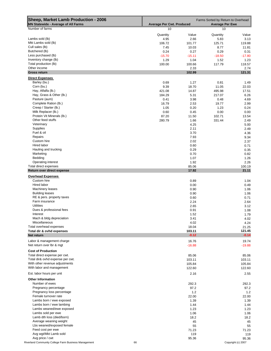| Sheep, Market Lamb Production - 2006<br><b>MN Statewide - Average of All Farms</b> | <b>Average Per Cwt. Produced</b> |                 | Farms Sorted by Return to Overhead<br><b>Average Per Ewe</b> |                    |  |
|------------------------------------------------------------------------------------|----------------------------------|-----------------|--------------------------------------------------------------|--------------------|--|
| Number of farms                                                                    | 10                               |                 | 10                                                           |                    |  |
|                                                                                    | Quantity                         | Value           | Quantity                                                     | Value              |  |
| Lambs sold (lb)                                                                    | 4.95                             | 2.66            | 5.83                                                         | 3.13               |  |
| Mkt Lambs sold (lb)                                                                | 106.72                           | 101.77          | 125.71                                                       | 119.88             |  |
| Cull sales (lb)                                                                    | 7.45                             | 10.03           | 8.77                                                         | 11.81              |  |
| Butchered (lb)                                                                     | 0.24                             | 0.27            | 0.29                                                         | 0.31               |  |
| Less purchased (lb)                                                                | $-15.70$                         | $-15.11$        | $-18.50$                                                     | $-17.80$           |  |
| Inventory change (lb)<br>Total production (lb)                                     | 1.29                             | 1.04            | 1.52                                                         | 1.23               |  |
| Other income                                                                       | 100.00                           | 100.66<br>2.33  | 117.79                                                       | 118.57<br>2.74     |  |
| <b>Gross return</b>                                                                |                                  | 102.99          |                                                              | 121.31             |  |
| <b>Direct Expenses</b>                                                             |                                  |                 |                                                              |                    |  |
| Barley (bu.)                                                                       | 0.69                             | 1.27            | 0.81                                                         | 1.49               |  |
| Corn (bu.)                                                                         | 9.39                             | 18.70           | 11.05                                                        | 22.03              |  |
| Hay, Alfalfa (lb.)                                                                 | 421.08                           | 14.87           | 495.98                                                       | 17.51              |  |
| Hay, Grass & Other (lb.)                                                           | 184.29                           | 5.31            | 217.07                                                       | 6.26               |  |
| Pasture (aum)                                                                      | 0.41                             | 3.98            | 0.48                                                         | 4.69               |  |
| Complete Ration (lb.)                                                              | 16.79                            | 2.53            | 19.77                                                        | 2.99               |  |
| Creep / Starter (lb.)                                                              | 1.05                             | 0.20            | 1.23                                                         | 0.24               |  |
| Milk Replacer (lb.)                                                                | 0.60                             | 0.45            | 0.00                                                         | 0.00               |  |
| Protein Vit Minerals (lb.)                                                         | 87.20                            | 11.50           | 102.71                                                       | 13.54              |  |
| Other feed stuffs                                                                  | 280.79                           | 1.66            | 331.44                                                       | 2.49               |  |
| Veterinary                                                                         |                                  | 4.25            |                                                              | 5.00               |  |
| <b>Supplies</b>                                                                    |                                  | 2.11            |                                                              | 2.49               |  |
| Fuel & oil                                                                         |                                  | 3.70            |                                                              | 4.36               |  |
| Repairs                                                                            |                                  | 7.93            |                                                              | 9.34               |  |
| Custom hire                                                                        |                                  | 2.02            |                                                              | 2.37               |  |
| Hired labor                                                                        |                                  | 0.60            |                                                              | 0.71               |  |
| Hauling and trucking                                                               |                                  | 0.29            |                                                              | 0.35               |  |
| Marketing                                                                          |                                  | 0.70            |                                                              | 0.82               |  |
| Bedding                                                                            |                                  | 1.07            |                                                              | 1.26               |  |
| Operating interest                                                                 |                                  | 1.92            |                                                              | 2.26               |  |
| Total direct expenses                                                              |                                  | 85.06           |                                                              | 100.19             |  |
| Return over direct expense                                                         |                                  | 17.92           |                                                              | 21.11              |  |
| <b>Overhead Expenses</b>                                                           |                                  |                 |                                                              |                    |  |
| Custom hire                                                                        |                                  | 0.89            |                                                              | 1.04               |  |
| Hired labor                                                                        |                                  | 0.00            |                                                              | 0.49               |  |
| Machinery leases                                                                   |                                  | 0.90            |                                                              | 1.06               |  |
| <b>Building leases</b>                                                             |                                  | 0.90            |                                                              | 1.06               |  |
| RE & pers. property taxes                                                          |                                  | 0.60            |                                                              | 0.71               |  |
| Farm insurance                                                                     |                                  | 2.24            |                                                              | 2.64               |  |
| <b>Utilities</b>                                                                   |                                  | 2.65            |                                                              | 3.12               |  |
| Dues & professional fees                                                           |                                  | 0.91            |                                                              | 1.08               |  |
| Interest                                                                           |                                  | 1.52            |                                                              | 1.79               |  |
| Mach & bldg depreciation                                                           |                                  | 3.41            |                                                              | 4.02               |  |
| Miscellaneous                                                                      |                                  | 4.02            |                                                              | 4.24               |  |
| Total overhead expenses<br>Total dir & ovhd expenses                               |                                  | 18.04<br>103.11 |                                                              | 21.25<br>121.45    |  |
| Net return                                                                         |                                  | $-0.12$         |                                                              | $-0.14$            |  |
| Labor & management charge                                                          |                                  | 16.76           |                                                              | 19.74              |  |
| Net return over Ibr & mgt                                                          |                                  | $-16.88$        |                                                              | $-19.88$           |  |
|                                                                                    |                                  |                 |                                                              |                    |  |
| <b>Cost of Production</b>                                                          |                                  |                 |                                                              |                    |  |
| Total direct expense per cwt.                                                      |                                  | 85.06           |                                                              | 85.06              |  |
| Total dir& ovhd expense per cwt.                                                   |                                  | 103.11          |                                                              | 103.11             |  |
| With other revenue adjustments                                                     |                                  | 105.84          |                                                              | 105.84             |  |
| With labor and management                                                          |                                  | 122.60          |                                                              | 122.60             |  |
| Est. labor hours per unit                                                          |                                  | 2.16            |                                                              | 2.55               |  |
| <b>Other Information</b>                                                           |                                  |                 |                                                              |                    |  |
| Number of ewes                                                                     |                                  | 292.3           |                                                              | 292.3              |  |
| Pregnancy percentage                                                               |                                  | 97.2            |                                                              | 97.2               |  |
| Pregnancy loss percentage                                                          |                                  | $1.2$           |                                                              | $1.2$              |  |
| Female turnover rate                                                               |                                  | 22.00           |                                                              | 22.00              |  |
| Lambs born / ewe exposed                                                           |                                  | 1.39            |                                                              | 1.39               |  |
| Lambs born / ewe lambing                                                           |                                  | 1.44            |                                                              | 1.44               |  |
| Lambs weaned/ewe exposed                                                           |                                  | 1.23            |                                                              | 1.23               |  |
| Lambs sold per ewe                                                                 |                                  | 1.06            |                                                              | 1.06               |  |
| Lamb dth loss (died/born)                                                          |                                  | 18.2            |                                                              | 18.2               |  |
| Average weaning weight                                                             |                                  | 45              |                                                              | 45                 |  |
| Lbs weaned/exposed female                                                          |                                  | 55              |                                                              | 55                 |  |
| Feed cost per ewe                                                                  |                                  | 71.23           |                                                              | 71.23              |  |
| Avg wgt/Mkt Lamb sold                                                              |                                  | 119             |                                                              | 119                |  |
| Avg price / cwt                                                                    |                                  | 95.36           |                                                              | 95.36              |  |
| Riverland Community College Farm Business Management                               | 66                               |                 |                                                              | Copyright (c) 2007 |  |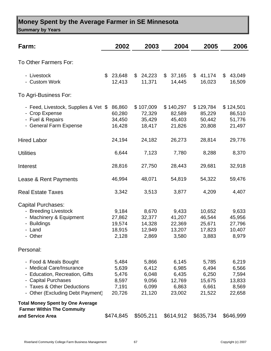## **Money Spent by the Average Farmer in SE Minnesota Summary by Years**

| Farm:                                                                                                                                                                                    | 2002                                                | 2003                                                | 2004                                                 | 2005                                                 | 2006                                                 |
|------------------------------------------------------------------------------------------------------------------------------------------------------------------------------------------|-----------------------------------------------------|-----------------------------------------------------|------------------------------------------------------|------------------------------------------------------|------------------------------------------------------|
| To Other Farmers For:                                                                                                                                                                    |                                                     |                                                     |                                                      |                                                      |                                                      |
| - Livestock<br>- Custom Work                                                                                                                                                             | \$<br>23,648<br>12,413                              | \$24,223<br>11,371                                  | \$37,165<br>14,445                                   | 41,174<br>\$<br>16,023                               | 43,049<br>\$<br>16,509                               |
| To Agri-Business For:                                                                                                                                                                    |                                                     |                                                     |                                                      |                                                      |                                                      |
| - Feed, Livestock, Supplies & Vet \$<br>- Crop Expense<br>- Fuel & Repairs<br>- General Farm Expense                                                                                     | 86,860<br>60,280<br>34,450<br>16,428                | \$107,009<br>72,329<br>35,429<br>18,417             | \$140,297<br>82,589<br>45,403<br>21,826              | \$129,784<br>85,229<br>50,442<br>20,808              | \$124,501<br>86,510<br>51,776<br>21,497              |
| <b>Hired Labor</b>                                                                                                                                                                       | 24,194                                              | 24,182                                              | 26,273                                               | 28,814                                               | 29,776                                               |
| <b>Utilities</b>                                                                                                                                                                         | 6,644                                               | 7,123                                               | 7,780                                                | 8,288                                                | 8,370                                                |
| Interest                                                                                                                                                                                 | 28,816                                              | 27,750                                              | 28,443                                               | 29,681                                               | 32,918                                               |
| Lease & Rent Payments                                                                                                                                                                    | 46,994                                              | 48,071                                              | 54,819                                               | 54,322                                               | 59,476                                               |
| <b>Real Estate Taxes</b>                                                                                                                                                                 | 3,342                                               | 3,513                                               | 3,877                                                | 4,209                                                | 4,407                                                |
| <b>Capital Purchases:</b><br>- Breeding Livestock<br>- Machinery & Equipment<br><b>Buildings</b><br>- Land<br>- Other                                                                    | 9,184<br>27,862<br>19,574<br>18,915<br>2,128        | 8,670<br>32,377<br>14,328<br>12,949<br>2,869        | 9,433<br>41,207<br>22,369<br>13,207<br>3,580         | 10,652<br>46,544<br>25,671<br>17,823<br>3,883        | 9,633<br>45,956<br>27,796<br>10,407<br>8,979         |
| Personal:                                                                                                                                                                                |                                                     |                                                     |                                                      |                                                      |                                                      |
| - Food & Meals Bought<br>- Medical Care/Insurance<br>Education, Recreation, Gifts<br><b>Capital Purchases</b><br><b>Taxes &amp; Other Deductions</b><br>- Other (Excluding Debt Payment) | 5,484<br>5,639<br>5,476<br>8,597<br>7,191<br>20,726 | 5,866<br>6,412<br>6,048<br>9,056<br>6,099<br>21,120 | 6,145<br>6,985<br>6,435<br>12,769<br>6,863<br>23,002 | 5,785<br>6,494<br>6,250<br>15,675<br>6,661<br>21,522 | 6,219<br>6,566<br>7,594<br>13,833<br>8,569<br>22,658 |
| <b>Total Money Spent by One Average</b><br><b>Farmer Within The Commuity</b><br>and Service Area                                                                                         | \$474,845                                           | \$505,211                                           | \$614,912                                            | \$635,734                                            | \$646,999                                            |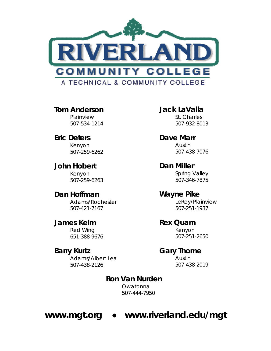

**Tom Anderson**  Plainview 507-534-1214

**Eric Deters**  Kenyon 507-259-6262

**John Hobert**  Kenyon 507-259-6263

**Dan Hoffman**  Adams/Rochester 507-421-7167

**James Kelm**  Red Wing 651-388-9676

## **Barry Kurtz**

Adams/Albert Lea 507-438-2126

**Jack LaValla**  St. Charles 507-932-8013

**Dave Marr**  Austin 507-438-7076

**Dan Miller**  Spring Valley 507-346-7875

**Wayne Pike**  LeRoy/Plainview 507-251-1937

**Rex Quam**  Kenyon 507-251-2650

#### **Gary Thome**

 Austin 507-438-2019

### **Ron Van Nurden**

 Owatonna 507-444-7950

## **www.mgt.org ● www.riverland.edu/mgt**